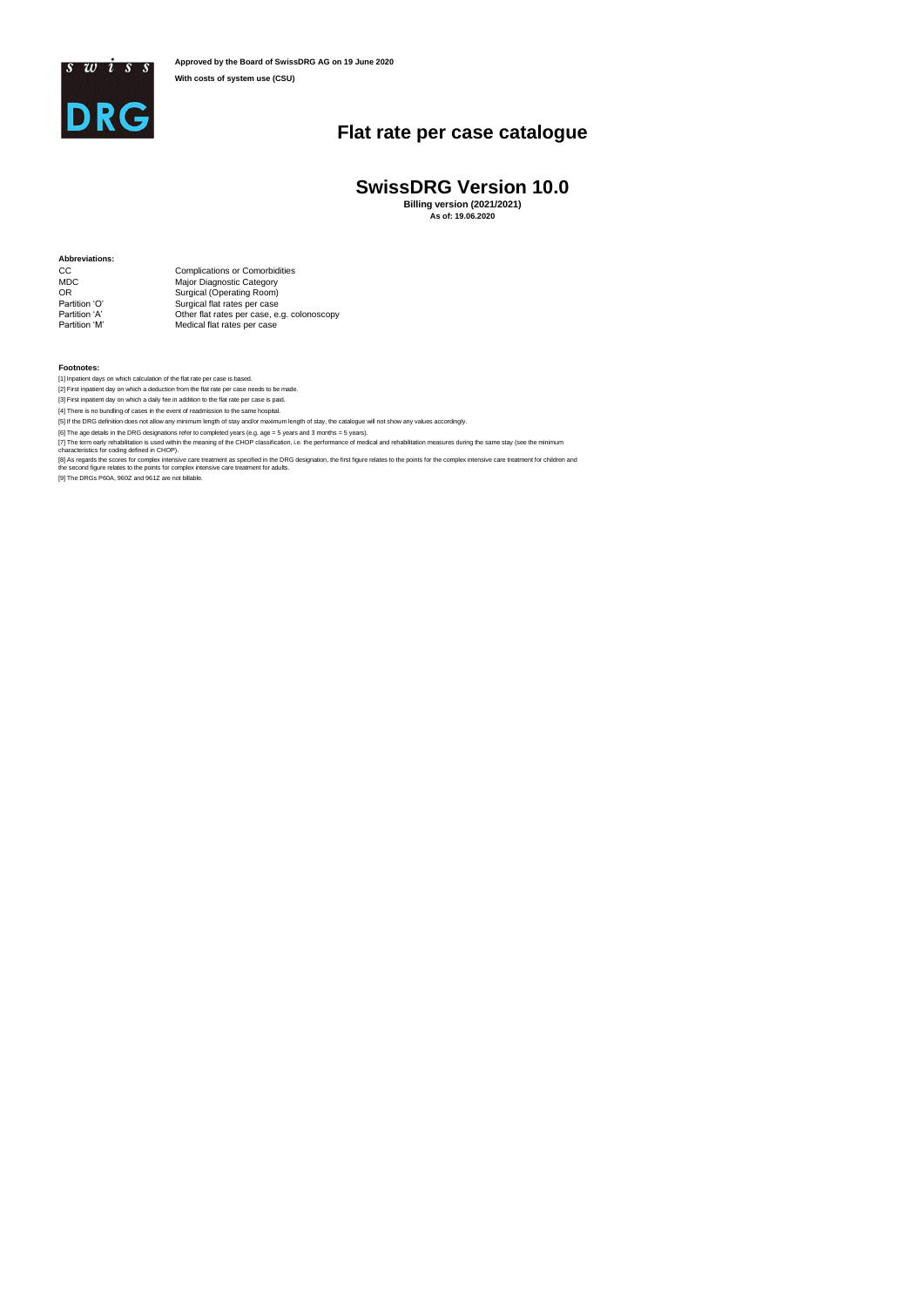

## **Flat rate per case catalogue**

## **SwissDRG Version 10.0**

**Billing version (2021/2021) As of: 19.06.2020**

**Abbreviations:**

CC Complications or Comorbidities MDC Major Diagnostic Category OR Surgical (Operating Room) Partition 'O' Surgical flat rates per case Partition 'A' Other flat rates per case, e.g. colonoscopy Partition 'M' Medical flat rates per case

**Footnotes:**

[1] Inpatient days on which calculation of the flat rate per case is based.<br>[2] First inpatient day on which a deduction from the flat rate per case needs to be made.<br>[3] First inpatient day on which a dealy fee in additio

[5] If the DRG definition does not allow any minimum length of stay and/or maximum length of stay, the catalogue will not show any values accordingly.

[6] The age details in the DRG designations refer to completed years (e.g. age = 5 years and 3 months = 5 years).<br>[7] The term early rehabilitation is used within the meaning of the CHOP classification, i.e. the performanc

[9] The DRGs P60A, 960Z and 961Z are not billable.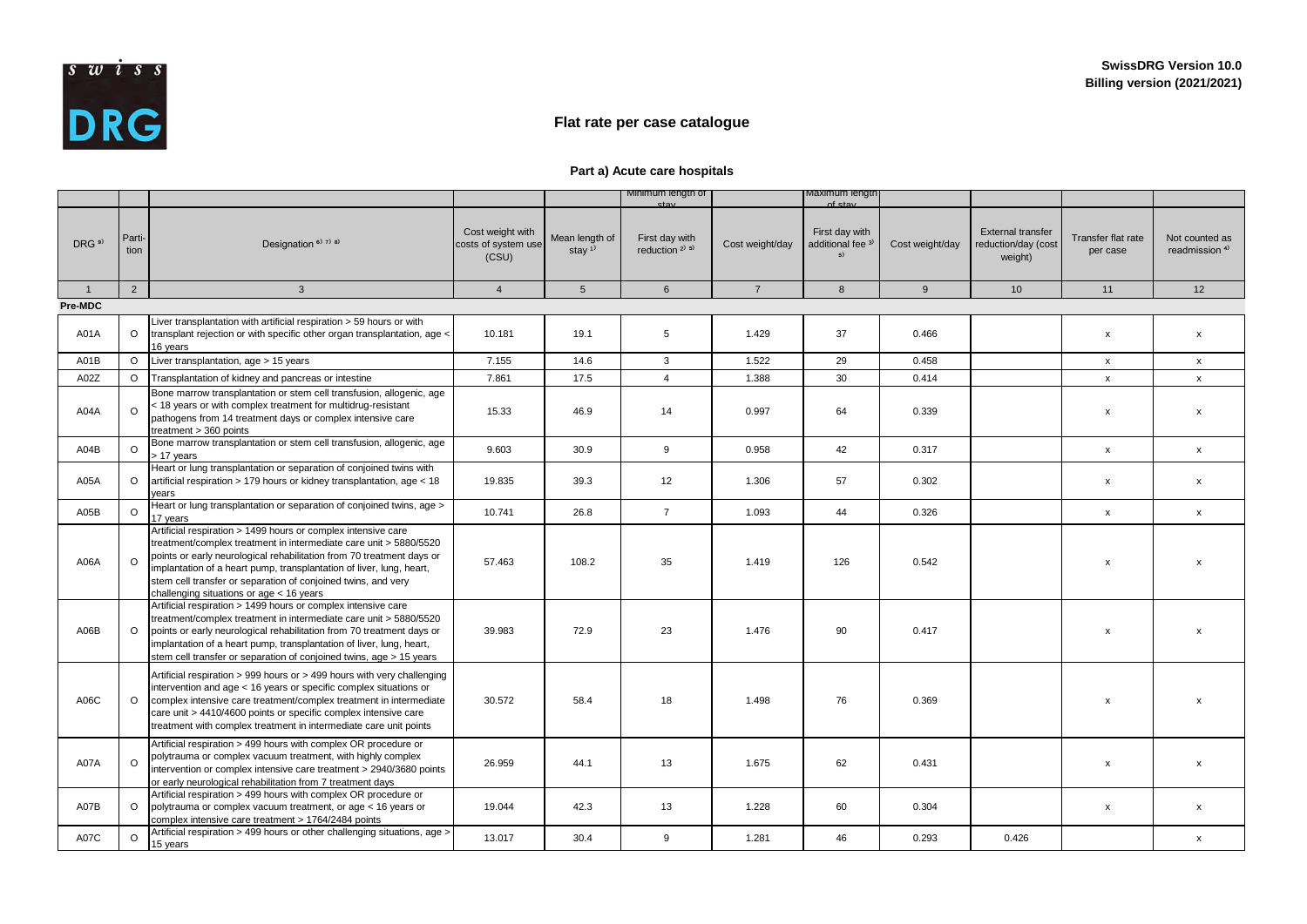

## **Flat rate per case catalogue**

## **Part a) Acute care hospitals**

|                  |                |                                                                                                                                                                                                                                                                                                                                                                                                    |                                                  |                                         | Minimum length of                            |                 | Maximum length<br>$\sim$ f $\sim$ t $\sim$     |                 |                                                            |                                |                                             |
|------------------|----------------|----------------------------------------------------------------------------------------------------------------------------------------------------------------------------------------------------------------------------------------------------------------------------------------------------------------------------------------------------------------------------------------------------|--------------------------------------------------|-----------------------------------------|----------------------------------------------|-----------------|------------------------------------------------|-----------------|------------------------------------------------------------|--------------------------------|---------------------------------------------|
| DRG <sup>9</sup> | Parti-<br>tion | Designation <sup>6)</sup> 7) 8)                                                                                                                                                                                                                                                                                                                                                                    | Cost weight with<br>costs of system use<br>(CSU) | Mean length of<br>stay $1$ <sup>1</sup> | First day with<br>reduction <sup>2)</sup> 5) | Cost weight/day | First day with<br>additional fee <sup>3)</sup> | Cost weight/day | <b>External transfer</b><br>reduction/day (cost<br>weight) | Transfer flat rate<br>per case | Not counted as<br>readmission <sup>4)</sup> |
| $\overline{1}$   | $\overline{2}$ | $\mathbf{3}$                                                                                                                                                                                                                                                                                                                                                                                       | $\overline{4}$                                   | 5                                       | 6                                            | $\overline{7}$  | 8                                              | 9               | 10                                                         | 11                             | 12                                          |
| Pre-MDC          |                |                                                                                                                                                                                                                                                                                                                                                                                                    |                                                  |                                         |                                              |                 |                                                |                 |                                                            |                                |                                             |
| A01A             | $\Omega$       | Liver transplantation with artificial respiration > 59 hours or with<br>transplant rejection or with specific other organ transplantation, age <<br>16 years                                                                                                                                                                                                                                       | 10.181                                           | 19.1                                    | 5                                            | 1.429           | 37                                             | 0.466           |                                                            | $\pmb{\mathsf{x}}$             | $\pmb{\chi}$                                |
| A01B             | $\Omega$       | Liver transplantation, age > 15 years                                                                                                                                                                                                                                                                                                                                                              | 7.155                                            | 14.6                                    | 3                                            | 1.522           | 29                                             | 0.458           |                                                            | $\mathsf{x}$                   | $\mathsf{x}$                                |
| A02Z             | $\Omega$       | Transplantation of kidney and pancreas or intestine                                                                                                                                                                                                                                                                                                                                                | 7.861                                            | 17.5                                    | $\overline{4}$                               | 1.388           | 30                                             | 0.414           |                                                            | $\mathsf{x}$                   | $\mathsf{x}$                                |
| A04A             | $\Omega$       | Bone marrow transplantation or stem cell transfusion, allogenic, age<br>< 18 years or with complex treatment for multidrug-resistant<br>pathogens from 14 treatment days or complex intensive care<br>treatment $> 360$ points                                                                                                                                                                     | 15.33                                            | 46.9                                    | 14                                           | 0.997           | 64                                             | 0.339           |                                                            | x                              | $\mathsf{x}$                                |
| A04B             | $\Omega$       | Bone marrow transplantation or stem cell transfusion, allogenic, age<br>> 17 years                                                                                                                                                                                                                                                                                                                 | 9.603                                            | 30.9                                    | 9                                            | 0.958           | 42                                             | 0.317           |                                                            | $\mathsf{x}$                   | $\mathsf{x}$                                |
| A05A             | $\Omega$       | Heart or lung transplantation or separation of conjoined twins with<br>artificial respiration > 179 hours or kidney transplantation, age < 18<br>vears                                                                                                                                                                                                                                             | 19.835                                           | 39.3                                    | 12                                           | 1.306           | 57                                             | 0.302           |                                                            | x                              | $\mathsf{x}$                                |
| A05B             | $\Omega$       | Heart or lung transplantation or separation of conjoined twins, age ><br>17 years                                                                                                                                                                                                                                                                                                                  | 10.741                                           | 26.8                                    | $\overline{7}$                               | 1.093           | 44                                             | 0.326           |                                                            | $\mathsf{x}$                   | $\mathsf{x}$                                |
| A06A             | $\Omega$       | Artificial respiration > 1499 hours or complex intensive care<br>treatment/complex treatment in intermediate care unit > 5880/5520<br>points or early neurological rehabilitation from 70 treatment days or<br>implantation of a heart pump, transplantation of liver, lung, heart,<br>stem cell transfer or separation of conjoined twins, and very<br>challenging situations or $aqe < 16$ years | 57.463                                           | 108.2                                   | 35                                           | 1.419           | 126                                            | 0.542           |                                                            | $\mathbf x$                    | $\mathbf{x}$                                |
| A06B             | $\Omega$       | Artificial respiration > 1499 hours or complex intensive care<br>treatment/complex treatment in intermediate care unit > 5880/5520<br>points or early neurological rehabilitation from 70 treatment days or<br>implantation of a heart pump, transplantation of liver, lung, heart,<br>stem cell transfer or separation of conjoined twins, age > 15 years                                         | 39.983                                           | 72.9                                    | 23                                           | 1.476           | 90                                             | 0.417           |                                                            | $\mathbf x$                    | $\boldsymbol{\mathsf{x}}$                   |
| A06C             | $\Omega$       | Artificial respiration > 999 hours or > 499 hours with very challenging<br>intervention and age < 16 years or specific complex situations or<br>complex intensive care treatment/complex treatment in intermediate<br>care unit > 4410/4600 points or specific complex intensive care<br>treatment with complex treatment in intermediate care unit points                                         | 30.572                                           | 58.4                                    | 18                                           | 1.498           | 76                                             | 0.369           |                                                            | $\mathbf x$                    | x                                           |
| A07A             | $\Omega$       | Artificial respiration > 499 hours with complex OR procedure or<br>polytrauma or complex vacuum treatment, with highly complex<br>intervention or complex intensive care treatment > 2940/3680 points<br>or early neurological rehabilitation from 7 treatment days                                                                                                                                | 26.959                                           | 44.1                                    | 13                                           | 1.675           | 62                                             | 0.431           |                                                            | $\mathsf{x}$                   | $\mathsf{x}$                                |
| A07B             | $\Omega$       | Artificial respiration > 499 hours with complex OR procedure or<br>polytrauma or complex vacuum treatment, or age < 16 years or<br>complex intensive care treatment > 1764/2484 points                                                                                                                                                                                                             | 19.044                                           | 42.3                                    | 13                                           | 1.228           | 60                                             | 0.304           |                                                            | x                              | $\mathsf{x}$                                |
| A07C             | $\Omega$       | Artificial respiration > 499 hours or other challenging situations, age ><br>15 years                                                                                                                                                                                                                                                                                                              | 13.017                                           | 30.4                                    | 9                                            | 1.281           | 46                                             | 0.293           | 0.426                                                      |                                | $\mathsf{x}$                                |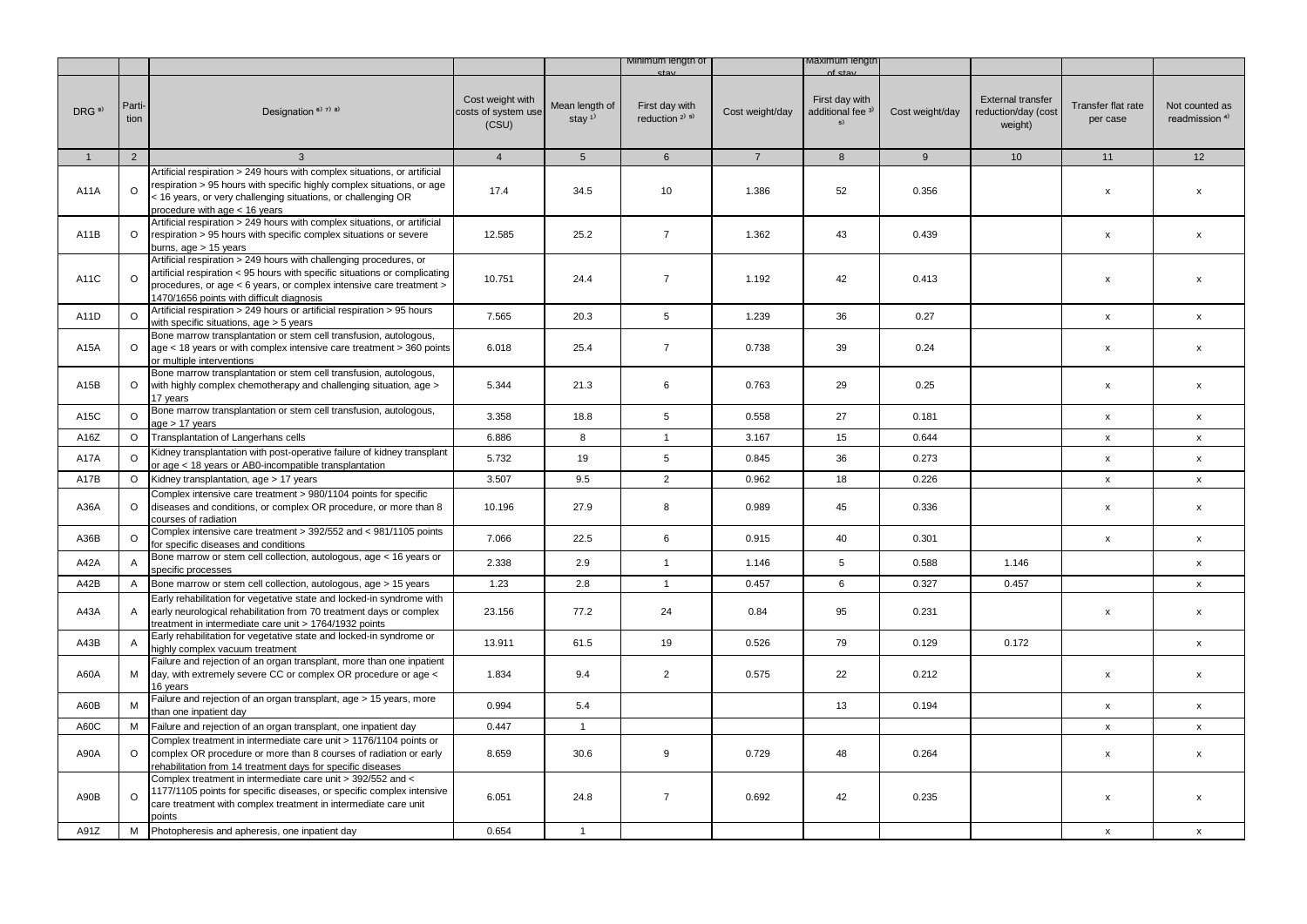|                   |                |                                                                                                                                                                                                                                                                      |                                                  |                                         | Minimum lengtn of                        |                 | laxımum lengt                                                      |                 |                                                            |                                |                                             |
|-------------------|----------------|----------------------------------------------------------------------------------------------------------------------------------------------------------------------------------------------------------------------------------------------------------------------|--------------------------------------------------|-----------------------------------------|------------------------------------------|-----------------|--------------------------------------------------------------------|-----------------|------------------------------------------------------------|--------------------------------|---------------------------------------------|
| DRG <sup>9)</sup> | Parti-<br>tion | Designation <sup>6)</sup> <sup>7)</sup> <sup>8)</sup>                                                                                                                                                                                                                | Cost weight with<br>costs of system use<br>(CSU) | Mean length of<br>stay $1$ <sup>1</sup> | First day with<br>reduction $2^{(3)}$ 5) | Cost weight/day | $of$ $eta$<br>First day with<br>additional fee <sup>31</sup><br>5) | Cost weight/day | <b>External transfer</b><br>reduction/day (cost<br>weight) | Transfer flat rate<br>per case | Not counted as<br>readmission <sup>4)</sup> |
| $\mathbf{1}$      | $\overline{2}$ | 3                                                                                                                                                                                                                                                                    | $\overline{4}$                                   | 5 <sub>5</sub>                          | $6\overline{6}$                          | $\overline{7}$  | 8                                                                  | 9               | 10                                                         | 11                             | 12                                          |
|                   |                | Artificial respiration > 249 hours with complex situations, or artificial                                                                                                                                                                                            |                                                  |                                         |                                          |                 |                                                                    |                 |                                                            |                                |                                             |
| A11A              | $\Omega$       | respiration > 95 hours with specific highly complex situations, or age<br>< 16 years, or very challenging situations, or challenging OR<br>procedure with age < 16 years                                                                                             | 17.4                                             | 34.5                                    | 10                                       | 1.386           | 52                                                                 | 0.356           |                                                            | $\pmb{\chi}$                   | $\mathsf{x}$                                |
| A11B              | $\circ$        | Artificial respiration > 249 hours with complex situations, or artificial<br>respiration > 95 hours with specific complex situations or severe<br>burns, $aqe > 15$ years                                                                                            | 12.585                                           | 25.2                                    | $\overline{7}$                           | 1.362           | 43                                                                 | 0.439           |                                                            | $\pmb{\chi}$                   | X                                           |
| A11C              | $\circ$        | Artificial respiration > 249 hours with challenging procedures, or<br>artificial respiration < 95 hours with specific situations or complicating<br>procedures, or age < 6 years, or complex intensive care treatment ><br>1470/1656 points with difficult diagnosis | 10.751                                           | 24.4                                    | $\overline{7}$                           | 1.192           | 42                                                                 | 0.413           |                                                            | $\pmb{\chi}$                   | $\boldsymbol{\mathsf{x}}$                   |
| A11D              | $\circ$        | Artificial respiration > 249 hours or artificial respiration > 95 hours<br>with specific situations, age > 5 years                                                                                                                                                   | 7.565                                            | 20.3                                    | 5                                        | 1.239           | 36                                                                 | 0.27            |                                                            | $\mathsf{x}$                   | $\pmb{\mathsf{x}}$                          |
| A15A              | $\circ$        | Bone marrow transplantation or stem cell transfusion, autologous,<br>age < 18 years or with complex intensive care treatment > 360 points<br>or multiple interventions                                                                                               | 6.018                                            | 25.4                                    | $\overline{7}$                           | 0.738           | 39                                                                 | 0.24            |                                                            | $\pmb{\chi}$                   | X                                           |
| A15B              | $\Omega$       | Bone marrow transplantation or stem cell transfusion, autologous,<br>with highly complex chemotherapy and challenging situation, age ><br>17 years                                                                                                                   | 5.344                                            | 21.3                                    | 6                                        | 0.763           | 29                                                                 | 0.25            |                                                            | $\pmb{\chi}$                   | $\pmb{\chi}$                                |
| A15C              | $\Omega$       | Bone marrow transplantation or stem cell transfusion, autologous,<br>age > 17 years                                                                                                                                                                                  | 3.358                                            | 18.8                                    | 5                                        | 0.558           | 27                                                                 | 0.181           |                                                            | $\pmb{\chi}$                   | X                                           |
| A16Z              | $\Omega$       | Transplantation of Langerhans cells                                                                                                                                                                                                                                  | 6.886                                            | 8                                       | $\mathbf{1}$                             | 3.167           | 15                                                                 | 0.644           |                                                            | $\mathsf X$                    | X                                           |
| <b>A17A</b>       | $\Omega$       | Kidney transplantation with post-operative failure of kidney transplant<br>or age < 18 years or AB0-incompatible transplantation                                                                                                                                     | 5.732                                            | 19                                      | $5\phantom{.0}$                          | 0.845           | 36                                                                 | 0.273           |                                                            | $\pmb{\mathsf{x}}$             | $\mathsf{x}$                                |
| A17B              | $\Omega$       | Kidney transplantation, age > 17 years                                                                                                                                                                                                                               | 3.507                                            | 9.5                                     | $\overline{2}$                           | 0.962           | 18                                                                 | 0.226           |                                                            | $\pmb{\mathsf{x}}$             | X                                           |
| A36A              | $\circ$        | Complex intensive care treatment > 980/1104 points for specific<br>diseases and conditions, or complex OR procedure, or more than 8<br>courses of radiation                                                                                                          | 10.196                                           | 27.9                                    | 8                                        | 0.989           | 45                                                                 | 0.336           |                                                            | $\pmb{\chi}$                   | $\pmb{\mathsf{x}}$                          |
| A36B              | $\Omega$       | Complex intensive care treatment > 392/552 and < 981/1105 points<br>for specific diseases and conditions                                                                                                                                                             | 7.066                                            | 22.5                                    | 6                                        | 0.915           | 40                                                                 | 0.301           |                                                            | $\pmb{\mathsf{x}}$             | $\pmb{\mathsf{x}}$                          |
| A42A              | Α              | Bone marrow or stem cell collection, autologous, age < 16 years or<br>specific processes                                                                                                                                                                             | 2.338                                            | 2.9                                     | $\mathbf{1}$                             | 1.146           | 5                                                                  | 0.588           | 1.146                                                      |                                | X                                           |
| A42B              | $\mathsf{A}$   | Bone marrow or stem cell collection, autologous, age > 15 years                                                                                                                                                                                                      | 1.23                                             | 2.8                                     | $\overline{1}$                           | 0.457           | 6                                                                  | 0.327           | 0.457                                                      |                                | X                                           |
| A43A              | $\mathsf{A}$   | Early rehabilitation for vegetative state and locked-in syndrome with<br>early neurological rehabilitation from 70 treatment days or complex<br>treatment in intermediate care unit > 1764/1932 points                                                               | 23.156                                           | 77.2                                    | 24                                       | 0.84            | 95                                                                 | 0.231           |                                                            | $\pmb{\chi}$                   | $\pmb{\mathsf{x}}$                          |
| A43B              | $\overline{A}$ | Early rehabilitation for vegetative state and locked-in syndrome or<br>highly complex vacuum treatment                                                                                                                                                               | 13.911                                           | 61.5                                    | 19                                       | 0.526           | 79                                                                 | 0.129           | 0.172                                                      |                                | $\mathsf{x}$                                |
| A60A              | М              | Failure and rejection of an organ transplant, more than one inpatient<br>day, with extremely severe CC or complex OR procedure or age <<br>16 years                                                                                                                  | 1.834                                            | 9.4                                     | $\overline{2}$                           | 0.575           | 22                                                                 | 0.212           |                                                            | $\pmb{\mathsf{x}}$             | X                                           |
| A60B              | M              | Failure and rejection of an organ transplant, age > 15 years, more<br>than one inpatient day                                                                                                                                                                         | 0.994                                            | 5.4                                     |                                          |                 | 13                                                                 | 0.194           |                                                            | $\mathsf{x}$                   | X                                           |
| A60C              | M              | Failure and rejection of an organ transplant, one inpatient day                                                                                                                                                                                                      | 0.447                                            | $\mathbf{1}$                            |                                          |                 |                                                                    |                 |                                                            | $\pmb{\mathsf{x}}$             | $\mathsf{x}$                                |
| A90A              | $\circ$        | Complex treatment in intermediate care unit > 1176/1104 points or<br>complex OR procedure or more than 8 courses of radiation or early<br>rehabilitation from 14 treatment days for specific diseases                                                                | 8.659                                            | 30.6                                    | 9                                        | 0.729           | 48                                                                 | 0.264           |                                                            | $\pmb{\chi}$                   | $\mathsf{x}$                                |
| A90B              | $\circ$        | Complex treatment in intermediate care unit > 392/552 and <<br>1177/1105 points for specific diseases, or specific complex intensive<br>care treatment with complex treatment in intermediate care unit<br>points                                                    | 6.051                                            | 24.8                                    | $\overline{7}$                           | 0.692           | 42                                                                 | 0.235           |                                                            | $\mathsf{x}$                   | $\pmb{\chi}$                                |
| A91Z              | М              | Photopheresis and apheresis, one inpatient day                                                                                                                                                                                                                       | 0.654                                            | $\mathbf{1}$                            |                                          |                 |                                                                    |                 |                                                            | $\mathsf{x}$                   | $\mathsf{x}$                                |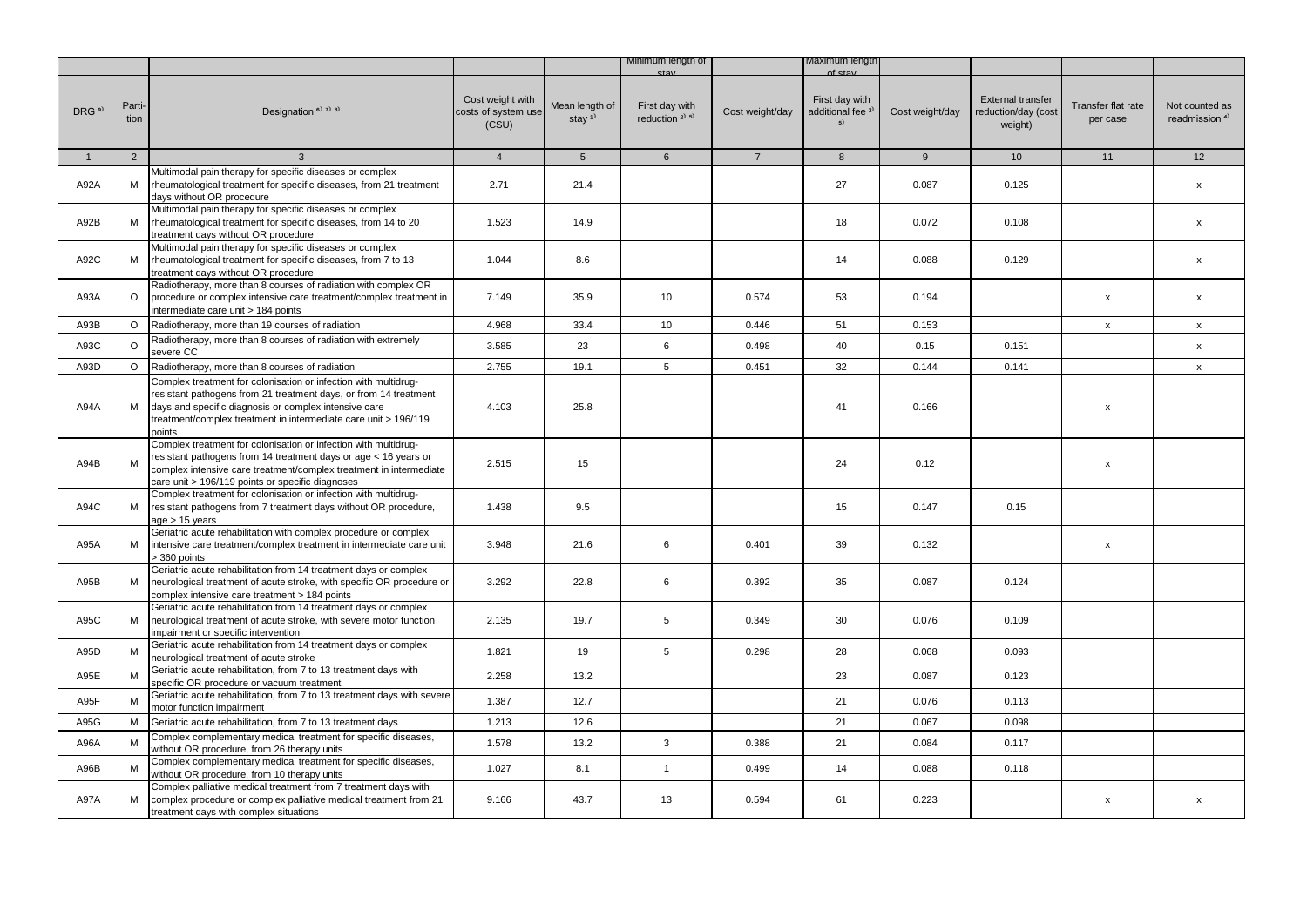|                   |                |                                                                                                                                                                                                                                                                           |                                                  |                                         | Minimum length of                            |                 | Maximum iengtr                                       |                 |                                                            |                                |                                             |
|-------------------|----------------|---------------------------------------------------------------------------------------------------------------------------------------------------------------------------------------------------------------------------------------------------------------------------|--------------------------------------------------|-----------------------------------------|----------------------------------------------|-----------------|------------------------------------------------------|-----------------|------------------------------------------------------------|--------------------------------|---------------------------------------------|
| DRG <sup>9)</sup> | Parti-<br>tion | Designation <sup>6)</sup> 7) 8)                                                                                                                                                                                                                                           | Cost weight with<br>costs of system use<br>(CSU) | Mean length of<br>stay $1$ <sup>1</sup> | First day with<br>reduction <sup>2)</sup> 5) | Cost weight/day | First day with<br>additional fee <sup>3)</sup><br>5) | Cost weight/day | <b>External transfer</b><br>reduction/day (cost<br>weight) | Transfer flat rate<br>per case | Not counted as<br>readmission <sup>4)</sup> |
| $\mathbf{1}$      | $\overline{2}$ | $\mathbf{3}$                                                                                                                                                                                                                                                              | $\overline{4}$                                   | 5                                       | 6                                            | $\overline{7}$  | 8                                                    | 9               | 10 <sup>1</sup>                                            | 11                             | 12                                          |
| A92A              | М              | Multimodal pain therapy for specific diseases or complex<br>rheumatological treatment for specific diseases, from 21 treatment<br>davs without OR procedure                                                                                                               | 2.71                                             | 21.4                                    |                                              |                 | 27                                                   | 0.087           | 0.125                                                      |                                | $\mathsf{x}$                                |
| A92B              | М              | Multimodal pain therapy for specific diseases or complex<br>rheumatological treatment for specific diseases, from 14 to 20<br>treatment days without OR procedure                                                                                                         | 1.523                                            | 14.9                                    |                                              |                 | 18                                                   | 0.072           | 0.108                                                      |                                | X                                           |
| A92C              | М              | Multimodal pain therapy for specific diseases or complex<br>rheumatological treatment for specific diseases, from 7 to 13<br>treatment days without OR procedure                                                                                                          | 1.044                                            | 8.6                                     |                                              |                 | 14                                                   | 0.088           | 0.129                                                      |                                | $\mathsf{x}$                                |
| A93A              | $\circ$        | Radiotherapy, more than 8 courses of radiation with complex OR<br>procedure or complex intensive care treatment/complex treatment in<br>intermediate care unit > 184 points                                                                                               | 7.149                                            | 35.9                                    | 10                                           | 0.574           | 53                                                   | 0.194           |                                                            | $\pmb{\mathsf{x}}$             | $\mathsf{x}$                                |
| A93B              | $\Omega$       | Radiotherapy, more than 19 courses of radiation                                                                                                                                                                                                                           | 4.968                                            | 33.4                                    | 10                                           | 0.446           | 51                                                   | 0.153           |                                                            | $\pmb{\mathsf{x}}$             | $\pmb{\mathsf{x}}$                          |
| A93C              | $\Omega$       | Radiotherapy, more than 8 courses of radiation with extremely<br>severe CC                                                                                                                                                                                                | 3.585                                            | 23                                      | 6                                            | 0.498           | 40                                                   | 0.15            | 0.151                                                      |                                | $\pmb{\chi}$                                |
| A93D              | $\circ$        | Radiotherapy, more than 8 courses of radiation                                                                                                                                                                                                                            | 2.755                                            | 19.1                                    | 5                                            | 0.451           | 32                                                   | 0.144           | 0.141                                                      |                                | $\pmb{\mathsf{x}}$                          |
| A94A              | M              | Complex treatment for colonisation or infection with multidrug-<br>resistant pathogens from 21 treatment days, or from 14 treatment<br>days and specific diagnosis or complex intensive care<br>treatment/complex treatment in intermediate care unit > 196/119<br>points | 4.103                                            | 25.8                                    |                                              |                 | 41                                                   | 0.166           |                                                            | x                              |                                             |
| A94B              | M              | Complex treatment for colonisation or infection with multidrug-<br>resistant pathogens from 14 treatment days or age < 16 years or<br>complex intensive care treatment/complex treatment in intermediate<br>care unit > 196/119 points or specific diagnoses              | 2.515                                            | 15                                      |                                              |                 | 24                                                   | 0.12            |                                                            | x                              |                                             |
| A94C              | м              | Complex treatment for colonisation or infection with multidrug-<br>resistant pathogens from 7 treatment days without OR procedure,<br>age > 15 years                                                                                                                      | 1.438                                            | 9.5                                     |                                              |                 | 15                                                   | 0.147           | 0.15                                                       |                                |                                             |
| A95A              | М              | Geriatric acute rehabilitation with complex procedure or complex<br>intensive care treatment/complex treatment in intermediate care unit<br>> 360 points                                                                                                                  | 3.948                                            | 21.6                                    | 6                                            | 0.401           | 39                                                   | 0.132           |                                                            | $\pmb{\mathsf{x}}$             |                                             |
| A95B              | М              | Geriatric acute rehabilitation from 14 treatment days or complex<br>neurological treatment of acute stroke, with specific OR procedure or<br>complex intensive care treatment > 184 points                                                                                | 3.292                                            | 22.8                                    | 6                                            | 0.392           | 35                                                   | 0.087           | 0.124                                                      |                                |                                             |
| A95C              | М              | Geriatric acute rehabilitation from 14 treatment days or complex<br>neurological treatment of acute stroke, with severe motor function<br>impairment or specific intervention                                                                                             | 2.135                                            | 19.7                                    | 5                                            | 0.349           | 30                                                   | 0.076           | 0.109                                                      |                                |                                             |
| A95D              | M              | Geriatric acute rehabilitation from 14 treatment days or complex<br>neurological treatment of acute stroke                                                                                                                                                                | 1.821                                            | 19                                      | 5                                            | 0.298           | 28                                                   | 0.068           | 0.093                                                      |                                |                                             |
| A95E              | M              | Geriatric acute rehabilitation, from 7 to 13 treatment days with<br>specific OR procedure or vacuum treatment                                                                                                                                                             | 2.258                                            | 13.2                                    |                                              |                 | 23                                                   | 0.087           | 0.123                                                      |                                |                                             |
| A95F              | M              | Geriatric acute rehabilitation, from 7 to 13 treatment days with severe<br>motor function impairment                                                                                                                                                                      | 1.387                                            | 12.7                                    |                                              |                 | 21                                                   | 0.076           | 0.113                                                      |                                |                                             |
| A95G              | M              | Geriatric acute rehabilitation, from 7 to 13 treatment days                                                                                                                                                                                                               | 1.213                                            | 12.6                                    |                                              |                 | 21                                                   | 0.067           | 0.098                                                      |                                |                                             |
| A96A              | M              | Complex complementary medical treatment for specific diseases,<br>without OR procedure, from 26 therapy units                                                                                                                                                             | 1.578                                            | 13.2                                    | $\mathbf{3}$                                 | 0.388           | 21                                                   | 0.084           | 0.117                                                      |                                |                                             |
| A96B              | M              | Complex complementary medical treatment for specific diseases,<br>without OR procedure, from 10 therapy units                                                                                                                                                             | 1.027                                            | 8.1                                     | $\mathbf{1}$                                 | 0.499           | 14                                                   | 0.088           | 0.118                                                      |                                |                                             |
| A97A              | м              | Complex palliative medical treatment from 7 treatment days with<br>complex procedure or complex palliative medical treatment from 21<br>treatment days with complex situations                                                                                            | 9.166                                            | 43.7                                    | 13                                           | 0.594           | 61                                                   | 0.223           |                                                            | x                              | $\mathsf{x}$                                |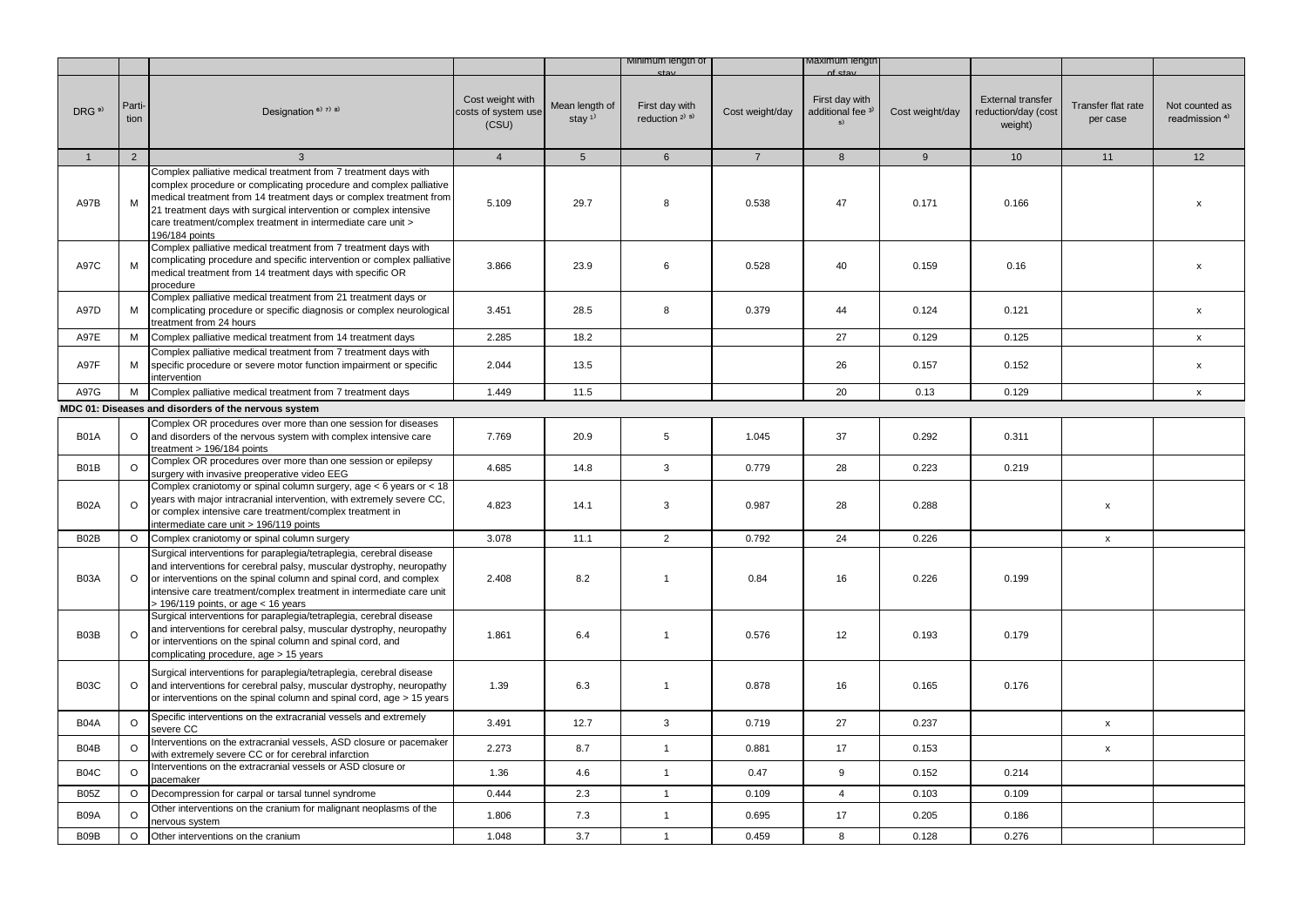|                   |                |                                                                                                                                                                                                                                                                                                                                                                    |                                                  |                                         | Minimum length of                                       |                 | waximum iengtr                                       |                 |                                                            |                                |                                             |
|-------------------|----------------|--------------------------------------------------------------------------------------------------------------------------------------------------------------------------------------------------------------------------------------------------------------------------------------------------------------------------------------------------------------------|--------------------------------------------------|-----------------------------------------|---------------------------------------------------------|-----------------|------------------------------------------------------|-----------------|------------------------------------------------------------|--------------------------------|---------------------------------------------|
| DRG <sup>9)</sup> | Parti-<br>tion | Designation <sup>6)</sup> <sup>7)</sup> <sup>8)</sup>                                                                                                                                                                                                                                                                                                              | Cost weight with<br>costs of system use<br>(CSU) | Mean length of<br>stay $1$ <sup>1</sup> | First day with<br>reduction <sup>2)</sup> <sup>5)</sup> | Cost weight/day | First day with<br>additional fee <sup>3)</sup><br>5) | Cost weight/day | <b>External transfer</b><br>reduction/day (cost<br>weight) | Transfer flat rate<br>per case | Not counted as<br>readmission <sup>4)</sup> |
| $\mathbf{1}$      | 2              | $\mathbf{3}$                                                                                                                                                                                                                                                                                                                                                       | $\overline{4}$                                   | 5 <sup>5</sup>                          | 6                                                       | $7^{\circ}$     | 8                                                    | 9               | 10 <sup>1</sup>                                            | 11                             | 12                                          |
| A97B              | M              | Complex palliative medical treatment from 7 treatment days with<br>complex procedure or complicating procedure and complex palliative<br>medical treatment from 14 treatment days or complex treatment from<br>21 treatment days with surgical intervention or complex intensive<br>care treatment/complex treatment in intermediate care unit ><br>196/184 points | 5.109                                            | 29.7                                    | 8                                                       | 0.538           | 47                                                   | 0.171           | 0.166                                                      |                                | X                                           |
| A97C              | M              | Complex palliative medical treatment from 7 treatment days with<br>complicating procedure and specific intervention or complex palliative<br>medical treatment from 14 treatment days with specific OR<br>procedure                                                                                                                                                | 3.866                                            | 23.9                                    | 6                                                       | 0.528           | 40                                                   | 0.159           | 0.16                                                       |                                | X                                           |
| A97D              | М              | Complex palliative medical treatment from 21 treatment days or<br>complicating procedure or specific diagnosis or complex neurological<br>treatment from 24 hours                                                                                                                                                                                                  | 3.451                                            | 28.5                                    | 8                                                       | 0.379           | 44                                                   | 0.124           | 0.121                                                      |                                | $\pmb{\mathsf{x}}$                          |
| A97E              | М              | Complex palliative medical treatment from 14 treatment days                                                                                                                                                                                                                                                                                                        | 2.285                                            | 18.2                                    |                                                         |                 | 27                                                   | 0.129           | 0.125                                                      |                                | $\mathsf{x}$                                |
| A97F              | M              | Complex palliative medical treatment from 7 treatment days with<br>specific procedure or severe motor function impairment or specific<br>intervention                                                                                                                                                                                                              | 2.044                                            | 13.5                                    |                                                         |                 | 26                                                   | 0.157           | 0.152                                                      |                                | $\boldsymbol{\mathsf{x}}$                   |
| A97G              | м              | Complex palliative medical treatment from 7 treatment days                                                                                                                                                                                                                                                                                                         | 1.449                                            | 11.5                                    |                                                         |                 | 20                                                   | 0.13            | 0.129                                                      |                                | $\mathsf{x}$                                |
|                   |                | MDC 01: Diseases and disorders of the nervous system                                                                                                                                                                                                                                                                                                               |                                                  |                                         |                                                         |                 |                                                      |                 |                                                            |                                |                                             |
| <b>B01A</b>       | $\circ$        | Complex OR procedures over more than one session for diseases<br>and disorders of the nervous system with complex intensive care<br>treatment > 196/184 points                                                                                                                                                                                                     | 7.769                                            | 20.9                                    | 5                                                       | 1.045           | 37                                                   | 0.292           | 0.311                                                      |                                |                                             |
| B01B              | $\circ$        | Complex OR procedures over more than one session or epilepsy<br>surgery with invasive preoperative video EEG                                                                                                                                                                                                                                                       | 4.685                                            | 14.8                                    | $\mathbf{3}$                                            | 0.779           | 28                                                   | 0.223           | 0.219                                                      |                                |                                             |
| <b>B02A</b>       | $\circ$        | Complex craniotomy or spinal column surgery, age < 6 years or < 18<br>years with major intracranial intervention, with extremely severe CC,<br>or complex intensive care treatment/complex treatment in<br>intermediate care unit > 196/119 points                                                                                                                 | 4.823                                            | 14.1                                    | 3                                                       | 0.987           | 28                                                   | 0.288           |                                                            | $\pmb{\mathsf{x}}$             |                                             |
| B02B              | $\circ$        | Complex craniotomy or spinal column surgery                                                                                                                                                                                                                                                                                                                        | 3.078                                            | 11.1                                    | $\overline{2}$                                          | 0.792           | 24                                                   | 0.226           |                                                            | X                              |                                             |
| B03A              | $\circ$        | Surgical interventions for paraplegia/tetraplegia, cerebral disease<br>and interventions for cerebral palsy, muscular dystrophy, neuropathy<br>or interventions on the spinal column and spinal cord, and complex<br>intensive care treatment/complex treatment in intermediate care unit<br>$>$ 196/119 points, or age $<$ 16 years                               | 2.408                                            | 8.2                                     | $\mathbf{1}$                                            | 0.84            | 16                                                   | 0.226           | 0.199                                                      |                                |                                             |
| B03B              | $\circ$        | Surgical interventions for paraplegia/tetraplegia, cerebral disease<br>and interventions for cerebral palsy, muscular dystrophy, neuropathy<br>or interventions on the spinal column and spinal cord, and<br>complicating procedure, age > 15 years                                                                                                                | 1.861                                            | 6.4                                     | $\mathbf{1}$                                            | 0.576           | 12                                                   | 0.193           | 0.179                                                      |                                |                                             |
| <b>B03C</b>       | $\circ$        | Surgical interventions for paraplegia/tetraplegia, cerebral disease<br>and interventions for cerebral palsy, muscular dystrophy, neuropathy<br>or interventions on the spinal column and spinal cord, age > 15 years                                                                                                                                               | 1.39                                             | 6.3                                     | $\mathbf{1}$                                            | 0.878           | 16                                                   | 0.165           | 0.176                                                      |                                |                                             |
| B04A              | O              | Specific interventions on the extracranial vessels and extremely<br>severe CC                                                                                                                                                                                                                                                                                      | 3.491                                            | 12.7                                    | 3                                                       | 0.719           | 27                                                   | 0.237           |                                                            | $\mathsf X$                    |                                             |
| B04B              | $\circ$        | Interventions on the extracranial vessels, ASD closure or pacemaker<br>with extremely severe CC or for cerebral infarction                                                                                                                                                                                                                                         | 2.273                                            | 8.7                                     | $\mathbf{1}$                                            | 0.881           | 17                                                   | 0.153           |                                                            | $\mathsf{x}$                   |                                             |
| <b>B04C</b>       | $\circ$        | Interventions on the extracranial vessels or ASD closure or<br>pacemaker                                                                                                                                                                                                                                                                                           | 1.36                                             | 4.6                                     | $\mathbf{1}$                                            | 0.47            | 9                                                    | 0.152           | 0.214                                                      |                                |                                             |
| <b>B05Z</b>       | $\circ$        | Decompression for carpal or tarsal tunnel syndrome                                                                                                                                                                                                                                                                                                                 | 0.444                                            | 2.3                                     | $\mathbf{1}$                                            | 0.109           | $\overline{4}$                                       | 0.103           | 0.109                                                      |                                |                                             |
| B09A              | $\circ$        | Other interventions on the cranium for malignant neoplasms of the<br>nervous system                                                                                                                                                                                                                                                                                | 1.806                                            | 7.3                                     | $\mathbf{1}$                                            | 0.695           | 17                                                   | 0.205           | 0.186                                                      |                                |                                             |
| B09B              | $\circ$        | Other interventions on the cranium                                                                                                                                                                                                                                                                                                                                 | 1.048                                            | 3.7                                     | $\mathbf{1}$                                            | 0.459           | 8                                                    | 0.128           | 0.276                                                      |                                |                                             |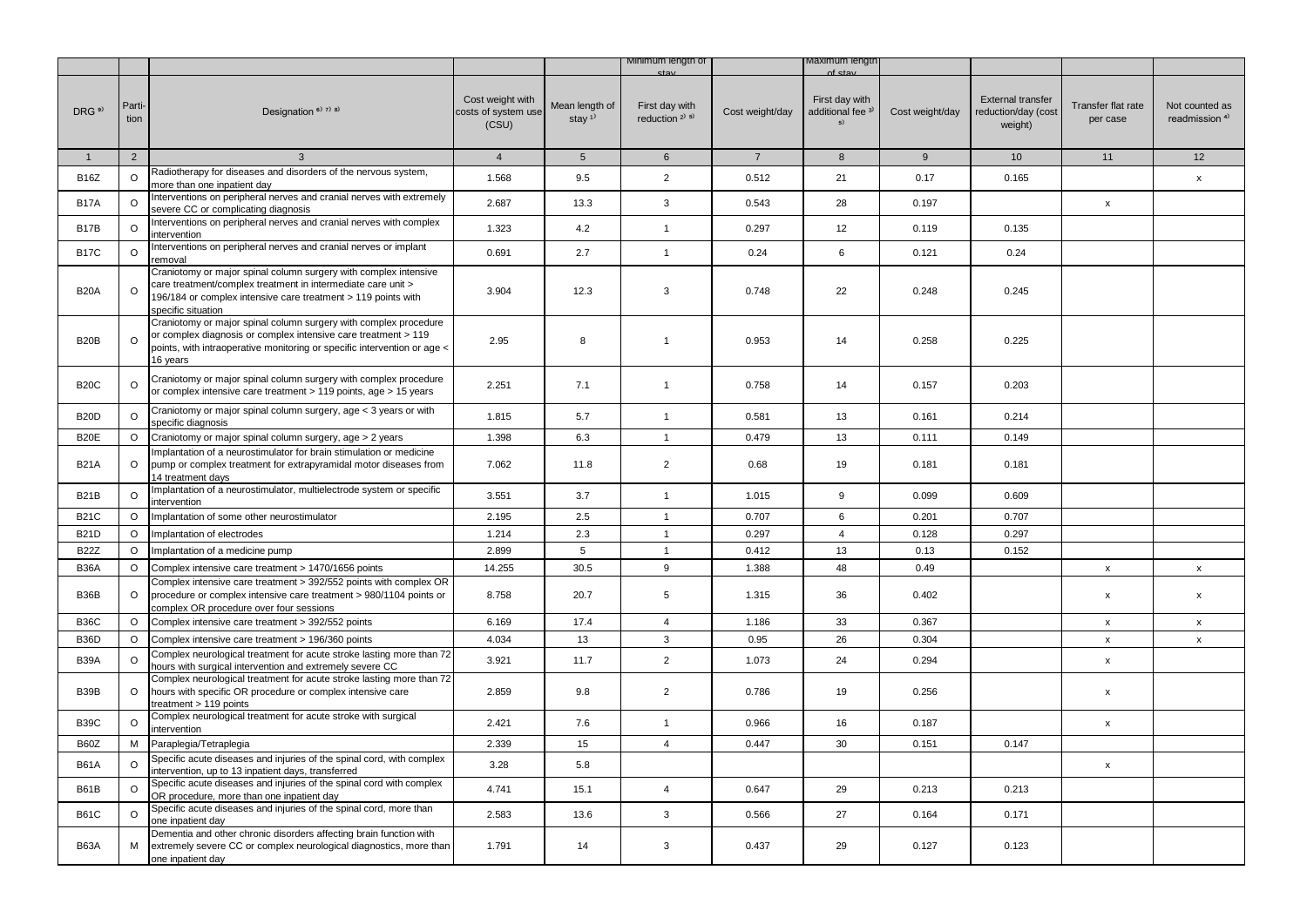|                   |                |                                                                                                                                                                                                                            |                                                  |                                         | Minimum iengtn of                      |                 | лахımum ıengtr                                       |                 |                                                            |                                |                                             |
|-------------------|----------------|----------------------------------------------------------------------------------------------------------------------------------------------------------------------------------------------------------------------------|--------------------------------------------------|-----------------------------------------|----------------------------------------|-----------------|------------------------------------------------------|-----------------|------------------------------------------------------------|--------------------------------|---------------------------------------------|
| DRG <sup>9)</sup> | Parti-<br>tion | Designation $6$ <sup>3</sup> $7$ <sup>3</sup> $8$ <sup>3</sup>                                                                                                                                                             | Cost weight with<br>costs of system use<br>(CSU) | Mean length of<br>stay $1$ <sup>1</sup> | First day with<br>reduction $2^{j}$ 5) | Cost weight/day | First day with<br>additional fee <sup>3)</sup><br>5) | Cost weight/day | <b>External transfer</b><br>reduction/day (cost<br>weight) | Transfer flat rate<br>per case | Not counted as<br>readmission <sup>4)</sup> |
| $\mathbf{1}$      | 2              | $\mathbf{3}$                                                                                                                                                                                                               | $\overline{4}$                                   | 5 <sup>5</sup>                          | 6                                      | $\overline{7}$  | 8                                                    | 9               | 10 <sup>°</sup>                                            | 11                             | 12                                          |
| <b>B16Z</b>       | $\circ$        | Radiotherapy for diseases and disorders of the nervous system,<br>more than one inpatient day                                                                                                                              | 1.568                                            | 9.5                                     | $\overline{2}$                         | 0.512           | 21                                                   | 0.17            | 0.165                                                      |                                | X                                           |
| <b>B17A</b>       | O              | Interventions on peripheral nerves and cranial nerves with extremely<br>severe CC or complicating diagnosis                                                                                                                | 2.687                                            | 13.3                                    | 3                                      | 0.543           | 28                                                   | 0.197           |                                                            | $\pmb{\mathsf{x}}$             |                                             |
| B <sub>17</sub> B | $\Omega$       | Interventions on peripheral nerves and cranial nerves with complex<br>ntervention                                                                                                                                          | 1.323                                            | 4.2                                     | $\mathbf{1}$                           | 0.297           | 12                                                   | 0.119           | 0.135                                                      |                                |                                             |
| <b>B17C</b>       | $\circ$        | Interventions on peripheral nerves and cranial nerves or implant<br>emoval <sup>.</sup>                                                                                                                                    | 0.691                                            | 2.7                                     | $\mathbf{1}$                           | 0.24            | 6                                                    | 0.121           | 0.24                                                       |                                |                                             |
| <b>B20A</b>       | $\circ$        | Craniotomy or major spinal column surgery with complex intensive<br>care treatment/complex treatment in intermediate care unit ><br>196/184 or complex intensive care treatment > 119 points with<br>specific situation    | 3.904                                            | 12.3                                    | 3                                      | 0.748           | 22                                                   | 0.248           | 0.245                                                      |                                |                                             |
| B <sub>20</sub> B | $\circ$        | Craniotomy or major spinal column surgery with complex procedure<br>or complex diagnosis or complex intensive care treatment > 119<br>points, with intraoperative monitoring or specific intervention or age <<br>16 years | 2.95                                             | 8                                       | $\mathbf{1}$                           | 0.953           | 14                                                   | 0.258           | 0.225                                                      |                                |                                             |
| <b>B20C</b>       | O              | Craniotomy or major spinal column surgery with complex procedure<br>or complex intensive care treatment > 119 points, age > 15 years                                                                                       | 2.251                                            | 7.1                                     | $\mathbf{1}$                           | 0.758           | 14                                                   | 0.157           | 0.203                                                      |                                |                                             |
| <b>B20D</b>       | O              | Craniotomy or major spinal column surgery, age < 3 years or with<br>specific diagnosis                                                                                                                                     | 1.815                                            | 5.7                                     | $\mathbf{1}$                           | 0.581           | 13                                                   | 0.161           | 0.214                                                      |                                |                                             |
| B20E              | $\circ$        | Craniotomy or major spinal column surgery, age > 2 years                                                                                                                                                                   | 1.398                                            | 6.3                                     | $\mathbf{1}$                           | 0.479           | 13                                                   | 0.111           | 0.149                                                      |                                |                                             |
| <b>B21A</b>       | $\circ$        | Implantation of a neurostimulator for brain stimulation or medicine<br>pump or complex treatment for extrapyramidal motor diseases from<br>14 treatment days                                                               | 7.062                                            | 11.8                                    | $\overline{2}$                         | 0.68            | 19                                                   | 0.181           | 0.181                                                      |                                |                                             |
| <b>B21B</b>       | $\circ$        | Implantation of a neurostimulator, multielectrode system or specific<br>intervention                                                                                                                                       | 3.551                                            | 3.7                                     | $\mathbf{1}$                           | 1.015           | 9                                                    | 0.099           | 0.609                                                      |                                |                                             |
| <b>B21C</b>       | $\circ$        | Implantation of some other neurostimulator                                                                                                                                                                                 | 2.195                                            | 2.5                                     | $\overline{1}$                         | 0.707           | 6                                                    | 0.201           | 0.707                                                      |                                |                                             |
| <b>B21D</b>       | $\circ$        | Implantation of electrodes                                                                                                                                                                                                 | 1.214                                            | 2.3                                     | $\mathbf{1}$                           | 0.297           | $\overline{4}$                                       | 0.128           | 0.297                                                      |                                |                                             |
| <b>B22Z</b>       | $\circ$        | Implantation of a medicine pump                                                                                                                                                                                            | 2.899                                            | 5                                       | $\mathbf{1}$                           | 0.412           | 13                                                   | 0.13            | 0.152                                                      |                                |                                             |
| <b>B36A</b>       | $\circ$        | Complex intensive care treatment > 1470/1656 points                                                                                                                                                                        | 14.255                                           | 30.5                                    | 9                                      | 1.388           | 48                                                   | 0.49            |                                                            | x                              | $\mathsf{x}$                                |
| B36B              | $\circ$        | Complex intensive care treatment > 392/552 points with complex OR<br>procedure or complex intensive care treatment > 980/1104 points or<br>complex OR procedure over four sessions                                         | 8.758                                            | 20.7                                    | $\overline{5}$                         | 1.315           | 36                                                   | 0.402           |                                                            | x                              | $\boldsymbol{\mathsf{X}}$                   |
| <b>B36C</b>       | $\circ$        | Complex intensive care treatment > 392/552 points                                                                                                                                                                          | 6.169                                            | 17.4                                    | $\overline{4}$                         | 1.186           | 33                                                   | 0.367           |                                                            | $\pmb{\mathsf{x}}$             | $\pmb{\mathsf{x}}$                          |
| B <sub>36</sub> D | $\circ$        | Complex intensive care treatment > 196/360 points                                                                                                                                                                          | 4.034                                            | 13                                      | 3                                      | 0.95            | 26                                                   | 0.304           |                                                            | $\pmb{\mathsf{x}}$             | $\pmb{\chi}$                                |
| <b>B39A</b>       | $\circ$        | Complex neurological treatment for acute stroke lasting more than 72<br>hours with surgical intervention and extremely severe CC                                                                                           | 3.921                                            | 11.7                                    | $\overline{2}$                         | 1.073           | 24                                                   | 0.294           |                                                            | x                              |                                             |
| B39B              | $\circ$        | Complex neurological treatment for acute stroke lasting more than 72<br>hours with specific OR procedure or complex intensive care<br>treatment > 119 points                                                               | 2.859                                            | 9.8                                     | $\overline{2}$                         | 0.786           | 19                                                   | 0.256           |                                                            | x                              |                                             |
| <b>B39C</b>       | O              | Complex neurological treatment for acute stroke with surgical<br>ntervention                                                                                                                                               | 2.421                                            | 7.6                                     | $\mathbf{1}$                           | 0.966           | 16                                                   | 0.187           |                                                            | X                              |                                             |
| B60Z              | М              | Paraplegia/Tetraplegia                                                                                                                                                                                                     | 2.339                                            | 15                                      | $\overline{4}$                         | 0.447           | 30                                                   | 0.151           | 0.147                                                      |                                |                                             |
| <b>B61A</b>       | $\circ$        | Specific acute diseases and injuries of the spinal cord, with complex<br>ntervention, up to 13 inpatient days, transferred                                                                                                 | 3.28                                             | 5.8                                     |                                        |                 |                                                      |                 |                                                            | x                              |                                             |
| <b>B61B</b>       | $\circ$        | Specific acute diseases and injuries of the spinal cord with complex<br>OR procedure, more than one inpatient day                                                                                                          | 4.741                                            | 15.1                                    | $\overline{4}$                         | 0.647           | 29                                                   | 0.213           | 0.213                                                      |                                |                                             |
| <b>B61C</b>       | $\circ$        | Specific acute diseases and injuries of the spinal cord, more than<br>one inpatient day                                                                                                                                    | 2.583                                            | 13.6                                    | 3                                      | 0.566           | 27                                                   | 0.164           | 0.171                                                      |                                |                                             |
| B63A              | м              | Dementia and other chronic disorders affecting brain function with<br>extremely severe CC or complex neurological diagnostics, more than<br>one inpatient day                                                              | 1.791                                            | 14                                      | 3                                      | 0.437           | 29                                                   | 0.127           | 0.123                                                      |                                |                                             |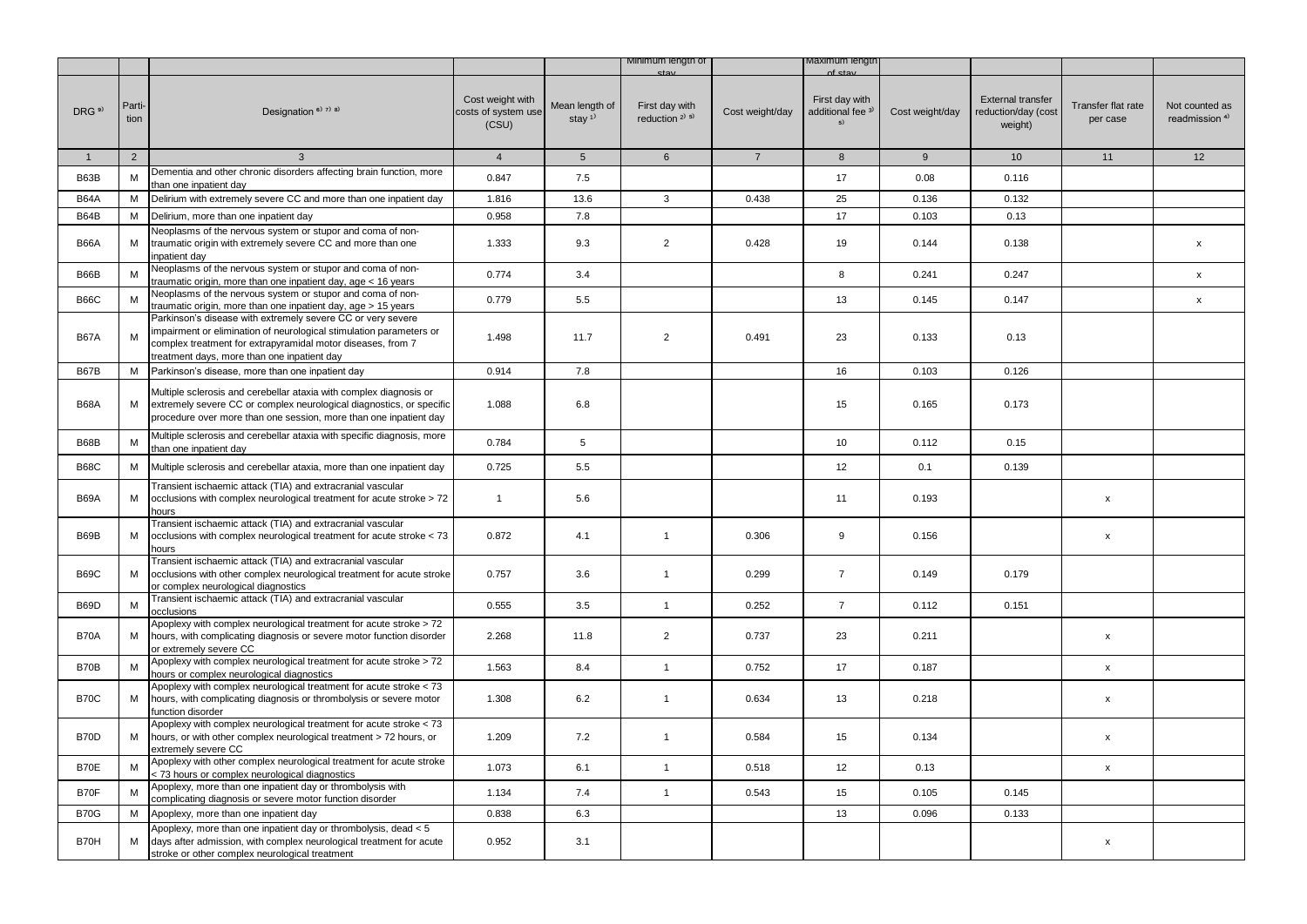|                   |                |                                                                                                                                                                                                                                                  |                                                  |                                      | Minimum lengtn of                                       |                 | viaximum iengtr                                      |                 |                                                            |                                |                                             |
|-------------------|----------------|--------------------------------------------------------------------------------------------------------------------------------------------------------------------------------------------------------------------------------------------------|--------------------------------------------------|--------------------------------------|---------------------------------------------------------|-----------------|------------------------------------------------------|-----------------|------------------------------------------------------------|--------------------------------|---------------------------------------------|
| DRG <sup>9)</sup> | Parti-<br>tion | Designation <sup>6)</sup> 7) 8)                                                                                                                                                                                                                  | Cost weight with<br>costs of system use<br>(CSU) | Mean length of<br>stay <sup>1)</sup> | First day with<br>reduction <sup>2)</sup> <sup>5)</sup> | Cost weight/day | First day with<br>additional fee <sup>3)</sup><br>5) | Cost weight/day | <b>External transfer</b><br>reduction/day (cost<br>weight) | Transfer flat rate<br>per case | Not counted as<br>readmission <sup>4)</sup> |
| $\mathbf{1}$      | $\overline{2}$ | 3                                                                                                                                                                                                                                                | $\overline{4}$                                   | $5\phantom{.0}$                      | 6                                                       | $\overline{7}$  | 8                                                    | 9               | 10                                                         | 11                             | 12                                          |
| B63B              | М              | Dementia and other chronic disorders affecting brain function, more<br>than one inpatient day                                                                                                                                                    | 0.847                                            | 7.5                                  |                                                         |                 | 17                                                   | 0.08            | 0.116                                                      |                                |                                             |
| <b>B64A</b>       | м              | Delirium with extremely severe CC and more than one inpatient day                                                                                                                                                                                | 1.816                                            | 13.6                                 | 3                                                       | 0.438           | 25                                                   | 0.136           | 0.132                                                      |                                |                                             |
| B64B              | M              | Delirium, more than one inpatient day                                                                                                                                                                                                            | 0.958                                            | 7.8                                  |                                                         |                 | 17                                                   | 0.103           | 0.13                                                       |                                |                                             |
| <b>B66A</b>       | М              | Neoplasms of the nervous system or stupor and coma of non-<br>traumatic origin with extremely severe CC and more than one<br>inpatient day                                                                                                       | 1.333                                            | 9.3                                  | $\overline{2}$                                          | 0.428           | 19                                                   | 0.144           | 0.138                                                      |                                | $\pmb{\mathsf{x}}$                          |
| B66B              | M              | Neoplasms of the nervous system or stupor and coma of non-<br>traumatic origin, more than one inpatient day, age < 16 years                                                                                                                      | 0.774                                            | 3.4                                  |                                                         |                 | 8                                                    | 0.241           | 0.247                                                      |                                | X                                           |
| <b>B66C</b>       | M              | Neoplasms of the nervous system or stupor and coma of non-<br>traumatic origin, more than one inpatient day, age > 15 years                                                                                                                      | 0.779                                            | 5.5                                  |                                                         |                 | 13                                                   | 0.145           | 0.147                                                      |                                | $\mathsf{x}$                                |
| <b>B67A</b>       | M              | Parkinson's disease with extremely severe CC or very severe<br>impairment or elimination of neurological stimulation parameters or<br>complex treatment for extrapyramidal motor diseases, from 7<br>treatment days, more than one inpatient day | 1.498                                            | 11.7                                 | $\overline{2}$                                          | 0.491           | 23                                                   | 0.133           | 0.13                                                       |                                |                                             |
| <b>B67B</b>       | M              | Parkinson's disease, more than one inpatient day                                                                                                                                                                                                 | 0.914                                            | 7.8                                  |                                                         |                 | 16                                                   | 0.103           | 0.126                                                      |                                |                                             |
| <b>B68A</b>       | М              | Multiple sclerosis and cerebellar ataxia with complex diagnosis or<br>extremely severe CC or complex neurological diagnostics, or specific<br>procedure over more than one session, more than one inpatient day                                  | 1.088                                            | 6.8                                  |                                                         |                 | 15                                                   | 0.165           | 0.173                                                      |                                |                                             |
| B68B              | M              | Multiple sclerosis and cerebellar ataxia with specific diagnosis, more<br>than one inpatient day                                                                                                                                                 | 0.784                                            | 5                                    |                                                         |                 | 10                                                   | 0.112           | 0.15                                                       |                                |                                             |
| <b>B68C</b>       | М              | Multiple sclerosis and cerebellar ataxia, more than one inpatient day                                                                                                                                                                            | 0.725                                            | 5.5                                  |                                                         |                 | 12                                                   | 0.1             | 0.139                                                      |                                |                                             |
| <b>B69A</b>       | М              | Transient ischaemic attack (TIA) and extracranial vascular<br>occlusions with complex neurological treatment for acute stroke > 72<br>hours                                                                                                      | $\mathbf{1}$                                     | 5.6                                  |                                                         |                 | 11                                                   | 0.193           |                                                            | x                              |                                             |
| B69B              | М              | Transient ischaemic attack (TIA) and extracranial vascular<br>occlusions with complex neurological treatment for acute stroke < 73<br>hours                                                                                                      | 0.872                                            | 4.1                                  | $\mathbf{1}$                                            | 0.306           | 9                                                    | 0.156           |                                                            | x                              |                                             |
| <b>B69C</b>       | м              | Transient ischaemic attack (TIA) and extracranial vascular<br>occlusions with other complex neurological treatment for acute stroke<br>or complex neurological diagnostics                                                                       | 0.757                                            | 3.6                                  | $\mathbf{1}$                                            | 0.299           | $\overline{7}$                                       | 0.149           | 0.179                                                      |                                |                                             |
| B69D              | M              | Transient ischaemic attack (TIA) and extracranial vascular<br>occlusions                                                                                                                                                                         | 0.555                                            | 3.5                                  | $\mathbf{1}$                                            | 0.252           | $\overline{7}$                                       | 0.112           | 0.151                                                      |                                |                                             |
| <b>B70A</b>       | м              | Apoplexy with complex neurological treatment for acute stroke > 72<br>hours, with complicating diagnosis or severe motor function disorder<br>or extremely severe CC                                                                             | 2.268                                            | 11.8                                 | $\overline{2}$                                          | 0.737           | 23                                                   | 0.211           |                                                            | x                              |                                             |
| B70B              | M              | Apoplexy with complex neurological treatment for acute stroke > 72<br>hours or complex neurological diagnostics                                                                                                                                  | 1.563                                            | 8.4                                  | $\mathbf{1}$                                            | 0.752           | 17                                                   | 0.187           |                                                            | $\pmb{\mathsf{x}}$             |                                             |
| <b>B70C</b>       | М              | Apoplexy with complex neurological treatment for acute stroke < 73<br>hours, with complicating diagnosis or thrombolysis or severe motor<br>function disorder                                                                                    | 1.308                                            | 6.2                                  | $\mathbf{1}$                                            | 0.634           | 13                                                   | 0.218           |                                                            | $\pmb{\mathsf{x}}$             |                                             |
| B70D              | М              | Apoplexy with complex neurological treatment for acute stroke < 73<br>hours, or with other complex neurological treatment > 72 hours, or<br>extremely severe CC                                                                                  | 1.209                                            | 7.2                                  | $\mathbf{1}$                                            | 0.584           | 15                                                   | 0.134           |                                                            | $\pmb{\mathsf{x}}$             |                                             |
| B70E              | M              | Apoplexy with other complex neurological treatment for acute stroke<br>< 73 hours or complex neurological diagnostics                                                                                                                            | 1.073                                            | 6.1                                  | $\mathbf{1}$                                            | 0.518           | 12                                                   | 0.13            |                                                            | x                              |                                             |
| B70F              | М              | Apoplexy, more than one inpatient day or thrombolysis with<br>complicating diagnosis or severe motor function disorder                                                                                                                           | 1.134                                            | 7.4                                  | $\mathbf{1}$                                            | 0.543           | 15                                                   | 0.105           | 0.145                                                      |                                |                                             |
| <b>B70G</b>       | M              | Apoplexy, more than one inpatient day                                                                                                                                                                                                            | 0.838                                            | 6.3                                  |                                                         |                 | 13                                                   | 0.096           | 0.133                                                      |                                |                                             |
| B70H              | М              | Apoplexy, more than one inpatient day or thrombolysis, dead < 5<br>days after admission, with complex neurological treatment for acute<br>stroke or other complex neurological treatment                                                         | 0.952                                            | 3.1                                  |                                                         |                 |                                                      |                 |                                                            | X                              |                                             |
|                   |                |                                                                                                                                                                                                                                                  |                                                  |                                      |                                                         |                 |                                                      |                 |                                                            |                                |                                             |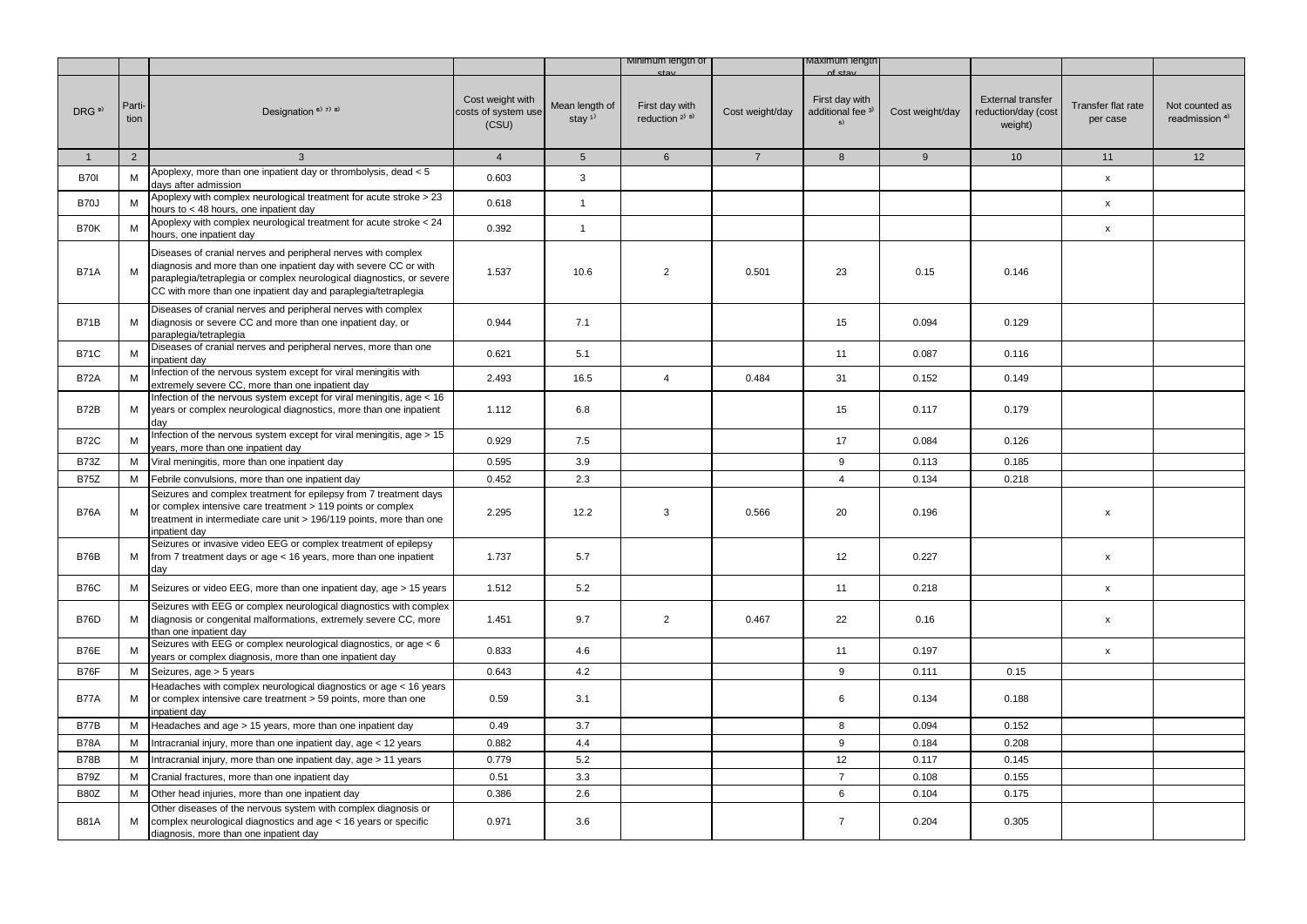|                   |                |                                                                                                                                                                                                                                                                              |                                                  |                                         | Minimum length of                                       |                 | viaximum iengtr                                                |                 |                                                            |                                |                                             |
|-------------------|----------------|------------------------------------------------------------------------------------------------------------------------------------------------------------------------------------------------------------------------------------------------------------------------------|--------------------------------------------------|-----------------------------------------|---------------------------------------------------------|-----------------|----------------------------------------------------------------|-----------------|------------------------------------------------------------|--------------------------------|---------------------------------------------|
| DRG <sup>9)</sup> | Parti-<br>tion | Designation <sup>6)</sup> 7 <sup>)</sup> 8 <sup>)</sup>                                                                                                                                                                                                                      | Cost weight with<br>costs of system use<br>(CSU) | Mean length of<br>stay $1$ <sup>1</sup> | First day with<br>reduction <sup>2)</sup> <sup>5)</sup> | Cost weight/day | nf et:<br>First day with<br>additional fee <sup>3)</sup><br>5) | Cost weight/day | <b>External transfer</b><br>reduction/day (cost<br>weight) | Transfer flat rate<br>per case | Not counted as<br>readmission <sup>4)</sup> |
| $\mathbf{1}$      | $\overline{2}$ | $\mathbf{3}$                                                                                                                                                                                                                                                                 | $\overline{4}$                                   | 5 <sup>5</sup>                          | $6\overline{6}$                                         | $7\overline{ }$ | 8                                                              | 9               | 10 <sup>1</sup>                                            | 11                             | 12                                          |
| <b>B701</b>       | M              | Apoplexy, more than one inpatient day or thrombolysis, dead < 5<br>davs after admission                                                                                                                                                                                      | 0.603                                            | 3                                       |                                                         |                 |                                                                |                 |                                                            | $\mathsf{x}$                   |                                             |
| B70J              | M              | Apoplexy with complex neurological treatment for acute stroke > 23<br>hours to < 48 hours, one inpatient day                                                                                                                                                                 | 0.618                                            | $\mathbf{1}$                            |                                                         |                 |                                                                |                 |                                                            | $\mathsf{x}$                   |                                             |
| <b>B70K</b>       | M              | Apoplexy with complex neurological treatment for acute stroke < 24<br>hours, one inpatient day                                                                                                                                                                               | 0.392                                            | $\mathbf{1}$                            |                                                         |                 |                                                                |                 |                                                            | $\pmb{\mathsf{x}}$             |                                             |
| <b>B71A</b>       | М              | Diseases of cranial nerves and peripheral nerves with complex<br>diagnosis and more than one inpatient day with severe CC or with<br>paraplegia/tetraplegia or complex neurological diagnostics, or severe<br>CC with more than one inpatient day and paraplegia/tetraplegia | 1.537                                            | 10.6                                    | $\overline{2}$                                          | 0.501           | 23                                                             | 0.15            | 0.146                                                      |                                |                                             |
| <b>B71B</b>       | М              | Diseases of cranial nerves and peripheral nerves with complex<br>diagnosis or severe CC and more than one inpatient day, or<br>paraplegia/tetraplegia                                                                                                                        | 0.944                                            | 7.1                                     |                                                         |                 | 15                                                             | 0.094           | 0.129                                                      |                                |                                             |
| <b>B71C</b>       | M              | Diseases of cranial nerves and peripheral nerves, more than one<br>inpatient day                                                                                                                                                                                             | 0.621                                            | 5.1                                     |                                                         |                 | 11                                                             | 0.087           | 0.116                                                      |                                |                                             |
| <b>B72A</b>       | M              | Infection of the nervous system except for viral meningitis with<br>extremely severe CC, more than one inpatient day                                                                                                                                                         | 2.493                                            | 16.5                                    | $\overline{4}$                                          | 0.484           | 31                                                             | 0.152           | 0.149                                                      |                                |                                             |
| B72B              | М              | Infection of the nervous system except for viral meningitis, age < 16<br>years or complex neurological diagnostics, more than one inpatient<br>day                                                                                                                           | 1.112                                            | 6.8                                     |                                                         |                 | 15                                                             | 0.117           | 0.179                                                      |                                |                                             |
| <b>B72C</b>       | M              | Infection of the nervous system except for viral meningitis, age > 15<br>ears, more than one inpatient day                                                                                                                                                                   | 0.929                                            | 7.5                                     |                                                         |                 | 17                                                             | 0.084           | 0.126                                                      |                                |                                             |
| <b>B73Z</b>       | М              | Viral meningitis, more than one inpatient day                                                                                                                                                                                                                                | 0.595                                            | 3.9                                     |                                                         |                 | 9                                                              | 0.113           | 0.185                                                      |                                |                                             |
| <b>B75Z</b>       | M              | Febrile convulsions, more than one inpatient day                                                                                                                                                                                                                             | 0.452                                            | 2.3                                     |                                                         |                 | $\overline{4}$                                                 | 0.134           | 0.218                                                      |                                |                                             |
| <b>B76A</b>       | M              | Seizures and complex treatment for epilepsy from 7 treatment days<br>or complex intensive care treatment > 119 points or complex<br>treatment in intermediate care unit > 196/119 points, more than one<br>inpatient day                                                     | 2.295                                            | 12.2                                    | 3                                                       | 0.566           | 20                                                             | 0.196           |                                                            | x                              |                                             |
| B76B              | М              | Seizures or invasive video EEG or complex treatment of epilepsy<br>from 7 treatment days or age < 16 years, more than one inpatient<br>day                                                                                                                                   | 1.737                                            | 5.7                                     |                                                         |                 | 12                                                             | 0.227           |                                                            | $\pmb{\mathsf{x}}$             |                                             |
| <b>B76C</b>       | М              | Seizures or video EEG, more than one inpatient day, age > 15 years                                                                                                                                                                                                           | 1.512                                            | 5.2                                     |                                                         |                 | 11                                                             | 0.218           |                                                            | $\mathsf{x}$                   |                                             |
| <b>B76D</b>       | М              | Seizures with EEG or complex neurological diagnostics with complex<br>diagnosis or congenital malformations, extremely severe CC, more<br>than one inpatient day                                                                                                             | 1.451                                            | 9.7                                     | $\overline{2}$                                          | 0.467           | 22                                                             | 0.16            |                                                            | $\pmb{\mathsf{x}}$             |                                             |
| <b>B76E</b>       | М              | Seizures with EEG or complex neurological diagnostics, or age < 6<br>years or complex diagnosis, more than one inpatient day                                                                                                                                                 | 0.833                                            | 4.6                                     |                                                         |                 | 11                                                             | 0.197           |                                                            | $\pmb{\mathsf{x}}$             |                                             |
| <b>B76F</b>       | М              | Seizures, age > 5 years                                                                                                                                                                                                                                                      | 0.643                                            | 4.2                                     |                                                         |                 | 9                                                              | 0.111           | 0.15                                                       |                                |                                             |
| <b>B77A</b>       | М              | Headaches with complex neurological diagnostics or age < 16 years<br>or complex intensive care treatment > 59 points, more than one<br>inpatient day                                                                                                                         | 0.59                                             | 3.1                                     |                                                         |                 | 6                                                              | 0.134           | 0.188                                                      |                                |                                             |
| <b>B77B</b>       | м              | Headaches and age > 15 years, more than one inpatient day                                                                                                                                                                                                                    | 0.49                                             | 3.7                                     |                                                         |                 | 8                                                              | 0.094           | 0.152                                                      |                                |                                             |
| <b>B78A</b>       | M              | Intracranial injury, more than one inpatient day, age < 12 years                                                                                                                                                                                                             | 0.882                                            | 4.4                                     |                                                         |                 | 9                                                              | 0.184           | 0.208                                                      |                                |                                             |
| <b>B78B</b>       | M              | Intracranial injury, more than one inpatient day, age > 11 years                                                                                                                                                                                                             | 0.779                                            | 5.2                                     |                                                         |                 | 12                                                             | 0.117           | 0.145                                                      |                                |                                             |
| <b>B79Z</b>       | М              | Cranial fractures, more than one inpatient day                                                                                                                                                                                                                               | 0.51                                             | 3.3                                     |                                                         |                 | $\overline{7}$                                                 | 0.108           | 0.155                                                      |                                |                                             |
| <b>B80Z</b>       | M              | Other head injuries, more than one inpatient day                                                                                                                                                                                                                             | 0.386                                            | 2.6                                     |                                                         |                 | 6                                                              | 0.104           | 0.175                                                      |                                |                                             |
| <b>B81A</b>       | м              | Other diseases of the nervous system with complex diagnosis or<br>complex neurological diagnostics and age < 16 years or specific<br>diagnosis, more than one inpatient day                                                                                                  | 0.971                                            | 3.6                                     |                                                         |                 | $\overline{7}$                                                 | 0.204           | 0.305                                                      |                                |                                             |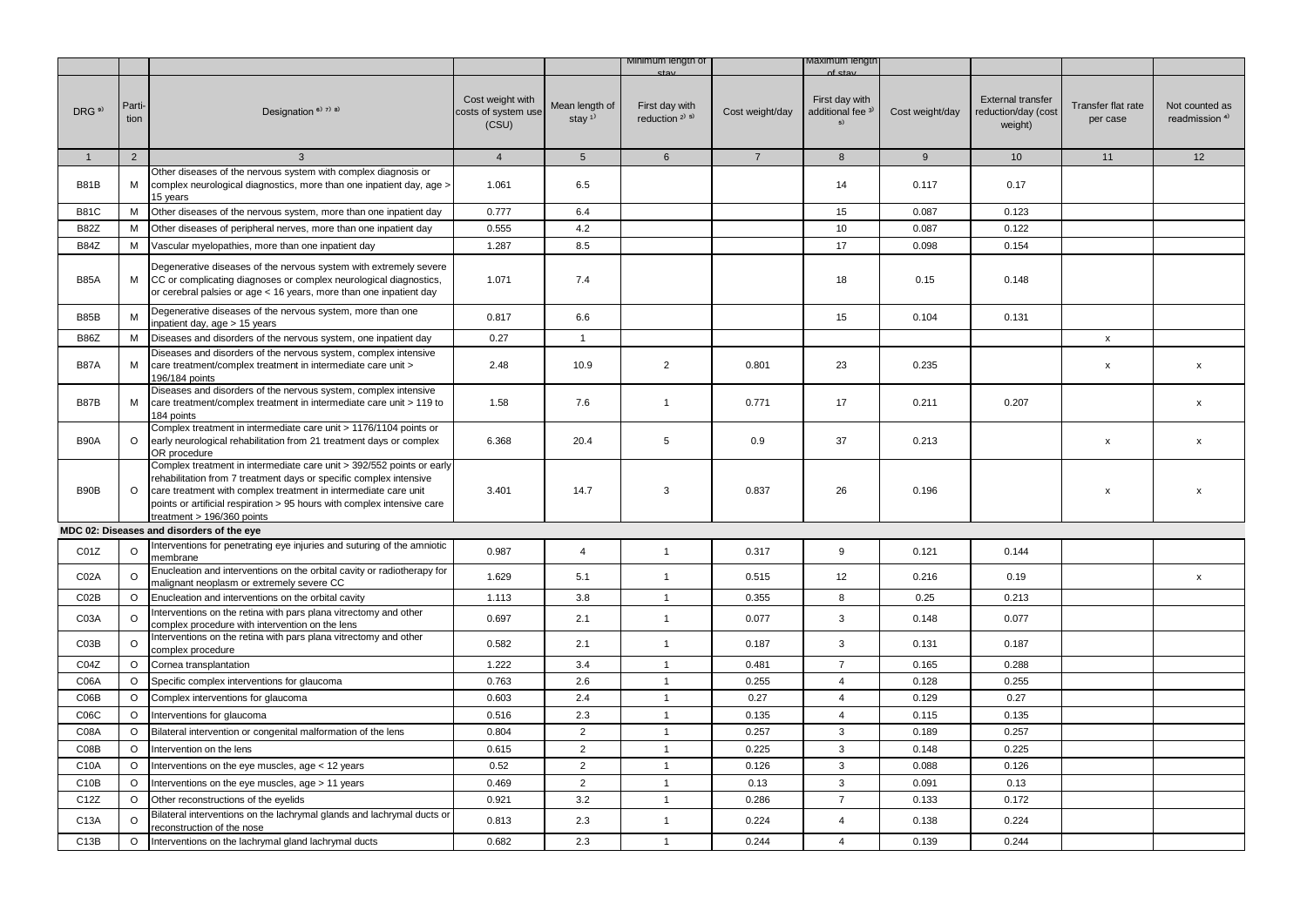|                   |                |                                                                                                                                                                                                                                                                                                                         |                                                  |                                         | Minimum length of                                       |                 | Maximum iengti                                       |                 |                                                            |                                |                                             |
|-------------------|----------------|-------------------------------------------------------------------------------------------------------------------------------------------------------------------------------------------------------------------------------------------------------------------------------------------------------------------------|--------------------------------------------------|-----------------------------------------|---------------------------------------------------------|-----------------|------------------------------------------------------|-----------------|------------------------------------------------------------|--------------------------------|---------------------------------------------|
| DRG <sup>9)</sup> | Parti-<br>tion | Designation <sup>6)</sup> 7) 8)                                                                                                                                                                                                                                                                                         | Cost weight with<br>costs of system use<br>(CSU) | Mean length of<br>stay $1$ <sup>1</sup> | First day with<br>reduction <sup>2)</sup> <sup>5)</sup> | Cost weight/day | First day with<br>additional fee <sup>3)</sup><br>5) | Cost weight/day | <b>External transfer</b><br>reduction/day (cost<br>weight) | Transfer flat rate<br>per case | Not counted as<br>readmission <sup>4)</sup> |
| $\mathbf{1}$      | 2              | $\mathbf{3}$                                                                                                                                                                                                                                                                                                            | $\overline{4}$                                   | 5 <sup>5</sup>                          | 6                                                       | $\overline{7}$  | 8                                                    | 9               | 10                                                         | 11                             | 12                                          |
| <b>B81B</b>       | M              | Other diseases of the nervous system with complex diagnosis or<br>complex neurological diagnostics, more than one inpatient day, age ><br>15 years                                                                                                                                                                      | 1.061                                            | 6.5                                     |                                                         |                 | 14                                                   | 0.117           | 0.17                                                       |                                |                                             |
| <b>B81C</b>       | M              | Other diseases of the nervous system, more than one inpatient day                                                                                                                                                                                                                                                       | 0.777                                            | 6.4                                     |                                                         |                 | 15                                                   | 0.087           | 0.123                                                      |                                |                                             |
| <b>B82Z</b>       | M              | Other diseases of peripheral nerves, more than one inpatient day                                                                                                                                                                                                                                                        | 0.555                                            | 4.2                                     |                                                         |                 | 10                                                   | 0.087           | 0.122                                                      |                                |                                             |
| <b>B84Z</b>       | М              | Vascular myelopathies, more than one inpatient day                                                                                                                                                                                                                                                                      | 1.287                                            | 8.5                                     |                                                         |                 | 17                                                   | 0.098           | 0.154                                                      |                                |                                             |
| <b>B85A</b>       | М              | Degenerative diseases of the nervous system with extremely severe<br>CC or complicating diagnoses or complex neurological diagnostics,<br>or cerebral palsies or age < 16 years, more than one inpatient day                                                                                                            | 1.071                                            | 7.4                                     |                                                         |                 | 18                                                   | 0.15            | 0.148                                                      |                                |                                             |
| <b>B85B</b>       | M              | Degenerative diseases of the nervous system, more than one<br>inpatient day, age > 15 years                                                                                                                                                                                                                             | 0.817                                            | 6.6                                     |                                                         |                 | 15                                                   | 0.104           | 0.131                                                      |                                |                                             |
| <b>B86Z</b>       | M              | Diseases and disorders of the nervous system, one inpatient day                                                                                                                                                                                                                                                         | 0.27                                             | $\mathbf{1}$                            |                                                         |                 |                                                      |                 |                                                            | $\mathsf{x}$                   |                                             |
| <b>B87A</b>       | м              | Diseases and disorders of the nervous system, complex intensive<br>care treatment/complex treatment in intermediate care unit ><br>196/184 points                                                                                                                                                                       | 2.48                                             | 10.9                                    | $\overline{2}$                                          | 0.801           | 23                                                   | 0.235           |                                                            | x                              | X                                           |
| <b>B87B</b>       | M              | Diseases and disorders of the nervous system, complex intensive<br>care treatment/complex treatment in intermediate care unit > 119 to<br>184 points                                                                                                                                                                    | 1.58                                             | 7.6                                     | $\mathbf{1}$                                            | 0.771           | 17                                                   | 0.211           | 0.207                                                      |                                | $\mathsf{x}$                                |
| <b>B90A</b>       | $\circ$        | Complex treatment in intermediate care unit > 1176/1104 points or<br>early neurological rehabilitation from 21 treatment days or complex<br>OR procedure                                                                                                                                                                | 6.368                                            | 20.4                                    | 5                                                       | 0.9             | 37                                                   | 0.213           |                                                            | x                              | $\pmb{\mathsf{x}}$                          |
| B90B              | $\circ$        | Complex treatment in intermediate care unit > 392/552 points or early<br>rehabilitation from 7 treatment days or specific complex intensive<br>care treatment with complex treatment in intermediate care unit<br>points or artificial respiration > 95 hours with complex intensive care<br>treatment > 196/360 points | 3.401                                            | 14.7                                    | 3                                                       | 0.837           | 26                                                   | 0.196           |                                                            | $\mathbf x$                    | x                                           |
|                   |                | MDC 02: Diseases and disorders of the eye                                                                                                                                                                                                                                                                               |                                                  |                                         |                                                         |                 |                                                      |                 |                                                            |                                |                                             |
| CO1Z              | $\Omega$       | nterventions for penetrating eye injuries and suturing of the amniotic<br>membrane                                                                                                                                                                                                                                      | 0.987                                            | $\overline{4}$                          | $\mathbf{1}$                                            | 0.317           | 9                                                    | 0.121           | 0.144                                                      |                                |                                             |
| C02A              | $\circ$        | Enucleation and interventions on the orbital cavity or radiotherapy for<br>malignant neoplasm or extremely severe CC                                                                                                                                                                                                    | 1.629                                            | 5.1                                     | $\mathbf{1}$                                            | 0.515           | 12                                                   | 0.216           | 0.19                                                       |                                | $\mathbf{x}$                                |
| CO2B              | $\circ$        | Enucleation and interventions on the orbital cavity                                                                                                                                                                                                                                                                     | 1.113                                            | 3.8                                     | $\overline{1}$                                          | 0.355           | 8                                                    | 0.25            | 0.213                                                      |                                |                                             |
| C03A              | $\circ$        | nterventions on the retina with pars plana vitrectomy and other<br>complex procedure with intervention on the lens                                                                                                                                                                                                      | 0.697                                            | 2.1                                     | $\mathbf{1}$                                            | 0.077           | 3                                                    | 0.148           | 0.077                                                      |                                |                                             |
| C03B              | $\circ$        | Interventions on the retina with pars plana vitrectomy and other<br>complex procedure                                                                                                                                                                                                                                   | 0.582                                            | 2.1                                     | $\mathbf{1}$                                            | 0.187           | 3                                                    | 0.131           | 0.187                                                      |                                |                                             |
| C04Z              | $\circ$        | Cornea transplantation                                                                                                                                                                                                                                                                                                  | 1.222                                            | 3.4                                     | $\mathbf{1}$                                            | 0.481           | $\overline{7}$                                       | 0.165           | 0.288                                                      |                                |                                             |
| C06A              | O              | Specific complex interventions for glaucoma                                                                                                                                                                                                                                                                             | 0.763                                            | 2.6                                     | $\overline{1}$                                          | 0.255           | $\overline{4}$                                       | 0.128           | 0.255                                                      |                                |                                             |
| C06B              | $\circ$        | Complex interventions for glaucoma                                                                                                                                                                                                                                                                                      | 0.603                                            | 2.4                                     | $\mathbf{1}$                                            | 0.27            | $\overline{4}$                                       | 0.129           | 0.27                                                       |                                |                                             |
| C06C              | O              | Interventions for glaucoma                                                                                                                                                                                                                                                                                              | 0.516                                            | 2.3                                     | $\mathbf{1}$                                            | 0.135           | $\overline{4}$                                       | 0.115           | 0.135                                                      |                                |                                             |
| C08A              | $\circ$        | Bilateral intervention or congenital malformation of the lens                                                                                                                                                                                                                                                           | 0.804                                            | $\overline{2}$                          | $\mathbf{1}$                                            | 0.257           | $\mathbf{3}$                                         | 0.189           | 0.257                                                      |                                |                                             |
| CO8B              | O              | Intervention on the lens                                                                                                                                                                                                                                                                                                | 0.615                                            | $\overline{2}$                          | $\mathbf{1}$                                            | 0.225           | 3                                                    | 0.148           | 0.225                                                      |                                |                                             |
| C10A              | O              | Interventions on the eye muscles, age < 12 years                                                                                                                                                                                                                                                                        | 0.52                                             | 2                                       | $\mathbf{1}$                                            | 0.126           | 3                                                    | 0.088           | 0.126                                                      |                                |                                             |
| C <sub>10</sub> B | $\circ$        | Interventions on the eye muscles, age > 11 years                                                                                                                                                                                                                                                                        | 0.469                                            | $\overline{2}$                          | $\mathbf{1}$                                            | 0.13            | 3                                                    | 0.091           | 0.13                                                       |                                |                                             |
| C12Z              | $\circ$        | Other reconstructions of the eyelids                                                                                                                                                                                                                                                                                    | 0.921                                            | 3.2                                     | $\mathbf{1}$                                            | 0.286           | $\overline{7}$                                       | 0.133           | 0.172                                                      |                                |                                             |
| C13A              | $\Omega$       | Bilateral interventions on the lachrymal glands and lachrymal ducts or<br>reconstruction of the nose                                                                                                                                                                                                                    | 0.813                                            | 2.3                                     | $\mathbf{1}$                                            | 0.224           | $\overline{4}$                                       | 0.138           | 0.224                                                      |                                |                                             |
| C <sub>13</sub> B | $\circ$        | Interventions on the lachrymal gland lachrymal ducts                                                                                                                                                                                                                                                                    | 0.682                                            | 2.3                                     | $\mathbf{1}$                                            | 0.244           | $\overline{4}$                                       | 0.139           | 0.244                                                      |                                |                                             |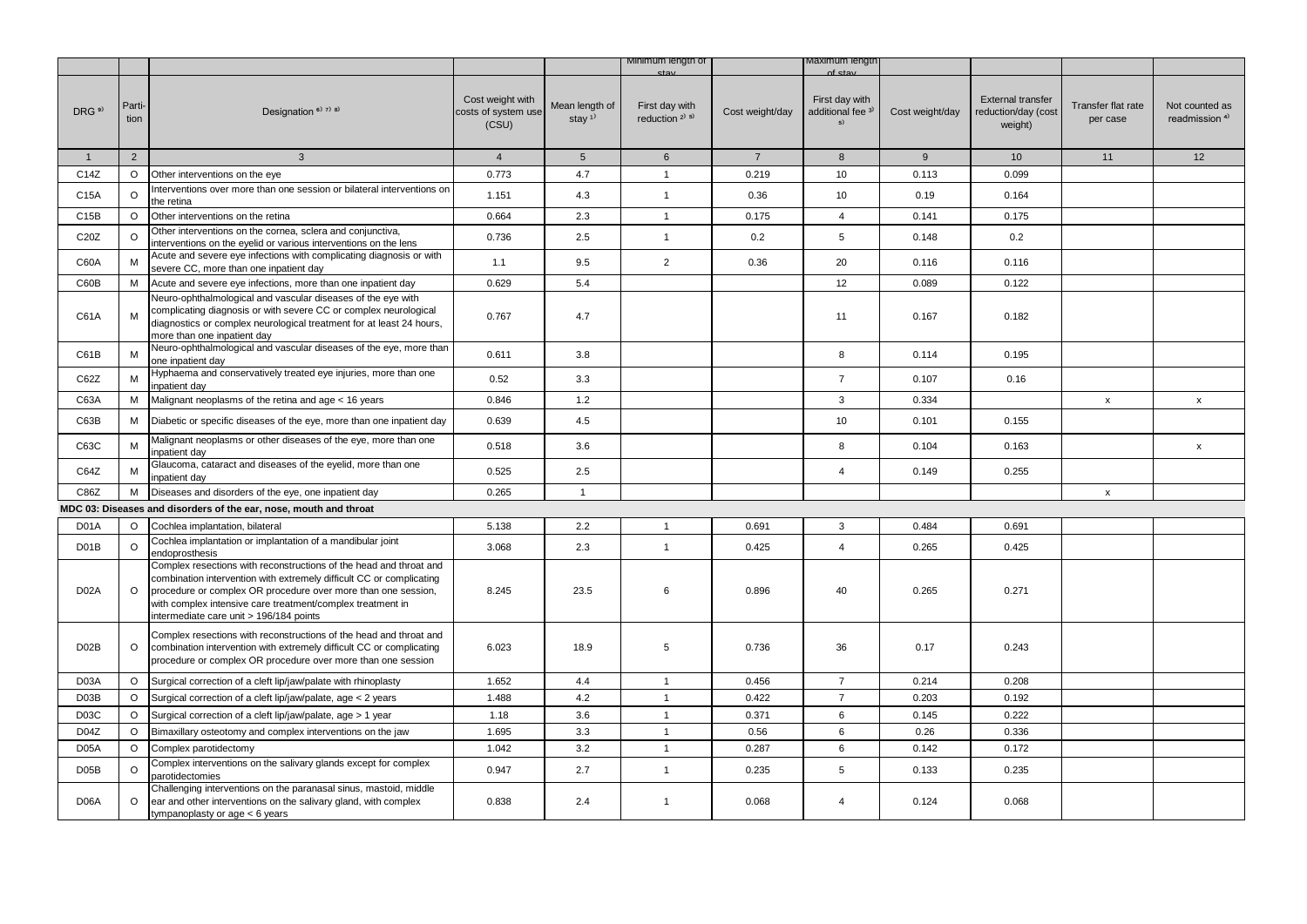|                   |                |                                                                                                                                                                                                                                                                                                                      |                                                  |                                         | Minimum length of                                       |                 | viaximum iengti                                      |                 |                                                            |                                |                                             |
|-------------------|----------------|----------------------------------------------------------------------------------------------------------------------------------------------------------------------------------------------------------------------------------------------------------------------------------------------------------------------|--------------------------------------------------|-----------------------------------------|---------------------------------------------------------|-----------------|------------------------------------------------------|-----------------|------------------------------------------------------------|--------------------------------|---------------------------------------------|
| DRG <sup>9)</sup> | Parti-<br>tion | Designation <sup>6)</sup> 7) 8)                                                                                                                                                                                                                                                                                      | Cost weight with<br>costs of system use<br>(CSU) | Mean length of<br>stay $1$ <sup>1</sup> | First day with<br>reduction <sup>2)</sup> <sup>5)</sup> | Cost weight/day | First day with<br>additional fee <sup>3)</sup><br>5) | Cost weight/day | <b>External transfer</b><br>reduction/day (cost<br>weight) | Transfer flat rate<br>per case | Not counted as<br>readmission <sup>4)</sup> |
| $\mathbf{1}$      | 2              | $\mathbf{3}$                                                                                                                                                                                                                                                                                                         | $\overline{4}$                                   | $5\overline{)}$                         | $6\phantom{1}$                                          | $\overline{7}$  | 8                                                    | 9               | 10 <sup>1</sup>                                            | 11                             | 12                                          |
| C14Z              | $\circ$        | Other interventions on the eye                                                                                                                                                                                                                                                                                       | 0.773                                            | 4.7                                     | $\mathbf{1}$                                            | 0.219           | 10                                                   | 0.113           | 0.099                                                      |                                |                                             |
| C15A              | $\circ$        | nterventions over more than one session or bilateral interventions on<br>the retina                                                                                                                                                                                                                                  | 1.151                                            | 4.3                                     | $\mathbf{1}$                                            | 0.36            | 10                                                   | 0.19            | 0.164                                                      |                                |                                             |
| C15B              | $\circ$        | Other interventions on the retina                                                                                                                                                                                                                                                                                    | 0.664                                            | 2.3                                     | $\mathbf{1}$                                            | 0.175           | $\overline{4}$                                       | 0.141           | 0.175                                                      |                                |                                             |
| C20Z              | $\circ$        | Other interventions on the cornea, sclera and conjunctiva,<br>interventions on the eyelid or various interventions on the lens                                                                                                                                                                                       | 0.736                                            | 2.5                                     | $\mathbf{1}$                                            | 0.2             | 5                                                    | 0.148           | 0.2                                                        |                                |                                             |
| C60A              | М              | Acute and severe eye infections with complicating diagnosis or with<br>severe CC, more than one inpatient day                                                                                                                                                                                                        | 1.1                                              | 9.5                                     | $\overline{2}$                                          | 0.36            | 20                                                   | 0.116           | 0.116                                                      |                                |                                             |
| C60B              | M              | Acute and severe eye infections, more than one inpatient day                                                                                                                                                                                                                                                         | 0.629                                            | 5.4                                     |                                                         |                 | 12                                                   | 0.089           | 0.122                                                      |                                |                                             |
| C61A              | M              | Neuro-ophthalmological and vascular diseases of the eye with<br>complicating diagnosis or with severe CC or complex neurological<br>diagnostics or complex neurological treatment for at least 24 hours,<br>more than one inpatient day                                                                              | 0.767                                            | 4.7                                     |                                                         |                 | 11                                                   | 0.167           | 0.182                                                      |                                |                                             |
| C61B              | M              | Neuro-ophthalmological and vascular diseases of the eye, more than<br>one inpatient day                                                                                                                                                                                                                              | 0.611                                            | 3.8                                     |                                                         |                 | 8                                                    | 0.114           | 0.195                                                      |                                |                                             |
| C62Z              | М              | Hyphaema and conservatively treated eye injuries, more than one<br>inpatient day                                                                                                                                                                                                                                     | 0.52                                             | 3.3                                     |                                                         |                 | $\overline{7}$                                       | 0.107           | 0.16                                                       |                                |                                             |
| C63A              | М              | Malignant neoplasms of the retina and age < 16 years                                                                                                                                                                                                                                                                 | 0.846                                            | 1.2                                     |                                                         |                 | 3                                                    | 0.334           |                                                            | $\mathsf{x}$                   | $\mathsf{x}$                                |
| C63B              | M              | Diabetic or specific diseases of the eye, more than one inpatient day                                                                                                                                                                                                                                                | 0.639                                            | 4.5                                     |                                                         |                 | 10                                                   | 0.101           | 0.155                                                      |                                |                                             |
| C63C              | M              | Malignant neoplasms or other diseases of the eye, more than one<br>npatient dav                                                                                                                                                                                                                                      | 0.518                                            | 3.6                                     |                                                         |                 | 8                                                    | 0.104           | 0.163                                                      |                                | $\mathsf{x}$                                |
| C64Z              | М              | Glaucoma, cataract and diseases of the eyelid, more than one<br>inpatient day                                                                                                                                                                                                                                        | 0.525                                            | 2.5                                     |                                                         |                 | $\overline{4}$                                       | 0.149           | 0.255                                                      |                                |                                             |
| C86Z              | M              | Diseases and disorders of the eye, one inpatient day                                                                                                                                                                                                                                                                 | 0.265                                            | $\mathbf{1}$                            |                                                         |                 |                                                      |                 |                                                            | $\mathsf{x}$                   |                                             |
|                   |                | MDC 03: Diseases and disorders of the ear, nose, mouth and throat                                                                                                                                                                                                                                                    |                                                  |                                         |                                                         |                 |                                                      |                 |                                                            |                                |                                             |
| D <sub>0</sub> 1A | $\circ$        | Cochlea implantation, bilateral                                                                                                                                                                                                                                                                                      | 5.138                                            | 2.2                                     | $\mathbf{1}$                                            | 0.691           | 3                                                    | 0.484           | 0.691                                                      |                                |                                             |
| D <sub>0</sub> 1B | $\circ$        | Cochlea implantation or implantation of a mandibular joint<br>endoprosthesis                                                                                                                                                                                                                                         | 3.068                                            | 2.3                                     | $\overline{1}$                                          | 0.425           | $\overline{4}$                                       | 0.265           | 0.425                                                      |                                |                                             |
| D <sub>02</sub> A | $\circ$        | Complex resections with reconstructions of the head and throat and<br>combination intervention with extremely difficult CC or complicating<br>procedure or complex OR procedure over more than one session,<br>with complex intensive care treatment/complex treatment in<br>intermediate care unit > 196/184 points | 8.245                                            | 23.5                                    | 6                                                       | 0.896           | 40                                                   | 0.265           | 0.271                                                      |                                |                                             |
| D02B              | $\circ$        | Complex resections with reconstructions of the head and throat and<br>combination intervention with extremely difficult CC or complicating<br>procedure or complex OR procedure over more than one session                                                                                                           | 6.023                                            | 18.9                                    | 5                                                       | 0.736           | 36                                                   | 0.17            | 0.243                                                      |                                |                                             |
| D03A              | $\circ$        | Surgical correction of a cleft lip/jaw/palate with rhinoplasty                                                                                                                                                                                                                                                       | 1.652                                            | 4.4                                     | $\mathbf{1}$                                            | 0.456           | $\overline{7}$                                       | 0.214           | 0.208                                                      |                                |                                             |
| D03B              | $\circ$        | Surgical correction of a cleft lip/jaw/palate, age < 2 years                                                                                                                                                                                                                                                         | 1.488                                            | 4.2                                     | $\mathbf{1}$                                            | 0.422           | $\overline{7}$                                       | 0.203           | 0.192                                                      |                                |                                             |
| D03C              | $\circ$        | Surgical correction of a cleft lip/jaw/palate, age > 1 year                                                                                                                                                                                                                                                          | 1.18                                             | 3.6                                     | $\mathbf{1}$                                            | 0.371           | 6                                                    | 0.145           | 0.222                                                      |                                |                                             |
| D04Z              | $\circ$        | Bimaxillary osteotomy and complex interventions on the jaw                                                                                                                                                                                                                                                           | 1.695                                            | 3.3                                     | $\mathbf{1}$                                            | 0.56            | 6                                                    | 0.26            | 0.336                                                      |                                |                                             |
| D <sub>05</sub> A | $\circ$        | Complex parotidectomy                                                                                                                                                                                                                                                                                                | 1.042                                            | 3.2                                     | $\mathbf{1}$                                            | 0.287           | 6                                                    | 0.142           | 0.172                                                      |                                |                                             |
| D05B              | $\circ$        | Complex interventions on the salivary glands except for complex<br>parotidectomies                                                                                                                                                                                                                                   | 0.947                                            | 2.7                                     | $\mathbf{1}$                                            | 0.235           | 5                                                    | 0.133           | 0.235                                                      |                                |                                             |
| D <sub>06</sub> A | $\circ$        | Challenging interventions on the paranasal sinus, mastoid, middle<br>ear and other interventions on the salivary gland, with complex<br>tympanoplasty or age < 6 years                                                                                                                                               | 0.838                                            | 2.4                                     | $\mathbf{1}$                                            | 0.068           | $\overline{4}$                                       | 0.124           | 0.068                                                      |                                |                                             |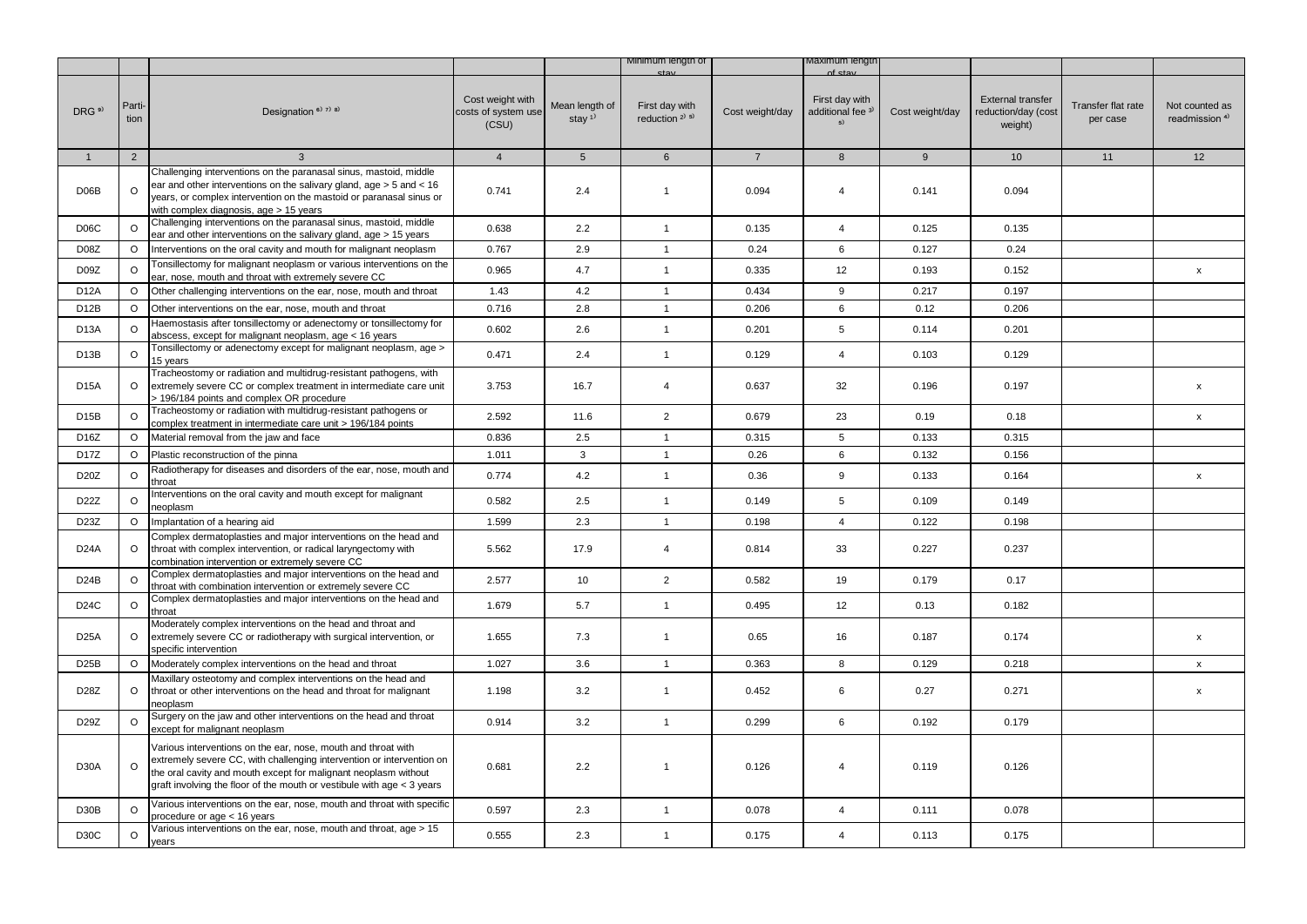|                   |                |                                                                                                                                                                                                                                                                                     |                                                  |                                         | Minimum length of                        |                 | viaximum iengtr                                      |                 |                                                            |                                |                                             |
|-------------------|----------------|-------------------------------------------------------------------------------------------------------------------------------------------------------------------------------------------------------------------------------------------------------------------------------------|--------------------------------------------------|-----------------------------------------|------------------------------------------|-----------------|------------------------------------------------------|-----------------|------------------------------------------------------------|--------------------------------|---------------------------------------------|
| DRG <sup>9)</sup> | Parti-<br>tion | Designation <sup>6)</sup> <sup>7)</sup> <sup>8)</sup>                                                                                                                                                                                                                               | Cost weight with<br>costs of system use<br>(CSU) | Mean length of<br>stay $1$ <sup>1</sup> | First day with<br>reduction $2^{(3)}$ 5) | Cost weight/day | First day with<br>additional fee <sup>3)</sup><br>5) | Cost weight/day | <b>External transfer</b><br>reduction/day (cost<br>weight) | Transfer flat rate<br>per case | Not counted as<br>readmission <sup>4)</sup> |
| $\mathbf{1}$      | 2              | $\mathbf{3}$                                                                                                                                                                                                                                                                        | $\overline{4}$                                   | 5 <sup>5</sup>                          | $6\overline{6}$                          | $\overline{7}$  | 8                                                    | 9               | 10 <sup>1</sup>                                            | 11                             | 12                                          |
| D06B              | $\circ$        | Challenging interventions on the paranasal sinus, mastoid, middle<br>ear and other interventions on the salivary gland, $age > 5$ and < 16<br>years, or complex intervention on the mastoid or paranasal sinus or<br>with complex diagnosis, age > 15 years                         | 0.741                                            | 2.4                                     | $\mathbf{1}$                             | 0.094           | $\overline{4}$                                       | 0.141           | 0.094                                                      |                                |                                             |
| D <sub>06</sub> C | $\circ$        | Challenging interventions on the paranasal sinus, mastoid, middle<br>ear and other interventions on the salivary gland, age > 15 years                                                                                                                                              | 0.638                                            | 2.2                                     | $\mathbf{1}$                             | 0.135           | $\overline{4}$                                       | 0.125           | 0.135                                                      |                                |                                             |
| D <sub>0</sub> 8Z | $\circ$        | Interventions on the oral cavity and mouth for malignant neoplasm                                                                                                                                                                                                                   | 0.767                                            | 2.9                                     | $\mathbf{1}$                             | 0.24            | 6                                                    | 0.127           | 0.24                                                       |                                |                                             |
| D09Z              | $\circ$        | Tonsillectomy for malignant neoplasm or various interventions on the<br>ear, nose, mouth and throat with extremely severe CC                                                                                                                                                        | 0.965                                            | 4.7                                     | $\mathbf{1}$                             | 0.335           | 12                                                   | 0.193           | 0.152                                                      |                                | $\mathsf{x}$                                |
| <b>D12A</b>       | $\circ$        | Other challenging interventions on the ear, nose, mouth and throat                                                                                                                                                                                                                  | 1.43                                             | 4.2                                     | $\mathbf{1}$                             | 0.434           | 9                                                    | 0.217           | 0.197                                                      |                                |                                             |
| D12B              | O              | Other interventions on the ear, nose, mouth and throat                                                                                                                                                                                                                              | 0.716                                            | 2.8                                     | $\mathbf{1}$                             | 0.206           | 6                                                    | 0.12            | 0.206                                                      |                                |                                             |
| D <sub>13</sub> A | $\circ$        | Haemostasis after tonsillectomy or adenectomy or tonsillectomy for<br>abscess, except for malignant neoplasm, age < 16 years                                                                                                                                                        | 0.602                                            | 2.6                                     | $\mathbf{1}$                             | 0.201           | 5                                                    | 0.114           | 0.201                                                      |                                |                                             |
| D <sub>13</sub> B | $\circ$        | Tonsillectomy or adenectomy except for malignant neoplasm, age ><br>15 years                                                                                                                                                                                                        | 0.471                                            | 2.4                                     | $\mathbf{1}$                             | 0.129           | $\overline{4}$                                       | 0.103           | 0.129                                                      |                                |                                             |
| <b>D15A</b>       | $\circ$        | Tracheostomy or radiation and multidrug-resistant pathogens, with<br>extremely severe CC or complex treatment in intermediate care unit<br>> 196/184 points and complex OR procedure                                                                                                | 3.753                                            | 16.7                                    | $\overline{4}$                           | 0.637           | 32                                                   | 0.196           | 0.197                                                      |                                | $\mathsf{x}$                                |
| D <sub>15</sub> B | $\circ$        | Tracheostomy or radiation with multidrug-resistant pathogens or<br>complex treatment in intermediate care unit > 196/184 points                                                                                                                                                     | 2.592                                            | 11.6                                    | $\overline{2}$                           | 0.679           | 23                                                   | 0.19            | 0.18                                                       |                                | X                                           |
| D <sub>16</sub> Z | $\circ$        | Material removal from the jaw and face                                                                                                                                                                                                                                              | 0.836                                            | 2.5                                     | $\mathbf{1}$                             | 0.315           | 5                                                    | 0.133           | 0.315                                                      |                                |                                             |
| D <sub>17</sub> Z | $\circ$        | Plastic reconstruction of the pinna                                                                                                                                                                                                                                                 | 1.011                                            | $\mathbf{3}$                            | $\mathbf{1}$                             | 0.26            | 6                                                    | 0.132           | 0.156                                                      |                                |                                             |
| D20Z              | $\circ$        | Radiotherapy for diseases and disorders of the ear, nose, mouth and<br>throat                                                                                                                                                                                                       | 0.774                                            | 4.2                                     | $\mathbf{1}$                             | 0.36            | 9                                                    | 0.133           | 0.164                                                      |                                | X                                           |
| D <sub>22</sub> Z | $\circ$        | Interventions on the oral cavity and mouth except for malignant<br>neoplasm                                                                                                                                                                                                         | 0.582                                            | 2.5                                     | $\mathbf{1}$                             | 0.149           | 5                                                    | 0.109           | 0.149                                                      |                                |                                             |
| D23Z              | O              | Implantation of a hearing aid                                                                                                                                                                                                                                                       | 1.599                                            | 2.3                                     | $\overline{1}$                           | 0.198           | $\overline{4}$                                       | 0.122           | 0.198                                                      |                                |                                             |
| D <sub>24</sub> A | $\circ$        | Complex dermatoplasties and major interventions on the head and<br>throat with complex intervention, or radical laryngectomy with<br>combination intervention or extremely severe CC                                                                                                | 5.562                                            | 17.9                                    | $\overline{4}$                           | 0.814           | 33                                                   | 0.227           | 0.237                                                      |                                |                                             |
| <b>D24B</b>       | $\circ$        | Complex dermatoplasties and major interventions on the head and<br>throat with combination intervention or extremely severe CC                                                                                                                                                      | 2.577                                            | 10                                      | $\overline{2}$                           | 0.582           | 19                                                   | 0.179           | 0.17                                                       |                                |                                             |
| D24C              | $\circ$        | Complex dermatoplasties and major interventions on the head and<br>throat                                                                                                                                                                                                           | 1.679                                            | 5.7                                     | $\mathbf{1}$                             | 0.495           | 12                                                   | 0.13            | 0.182                                                      |                                |                                             |
| <b>D25A</b>       | $\circ$        | Moderately complex interventions on the head and throat and<br>extremely severe CC or radiotherapy with surgical intervention, or<br>specific intervention                                                                                                                          | 1.655                                            | 7.3                                     | $\mathbf{1}$                             | 0.65            | 16                                                   | 0.187           | 0.174                                                      |                                | $\mathsf{x}$                                |
| D <sub>25</sub> B | $\circ$        | Moderately complex interventions on the head and throat                                                                                                                                                                                                                             | 1.027                                            | 3.6                                     | $\mathbf{1}$                             | 0.363           | 8                                                    | 0.129           | 0.218                                                      |                                | $\mathsf{x}$                                |
| D28Z              | $\circ$        | Maxillary osteotomy and complex interventions on the head and<br>throat or other interventions on the head and throat for malignant<br>neoplasm                                                                                                                                     | 1.198                                            | 3.2                                     | $\mathbf{1}$                             | 0.452           | 6                                                    | 0.27            | 0.271                                                      |                                | X                                           |
| D29Z              | $\circ$        | Surgery on the jaw and other interventions on the head and throat<br>except for malignant neoplasm                                                                                                                                                                                  | 0.914                                            | 3.2                                     | $\mathbf{1}$                             | 0.299           | 6                                                    | 0.192           | 0.179                                                      |                                |                                             |
| D <sub>30</sub> A | $\Omega$       | Various interventions on the ear, nose, mouth and throat with<br>extremely severe CC, with challenging intervention or intervention on<br>the oral cavity and mouth except for malignant neoplasm without<br>graft involving the floor of the mouth or vestibule with age < 3 years | 0.681                                            | 2.2                                     | $\mathbf{1}$                             | 0.126           | $\overline{4}$                                       | 0.119           | 0.126                                                      |                                |                                             |
| D <sub>30</sub> B | $\circ$        | Various interventions on the ear, nose, mouth and throat with specific<br>procedure or age < 16 years                                                                                                                                                                               | 0.597                                            | 2.3                                     | $\mathbf{1}$                             | 0.078           | $\overline{4}$                                       | 0.111           | 0.078                                                      |                                |                                             |
| D <sub>30</sub> C | $\circ$        | Various interventions on the ear, nose, mouth and throat, age > 15<br>vears                                                                                                                                                                                                         | 0.555                                            | 2.3                                     | $\mathbf{1}$                             | 0.175           | $\overline{4}$                                       | 0.113           | 0.175                                                      |                                |                                             |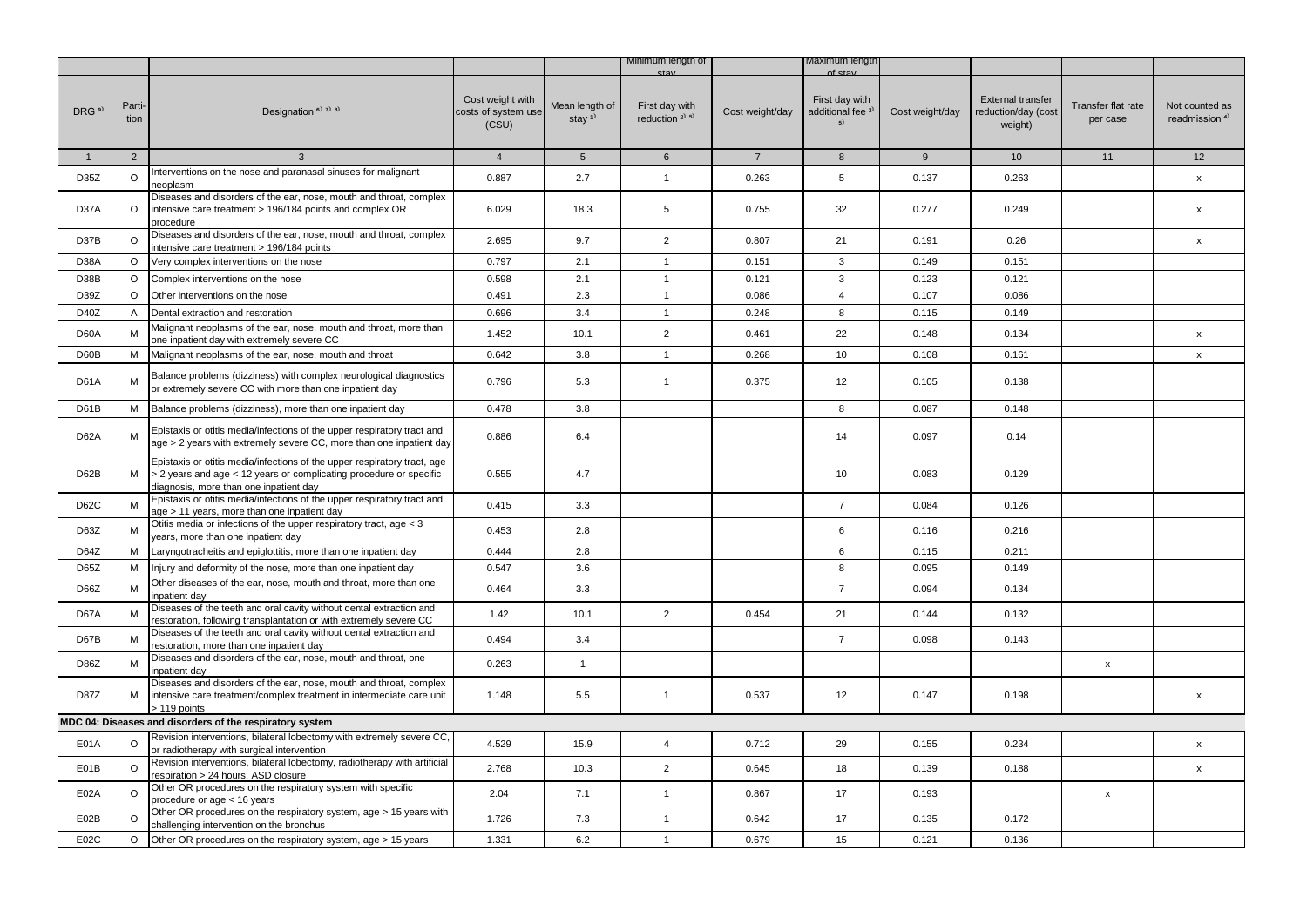|                   |                |                                                                                                                                                                                          |                                                  |                                         | Minimum lengtn of                     |                 | naxımum iengti                                       |                 |                                                            |                                |                                             |
|-------------------|----------------|------------------------------------------------------------------------------------------------------------------------------------------------------------------------------------------|--------------------------------------------------|-----------------------------------------|---------------------------------------|-----------------|------------------------------------------------------|-----------------|------------------------------------------------------------|--------------------------------|---------------------------------------------|
| DRG <sup>9)</sup> | Parti-<br>tion | Designation <sup>6)</sup> 7) 8)                                                                                                                                                          | Cost weight with<br>costs of system use<br>(CSU) | Mean length of<br>stay $1$ <sup>1</sup> | First day with<br>reduction $2^{1.5}$ | Cost weight/day | First day with<br>additional fee <sup>3)</sup><br>5) | Cost weight/day | <b>External transfer</b><br>reduction/day (cost<br>weight) | Transfer flat rate<br>per case | Not counted as<br>readmission <sup>4)</sup> |
| $\mathbf{1}$      | $\overline{2}$ | $\mathbf{3}$                                                                                                                                                                             | $\overline{4}$                                   | 5 <sup>5</sup>                          | $6\overline{6}$                       | $7^{\circ}$     | 8                                                    | 9               | 10                                                         | 11                             | 12                                          |
| D35Z              | $\circ$        | Interventions on the nose and paranasal sinuses for malignant<br>neoplasm                                                                                                                | 0.887                                            | 2.7                                     | $\mathbf{1}$                          | 0.263           | 5                                                    | 0.137           | 0.263                                                      |                                | $\pmb{\mathsf{x}}$                          |
| D37A              | $\circ$        | Diseases and disorders of the ear, nose, mouth and throat, complex<br>intensive care treatment > 196/184 points and complex OR<br>procedure                                              | 6.029                                            | 18.3                                    | 5                                     | 0.755           | 32                                                   | 0.277           | 0.249                                                      |                                | x                                           |
| D37B              | O              | Diseases and disorders of the ear, nose, mouth and throat, complex<br>intensive care treatment > 196/184 points                                                                          | 2.695                                            | 9.7                                     | $\overline{2}$                        | 0.807           | 21                                                   | 0.191           | 0.26                                                       |                                | $\pmb{\mathsf{x}}$                          |
| D <sub>38</sub> A | O              | Very complex interventions on the nose                                                                                                                                                   | 0.797                                            | 2.1                                     | $\mathbf{1}$                          | 0.151           | 3                                                    | 0.149           | 0.151                                                      |                                |                                             |
| D38B              | $\circ$        | Complex interventions on the nose                                                                                                                                                        | 0.598                                            | 2.1                                     | $\mathbf{1}$                          | 0.121           | 3                                                    | 0.123           | 0.121                                                      |                                |                                             |
| D39Z              | $\circ$        | Other interventions on the nose                                                                                                                                                          | 0.491                                            | 2.3                                     | $\mathbf{1}$                          | 0.086           | $\overline{4}$                                       | 0.107           | 0.086                                                      |                                |                                             |
| D40Z              | A              | Dental extraction and restoration                                                                                                                                                        | 0.696                                            | 3.4                                     | $\mathbf{1}$                          | 0.248           | 8                                                    | 0.115           | 0.149                                                      |                                |                                             |
| D60A              | M              | Malignant neoplasms of the ear, nose, mouth and throat, more than<br>one inpatient day with extremely severe CC                                                                          | 1.452                                            | 10.1                                    | $\overline{2}$                        | 0.461           | 22                                                   | 0.148           | 0.134                                                      |                                | $\pmb{\mathsf{x}}$                          |
| D60B              | м              | Malignant neoplasms of the ear, nose, mouth and throat                                                                                                                                   | 0.642                                            | 3.8                                     | $\mathbf{1}$                          | 0.268           | 10                                                   | 0.108           | 0.161                                                      |                                | $\pmb{\mathsf{x}}$                          |
| D61A              | M              | Balance problems (dizziness) with complex neurological diagnostics<br>or extremely severe CC with more than one inpatient day                                                            | 0.796                                            | 5.3                                     | $\mathbf{1}$                          | 0.375           | 12                                                   | 0.105           | 0.138                                                      |                                |                                             |
| D61B              | м              | Balance problems (dizziness), more than one inpatient day                                                                                                                                | 0.478                                            | 3.8                                     |                                       |                 | 8                                                    | 0.087           | 0.148                                                      |                                |                                             |
| <b>D62A</b>       | M              | Epistaxis or otitis media/infections of the upper respiratory tract and<br>age > 2 years with extremely severe CC, more than one inpatient day                                           | 0.886                                            | 6.4                                     |                                       |                 | 14                                                   | 0.097           | 0.14                                                       |                                |                                             |
| D62B              | M              | Epistaxis or otitis media/infections of the upper respiratory tract, age<br>> 2 years and age < 12 years or complicating procedure or specific<br>diagnosis, more than one inpatient day | 0.555                                            | 4.7                                     |                                       |                 | 10                                                   | 0.083           | 0.129                                                      |                                |                                             |
| D62C              | M              | Epistaxis or otitis media/infections of the upper respiratory tract and<br>age > 11 years, more than one inpatient day                                                                   | 0.415                                            | 3.3                                     |                                       |                 | $\overline{7}$                                       | 0.084           | 0.126                                                      |                                |                                             |
| D63Z              | M              | Otitis media or infections of the upper respiratory tract, age < 3<br>years, more than one inpatient day                                                                                 | 0.453                                            | 2.8                                     |                                       |                 | 6                                                    | 0.116           | 0.216                                                      |                                |                                             |
| D64Z              | М              | Laryngotracheitis and epiglottitis, more than one inpatient day                                                                                                                          | 0.444                                            | 2.8                                     |                                       |                 | 6                                                    | 0.115           | 0.211                                                      |                                |                                             |
| D65Z              | M              | Injury and deformity of the nose, more than one inpatient day                                                                                                                            | 0.547                                            | 3.6                                     |                                       |                 | 8                                                    | 0.095           | 0.149                                                      |                                |                                             |
| D66Z              | M              | Other diseases of the ear, nose, mouth and throat, more than one<br>npatient day                                                                                                         | 0.464                                            | 3.3                                     |                                       |                 | $\overline{7}$                                       | 0.094           | 0.134                                                      |                                |                                             |
| <b>D67A</b>       | M              | Diseases of the teeth and oral cavity without dental extraction and<br>restoration, following transplantation or with extremely severe CC                                                | 1.42                                             | 10.1                                    | $\overline{2}$                        | 0.454           | 21                                                   | 0.144           | 0.132                                                      |                                |                                             |
| D67B              | M              | Diseases of the teeth and oral cavity without dental extraction and<br>restoration, more than one inpatient day                                                                          | 0.494                                            | 3.4                                     |                                       |                 | $\overline{7}$                                       | 0.098           | 0.143                                                      |                                |                                             |
| D86Z              | M              | Diseases and disorders of the ear, nose, mouth and throat, one<br>npatient day                                                                                                           | 0.263                                            | $\mathbf{1}$                            |                                       |                 |                                                      |                 |                                                            | x                              |                                             |
| <b>D87Z</b>       | M              | Diseases and disorders of the ear, nose, mouth and throat, complex<br>intensive care treatment/complex treatment in intermediate care unit<br>> 119 points                               | 1.148                                            | 5.5                                     | $\overline{1}$                        | 0.537           | 12                                                   | 0.147           | 0.198                                                      |                                | X                                           |
|                   |                | MDC 04: Diseases and disorders of the respiratory system                                                                                                                                 |                                                  |                                         |                                       |                 |                                                      |                 |                                                            |                                |                                             |
| <b>E01A</b>       | $\circ$        | Revision interventions, bilateral lobectomy with extremely severe CC,<br>or radiotherapy with surgical intervention                                                                      | 4.529                                            | 15.9                                    | $\overline{4}$                        | 0.712           | 29                                                   | 0.155           | 0.234                                                      |                                | $\mathsf{x}$                                |
| E01B              | $\circ$        | Revision interventions, bilateral lobectomy, radiotherapy with artificial<br>espiration > 24 hours, ASD closure                                                                          | 2.768                                            | 10.3                                    | $\overline{2}$                        | 0.645           | 18                                                   | 0.139           | 0.188                                                      |                                | x                                           |
| E02A              | O              | Other OR procedures on the respiratory system with specific<br>procedure or age < 16 years                                                                                               | 2.04                                             | 7.1                                     | $\mathbf{1}$                          | 0.867           | 17                                                   | 0.193           |                                                            | x                              |                                             |
| E02B              | $\circ$        | Other OR procedures on the respiratory system, age > 15 years with<br>challenging intervention on the bronchus                                                                           | 1.726                                            | 7.3                                     | $\mathbf{1}$                          | 0.642           | 17                                                   | 0.135           | 0.172                                                      |                                |                                             |
| E02C              | $\circ$        | Other OR procedures on the respiratory system, age > 15 years                                                                                                                            | 1.331                                            | 6.2                                     | $\mathbf{1}$                          | 0.679           | 15                                                   | 0.121           | 0.136                                                      |                                |                                             |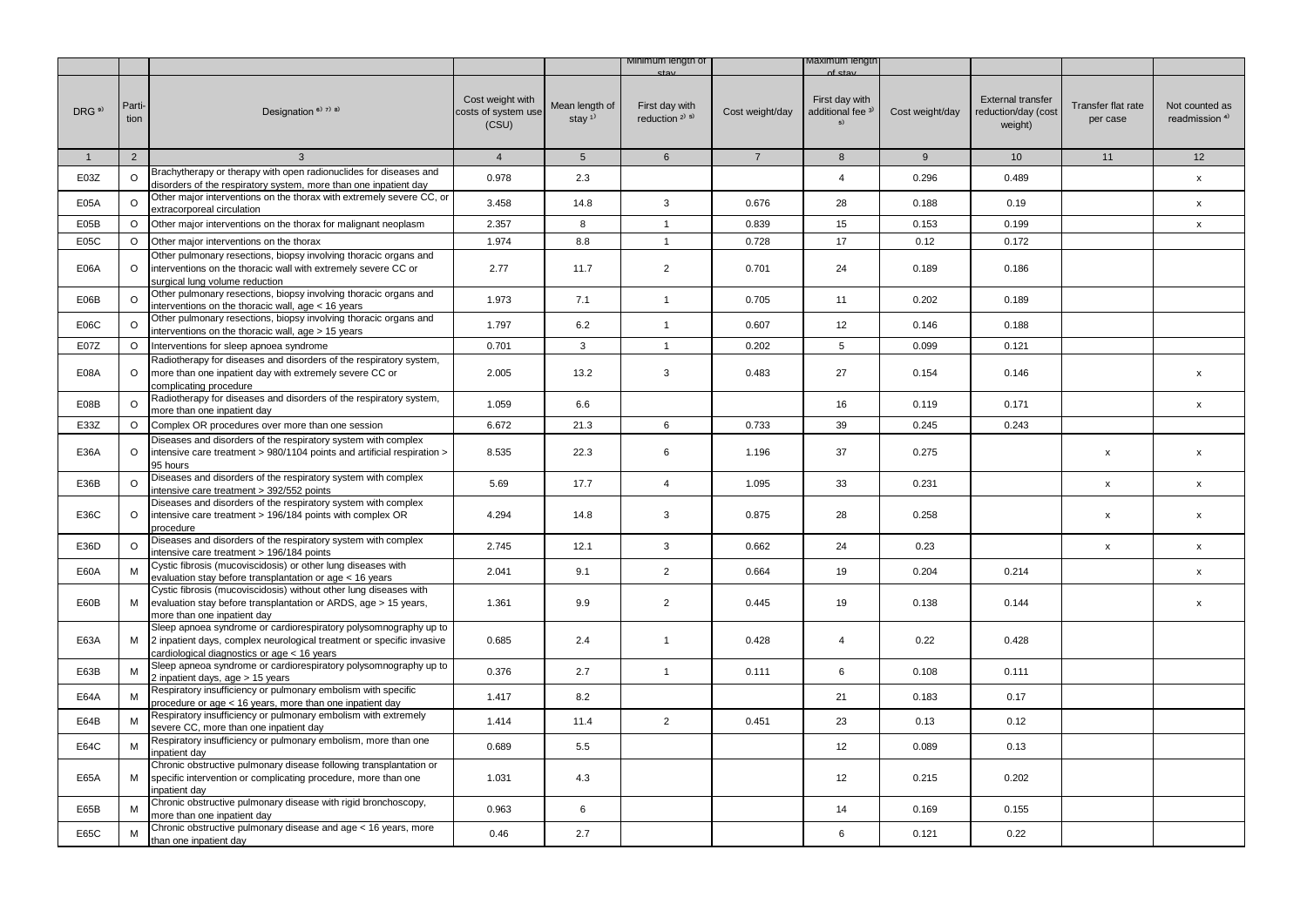|                   |                |                                                                                                                                                                                              |                                                  |                                         | Minimum length of                     |                 | /laximum lengti                                      |                 |                                                            |                                |                                             |
|-------------------|----------------|----------------------------------------------------------------------------------------------------------------------------------------------------------------------------------------------|--------------------------------------------------|-----------------------------------------|---------------------------------------|-----------------|------------------------------------------------------|-----------------|------------------------------------------------------------|--------------------------------|---------------------------------------------|
| DRG <sup>9)</sup> | Parti-<br>tion | Designation $6$ <sup>3</sup> $7$ <sup>3</sup> $8$ <sup>3</sup>                                                                                                                               | Cost weight with<br>costs of system use<br>(CSU) | Mean length of<br>stay $1$ <sup>1</sup> | First day with<br>reduction $2^{1.5}$ | Cost weight/day | First day with<br>additional fee <sup>3)</sup><br>5) | Cost weight/day | <b>External transfer</b><br>reduction/day (cost<br>weight) | Transfer flat rate<br>per case | Not counted as<br>readmission <sup>4)</sup> |
| $\mathbf{1}$      | 2              | $\mathbf{3}$                                                                                                                                                                                 | $\overline{4}$                                   | 5 <sup>5</sup>                          | $6\overline{6}$                       | $7^{\circ}$     | 8                                                    | 9               | 10 <sup>1</sup>                                            | 11                             | 12                                          |
| E03Z              | $\circ$        | Brachytherapy or therapy with open radionuclides for diseases and                                                                                                                            | 0.978                                            | 2.3                                     |                                       |                 | $\overline{4}$                                       | 0.296           | 0.489                                                      |                                | X                                           |
|                   |                | disorders of the respiratory system, more than one inpatient day                                                                                                                             |                                                  |                                         |                                       |                 |                                                      |                 |                                                            |                                |                                             |
| E05A              | $\circ$        | Other major interventions on the thorax with extremely severe CC, or<br>extracorporeal circulation                                                                                           | 3.458                                            | 14.8                                    | 3                                     | 0.676           | 28                                                   | 0.188           | 0.19                                                       |                                | X                                           |
| E05B              | $\circ$        | Other major interventions on the thorax for malignant neoplasm                                                                                                                               | 2.357                                            | 8                                       | $\mathbf{1}$                          | 0.839           | 15                                                   | 0.153           | 0.199                                                      |                                | $\pmb{\mathsf{x}}$                          |
| E05C              | $\circ$        | Other major interventions on the thorax                                                                                                                                                      | 1.974                                            | 8.8                                     | $\overline{1}$                        | 0.728           | 17                                                   | 0.12            | 0.172                                                      |                                |                                             |
| <b>E06A</b>       | $\circ$        | Other pulmonary resections, biopsy involving thoracic organs and<br>interventions on the thoracic wall with extremely severe CC or<br>surgical lung volume reduction                         | 2.77                                             | 11.7                                    | $\overline{2}$                        | 0.701           | 24                                                   | 0.189           | 0.186                                                      |                                |                                             |
| E06B              | $\circ$        | Other pulmonary resections, biopsy involving thoracic organs and<br>interventions on the thoracic wall, age < 16 years                                                                       | 1.973                                            | 7.1                                     | $\mathbf{1}$                          | 0.705           | 11                                                   | 0.202           | 0.189                                                      |                                |                                             |
| E06C              | O              | Other pulmonary resections, biopsy involving thoracic organs and                                                                                                                             | 1.797                                            | 6.2                                     | $\mathbf{1}$                          | 0.607           | 12                                                   | 0.146           | 0.188                                                      |                                |                                             |
|                   |                | interventions on the thoracic wall, age > 15 years                                                                                                                                           |                                                  |                                         |                                       |                 |                                                      |                 |                                                            |                                |                                             |
| E07Z              | $\circ$        | Interventions for sleep apnoea syndrome                                                                                                                                                      | 0.701                                            | 3                                       | $\mathbf{1}$                          | 0.202           | 5                                                    | 0.099           | 0.121                                                      |                                |                                             |
| E08A              | $\circ$        | Radiotherapy for diseases and disorders of the respiratory system,<br>more than one inpatient day with extremely severe CC or<br>complicating procedure                                      | 2.005                                            | 13.2                                    | 3                                     | 0.483           | 27                                                   | 0.154           | 0.146                                                      |                                | $\pmb{\mathsf{x}}$                          |
| E08B              | O              | Radiotherapy for diseases and disorders of the respiratory system,<br>more than one inpatient day                                                                                            | 1.059                                            | 6.6                                     |                                       |                 | 16                                                   | 0.119           | 0.171                                                      |                                | X                                           |
| E33Z              | $\circ$        | Complex OR procedures over more than one session                                                                                                                                             | 6.672                                            | 21.3                                    | 6                                     | 0.733           | 39                                                   | 0.245           | 0.243                                                      |                                |                                             |
| E36A              | $\circ$        | Diseases and disorders of the respiratory system with complex<br>intensive care treatment > 980/1104 points and artificial respiration ><br>95 hours                                         | 8.535                                            | 22.3                                    | 6                                     | 1.196           | 37                                                   | 0.275           |                                                            | x                              | $\pmb{\times}$                              |
| E36B              | $\circ$        | Diseases and disorders of the respiratory system with complex<br>ntensive care treatment > 392/552 points                                                                                    | 5.69                                             | 17.7                                    | $\overline{4}$                        | 1.095           | 33                                                   | 0.231           |                                                            | X                              | $\pmb{\mathsf{x}}$                          |
| E36C              | $\circ$        | Diseases and disorders of the respiratory system with complex<br>intensive care treatment > 196/184 points with complex OR<br>procedure                                                      | 4.294                                            | 14.8                                    | 3                                     | 0.875           | 28                                                   | 0.258           |                                                            | x                              | $\pmb{\mathsf{x}}$                          |
| E36D              | $\circ$        | Diseases and disorders of the respiratory system with complex<br>ntensive care treatment > 196/184 points                                                                                    | 2.745                                            | 12.1                                    | 3                                     | 0.662           | 24                                                   | 0.23            |                                                            | x                              | x                                           |
| E60A              | M              | Cystic fibrosis (mucoviscidosis) or other lung diseases with<br>evaluation stay before transplantation or age < 16 years                                                                     | 2.041                                            | 9.1                                     | $\overline{2}$                        | 0.664           | 19                                                   | 0.204           | 0.214                                                      |                                | X                                           |
| E60B              | M              | Cystic fibrosis (mucoviscidosis) without other lung diseases with<br>evaluation stay before transplantation or ARDS, age > 15 years,<br>more than one inpatient day                          | 1.361                                            | 9.9                                     | $\overline{2}$                        | 0.445           | 19                                                   | 0.138           | 0.144                                                      |                                | $\pmb{\mathsf{x}}$                          |
| E63A              |                | Sleep apnoea syndrome or cardiorespiratory polysomnography up to<br>M   2 inpatient days, complex neurological treatment or specific invasive<br>cardiological diagnostics or age < 16 years | 0.685                                            | 2.4                                     | $\mathbf{1}$                          | 0.428           | 4                                                    | 0.22            | 0.428                                                      |                                |                                             |
| E63B              | М              | Sleep apneoa syndrome or cardiorespiratory polysomnography up to<br>2 inpatient days, age > 15 years                                                                                         | 0.376                                            | 2.7                                     | $\mathbf{1}$                          | 0.111           | 6                                                    | 0.108           | 0.111                                                      |                                |                                             |
| E64A              | M              | Respiratory insufficiency or pulmonary embolism with specific<br>procedure or age < 16 years, more than one inpatient day                                                                    | 1.417                                            | 8.2                                     |                                       |                 | 21                                                   | 0.183           | 0.17                                                       |                                |                                             |
| E64B              | M              | Respiratory insufficiency or pulmonary embolism with extremely<br>severe CC, more than one inpatient day                                                                                     | 1.414                                            | 11.4                                    | $\overline{2}$                        | 0.451           | 23                                                   | 0.13            | 0.12                                                       |                                |                                             |
| E64C              | M              | Respiratory insufficiency or pulmonary embolism, more than one<br>npatient day                                                                                                               | 0.689                                            | 5.5                                     |                                       |                 | 12                                                   | 0.089           | 0.13                                                       |                                |                                             |
| E65A              |                | Chronic obstructive pulmonary disease following transplantation or<br>M specific intervention or complicating procedure, more than one<br>npatient day                                       | 1.031                                            | 4.3                                     |                                       |                 | 12                                                   | 0.215           | 0.202                                                      |                                |                                             |
| E65B              |                | Chronic obstructive pulmonary disease with rigid bronchoscopy,<br>more than one inpatient day                                                                                                | 0.963                                            | 6                                       |                                       |                 | 14                                                   | 0.169           | 0.155                                                      |                                |                                             |
| E65C              | М              | Chronic obstructive pulmonary disease and age < 16 years, more<br>than one inpatient day                                                                                                     | 0.46                                             | 2.7                                     |                                       |                 | 6                                                    | 0.121           | 0.22                                                       |                                |                                             |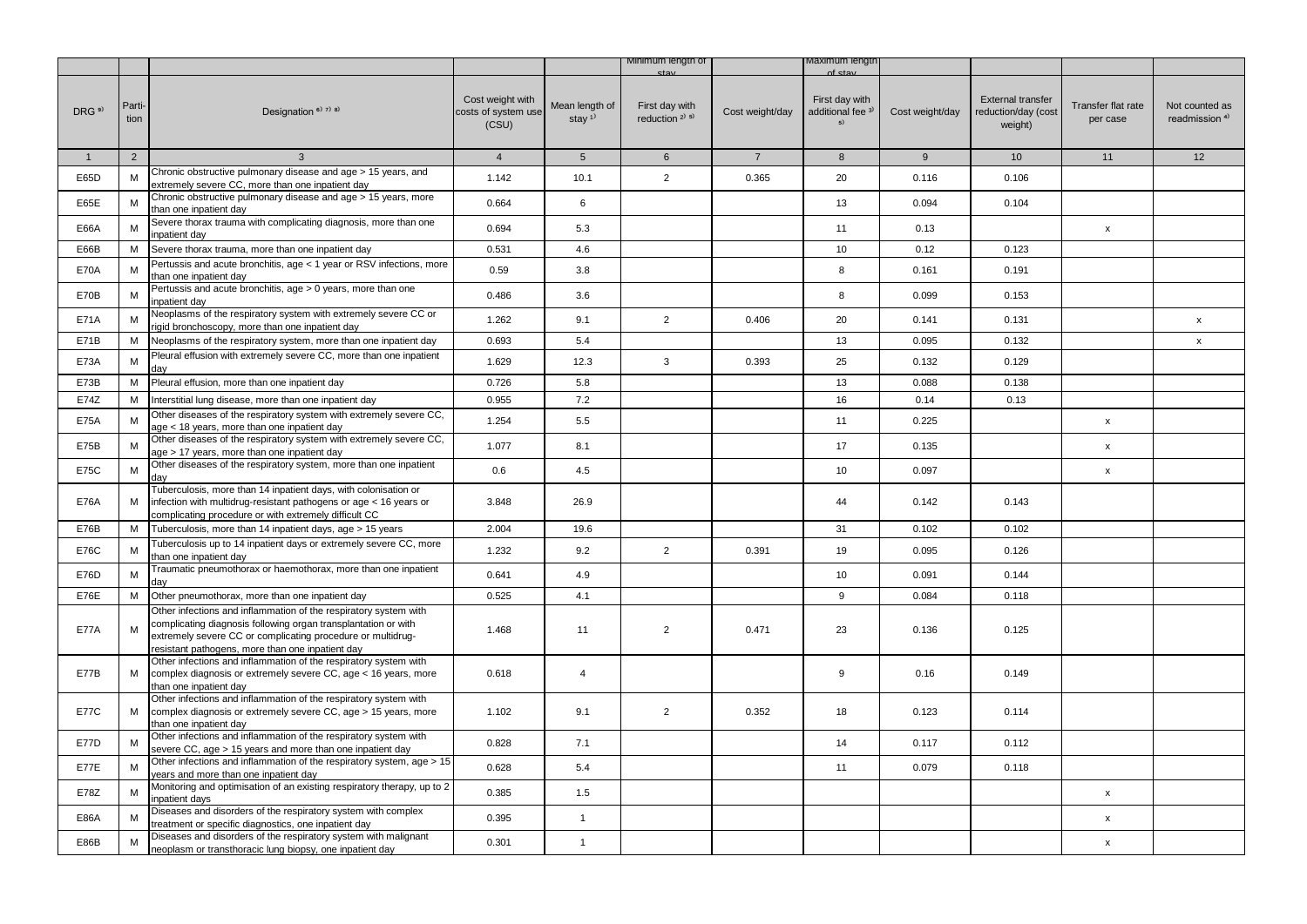|                   |                |                                                                                                                                                                                                                                                       |                                                  |                                         | Minimum length of                        |                 | viaximum iengtr                                      |                 |                                                            |                                |                                             |
|-------------------|----------------|-------------------------------------------------------------------------------------------------------------------------------------------------------------------------------------------------------------------------------------------------------|--------------------------------------------------|-----------------------------------------|------------------------------------------|-----------------|------------------------------------------------------|-----------------|------------------------------------------------------------|--------------------------------|---------------------------------------------|
| DRG <sup>9)</sup> | Parti-<br>tion | Designation <sup>6)</sup> 7) 8)                                                                                                                                                                                                                       | Cost weight with<br>costs of system use<br>(CSU) | Mean length of<br>stay $1$ <sup>1</sup> | First day with<br>reduction $2^{(3)}$ 5) | Cost weight/day | First day with<br>additional fee <sup>3)</sup><br>5) | Cost weight/day | <b>External transfer</b><br>reduction/day (cost<br>weight) | Transfer flat rate<br>per case | Not counted as<br>readmission <sup>4)</sup> |
| $\mathbf{1}$      | $\overline{2}$ | $\mathbf{3}$                                                                                                                                                                                                                                          | $\overline{4}$                                   | 5 <sup>5</sup>                          | 6                                        | $\overline{7}$  | 8                                                    | 9               | 10 <sup>1</sup>                                            | 11                             | 12                                          |
| E65D              | M              | Chronic obstructive pulmonary disease and age > 15 years, and<br>extremely severe CC, more than one inpatient day                                                                                                                                     | 1.142                                            | 10.1                                    | $\overline{2}$                           | 0.365           | 20                                                   | 0.116           | 0.106                                                      |                                |                                             |
| E65E              | M              | Chronic obstructive pulmonary disease and age > 15 years, more<br>than one inpatient day                                                                                                                                                              | 0.664                                            | 6                                       |                                          |                 | 13                                                   | 0.094           | 0.104                                                      |                                |                                             |
| E66A              | M              | Severe thorax trauma with complicating diagnosis, more than one<br>inpatient day                                                                                                                                                                      | 0.694                                            | 5.3                                     |                                          |                 | 11                                                   | 0.13            |                                                            | $\pmb{\mathsf{x}}$             |                                             |
| E66B              | м              | Severe thorax trauma, more than one inpatient day                                                                                                                                                                                                     | 0.531                                            | 4.6                                     |                                          |                 | 10                                                   | 0.12            | 0.123                                                      |                                |                                             |
| <b>E70A</b>       | M              | Pertussis and acute bronchitis, age < 1 year or RSV infections, more<br>than one inpatient day                                                                                                                                                        | 0.59                                             | 3.8                                     |                                          |                 | 8                                                    | 0.161           | 0.191                                                      |                                |                                             |
| E70B              | M              | Pertussis and acute bronchitis, age > 0 years, more than one<br>inpatient day                                                                                                                                                                         | 0.486                                            | 3.6                                     |                                          |                 | 8                                                    | 0.099           | 0.153                                                      |                                |                                             |
| E71A              | M              | Neoplasms of the respiratory system with extremely severe CC or<br>rigid bronchoscopy, more than one inpatient day                                                                                                                                    | 1.262                                            | 9.1                                     | $\overline{2}$                           | 0.406           | 20                                                   | 0.141           | 0.131                                                      |                                | $\mathsf{x}$                                |
| E71B              | М              | Neoplasms of the respiratory system, more than one inpatient day                                                                                                                                                                                      | 0.693                                            | 5.4                                     |                                          |                 | 13                                                   | 0.095           | 0.132                                                      |                                | $\mathsf{x}$                                |
| <b>E73A</b>       | ${\sf M}$      | Pleural effusion with extremely severe CC, more than one inpatient<br>day                                                                                                                                                                             | 1.629                                            | 12.3                                    | $\mathbf{3}$                             | 0.393           | 25                                                   | 0.132           | 0.129                                                      |                                |                                             |
| E73B              | M              | Pleural effusion, more than one inpatient day                                                                                                                                                                                                         | 0.726                                            | 5.8                                     |                                          |                 | 13                                                   | 0.088           | 0.138                                                      |                                |                                             |
| E74Z              | M              | Interstitial lung disease, more than one inpatient day                                                                                                                                                                                                | 0.955                                            | 7.2                                     |                                          |                 | 16                                                   | 0.14            | 0.13                                                       |                                |                                             |
| <b>E75A</b>       | M              | Other diseases of the respiratory system with extremely severe CC,<br>age < 18 years, more than one inpatient day                                                                                                                                     | 1.254                                            | 5.5                                     |                                          |                 | 11                                                   | 0.225           |                                                            | $\pmb{\mathsf{x}}$             |                                             |
| E75B              | M              | Other diseases of the respiratory system with extremely severe CC,<br>age > 17 years, more than one inpatient day                                                                                                                                     | 1.077                                            | 8.1                                     |                                          |                 | 17                                                   | 0.135           |                                                            | $\pmb{\mathsf{x}}$             |                                             |
| E75C              | M              | Other diseases of the respiratory system, more than one inpatient<br>day                                                                                                                                                                              | 0.6                                              | 4.5                                     |                                          |                 | 10                                                   | 0.097           |                                                            | $\pmb{\mathsf{x}}$             |                                             |
| <b>E76A</b>       | М              | Tuberculosis, more than 14 inpatient days, with colonisation or<br>infection with multidrug-resistant pathogens or age < 16 years or<br>complicating procedure or with extremely difficult CC                                                         | 3.848                                            | 26.9                                    |                                          |                 | 44                                                   | 0.142           | 0.143                                                      |                                |                                             |
| E76B              | M              | Tuberculosis, more than 14 inpatient days, age > 15 years                                                                                                                                                                                             | 2.004                                            | 19.6                                    |                                          |                 | 31                                                   | 0.102           | 0.102                                                      |                                |                                             |
| E76C              | M              | Tuberculosis up to 14 inpatient days or extremely severe CC, more<br>than one inpatient day                                                                                                                                                           | 1.232                                            | 9.2                                     | $\overline{2}$                           | 0.391           | 19                                                   | 0.095           | 0.126                                                      |                                |                                             |
| E76D              | м              | Traumatic pneumothorax or haemothorax, more than one inpatient<br>day                                                                                                                                                                                 | 0.641                                            | 4.9                                     |                                          |                 | 10                                                   | 0.091           | 0.144                                                      |                                |                                             |
| <b>E76E</b>       | M              | Other pneumothorax, more than one inpatient day                                                                                                                                                                                                       | 0.525                                            | 4.1                                     |                                          |                 | 9                                                    | 0.084           | 0.118                                                      |                                |                                             |
| <b>E77A</b>       | M              | Other infections and inflammation of the respiratory system with<br>complicating diagnosis following organ transplantation or with<br>extremely severe CC or complicating procedure or multidrug-<br>resistant pathogens, more than one inpatient day | 1.468                                            | 11                                      | $\overline{2}$                           | 0.471           | 23                                                   | 0.136           | 0.125                                                      |                                |                                             |
| E77B              | M              | Other infections and inflammation of the respiratory system with<br>complex diagnosis or extremely severe CC, age < 16 years, more<br>than one inpatient day                                                                                          | 0.618                                            | 4                                       |                                          |                 | 9                                                    | 0.16            | 0.149                                                      |                                |                                             |
| <b>E77C</b>       | М              | Other infections and inflammation of the respiratory system with<br>complex diagnosis or extremely severe CC, age > 15 years, more<br>than one inpatient day                                                                                          | 1.102                                            | 9.1                                     | $\overline{2}$                           | 0.352           | 18                                                   | 0.123           | 0.114                                                      |                                |                                             |
| <b>E77D</b>       | M              | Other infections and inflammation of the respiratory system with<br>severe CC, age > 15 years and more than one inpatient day                                                                                                                         | 0.828                                            | 7.1                                     |                                          |                 | 14                                                   | 0.117           | 0.112                                                      |                                |                                             |
| <b>E77E</b>       | M              | Other infections and inflammation of the respiratory system, age > 15<br>years and more than one inpatient day                                                                                                                                        | 0.628                                            | 5.4                                     |                                          |                 | 11                                                   | 0.079           | 0.118                                                      |                                |                                             |
| E78Z              | M              | Monitoring and optimisation of an existing respiratory therapy, up to 2<br>inpatient days                                                                                                                                                             | 0.385                                            | 1.5                                     |                                          |                 |                                                      |                 |                                                            | X                              |                                             |
| <b>E86A</b>       | M              | Diseases and disorders of the respiratory system with complex<br>treatment or specific diagnostics, one inpatient day                                                                                                                                 | 0.395                                            | $\mathbf{1}$                            |                                          |                 |                                                      |                 |                                                            | $\pmb{\mathsf{x}}$             |                                             |
| E86B              | м              | Diseases and disorders of the respiratory system with malignant<br>neoplasm or transthoracic lung biopsy, one inpatient day                                                                                                                           | 0.301                                            | $\mathbf{1}$                            |                                          |                 |                                                      |                 |                                                            | $\pmb{\mathsf{x}}$             |                                             |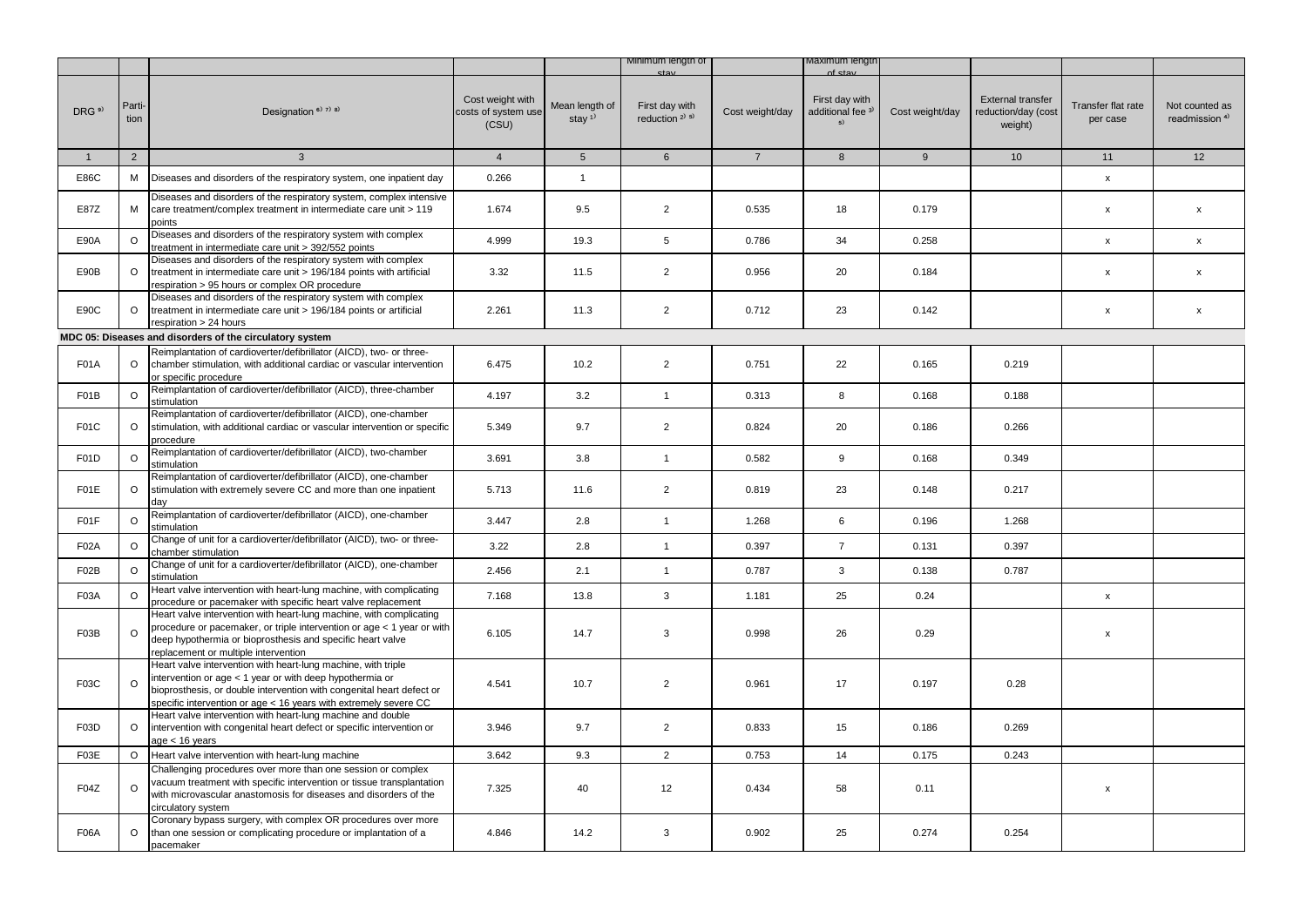|                   |                |                                                                                                                                                                                                                                                                        |                                                  |                                         | Minimum length of                                       |                 | viaximum iengtr                                      |                 |                                                            |                                |                                             |
|-------------------|----------------|------------------------------------------------------------------------------------------------------------------------------------------------------------------------------------------------------------------------------------------------------------------------|--------------------------------------------------|-----------------------------------------|---------------------------------------------------------|-----------------|------------------------------------------------------|-----------------|------------------------------------------------------------|--------------------------------|---------------------------------------------|
| DRG <sup>9)</sup> | Parti-<br>tion | Designation <sup>6)</sup> <sup>7)</sup> <sup>8)</sup>                                                                                                                                                                                                                  | Cost weight with<br>costs of system use<br>(CSU) | Mean length of<br>stay $1$ <sup>1</sup> | First day with<br>reduction <sup>2)</sup> <sup>5)</sup> | Cost weight/day | First day with<br>additional fee <sup>3)</sup><br>5) | Cost weight/day | <b>External transfer</b><br>reduction/day (cost<br>weight) | Transfer flat rate<br>per case | Not counted as<br>readmission <sup>4)</sup> |
| 1                 | $\overline{2}$ | $\mathbf{3}$                                                                                                                                                                                                                                                           | $\overline{4}$                                   | 5 <sup>5</sup>                          | $6\overline{6}$                                         | $\overline{7}$  | 8                                                    | 9               | 10 <sup>°</sup>                                            | 11                             | 12                                          |
| E86C              | M              | Diseases and disorders of the respiratory system, one inpatient day                                                                                                                                                                                                    | 0.266                                            | $\mathbf{1}$                            |                                                         |                 |                                                      |                 |                                                            | $\mathsf{x}$                   |                                             |
| E87Z              | М              | Diseases and disorders of the respiratory system, complex intensive<br>care treatment/complex treatment in intermediate care unit > 119<br>points                                                                                                                      | 1.674                                            | 9.5                                     | $\overline{2}$                                          | 0.535           | 18                                                   | 0.179           |                                                            | X                              | $\boldsymbol{\mathsf{x}}$                   |
| E90A              | $\Omega$       | Diseases and disorders of the respiratory system with complex<br>treatment in intermediate care unit > 392/552 points                                                                                                                                                  | 4.999                                            | 19.3                                    | 5                                                       | 0.786           | 34                                                   | 0.258           |                                                            | $\mathsf X$                    | $\mathsf{x}$                                |
| E90B              | $\circ$        | Diseases and disorders of the respiratory system with complex<br>treatment in intermediate care unit > 196/184 points with artificial<br>respiration > 95 hours or complex OR procedure                                                                                | 3.32                                             | 11.5                                    | $\overline{2}$                                          | 0.956           | 20                                                   | 0.184           |                                                            | X                              | $\mathsf{x}$                                |
| E90C              | $\circ$        | Diseases and disorders of the respiratory system with complex<br>treatment in intermediate care unit > 196/184 points or artificial<br>respiration > 24 hours                                                                                                          | 2.261                                            | 11.3                                    | $\overline{2}$                                          | 0.712           | 23                                                   | 0.142           |                                                            | $\pmb{\mathsf{x}}$             | $\pmb{\mathsf{x}}$                          |
|                   |                | MDC 05: Diseases and disorders of the circulatory system                                                                                                                                                                                                               |                                                  |                                         |                                                         |                 |                                                      |                 |                                                            |                                |                                             |
| <b>F01A</b>       | $\circ$        | Reimplantation of cardioverter/defibrillator (AICD), two- or three-<br>chamber stimulation, with additional cardiac or vascular intervention<br>or specific procedure                                                                                                  | 6.475                                            | 10.2                                    | $\overline{2}$                                          | 0.751           | 22                                                   | 0.165           | 0.219                                                      |                                |                                             |
| F01B              | $\circ$        | Reimplantation of cardioverter/defibrillator (AICD), three-chamber<br>stimulation                                                                                                                                                                                      | 4.197                                            | 3.2                                     | $\mathbf{1}$                                            | 0.313           | 8                                                    | 0.168           | 0.188                                                      |                                |                                             |
| F01C              | $\circ$        | Reimplantation of cardioverter/defibrillator (AICD), one-chamber<br>stimulation, with additional cardiac or vascular intervention or specific<br>procedure                                                                                                             | 5.349                                            | 9.7                                     | $\overline{2}$                                          | 0.824           | 20                                                   | 0.186           | 0.266                                                      |                                |                                             |
| F01D              | $\circ$        | Reimplantation of cardioverter/defibrillator (AICD), two-chamber<br>stimulation                                                                                                                                                                                        | 3.691                                            | 3.8                                     | $\mathbf{1}$                                            | 0.582           | 9                                                    | 0.168           | 0.349                                                      |                                |                                             |
| F01E              | $\circ$        | Reimplantation of cardioverter/defibrillator (AICD), one-chamber<br>stimulation with extremely severe CC and more than one inpatient<br>day                                                                                                                            | 5.713                                            | 11.6                                    | $\overline{2}$                                          | 0.819           | 23                                                   | 0.148           | 0.217                                                      |                                |                                             |
| F01F              | O              | Reimplantation of cardioverter/defibrillator (AICD), one-chamber<br>stimulation                                                                                                                                                                                        | 3.447                                            | 2.8                                     | $\mathbf{1}$                                            | 1.268           | 6                                                    | 0.196           | 1.268                                                      |                                |                                             |
| <b>F02A</b>       | $\circ$        | Change of unit for a cardioverter/defibrillator (AICD), two- or three-<br>chamber stimulation                                                                                                                                                                          | 3.22                                             | 2.8                                     | $\mathbf{1}$                                            | 0.397           | $\overline{7}$                                       | 0.131           | 0.397                                                      |                                |                                             |
| F02B              | $\circ$        | Change of unit for a cardioverter/defibrillator (AICD), one-chamber<br>stimulation                                                                                                                                                                                     | 2.456                                            | 2.1                                     | $\mathbf{1}$                                            | 0.787           | 3                                                    | 0.138           | 0.787                                                      |                                |                                             |
| F03A              | $\circ$        | Heart valve intervention with heart-lung machine, with complicating<br>procedure or pacemaker with specific heart valve replacement                                                                                                                                    | 7.168                                            | 13.8                                    | $\mathbf{3}$                                            | 1.181           | 25                                                   | 0.24            |                                                            | x                              |                                             |
| F03B              | $\Omega$       | Heart valve intervention with heart-lung machine, with complicating<br>procedure or pacemaker, or triple intervention or age < 1 year or with<br>deep hypothermia or bioprosthesis and specific heart valve<br>replacement or multiple intervention                    | 6.105                                            | 14.7                                    | 3                                                       | 0.998           | 26                                                   | 0.29            |                                                            | x                              |                                             |
| F03C              | $\Omega$       | Heart valve intervention with heart-lung machine, with triple<br>intervention or age < 1 year or with deep hypothermia or<br>bioprosthesis, or double intervention with congenital heart defect or<br>specific intervention or age < 16 years with extremely severe CC | 4.541                                            | 10.7                                    | 2                                                       | 0.961           | 17                                                   | 0.197           | 0.28                                                       |                                |                                             |
| F03D              | $\circ$        | Heart valve intervention with heart-lung machine and double<br>intervention with congenital heart defect or specific intervention or<br>age < 16 years                                                                                                                 | 3.946                                            | 9.7                                     | $\overline{2}$                                          | 0.833           | 15                                                   | 0.186           | 0.269                                                      |                                |                                             |
| F03E              | $\circ$        | Heart valve intervention with heart-lung machine                                                                                                                                                                                                                       | 3.642                                            | 9.3                                     | $\overline{2}$                                          | 0.753           | 14                                                   | 0.175           | 0.243                                                      |                                |                                             |
| F04Z              | $\circ$        | Challenging procedures over more than one session or complex<br>vacuum treatment with specific intervention or tissue transplantation<br>with microvascular anastomosis for diseases and disorders of the<br>circulatory system                                        | 7.325                                            | 40                                      | 12                                                      | 0.434           | 58                                                   | 0.11            |                                                            | $\pmb{\mathsf{x}}$             |                                             |
| <b>F06A</b>       | $\circ$        | Coronary bypass surgery, with complex OR procedures over more<br>than one session or complicating procedure or implantation of a<br>pacemaker                                                                                                                          | 4.846                                            | 14.2                                    | 3                                                       | 0.902           | 25                                                   | 0.274           | 0.254                                                      |                                |                                             |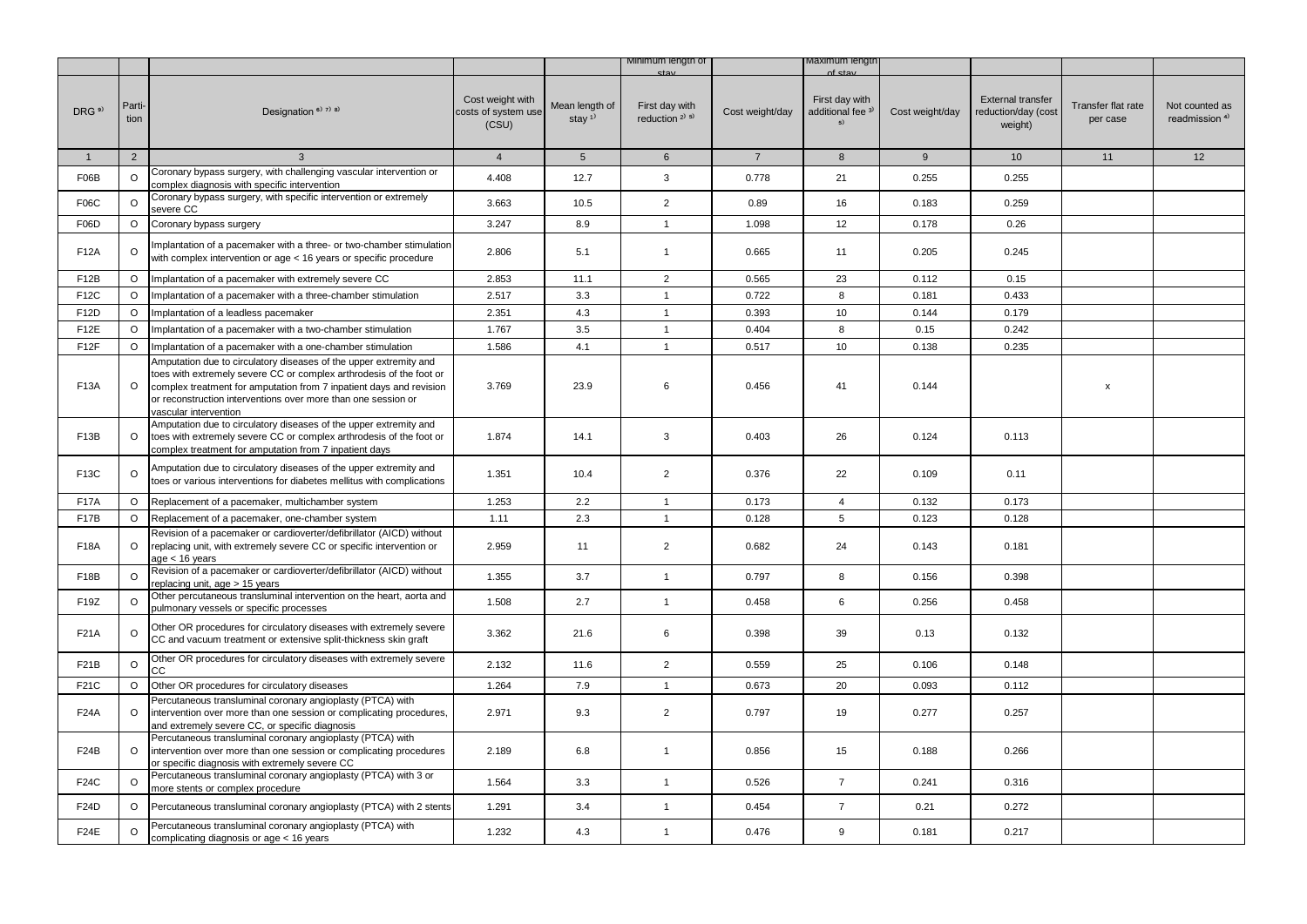|                   |                |                                                                                                                                                                                                                                                                                                           |                                                  |                                         | Minimum length of                      |                 | viaximum iengtr                                      |                 |                                                            |                                |                                             |
|-------------------|----------------|-----------------------------------------------------------------------------------------------------------------------------------------------------------------------------------------------------------------------------------------------------------------------------------------------------------|--------------------------------------------------|-----------------------------------------|----------------------------------------|-----------------|------------------------------------------------------|-----------------|------------------------------------------------------------|--------------------------------|---------------------------------------------|
| DRG <sup>9)</sup> | Parti-<br>tion | Designation <sup>6)</sup> <sup>7)</sup> <sup>8)</sup>                                                                                                                                                                                                                                                     | Cost weight with<br>costs of system use<br>(CSU) | Mean length of<br>stay $1$ <sup>1</sup> | First day with<br>reduction $2^{j}$ 5) | Cost weight/day | First day with<br>additional fee <sup>3)</sup><br>5) | Cost weight/day | <b>External transfer</b><br>reduction/day (cost<br>weight) | Transfer flat rate<br>per case | Not counted as<br>readmission <sup>4)</sup> |
| $\mathbf{1}$      | $\overline{2}$ | $\mathbf{3}$                                                                                                                                                                                                                                                                                              | $\overline{4}$                                   | 5 <sup>5</sup>                          | $6\overline{6}$                        | $7\overline{ }$ | 8                                                    | $9\,$           | 10                                                         | 11                             | 12                                          |
| F06B              | $\circ$        | Coronary bypass surgery, with challenging vascular intervention or<br>complex diagnosis with specific intervention                                                                                                                                                                                        | 4.408                                            | 12.7                                    | 3                                      | 0.778           | 21                                                   | 0.255           | 0.255                                                      |                                |                                             |
| <b>F06C</b>       | $\circ$        | Coronary bypass surgery, with specific intervention or extremely<br>severe CC                                                                                                                                                                                                                             | 3.663                                            | 10.5                                    | $\overline{2}$                         | 0.89            | 16                                                   | 0.183           | 0.259                                                      |                                |                                             |
| F06D              | $\circ$        | Coronary bypass surgery                                                                                                                                                                                                                                                                                   | 3.247                                            | 8.9                                     | $\mathbf{1}$                           | 1.098           | 12                                                   | 0.178           | 0.26                                                       |                                |                                             |
| F12A              | $\circ$        | Implantation of a pacemaker with a three- or two-chamber stimulation<br>with complex intervention or age < 16 years or specific procedure                                                                                                                                                                 | 2.806                                            | 5.1                                     | $\mathbf{1}$                           | 0.665           | 11                                                   | 0.205           | 0.245                                                      |                                |                                             |
| F12B              | $\circ$        | Implantation of a pacemaker with extremely severe CC                                                                                                                                                                                                                                                      | 2.853                                            | 11.1                                    | $\overline{2}$                         | 0.565           | 23                                                   | 0.112           | 0.15                                                       |                                |                                             |
| F12C              | $\circ$        | Implantation of a pacemaker with a three-chamber stimulation                                                                                                                                                                                                                                              | 2.517                                            | 3.3                                     | $\mathbf{1}$                           | 0.722           | 8                                                    | 0.181           | 0.433                                                      |                                |                                             |
| F12D              | $\circ$        | Implantation of a leadless pacemaker                                                                                                                                                                                                                                                                      | 2.351                                            | 4.3                                     | $\mathbf{1}$                           | 0.393           | 10 <sup>1</sup>                                      | 0.144           | 0.179                                                      |                                |                                             |
| F <sub>12</sub> E | $\circ$        | Implantation of a pacemaker with a two-chamber stimulation                                                                                                                                                                                                                                                | 1.767                                            | 3.5                                     | $\mathbf{1}$                           | 0.404           | 8                                                    | 0.15            | 0.242                                                      |                                |                                             |
| F <sub>12</sub> F | $\circ$        | Implantation of a pacemaker with a one-chamber stimulation                                                                                                                                                                                                                                                | 1.586                                            | 4.1                                     | $\mathbf{1}$                           | 0.517           | 10                                                   | 0.138           | 0.235                                                      |                                |                                             |
| F13A              | $\circ$        | Amputation due to circulatory diseases of the upper extremity and<br>toes with extremely severe CC or complex arthrodesis of the foot or<br>complex treatment for amputation from 7 inpatient days and revision<br>or reconstruction interventions over more than one session or<br>vascular intervention | 3.769                                            | 23.9                                    | 6                                      | 0.456           | 41                                                   | 0.144           |                                                            | X                              |                                             |
| F <sub>13</sub> B | $\circ$        | Amputation due to circulatory diseases of the upper extremity and<br>toes with extremely severe CC or complex arthrodesis of the foot or<br>complex treatment for amputation from 7 inpatient days                                                                                                        | 1.874                                            | 14.1                                    | 3                                      | 0.403           | 26                                                   | 0.124           | 0.113                                                      |                                |                                             |
| F13C              | $\circ$        | Amputation due to circulatory diseases of the upper extremity and<br>toes or various interventions for diabetes mellitus with complications                                                                                                                                                               | 1.351                                            | 10.4                                    | $\overline{2}$                         | 0.376           | 22                                                   | 0.109           | 0.11                                                       |                                |                                             |
| <b>F17A</b>       | $\circ$        | Replacement of a pacemaker, multichamber system                                                                                                                                                                                                                                                           | 1.253                                            | 2.2                                     | $\mathbf{1}$                           | 0.173           | $\overline{4}$                                       | 0.132           | 0.173                                                      |                                |                                             |
| <b>F17B</b>       | $\circ$        | Replacement of a pacemaker, one-chamber system                                                                                                                                                                                                                                                            | 1.11                                             | 2.3                                     | $\mathbf{1}$                           | 0.128           | 5                                                    | 0.123           | 0.128                                                      |                                |                                             |
| <b>F18A</b>       | $\circ$        | Revision of a pacemaker or cardioverter/defibrillator (AICD) without<br>replacing unit, with extremely severe CC or specific intervention or<br>age < 16 years                                                                                                                                            | 2.959                                            | 11                                      | $\overline{2}$                         | 0.682           | 24                                                   | 0.143           | 0.181                                                      |                                |                                             |
| F18B              | $\circ$        | Revision of a pacemaker or cardioverter/defibrillator (AICD) without<br>replacing unit, age > 15 years                                                                                                                                                                                                    | 1.355                                            | 3.7                                     | $\mathbf{1}$                           | 0.797           | 8                                                    | 0.156           | 0.398                                                      |                                |                                             |
| F19Z              | $\circ$        | Other percutaneous transluminal intervention on the heart, aorta and<br>pulmonary vessels or specific processes                                                                                                                                                                                           | 1.508                                            | 2.7                                     | $\mathbf{1}$                           | 0.458           | 6                                                    | 0.256           | 0.458                                                      |                                |                                             |
| F21A              | O              | Other OR procedures for circulatory diseases with extremely severe<br>CC and vacuum treatment or extensive split-thickness skin graft                                                                                                                                                                     | 3.362                                            | 21.6                                    | 6                                      | 0.398           | 39                                                   | 0.13            | 0.132                                                      |                                |                                             |
| F21B              | $\circ$        | Other OR procedures for circulatory diseases with extremely severe<br>CС                                                                                                                                                                                                                                  | 2.132                                            | 11.6                                    | $\overline{2}$                         | 0.559           | 25                                                   | 0.106           | 0.148                                                      |                                |                                             |
| F21C              | $\circ$        | Other OR procedures for circulatory diseases                                                                                                                                                                                                                                                              | 1.264                                            | 7.9                                     | $\mathbf{1}$                           | 0.673           | 20                                                   | 0.093           | 0.112                                                      |                                |                                             |
| <b>F24A</b>       | $\circ$        | Percutaneous transluminal coronary angioplasty (PTCA) with<br>intervention over more than one session or complicating procedures,<br>and extremely severe CC, or specific diagnosis                                                                                                                       | 2.971                                            | 9.3                                     | $\overline{2}$                         | 0.797           | 19                                                   | 0.277           | 0.257                                                      |                                |                                             |
| F <sub>24</sub> B | $\circ$        | Percutaneous transluminal coronary angioplasty (PTCA) with<br>intervention over more than one session or complicating procedures<br>or specific diagnosis with extremely severe CC                                                                                                                        | 2.189                                            | 6.8                                     | $\mathbf{1}$                           | 0.856           | 15                                                   | 0.188           | 0.266                                                      |                                |                                             |
| F24C              | $\circ$        | Percutaneous transluminal coronary angioplasty (PTCA) with 3 or<br>more stents or complex procedure                                                                                                                                                                                                       | 1.564                                            | 3.3                                     | $\mathbf{1}$                           | 0.526           | $\overline{7}$                                       | 0.241           | 0.316                                                      |                                |                                             |
| F24D              | $\circ$        | Percutaneous transluminal coronary angioplasty (PTCA) with 2 stents                                                                                                                                                                                                                                       | 1.291                                            | 3.4                                     | $\mathbf{1}$                           | 0.454           | $\overline{7}$                                       | 0.21            | 0.272                                                      |                                |                                             |
| <b>F24E</b>       | $\circ$        | Percutaneous transluminal coronary angioplasty (PTCA) with<br>complicating diagnosis or age < 16 years                                                                                                                                                                                                    | 1.232                                            | 4.3                                     | $\mathbf{1}$                           | 0.476           | 9                                                    | 0.181           | 0.217                                                      |                                |                                             |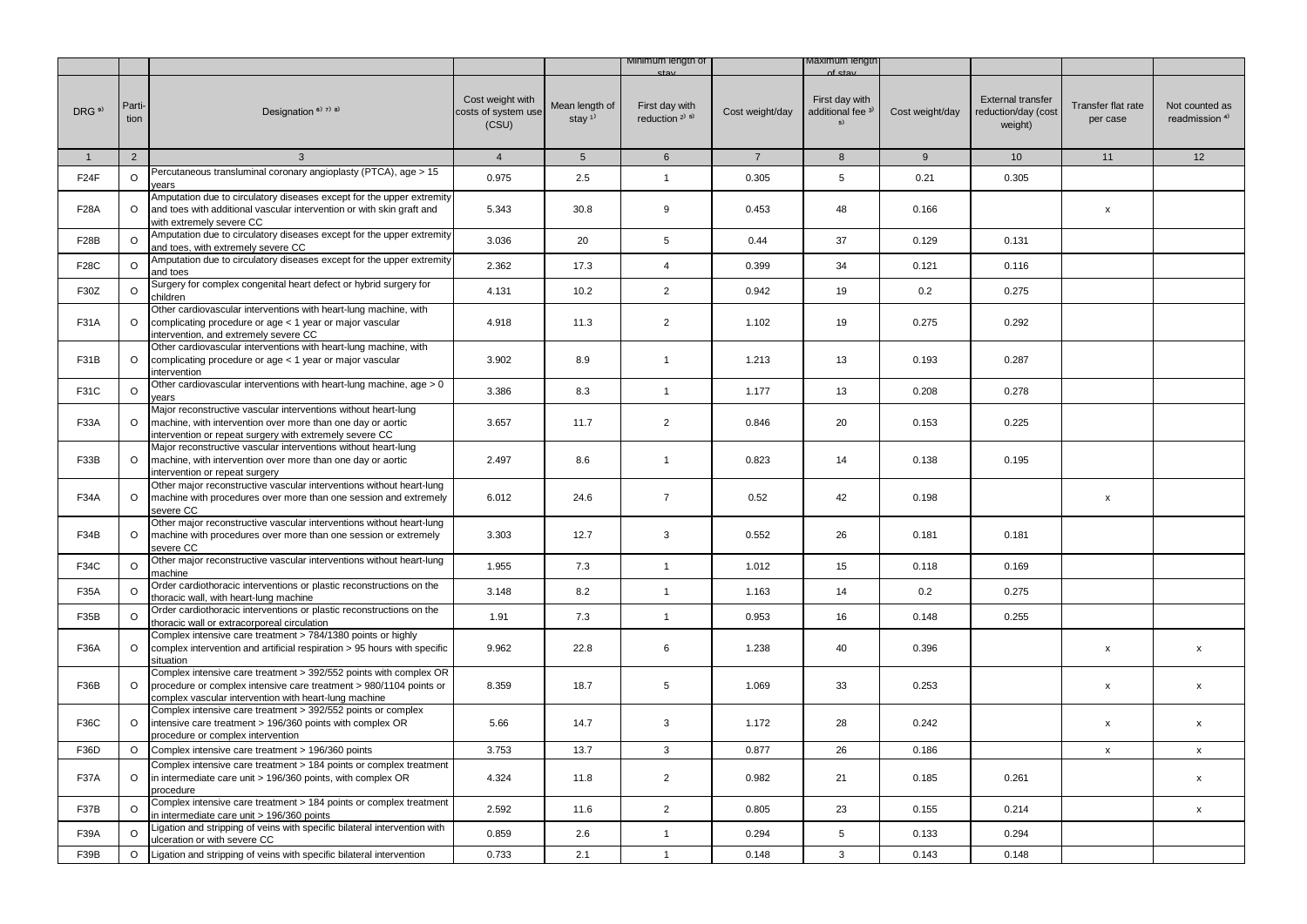|                   |                |                                                                                                                                                                                                  |                                                  |                                         | Minimum length of                        |                 | viaximum iengti                                      |                 |                                                            |                                |                                             |
|-------------------|----------------|--------------------------------------------------------------------------------------------------------------------------------------------------------------------------------------------------|--------------------------------------------------|-----------------------------------------|------------------------------------------|-----------------|------------------------------------------------------|-----------------|------------------------------------------------------------|--------------------------------|---------------------------------------------|
| DRG <sup>9)</sup> | Parti-<br>tion | Designation <sup>6)</sup> 7) 8)                                                                                                                                                                  | Cost weight with<br>costs of system use<br>(CSU) | Mean length of<br>stay $1$ <sup>1</sup> | First day with<br>reduction $2^{(3)}$ 5) | Cost weight/day | First day with<br>additional fee <sup>3)</sup><br>5) | Cost weight/day | <b>External transfer</b><br>reduction/day (cost<br>weight) | Transfer flat rate<br>per case | Not counted as<br>readmission <sup>4)</sup> |
| $\mathbf{1}$      | 2              | $\mathbf{3}$                                                                                                                                                                                     | $\overline{4}$                                   | 5 <sup>5</sup>                          | $6\phantom{.}6$                          | $\overline{7}$  | 8                                                    | 9               | 10                                                         | 11                             | 12                                          |
| F24F              | $\circ$        | Percutaneous transluminal coronary angioplasty (PTCA), age > 15<br>vears                                                                                                                         | 0.975                                            | 2.5                                     | $\mathbf{1}$                             | 0.305           | $\,$ 5 $\,$                                          | 0.21            | 0.305                                                      |                                |                                             |
| <b>F28A</b>       | $\circ$        | Amputation due to circulatory diseases except for the upper extremity<br>and toes with additional vascular intervention or with skin graft and<br>with extremely severe CC                       | 5.343                                            | 30.8                                    | 9                                        | 0.453           | 48                                                   | 0.166           |                                                            | x                              |                                             |
| <b>F28B</b>       | $\circ$        | Amputation due to circulatory diseases except for the upper extremity<br>and toes, with extremely severe CC                                                                                      | 3.036                                            | 20                                      | 5                                        | 0.44            | 37                                                   | 0.129           | 0.131                                                      |                                |                                             |
| F28C              | $\circ$        | Amputation due to circulatory diseases except for the upper extremity<br>and toes                                                                                                                | 2.362                                            | 17.3                                    | $\overline{4}$                           | 0.399           | 34                                                   | 0.121           | 0.116                                                      |                                |                                             |
| F30Z              | $\circ$        | Surgery for complex congenital heart defect or hybrid surgery for<br>children                                                                                                                    | 4.131                                            | 10.2                                    | $\overline{2}$                           | 0.942           | 19                                                   | 0.2             | 0.275                                                      |                                |                                             |
| <b>F31A</b>       | $\circ$        | Other cardiovascular interventions with heart-lung machine, with<br>complicating procedure or age < 1 year or major vascular<br>intervention, and extremely severe CC                            | 4.918                                            | 11.3                                    | $\overline{2}$                           | 1.102           | 19                                                   | 0.275           | 0.292                                                      |                                |                                             |
| F31B              | $\circ$        | Other cardiovascular interventions with heart-lung machine, with<br>complicating procedure or age < 1 year or major vascular<br>ntervention                                                      | 3.902                                            | 8.9                                     | $\mathbf{1}$                             | 1.213           | 13                                                   | 0.193           | 0.287                                                      |                                |                                             |
| F31C              | $\Omega$       | Other cardiovascular interventions with heart-lung machine, age > 0<br>years                                                                                                                     | 3.386                                            | 8.3                                     | $\mathbf{1}$                             | 1.177           | 13                                                   | 0.208           | 0.278                                                      |                                |                                             |
| F33A              | $\circ$        | Major reconstructive vascular interventions without heart-lung<br>machine, with intervention over more than one day or aortic<br>intervention or repeat surgery with extremely severe CC         | 3.657                                            | 11.7                                    | $\overline{2}$                           | 0.846           | 20                                                   | 0.153           | 0.225                                                      |                                |                                             |
| F33B              | $\circ$        | Major reconstructive vascular interventions without heart-lung<br>machine, with intervention over more than one day or aortic<br>intervention or repeat surgery                                  | 2.497                                            | 8.6                                     | $\mathbf{1}$                             | 0.823           | 14                                                   | 0.138           | 0.195                                                      |                                |                                             |
| F34A              | $\circ$        | Other major reconstructive vascular interventions without heart-lung<br>machine with procedures over more than one session and extremely<br>severe CC                                            | 6.012                                            | 24.6                                    | $\overline{7}$                           | 0.52            | 42                                                   | 0.198           |                                                            | $\pmb{\mathsf{x}}$             |                                             |
| F34B              | $\circ$        | Other major reconstructive vascular interventions without heart-lung<br>machine with procedures over more than one session or extremely<br>severe CC                                             | 3.303                                            | 12.7                                    | 3                                        | 0.552           | 26                                                   | 0.181           | 0.181                                                      |                                |                                             |
| F34C              | $\circ$        | Other major reconstructive vascular interventions without heart-lung<br>machine                                                                                                                  | 1.955                                            | 7.3                                     | $\mathbf{1}$                             | 1.012           | 15                                                   | 0.118           | 0.169                                                      |                                |                                             |
| F35A              | $\circ$        | Order cardiothoracic interventions or plastic reconstructions on the<br>thoracic wall, with heart-lung machine                                                                                   | 3.148                                            | 8.2                                     | $\mathbf{1}$                             | 1.163           | 14                                                   | 0.2             | 0.275                                                      |                                |                                             |
| F35B              | $\circ$        | Order cardiothoracic interventions or plastic reconstructions on the<br>thoracic wall or extracorporeal circulation                                                                              | 1.91                                             | 7.3                                     | $\mathbf{1}$                             | 0.953           | 16                                                   | 0.148           | 0.255                                                      |                                |                                             |
| <b>F36A</b>       | $\circ$        | Complex intensive care treatment > 784/1380 points or highly<br>complex intervention and artificial respiration > 95 hours with specific<br>situation                                            | 9.962                                            | 22.8                                    | 6                                        | 1.238           | 40                                                   | 0.396           |                                                            | $\pmb{\mathsf{x}}$             | $\mathsf X$                                 |
| F36B              | $\Omega$       | Complex intensive care treatment > 392/552 points with complex OR<br>procedure or complex intensive care treatment > 980/1104 points or<br>complex vascular intervention with heart-lung machine | 8.359                                            | 18.7                                    | 5                                        | 1.069           | 33                                                   | 0.253           |                                                            | x                              | $\pmb{\mathsf{x}}$                          |
| F36C              | $\circ$        | Complex intensive care treatment > 392/552 points or complex<br>intensive care treatment > 196/360 points with complex OR<br>procedure or complex intervention                                   | 5.66                                             | 14.7                                    | 3                                        | 1.172           | 28                                                   | 0.242           |                                                            | x                              | x                                           |
| F36D              | $\circ$        | Complex intensive care treatment > 196/360 points                                                                                                                                                | 3.753                                            | 13.7                                    | $\mathbf{3}$                             | 0.877           | 26                                                   | 0.186           |                                                            | $\pmb{\mathsf{x}}$             | $\mathsf{x}$                                |
| <b>F37A</b>       | $\circ$        | Complex intensive care treatment > 184 points or complex treatment<br>in intermediate care unit > 196/360 points, with complex OR<br>procedure                                                   | 4.324                                            | 11.8                                    | $\overline{2}$                           | 0.982           | 21                                                   | 0.185           | 0.261                                                      |                                | $\pmb{\mathsf{x}}$                          |
| F37B              | $\circ$        | Complex intensive care treatment > 184 points or complex treatment<br>in intermediate care unit > 196/360 points                                                                                 | 2.592                                            | 11.6                                    | $\overline{2}$                           | 0.805           | 23                                                   | 0.155           | 0.214                                                      |                                | $\pmb{\mathsf{x}}$                          |
| F39A              | $\circ$        | Ligation and stripping of veins with specific bilateral intervention with<br>ulceration or with severe CC                                                                                        | 0.859                                            | 2.6                                     | $\mathbf{1}$                             | 0.294           | 5                                                    | 0.133           | 0.294                                                      |                                |                                             |
| F39B              | $\circ$        | Ligation and stripping of veins with specific bilateral intervention                                                                                                                             | 0.733                                            | 2.1                                     | $\mathbf{1}$                             | 0.148           | 3                                                    | 0.143           | 0.148                                                      |                                |                                             |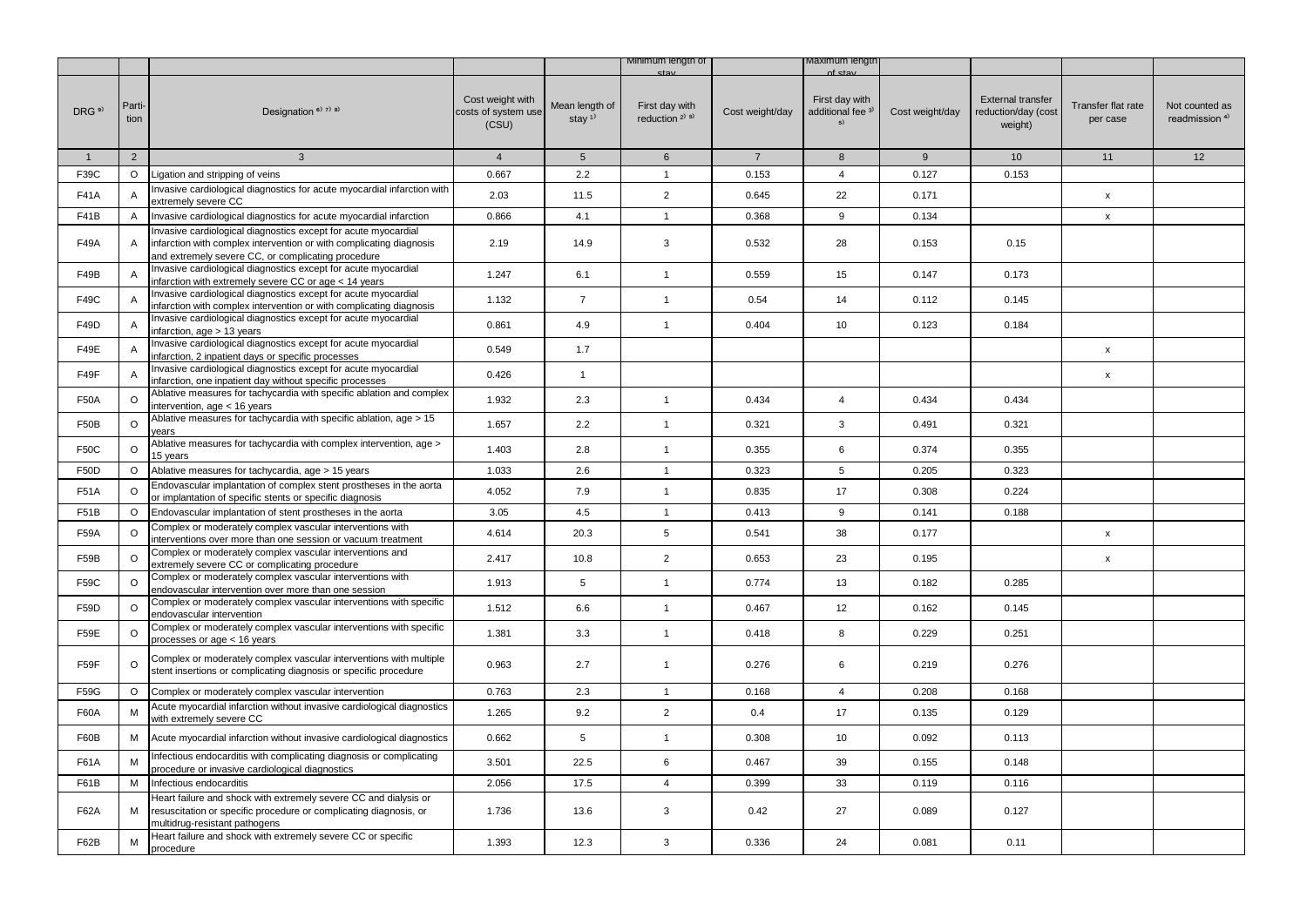|                   |                |                                                                                                                                                                                             |                                                  |                                         | Minimum length of                        |                 | ∧axımum ıengti                                       |                 |                                                            |                                |                                             |
|-------------------|----------------|---------------------------------------------------------------------------------------------------------------------------------------------------------------------------------------------|--------------------------------------------------|-----------------------------------------|------------------------------------------|-----------------|------------------------------------------------------|-----------------|------------------------------------------------------------|--------------------------------|---------------------------------------------|
| DRG <sup>9)</sup> | Parti-<br>tion | Designation $67738$                                                                                                                                                                         | Cost weight with<br>costs of system use<br>(CSU) | Mean length of<br>stay $1$ <sup>1</sup> | First day with<br>reduction $2^{(3)}$ 5) | Cost weight/day | First day with<br>additional fee <sup>3)</sup><br>5) | Cost weight/day | <b>External transfer</b><br>reduction/day (cost<br>weight) | Transfer flat rate<br>per case | Not counted as<br>readmission <sup>4)</sup> |
| $\mathbf{1}$      | $\overline{2}$ | $\mathbf{3}$                                                                                                                                                                                | $\overline{4}$                                   | 5 <sup>5</sup>                          | 6                                        | $\overline{7}$  | 8                                                    | 9               | 10                                                         | 11                             | 12                                          |
| F39C              | $\circ$        | Ligation and stripping of veins                                                                                                                                                             | 0.667                                            | 2.2                                     | $\mathbf{1}$                             | 0.153           | 4                                                    | 0.127           | 0.153                                                      |                                |                                             |
| F41A              |                | Invasive cardiological diagnostics for acute myocardial infarction with<br>extremely severe CC                                                                                              | 2.03                                             | 11.5                                    | $\overline{2}$                           | 0.645           | 22                                                   | 0.171           |                                                            | x                              |                                             |
| F41B              | A              | Invasive cardiological diagnostics for acute myocardial infarction                                                                                                                          | 0.866                                            | 4.1                                     | $\mathbf{1}$                             | 0.368           | 9                                                    | 0.134           |                                                            | $\pmb{\mathsf{x}}$             |                                             |
| F49A              | Α              | Invasive cardiological diagnostics except for acute myocardial<br>infarction with complex intervention or with complicating diagnosis<br>and extremely severe CC, or complicating procedure | 2.19                                             | 14.9                                    | 3                                        | 0.532           | 28                                                   | 0.153           | 0.15                                                       |                                |                                             |
| F49B              | A              | Invasive cardiological diagnostics except for acute myocardial<br>infarction with extremely severe CC or age < 14 years                                                                     | 1.247                                            | 6.1                                     | $\mathbf{1}$                             | 0.559           | 15                                                   | 0.147           | 0.173                                                      |                                |                                             |
| F49C              | $\overline{A}$ | Invasive cardiological diagnostics except for acute myocardial<br>infarction with complex intervention or with complicating diagnosis                                                       | 1.132                                            | $\overline{7}$                          | $\mathbf{1}$                             | 0.54            | 14                                                   | 0.112           | 0.145                                                      |                                |                                             |
| F49D              |                | Invasive cardiological diagnostics except for acute myocardial<br>infarction, $age > 13$ years                                                                                              | 0.861                                            | 4.9                                     | $\mathbf{1}$                             | 0.404           | 10                                                   | 0.123           | 0.184                                                      |                                |                                             |
| F49E              |                | Invasive cardiological diagnostics except for acute myocardial<br>infarction, 2 inpatient days or specific processes                                                                        | 0.549                                            | 1.7                                     |                                          |                 |                                                      |                 |                                                            | x                              |                                             |
| F49F              | Α              | Invasive cardiological diagnostics except for acute myocardial<br>infarction, one inpatient day without specific processes                                                                  | 0.426                                            | $\mathbf{1}$                            |                                          |                 |                                                      |                 |                                                            | X                              |                                             |
| F50A              | O              | Ablative measures for tachycardia with specific ablation and complex<br>intervention, age $<$ 16 years                                                                                      | 1.932                                            | 2.3                                     | $\mathbf{1}$                             | 0.434           | 4                                                    | 0.434           | 0.434                                                      |                                |                                             |
| <b>F50B</b>       | $\circ$        | Ablative measures for tachycardia with specific ablation, age > 15<br>vears                                                                                                                 | 1.657                                            | 2.2                                     | $\mathbf{1}$                             | 0.321           | 3                                                    | 0.491           | 0.321                                                      |                                |                                             |
| <b>F50C</b>       | O              | Ablative measures for tachycardia with complex intervention, age ><br>15 years                                                                                                              | 1.403                                            | 2.8                                     | $\mathbf{1}$                             | 0.355           | 6                                                    | 0.374           | 0.355                                                      |                                |                                             |
| F50D              | O              | Ablative measures for tachycardia, age > 15 years                                                                                                                                           | 1.033                                            | 2.6                                     | $\mathbf{1}$                             | 0.323           | 5                                                    | 0.205           | 0.323                                                      |                                |                                             |
| F51A              | $\circ$        | Endovascular implantation of complex stent prostheses in the aorta<br>or implantation of specific stents or specific diagnosis                                                              | 4.052                                            | 7.9                                     | $\mathbf{1}$                             | 0.835           | 17                                                   | 0.308           | 0.224                                                      |                                |                                             |
| F51B              | $\circ$        | Endovascular implantation of stent prostheses in the aorta                                                                                                                                  | 3.05                                             | 4.5                                     | $\mathbf{1}$                             | 0.413           | 9                                                    | 0.141           | 0.188                                                      |                                |                                             |
| F59A              | O              | Complex or moderately complex vascular interventions with<br>interventions over more than one session or vacuum treatment                                                                   | 4.614                                            | 20.3                                    | 5                                        | 0.541           | 38                                                   | 0.177           |                                                            | $\pmb{\mathsf{x}}$             |                                             |
| F59B              | $\Omega$       | Complex or moderately complex vascular interventions and<br>extremely severe CC or complicating procedure                                                                                   | 2.417                                            | 10.8                                    | $\overline{2}$                           | 0.653           | 23                                                   | 0.195           |                                                            | $\pmb{\mathsf{x}}$             |                                             |
| F59C              | O              | Complex or moderately complex vascular interventions with<br>endovascular intervention over more than one session                                                                           | 1.913                                            | 5                                       | $\mathbf{1}$                             | 0.774           | 13                                                   | 0.182           | 0.285                                                      |                                |                                             |
| F59D              | O              | Complex or moderately complex vascular interventions with specific<br>endovascular intervention                                                                                             | 1.512                                            | 6.6                                     | $\mathbf{1}$                             | 0.467           | 12                                                   | 0.162           | 0.145                                                      |                                |                                             |
| F59E              | $\circ$        | Complex or moderately complex vascular interventions with specific<br>processes or age < 16 years                                                                                           | 1.381                                            | 3.3                                     | $\mathbf{1}$                             | 0.418           | 8                                                    | 0.229           | 0.251                                                      |                                |                                             |
| F59F              | O              | Complex or moderately complex vascular interventions with multiple<br>stent insertions or complicating diagnosis or specific procedure                                                      | 0.963                                            | 2.7                                     | $\mathbf{1}$                             | 0.276           | 6                                                    | 0.219           | 0.276                                                      |                                |                                             |
| F59G              | $\circ$        | Complex or moderately complex vascular intervention                                                                                                                                         | 0.763                                            | 2.3                                     | $\mathbf{1}$                             | 0.168           | $\overline{4}$                                       | 0.208           | 0.168                                                      |                                |                                             |
| <b>F60A</b>       | м              | Acute myocardial infarction without invasive cardiological diagnostics<br>with extremely severe CC                                                                                          | 1.265                                            | 9.2                                     | $\overline{2}$                           | 0.4             | 17                                                   | 0.135           | 0.129                                                      |                                |                                             |
| F60B              | М              | Acute myocardial infarction without invasive cardiological diagnostics                                                                                                                      | 0.662                                            | 5                                       | $\mathbf{1}$                             | 0.308           | 10                                                   | 0.092           | 0.113                                                      |                                |                                             |
| F61A              | M              | Infectious endocarditis with complicating diagnosis or complicating<br>procedure or invasive cardiological diagnostics                                                                      | 3.501                                            | 22.5                                    | 6                                        | 0.467           | 39                                                   | 0.155           | 0.148                                                      |                                |                                             |
| F61B              | M              | Infectious endocarditis                                                                                                                                                                     | 2.056                                            | 17.5                                    | 4                                        | 0.399           | 33                                                   | 0.119           | 0.116                                                      |                                |                                             |
| F62A              | м              | Heart failure and shock with extremely severe CC and dialysis or<br>resuscitation or specific procedure or complicating diagnosis, or<br>multidrug-resistant pathogens                      | 1.736                                            | 13.6                                    | 3                                        | 0.42            | 27                                                   | 0.089           | 0.127                                                      |                                |                                             |
| F62B              | М              | Heart failure and shock with extremely severe CC or specific<br>procedure                                                                                                                   | 1.393                                            | 12.3                                    | 3                                        | 0.336           | 24                                                   | 0.081           | 0.11                                                       |                                |                                             |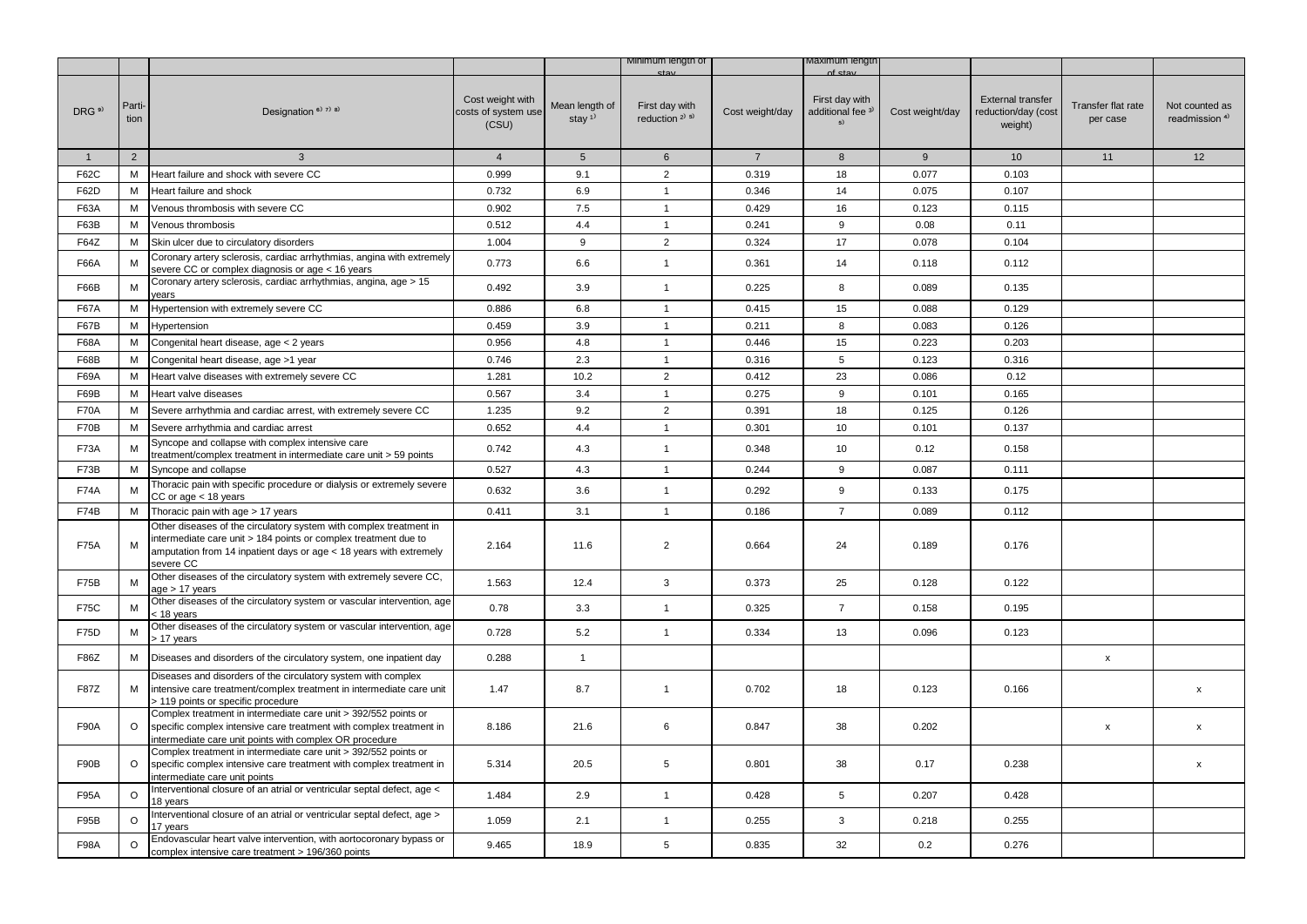|                   |                |                                                                                                                                                                                                                          |                                                  |                                         | Minimum lengtn of                        |                 | vaxımum iengti                                       |                 |                                                            |                                |                                             |
|-------------------|----------------|--------------------------------------------------------------------------------------------------------------------------------------------------------------------------------------------------------------------------|--------------------------------------------------|-----------------------------------------|------------------------------------------|-----------------|------------------------------------------------------|-----------------|------------------------------------------------------------|--------------------------------|---------------------------------------------|
| DRG <sup>9)</sup> | Parti-<br>tion | Designation <sup>6)</sup> 7) 8)                                                                                                                                                                                          | Cost weight with<br>costs of system use<br>(CSU) | Mean length of<br>stay $1$ <sup>1</sup> | First day with<br>reduction $2^{j}5^{j}$ | Cost weight/day | First day with<br>additional fee <sup>3)</sup><br>5) | Cost weight/day | <b>External transfer</b><br>reduction/day (cost<br>weight) | Transfer flat rate<br>per case | Not counted as<br>readmission <sup>4)</sup> |
| $\mathbf{1}$      | $\overline{2}$ | $\mathbf{3}$                                                                                                                                                                                                             | $\overline{4}$                                   | 5 <sup>5</sup>                          | 6                                        | $7\overline{ }$ | 8                                                    | $9\,$           | 10                                                         | 11                             | 12                                          |
| F62C              | М              | Heart failure and shock with severe CC                                                                                                                                                                                   | 0.999                                            | 9.1                                     | $\overline{2}$                           | 0.319           | 18                                                   | 0.077           | 0.103                                                      |                                |                                             |
| F62D              | М              | Heart failure and shock                                                                                                                                                                                                  | 0.732                                            | 6.9                                     | $\mathbf{1}$                             | 0.346           | 14                                                   | 0.075           | 0.107                                                      |                                |                                             |
| F63A              | М              | Venous thrombosis with severe CC                                                                                                                                                                                         | 0.902                                            | $7.5\,$                                 | $\mathbf{1}$                             | 0.429           | 16                                                   | 0.123           | 0.115                                                      |                                |                                             |
| F63B              | М              | Venous thrombosis                                                                                                                                                                                                        | 0.512                                            | 4.4                                     | $\mathbf{1}$                             | 0.241           | 9                                                    | 0.08            | 0.11                                                       |                                |                                             |
| F64Z              | M              | Skin ulcer due to circulatory disorders                                                                                                                                                                                  | 1.004                                            | 9                                       | $\overline{2}$                           | 0.324           | 17                                                   | 0.078           | 0.104                                                      |                                |                                             |
| F66A              | м              | Coronary artery sclerosis, cardiac arrhythmias, angina with extremely<br>severe CC or complex diagnosis or age < 16 years                                                                                                | 0.773                                            | 6.6                                     | $\mathbf{1}$                             | 0.361           | 14                                                   | 0.118           | 0.112                                                      |                                |                                             |
| F66B              | М              | Coronary artery sclerosis, cardiac arrhythmias, angina, age > 15<br>vears                                                                                                                                                | 0.492                                            | 3.9                                     | $\mathbf{1}$                             | 0.225           | 8                                                    | 0.089           | 0.135                                                      |                                |                                             |
| <b>F67A</b>       | М              | Hypertension with extremely severe CC                                                                                                                                                                                    | 0.886                                            | 6.8                                     | $\mathbf{1}$                             | 0.415           | 15                                                   | 0.088           | 0.129                                                      |                                |                                             |
| F67B              | М              | Hypertension                                                                                                                                                                                                             | 0.459                                            | 3.9                                     | $\mathbf{1}$                             | 0.211           | 8                                                    | 0.083           | 0.126                                                      |                                |                                             |
| F68A              | М              | Congenital heart disease, age < 2 years                                                                                                                                                                                  | 0.956                                            | 4.8                                     | $\overline{1}$                           | 0.446           | 15                                                   | 0.223           | 0.203                                                      |                                |                                             |
| F68B              | М              | Congenital heart disease, age >1 year                                                                                                                                                                                    | 0.746                                            | 2.3                                     | $\mathbf{1}$                             | 0.316           | 5                                                    | 0.123           | 0.316                                                      |                                |                                             |
| F69A              | М              | Heart valve diseases with extremely severe CC                                                                                                                                                                            | 1.281                                            | 10.2                                    | $\overline{2}$                           | 0.412           | 23                                                   | 0.086           | 0.12                                                       |                                |                                             |
| F69B              | М              | Heart valve diseases                                                                                                                                                                                                     | 0.567                                            | 3.4                                     | $\mathbf{1}$                             | 0.275           | 9                                                    | 0.101           | 0.165                                                      |                                |                                             |
| <b>F70A</b>       | М              | Severe arrhythmia and cardiac arrest, with extremely severe CC                                                                                                                                                           | 1.235                                            | 9.2                                     | $\overline{2}$                           | 0.391           | 18                                                   | 0.125           | 0.126                                                      |                                |                                             |
| F70B              | м              | Severe arrhythmia and cardiac arrest                                                                                                                                                                                     | 0.652                                            | 4.4                                     | $\mathbf{1}$                             | 0.301           | 10                                                   | 0.101           | 0.137                                                      |                                |                                             |
| <b>F73A</b>       | M              | Syncope and collapse with complex intensive care<br>treatment/complex treatment in intermediate care unit > 59 points                                                                                                    | 0.742                                            | 4.3                                     | $\mathbf{1}$                             | 0.348           | 10                                                   | 0.12            | 0.158                                                      |                                |                                             |
| F73B              | М              | Syncope and collapse                                                                                                                                                                                                     | 0.527                                            | 4.3                                     | $\mathbf{1}$                             | 0.244           | 9                                                    | 0.087           | 0.111                                                      |                                |                                             |
| <b>F74A</b>       | м              | Thoracic pain with specific procedure or dialysis or extremely severe<br>$CC$ or age $<$ 18 years                                                                                                                        | 0.632                                            | 3.6                                     | $\mathbf{1}$                             | 0.292           | 9                                                    | 0.133           | 0.175                                                      |                                |                                             |
| F74B              | М              | Thoracic pain with age > 17 years                                                                                                                                                                                        | 0.411                                            | 3.1                                     | $\overline{1}$                           | 0.186           | $\overline{7}$                                       | 0.089           | 0.112                                                      |                                |                                             |
| <b>F75A</b>       | м              | Other diseases of the circulatory system with complex treatment in<br>intermediate care unit > 184 points or complex treatment due to<br>amputation from 14 inpatient days or age < 18 years with extremely<br>severe CC | 2.164                                            | 11.6                                    | $\overline{2}$                           | 0.664           | 24                                                   | 0.189           | 0.176                                                      |                                |                                             |
| <b>F75B</b>       | M              | Other diseases of the circulatory system with extremely severe CC,<br>age > 17 years                                                                                                                                     | 1.563                                            | 12.4                                    | 3                                        | 0.373           | 25                                                   | 0.128           | 0.122                                                      |                                |                                             |
| <b>F75C</b>       | м              | Other diseases of the circulatory system or vascular intervention, age<br>< 18 years                                                                                                                                     | 0.78                                             | 3.3                                     | $\mathbf{1}$                             | 0.325           | $\overline{7}$                                       | 0.158           | 0.195                                                      |                                |                                             |
| F75D              | М              | Other diseases of the circulatory system or vascular intervention, age<br>> 17 years                                                                                                                                     | 0.728                                            | 5.2                                     | $\mathbf{1}$                             | 0.334           | 13                                                   | 0.096           | 0.123                                                      |                                |                                             |
| F86Z              | М              | Diseases and disorders of the circulatory system, one inpatient day                                                                                                                                                      | 0.288                                            | $\mathbf{1}$                            |                                          |                 |                                                      |                 |                                                            | x                              |                                             |
| <b>F87Z</b>       | М              | Diseases and disorders of the circulatory system with complex<br>intensive care treatment/complex treatment in intermediate care unit<br>> 119 points or specific procedure                                              | 1.47                                             | 8.7                                     | $\mathbf{1}$                             | 0.702           | 18                                                   | 0.123           | 0.166                                                      |                                | x                                           |
| F90A              | $\circ$        | Complex treatment in intermediate care unit > 392/552 points or<br>specific complex intensive care treatment with complex treatment in<br>intermediate care unit points with complex OR procedure                        | 8.186                                            | 21.6                                    | 6                                        | 0.847           | 38                                                   | 0.202           |                                                            | x                              | X                                           |
| F90B              | $\circ$        | Complex treatment in intermediate care unit > 392/552 points or<br>specific complex intensive care treatment with complex treatment in<br>intermediate care unit points                                                  | 5.314                                            | 20.5                                    | 5                                        | 0.801           | 38                                                   | 0.17            | 0.238                                                      |                                | x                                           |
| <b>F95A</b>       | $\circ$        | Interventional closure of an atrial or ventricular septal defect, age <<br>18 years                                                                                                                                      | 1.484                                            | 2.9                                     | $\mathbf{1}$                             | 0.428           | 5                                                    | 0.207           | 0.428                                                      |                                |                                             |
| F95B              | $\circ$        | nterventional closure of an atrial or ventricular septal defect, age ><br>17 years                                                                                                                                       | 1.059                                            | 2.1                                     | $\mathbf{1}$                             | 0.255           | 3                                                    | 0.218           | 0.255                                                      |                                |                                             |
| F98A              | O              | Endovascular heart valve intervention, with aortocoronary bypass or<br>complex intensive care treatment > 196/360 points                                                                                                 | 9.465                                            | 18.9                                    | 5                                        | 0.835           | 32                                                   | 0.2             | 0.276                                                      |                                |                                             |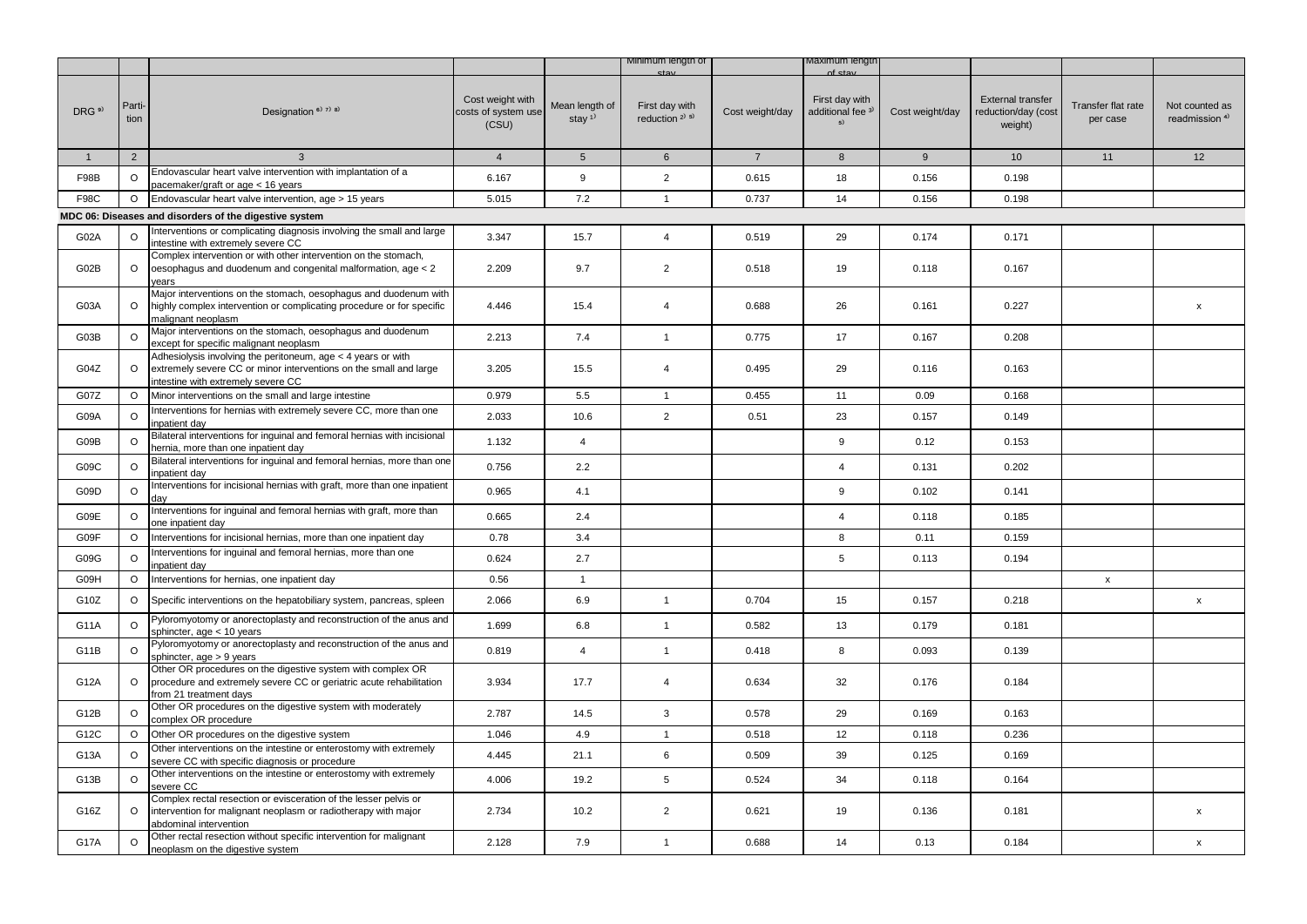|                   |                |                                                                                                                                                                         |                                                  |                                         | Minimum length of                     |                 | ∧axımum ıengtr                                       |                 |                                                            |                                |                                             |
|-------------------|----------------|-------------------------------------------------------------------------------------------------------------------------------------------------------------------------|--------------------------------------------------|-----------------------------------------|---------------------------------------|-----------------|------------------------------------------------------|-----------------|------------------------------------------------------------|--------------------------------|---------------------------------------------|
| DRG <sup>9)</sup> | Parti-<br>tion | Designation $6$ <sup>3</sup> $7$ <sup>3</sup> $8$ <sup>3</sup>                                                                                                          | Cost weight with<br>costs of system use<br>(CSU) | Mean length of<br>stay $1$ <sup>1</sup> | First day with<br>reduction $2^{1.5}$ | Cost weight/day | First day with<br>additional fee <sup>3)</sup><br>5) | Cost weight/day | <b>External transfer</b><br>reduction/day (cost<br>weight) | Transfer flat rate<br>per case | Not counted as<br>readmission <sup>4)</sup> |
| $\mathbf{1}$      | $\overline{2}$ | 3                                                                                                                                                                       | $\overline{4}$                                   | 5 <sup>5</sup>                          | 6                                     | $7\overline{ }$ | 8                                                    | 9               | 10                                                         | 11                             | 12                                          |
| F98B              | O              | Endovascular heart valve intervention with implantation of a<br>pacemaker/graft or age < 16 years                                                                       | 6.167                                            | 9                                       | $\overline{2}$                        | 0.615           | 18                                                   | 0.156           | 0.198                                                      |                                |                                             |
| <b>F98C</b>       | $\circ$        | Endovascular heart valve intervention, age > 15 years                                                                                                                   | 5.015                                            | 7.2                                     | $\mathbf{1}$                          | 0.737           | 14                                                   | 0.156           | 0.198                                                      |                                |                                             |
|                   |                | MDC 06: Diseases and disorders of the digestive system                                                                                                                  |                                                  |                                         |                                       |                 |                                                      |                 |                                                            |                                |                                             |
| G02A              | O              | Interventions or complicating diagnosis involving the small and large<br>intestine with extremely severe CC                                                             | 3.347                                            | 15.7                                    | $\overline{4}$                        | 0.519           | 29                                                   | 0.174           | 0.171                                                      |                                |                                             |
| G02B              | $\circ$        | Complex intervention or with other intervention on the stomach,<br>oesophagus and duodenum and congenital malformation, age < 2<br>vears                                | 2.209                                            | 9.7                                     | $\overline{2}$                        | 0.518           | 19                                                   | 0.118           | 0.167                                                      |                                |                                             |
| G03A              | $\circ$        | Major interventions on the stomach, oesophagus and duodenum with<br>highly complex intervention or complicating procedure or for specific<br>malignant neoplasm         | 4.446                                            | 15.4                                    | $\overline{4}$                        | 0.688           | 26                                                   | 0.161           | 0.227                                                      |                                | $\pmb{\mathsf{x}}$                          |
| G03B              | $\circ$        | Major interventions on the stomach, oesophagus and duodenum<br>except for specific malignant neoplasm                                                                   | 2.213                                            | 7.4                                     | $\mathbf{1}$                          | 0.775           | 17                                                   | 0.167           | 0.208                                                      |                                |                                             |
| G04Z              | $\circ$        | Adhesiolysis involving the peritoneum, age < 4 years or with<br>extremely severe CC or minor interventions on the small and large<br>intestine with extremely severe CC | 3.205                                            | 15.5                                    | $\overline{4}$                        | 0.495           | 29                                                   | 0.116           | 0.163                                                      |                                |                                             |
| G07Z              | $\circ$        | Minor interventions on the small and large intestine                                                                                                                    | 0.979                                            | 5.5                                     | $\mathbf{1}$                          | 0.455           | 11                                                   | 0.09            | 0.168                                                      |                                |                                             |
| G09A              | $\circ$        | Interventions for hernias with extremely severe CC, more than one<br>inpatient day                                                                                      | 2.033                                            | 10.6                                    | $\overline{2}$                        | 0.51            | 23                                                   | 0.157           | 0.149                                                      |                                |                                             |
| G09B              | $\Omega$       | Bilateral interventions for inguinal and femoral hernias with incisional<br>hernia, more than one inpatient day                                                         | 1.132                                            | $\overline{4}$                          |                                       |                 | 9                                                    | 0.12            | 0.153                                                      |                                |                                             |
| G09C              | $\circ$        | Bilateral interventions for inguinal and femoral hernias, more than one<br>inpatient day                                                                                | 0.756                                            | 2.2                                     |                                       |                 | $\overline{4}$                                       | 0.131           | 0.202                                                      |                                |                                             |
| G09D              | O              | Interventions for incisional hernias with graft, more than one inpatient<br>day                                                                                         | 0.965                                            | 4.1                                     |                                       |                 | 9                                                    | 0.102           | 0.141                                                      |                                |                                             |
| G09E              | $\circ$        | Interventions for inguinal and femoral hernias with graft, more than<br>one inpatient day                                                                               | 0.665                                            | 2.4                                     |                                       |                 | $\overline{4}$                                       | 0.118           | 0.185                                                      |                                |                                             |
| G09F              | $\circ$        | Interventions for incisional hernias, more than one inpatient day                                                                                                       | 0.78                                             | 3.4                                     |                                       |                 | 8                                                    | 0.11            | 0.159                                                      |                                |                                             |
| G09G              | $\Omega$       | Interventions for inguinal and femoral hernias, more than one<br>inpatient day                                                                                          | 0.624                                            | 2.7                                     |                                       |                 | 5                                                    | 0.113           | 0.194                                                      |                                |                                             |
| G09H              | $\circ$        | Interventions for hernias, one inpatient day                                                                                                                            | 0.56                                             | $\mathbf{1}$                            |                                       |                 |                                                      |                 |                                                            | $\boldsymbol{\mathsf{x}}$      |                                             |
| G10Z              | $\circ$        | Specific interventions on the hepatobiliary system, pancreas, spleen                                                                                                    | 2.066                                            | 6.9                                     | $\mathbf{1}$                          | 0.704           | 15                                                   | 0.157           | 0.218                                                      |                                | $\mathsf{x}$                                |
| G11A              | $\Omega$       | Pyloromyotomy or anorectoplasty and reconstruction of the anus and<br>phincter, age < 10 years                                                                          | 1.699                                            | 6.8                                     | $\mathbf{1}$                          | 0.582           | 13                                                   | 0.179           | 0.181                                                      |                                |                                             |
| G11B              | $\circ$        | Pyloromyotomy or anorectoplasty and reconstruction of the anus and<br>sphincter, age > 9 years                                                                          | 0.819                                            | $\overline{4}$                          | $\mathbf{1}$                          | 0.418           | 8                                                    | 0.093           | 0.139                                                      |                                |                                             |
| G12A              | $\circ$        | Other OR procedures on the digestive system with complex OR<br>procedure and extremely severe CC or geriatric acute rehabilitation<br>from 21 treatment days            | 3.934                                            | 17.7                                    | $\overline{4}$                        | 0.634           | 32                                                   | 0.176           | 0.184                                                      |                                |                                             |
| G12B              | $\circ$        | Other OR procedures on the digestive system with moderately<br>complex OR procedure                                                                                     | 2.787                                            | 14.5                                    | 3                                     | 0.578           | 29                                                   | 0.169           | 0.163                                                      |                                |                                             |
| G12C              | $\circ$        | Other OR procedures on the digestive system                                                                                                                             | 1.046                                            | 4.9                                     | $\mathbf{1}$                          | 0.518           | 12                                                   | 0.118           | 0.236                                                      |                                |                                             |
| G13A              | $\Omega$       | Other interventions on the intestine or enterostomy with extremely<br>severe CC with specific diagnosis or procedure                                                    | 4.445                                            | 21.1                                    | 6                                     | 0.509           | 39                                                   | 0.125           | 0.169                                                      |                                |                                             |
| G13B              | $\circ$        | Other interventions on the intestine or enterostomy with extremely<br>severe CC                                                                                         | 4.006                                            | 19.2                                    | 5                                     | 0.524           | 34                                                   | 0.118           | 0.164                                                      |                                |                                             |
| G16Z              | $\circ$        | Complex rectal resection or evisceration of the lesser pelvis or<br>intervention for malignant neoplasm or radiotherapy with major<br>abdominal intervention            | 2.734                                            | 10.2                                    | $\overline{2}$                        | 0.621           | 19                                                   | 0.136           | 0.181                                                      |                                | X                                           |
| <b>G17A</b>       | $\circ$        | Other rectal resection without specific intervention for malignant<br>neoplasm on the digestive system                                                                  | 2.128                                            | 7.9                                     | $\mathbf{1}$                          | 0.688           | 14                                                   | 0.13            | 0.184                                                      |                                | X                                           |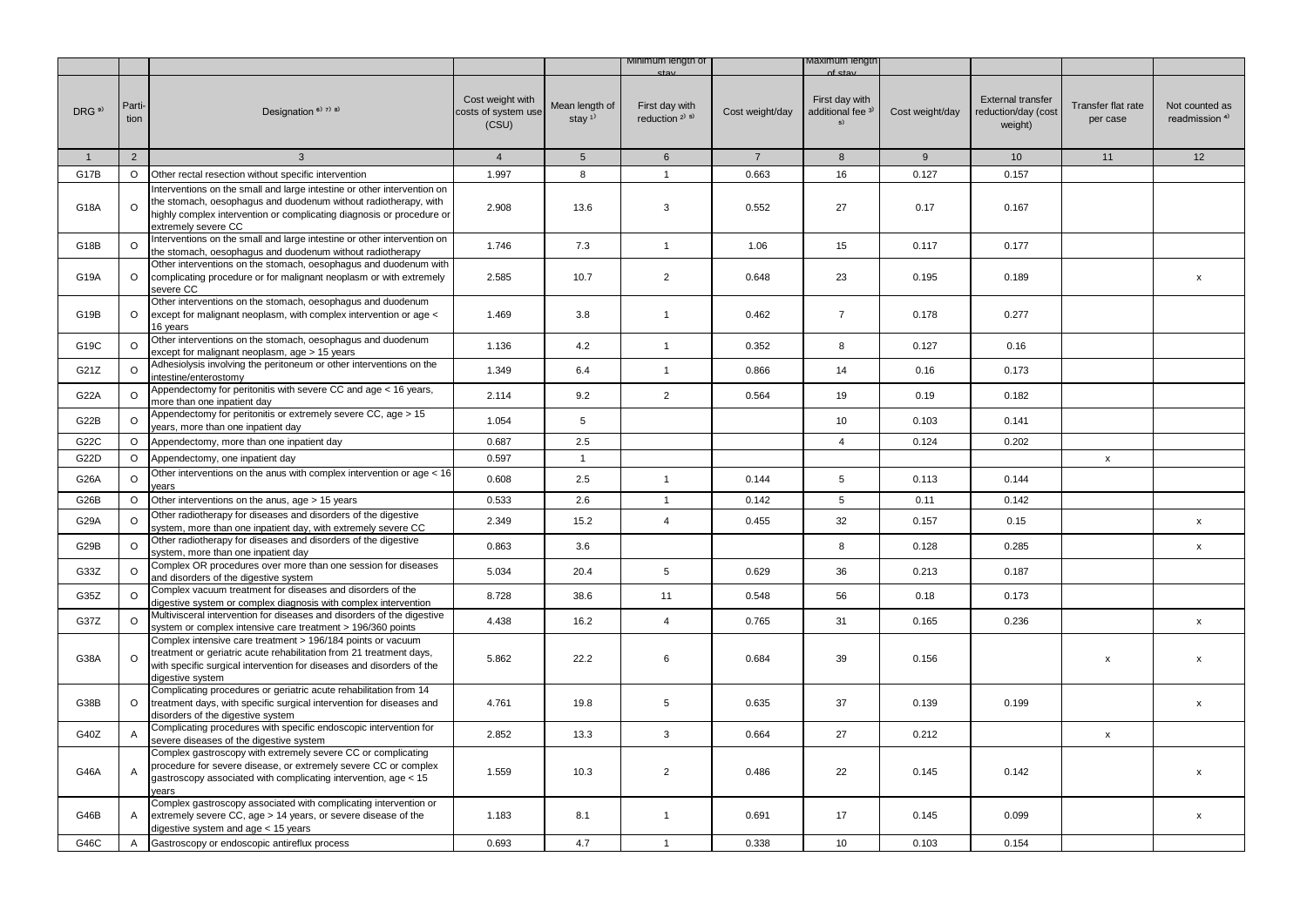|                   |                |                                                                                                                                                                                                                                            |                                                  |                            | Minimum length of                                       |                 | waximum iengtr                                       |                 |                                                            |                                |                                             |
|-------------------|----------------|--------------------------------------------------------------------------------------------------------------------------------------------------------------------------------------------------------------------------------------------|--------------------------------------------------|----------------------------|---------------------------------------------------------|-----------------|------------------------------------------------------|-----------------|------------------------------------------------------------|--------------------------------|---------------------------------------------|
| DRG <sup>9)</sup> | Parti-<br>tion | Designation <sup>6)</sup> 7) 8)                                                                                                                                                                                                            | Cost weight with<br>costs of system use<br>(CSU) | Mean length of<br>stay $1$ | First day with<br>reduction <sup>2)</sup> <sup>5)</sup> | Cost weight/day | First day with<br>additional fee <sup>3)</sup><br>5) | Cost weight/day | <b>External transfer</b><br>reduction/day (cost<br>weight) | Transfer flat rate<br>per case | Not counted as<br>readmission <sup>4)</sup> |
| $\mathbf{1}$      | $\overline{2}$ | 3                                                                                                                                                                                                                                          | $\overline{4}$                                   | $5\overline{)}$            | $6\overline{6}$                                         | $7\overline{ }$ | 8                                                    | 9               | 10 <sup>1</sup>                                            | 11                             | 12                                          |
| G17B              | $\circ$        | Other rectal resection without specific intervention                                                                                                                                                                                       | 1.997                                            | 8                          | $\mathbf{1}$                                            | 0.663           | 16                                                   | 0.127           | 0.157                                                      |                                |                                             |
| G18A              | $\circ$        | Interventions on the small and large intestine or other intervention on<br>the stomach, oesophagus and duodenum without radiotherapy, with<br>highly complex intervention or complicating diagnosis or procedure or<br>extremely severe CC | 2.908                                            | 13.6                       | 3                                                       | 0.552           | 27                                                   | 0.17            | 0.167                                                      |                                |                                             |
| G18B              | $\circ$        | Interventions on the small and large intestine or other intervention on<br>the stomach, oesophagus and duodenum without radiotherapy                                                                                                       | 1.746                                            | 7.3                        | $\mathbf{1}$                                            | 1.06            | 15                                                   | 0.117           | 0.177                                                      |                                |                                             |
| G19A              | $\circ$        | Other interventions on the stomach, oesophagus and duodenum with<br>complicating procedure or for malignant neoplasm or with extremely<br>severe CC                                                                                        | 2.585                                            | 10.7                       | $\overline{2}$                                          | 0.648           | 23                                                   | 0.195           | 0.189                                                      |                                | $\mathsf{x}$                                |
| G19B              | $\circ$        | Other interventions on the stomach, oesophagus and duodenum<br>except for malignant neoplasm, with complex intervention or age <<br>16 years                                                                                               | 1.469                                            | 3.8                        | $\mathbf{1}$                                            | 0.462           | $\overline{7}$                                       | 0.178           | 0.277                                                      |                                |                                             |
| G19C              | $\circ$        | Other interventions on the stomach, oesophagus and duodenum<br>except for malignant neoplasm, age > 15 years                                                                                                                               | 1.136                                            | 4.2                        | $\mathbf{1}$                                            | 0.352           | 8                                                    | 0.127           | 0.16                                                       |                                |                                             |
| G21Z              | O              | Adhesiolysis involving the peritoneum or other interventions on the<br>intestine/enterostomy                                                                                                                                               | 1.349                                            | 6.4                        | $\mathbf{1}$                                            | 0.866           | 14                                                   | 0.16            | 0.173                                                      |                                |                                             |
| G22A              | $\circ$        | Appendectomy for peritonitis with severe CC and age < 16 years,<br>more than one inpatient day                                                                                                                                             | 2.114                                            | 9.2                        | $\overline{2}$                                          | 0.564           | 19                                                   | 0.19            | 0.182                                                      |                                |                                             |
| G22B              | O              | Appendectomy for peritonitis or extremely severe CC, age > 15<br>years, more than one inpatient day                                                                                                                                        | 1.054                                            | 5                          |                                                         |                 | 10                                                   | 0.103           | 0.141                                                      |                                |                                             |
| G22C              | $\circ$        | Appendectomy, more than one inpatient day                                                                                                                                                                                                  | 0.687                                            | 2.5                        |                                                         |                 | $\overline{4}$                                       | 0.124           | 0.202                                                      |                                |                                             |
| G22D              | $\circ$        | Appendectomy, one inpatient day                                                                                                                                                                                                            | 0.597                                            | $\mathbf{1}$               |                                                         |                 |                                                      |                 |                                                            | x                              |                                             |
| G26A              | $\circ$        | Other interventions on the anus with complex intervention or age < 16<br>years                                                                                                                                                             | 0.608                                            | 2.5                        | $\mathbf{1}$                                            | 0.144           | 5                                                    | 0.113           | 0.144                                                      |                                |                                             |
| G26B              | O              | Other interventions on the anus, age > 15 years                                                                                                                                                                                            | 0.533                                            | 2.6                        | $\mathbf{1}$                                            | 0.142           | 5                                                    | 0.11            | 0.142                                                      |                                |                                             |
| G29A              | $\circ$        | Other radiotherapy for diseases and disorders of the digestive<br>system, more than one inpatient day, with extremely severe CC                                                                                                            | 2.349                                            | 15.2                       | $\overline{4}$                                          | 0.455           | 32                                                   | 0.157           | 0.15                                                       |                                | x                                           |
| G29B              | $\circ$        | Other radiotherapy for diseases and disorders of the digestive<br>system, more than one inpatient day                                                                                                                                      | 0.863                                            | 3.6                        |                                                         |                 | 8                                                    | 0.128           | 0.285                                                      |                                | $\pmb{\mathsf{x}}$                          |
| G33Z              | $\circ$        | Complex OR procedures over more than one session for diseases<br>and disorders of the digestive system                                                                                                                                     | 5.034                                            | 20.4                       | 5                                                       | 0.629           | 36                                                   | 0.213           | 0.187                                                      |                                |                                             |
| G35Z              | $\circ$        | Complex vacuum treatment for diseases and disorders of the<br>digestive system or complex diagnosis with complex intervention                                                                                                              | 8.728                                            | 38.6                       | 11                                                      | 0.548           | 56                                                   | 0.18            | 0.173                                                      |                                |                                             |
| G37Z              | $\circ$        | Multivisceral intervention for diseases and disorders of the digestive<br>system or complex intensive care treatment > 196/360 points                                                                                                      | 4.438                                            | 16.2                       | $\overline{4}$                                          | 0.765           | 31                                                   | 0.165           | 0.236                                                      |                                | x                                           |
| G38A              | $\circ$        | Complex intensive care treatment > 196/184 points or vacuum<br>treatment or geriatric acute rehabilitation from 21 treatment days,<br>with specific surgical intervention for diseases and disorders of the<br>digestive system            | 5.862                                            | 22.2                       | 6                                                       | 0.684           | 39                                                   | 0.156           |                                                            | x                              | $\pmb{\mathsf{x}}$                          |
| G38B              | $\circ$        | Complicating procedures or geriatric acute rehabilitation from 14<br>treatment days, with specific surgical intervention for diseases and<br>disorders of the digestive system                                                             | 4.761                                            | 19.8                       | 5                                                       | 0.635           | 37                                                   | 0.139           | 0.199                                                      |                                | $\mathsf{x}$                                |
| G40Z              | Α              | Complicating procedures with specific endoscopic intervention for<br>severe diseases of the digestive system                                                                                                                               | 2.852                                            | 13.3                       | 3                                                       | 0.664           | 27                                                   | 0.212           |                                                            | $\pmb{\mathsf{x}}$             |                                             |
| G46A              | Α              | Complex gastroscopy with extremely severe CC or complicating<br>procedure for severe disease, or extremely severe CC or complex<br>gastroscopy associated with complicating intervention, age < 15<br>vears                                | 1.559                                            | 10.3                       | $\overline{2}$                                          | 0.486           | 22                                                   | 0.145           | 0.142                                                      |                                | $\mathsf{x}$                                |
| G46B              | A              | Complex gastroscopy associated with complicating intervention or<br>extremely severe CC, age > 14 years, or severe disease of the<br>digestive system and age < 15 years                                                                   | 1.183                                            | 8.1                        | $\mathbf{1}$                                            | 0.691           | 17                                                   | 0.145           | 0.099                                                      |                                | $\pmb{\mathsf{x}}$                          |
| G46C              | A              | Gastroscopy or endoscopic antireflux process                                                                                                                                                                                               | 0.693                                            | 4.7                        | $\mathbf{1}$                                            | 0.338           | 10                                                   | 0.103           | 0.154                                                      |                                |                                             |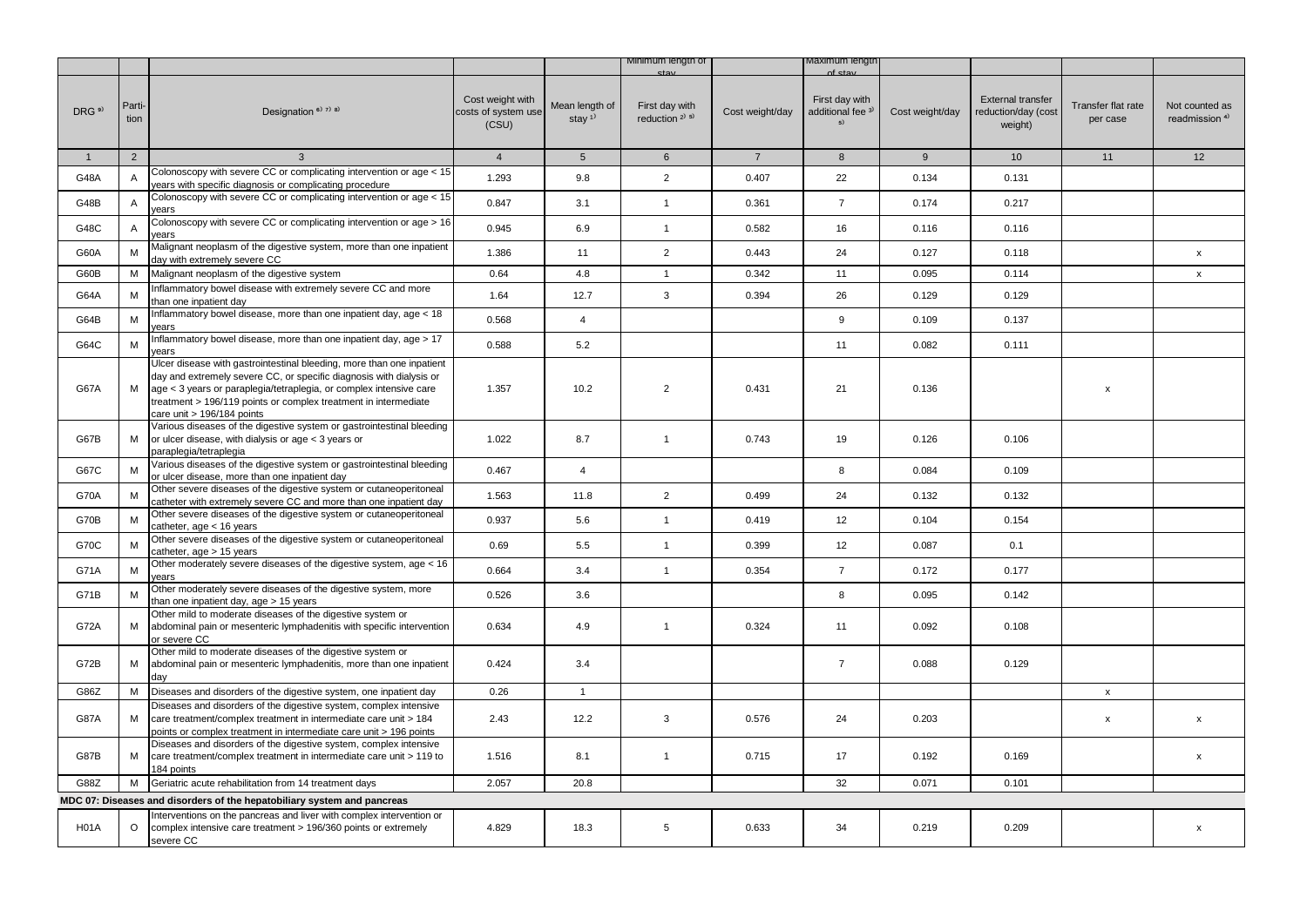|                   |                |                                                                                                                                                                                                                                                                                                                     |                                                  |                            | Minimum lengtn of                        |                 | laximum iengti                                       |                 |                                                            |                                |                                             |
|-------------------|----------------|---------------------------------------------------------------------------------------------------------------------------------------------------------------------------------------------------------------------------------------------------------------------------------------------------------------------|--------------------------------------------------|----------------------------|------------------------------------------|-----------------|------------------------------------------------------|-----------------|------------------------------------------------------------|--------------------------------|---------------------------------------------|
| DRG <sup>9)</sup> | Parti-<br>tion | Designation <sup>6)</sup> <sup>7)</sup> <sup>8)</sup>                                                                                                                                                                                                                                                               | Cost weight with<br>costs of system use<br>(CSU) | Mean length of<br>stay $1$ | First day with<br>reduction $2^{(3)}$ 5) | Cost weight/day | First day with<br>additional fee <sup>3)</sup><br>5) | Cost weight/day | <b>External transfer</b><br>reduction/day (cost<br>weight) | Transfer flat rate<br>per case | Not counted as<br>readmission <sup>4)</sup> |
| 1                 | $\overline{2}$ | 3                                                                                                                                                                                                                                                                                                                   | $\overline{4}$                                   | 5 <sup>5</sup>             | $6\overline{6}$                          | $7^{\circ}$     | 8                                                    | 9               | 10                                                         | 11                             | 12                                          |
| G48A              | A              | Colonoscopy with severe CC or complicating intervention or age < 15<br>years with specific diagnosis or complicating procedure                                                                                                                                                                                      | 1.293                                            | 9.8                        | $\overline{2}$                           | 0.407           | 22                                                   | 0.134           | 0.131                                                      |                                |                                             |
| G48B              | A              | Colonoscopy with severe CC or complicating intervention or age < 15<br>years                                                                                                                                                                                                                                        | 0.847                                            | 3.1                        | $\mathbf{1}$                             | 0.361           | $\overline{7}$                                       | 0.174           | 0.217                                                      |                                |                                             |
| G48C              | A              | Colonoscopy with severe CC or complicating intervention or age > 16<br>ears                                                                                                                                                                                                                                         | 0.945                                            | 6.9                        | $\mathbf{1}$                             | 0.582           | 16                                                   | 0.116           | 0.116                                                      |                                |                                             |
| G60A              | M              | Malignant neoplasm of the digestive system, more than one inpatient<br>day with extremely severe CC                                                                                                                                                                                                                 | 1.386                                            | 11                         | $\overline{2}$                           | 0.443           | 24                                                   | 0.127           | 0.118                                                      |                                | $\pmb{\mathsf{X}}$                          |
| G60B              | М              | Malignant neoplasm of the digestive system                                                                                                                                                                                                                                                                          | 0.64                                             | 4.8                        | $\mathbf{1}$                             | 0.342           | 11                                                   | 0.095           | 0.114                                                      |                                | $\mathsf{x}$                                |
| G64A              | M              | Inflammatory bowel disease with extremely severe CC and more<br>than one inpatient day                                                                                                                                                                                                                              | 1.64                                             | 12.7                       | 3                                        | 0.394           | 26                                                   | 0.129           | 0.129                                                      |                                |                                             |
| G64B              | M              | nflammatory bowel disease, more than one inpatient day, age < 18<br>vears                                                                                                                                                                                                                                           | 0.568                                            | $\overline{4}$             |                                          |                 | 9                                                    | 0.109           | 0.137                                                      |                                |                                             |
| G64C              | M              | Inflammatory bowel disease, more than one inpatient day, age > 17<br>vears                                                                                                                                                                                                                                          | 0.588                                            | 5.2                        |                                          |                 | 11                                                   | 0.082           | 0.111                                                      |                                |                                             |
| <b>G67A</b>       | M              | Ulcer disease with gastrointestinal bleeding, more than one inpatient<br>day and extremely severe CC, or specific diagnosis with dialysis or<br>age < 3 years or paraplegia/tetraplegia, or complex intensive care<br>treatment > 196/119 points or complex treatment in intermediate<br>care unit > 196/184 points | 1.357                                            | 10.2                       | $\overline{2}$                           | 0.431           | 21                                                   | 0.136           |                                                            | X                              |                                             |
| G67B              | м              | Various diseases of the digestive system or gastrointestinal bleeding<br>or ulcer disease, with dialysis or age < 3 years or<br>paraplegia/tetraplegia                                                                                                                                                              | 1.022                                            | 8.7                        | $\mathbf{1}$                             | 0.743           | 19                                                   | 0.126           | 0.106                                                      |                                |                                             |
| G67C              | М              | Various diseases of the digestive system or gastrointestinal bleeding<br>or ulcer disease, more than one inpatient day                                                                                                                                                                                              | 0.467                                            | $\overline{4}$             |                                          |                 | 8                                                    | 0.084           | 0.109                                                      |                                |                                             |
| <b>G70A</b>       | M              | Other severe diseases of the digestive system or cutaneoperitoneal<br>catheter with extremely severe CC and more than one inpatient day                                                                                                                                                                             | 1.563                                            | 11.8                       | $\overline{2}$                           | 0.499           | 24                                                   | 0.132           | 0.132                                                      |                                |                                             |
| G70B              | M              | Other severe diseases of the digestive system or cutaneoperitoneal<br>catheter, age $<$ 16 years                                                                                                                                                                                                                    | 0.937                                            | 5.6                        | $\mathbf{1}$                             | 0.419           | 12                                                   | 0.104           | 0.154                                                      |                                |                                             |
| G70C              | M              | Other severe diseases of the digestive system or cutaneoperitoneal<br>catheter, age > 15 years                                                                                                                                                                                                                      | 0.69                                             | 5.5                        | $\mathbf{1}$                             | 0.399           | 12                                                   | 0.087           | 0.1                                                        |                                |                                             |
| G71A              | М              | Other moderately severe diseases of the digestive system, age < 16<br>vears                                                                                                                                                                                                                                         | 0.664                                            | 3.4                        | $\mathbf{1}$                             | 0.354           | $\overline{7}$                                       | 0.172           | 0.177                                                      |                                |                                             |
| G71B              | M              | Other moderately severe diseases of the digestive system, more<br>than one inpatient day, age > 15 years                                                                                                                                                                                                            | 0.526                                            | 3.6                        |                                          |                 | 8                                                    | 0.095           | 0.142                                                      |                                |                                             |
| G72A              | м              | Other mild to moderate diseases of the digestive system or<br>abdominal pain or mesenteric lymphadenitis with specific intervention<br>or severe CC                                                                                                                                                                 | 0.634                                            | 4.9                        | $\mathbf{1}$                             | 0.324           | 11                                                   | 0.092           | 0.108                                                      |                                |                                             |
| G72B              | М              | Other mild to moderate diseases of the digestive system or<br>abdominal pain or mesenteric lymphadenitis, more than one inpatient<br>day                                                                                                                                                                            | 0.424                                            | 3.4                        |                                          |                 | $\overline{7}$                                       | 0.088           | 0.129                                                      |                                |                                             |
| G86Z              | М              | Diseases and disorders of the digestive system, one inpatient day                                                                                                                                                                                                                                                   | 0.26                                             | $\mathbf{1}$               |                                          |                 |                                                      |                 |                                                            | $\pmb{\mathsf{x}}$             |                                             |
| <b>G87A</b>       | М              | Diseases and disorders of the digestive system, complex intensive<br>care treatment/complex treatment in intermediate care unit > 184<br>boints or complex treatment in intermediate care unit > 196 points                                                                                                         | 2.43                                             | 12.2                       | 3                                        | 0.576           | 24                                                   | 0.203           |                                                            | x                              | X                                           |
| G87B              | М              | Diseases and disorders of the digestive system, complex intensive<br>care treatment/complex treatment in intermediate care unit > 119 to<br>184 points                                                                                                                                                              | 1.516                                            | 8.1                        | $\mathbf{1}$                             | 0.715           | 17                                                   | 0.192           | 0.169                                                      |                                | x                                           |
| G88Z              | M              | Geriatric acute rehabilitation from 14 treatment days                                                                                                                                                                                                                                                               | 2.057                                            | 20.8                       |                                          |                 | 32                                                   | 0.071           | 0.101                                                      |                                |                                             |
|                   |                | MDC 07: Diseases and disorders of the hepatobiliary system and pancreas                                                                                                                                                                                                                                             |                                                  |                            |                                          |                 |                                                      |                 |                                                            |                                |                                             |
| H <sub>0</sub> 1A | $\circ$        | nterventions on the pancreas and liver with complex intervention or<br>complex intensive care treatment > 196/360 points or extremely<br>severe CC                                                                                                                                                                  | 4.829                                            | 18.3                       | 5                                        | 0.633           | 34                                                   | 0.219           | 0.209                                                      |                                | x                                           |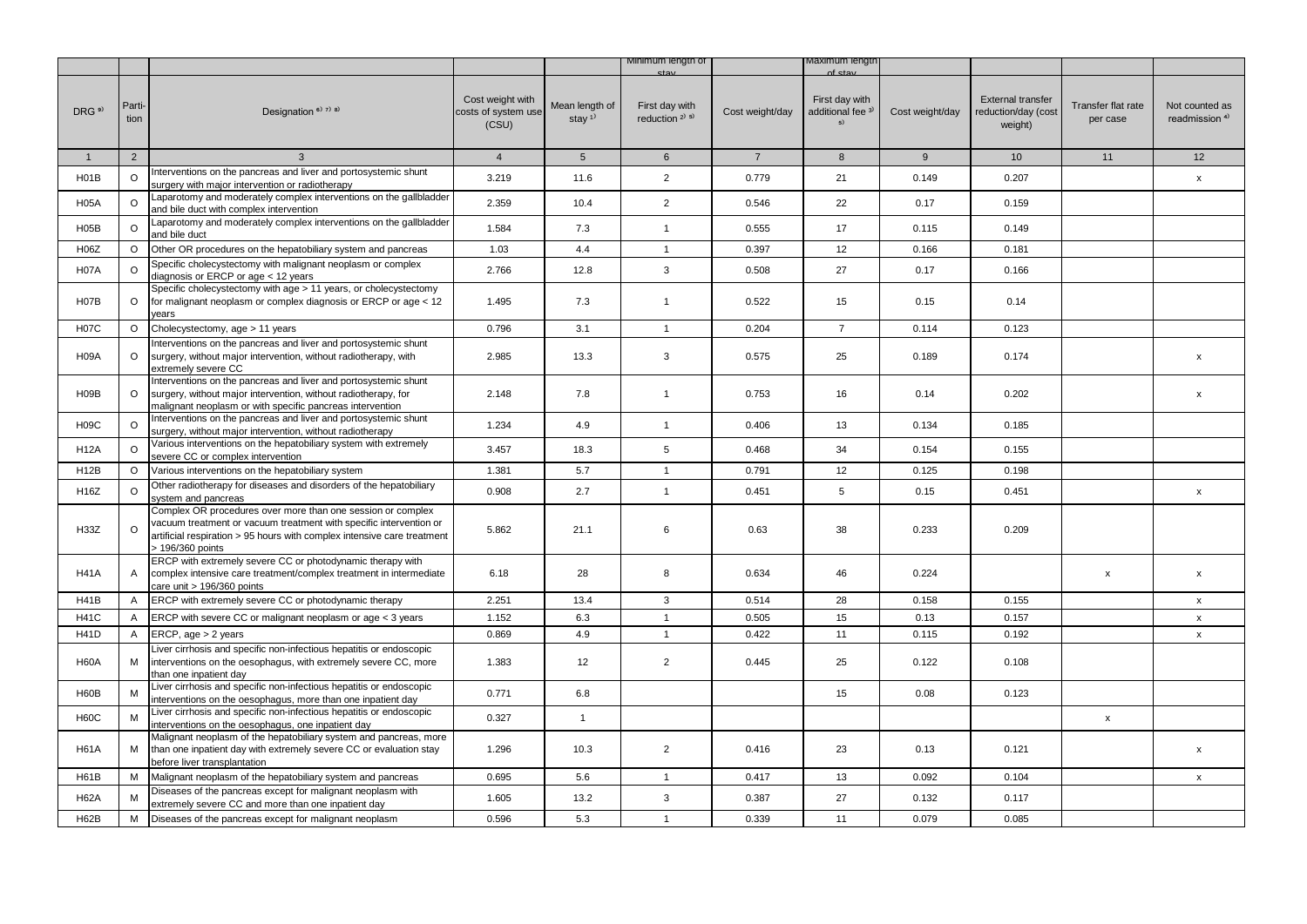|                   |                |                                                                                                                                                                                                                                  |                                                  |                                         | Minimum length of                        |                 | Maximum lengtr                            |                 |                                                            |                                |                                             |
|-------------------|----------------|----------------------------------------------------------------------------------------------------------------------------------------------------------------------------------------------------------------------------------|--------------------------------------------------|-----------------------------------------|------------------------------------------|-----------------|-------------------------------------------|-----------------|------------------------------------------------------------|--------------------------------|---------------------------------------------|
| DRG <sup>9)</sup> | Parti-<br>tion | Designation <sup>6)</sup> 7) 8)                                                                                                                                                                                                  | Cost weight with<br>costs of system use<br>(CSU) | Mean length of<br>stay $1$ <sup>1</sup> | First day with<br>reduction $2^{(3)}$ 5) | Cost weight/day | First day with<br>additional fee 3)<br>5) | Cost weight/day | <b>External transfer</b><br>reduction/day (cost<br>weight) | Transfer flat rate<br>per case | Not counted as<br>readmission <sup>4)</sup> |
| $\mathbf{1}$      | 2              | $\mathbf{3}$                                                                                                                                                                                                                     | $\overline{4}$                                   | 5 <sup>5</sup>                          | 6                                        | $\overline{7}$  | 8                                         | 9               | 10                                                         | 11                             | 12                                          |
| H01B              | $\circ$        | Interventions on the pancreas and liver and portosystemic shunt<br>surgery with major intervention or radiotherapy                                                                                                               | 3.219                                            | 11.6                                    | $\overline{2}$                           | 0.779           | 21                                        | 0.149           | 0.207                                                      |                                | X                                           |
| <b>H05A</b>       | $\circ$        | Laparotomy and moderately complex interventions on the gallbladder<br>and bile duct with complex intervention                                                                                                                    | 2.359                                            | 10.4                                    | $\overline{2}$                           | 0.546           | 22                                        | 0.17            | 0.159                                                      |                                |                                             |
| H05B              | $\circ$        | Laparotomy and moderately complex interventions on the gallbladder<br>and bile duct                                                                                                                                              | 1.584                                            | 7.3                                     | $\mathbf{1}$                             | 0.555           | 17                                        | 0.115           | 0.149                                                      |                                |                                             |
| H06Z              | $\circ$        | Other OR procedures on the hepatobiliary system and pancreas                                                                                                                                                                     | 1.03                                             | 4.4                                     | $\mathbf{1}$                             | 0.397           | 12                                        | 0.166           | 0.181                                                      |                                |                                             |
| <b>H07A</b>       | $\circ$        | Specific cholecystectomy with malignant neoplasm or complex<br>diagnosis or ERCP or age < 12 years                                                                                                                               | 2.766                                            | 12.8                                    | 3                                        | 0.508           | 27                                        | 0.17            | 0.166                                                      |                                |                                             |
| <b>H07B</b>       | $\circ$        | Specific cholecystectomy with age > 11 years, or cholecystectomy<br>for malignant neoplasm or complex diagnosis or ERCP or age < 12<br>vears                                                                                     | 1.495                                            | 7.3                                     | $\mathbf{1}$                             | 0.522           | 15                                        | 0.15            | 0.14                                                       |                                |                                             |
| <b>H07C</b>       | $\circ$        | Cholecystectomy, age > 11 years                                                                                                                                                                                                  | 0.796                                            | 3.1                                     | $\mathbf{1}$                             | 0.204           | $\overline{7}$                            | 0.114           | 0.123                                                      |                                |                                             |
| <b>H09A</b>       | $\circ$        | Interventions on the pancreas and liver and portosystemic shunt<br>surgery, without major intervention, without radiotherapy, with<br>extremely severe CC                                                                        | 2.985                                            | 13.3                                    | 3                                        | 0.575           | 25                                        | 0.189           | 0.174                                                      |                                | x                                           |
| H <sub>09</sub> B | $\circ$        | Interventions on the pancreas and liver and portosystemic shunt<br>surgery, without major intervention, without radiotherapy, for<br>malignant neoplasm or with specific pancreas intervention                                   | 2.148                                            | 7.8                                     | $\mathbf{1}$                             | 0.753           | 16                                        | 0.14            | 0.202                                                      |                                | x                                           |
| <b>H09C</b>       | $\circ$        | Interventions on the pancreas and liver and portosystemic shunt<br>surgery, without major intervention, without radiotherapy                                                                                                     | 1.234                                            | 4.9                                     | $\mathbf{1}$                             | 0.406           | 13                                        | 0.134           | 0.185                                                      |                                |                                             |
| <b>H12A</b>       | $\circ$        | Various interventions on the hepatobiliary system with extremely<br>severe CC or complex intervention                                                                                                                            | 3.457                                            | 18.3                                    | 5                                        | 0.468           | 34                                        | 0.154           | 0.155                                                      |                                |                                             |
| H <sub>12</sub> B | $\circ$        | Various interventions on the hepatobiliary system                                                                                                                                                                                | 1.381                                            | 5.7                                     | $\mathbf{1}$                             | 0.791           | 12                                        | 0.125           | 0.198                                                      |                                |                                             |
| H16Z              | $\circ$        | Other radiotherapy for diseases and disorders of the hepatobiliary<br>ystem and pancreas                                                                                                                                         | 0.908                                            | 2.7                                     | $\mathbf{1}$                             | 0.451           | 5                                         | 0.15            | 0.451                                                      |                                | x                                           |
| H33Z              | $\circ$        | Complex OR procedures over more than one session or complex<br>vacuum treatment or vacuum treatment with specific intervention or<br>artificial respiration > 95 hours with complex intensive care treatment<br>> 196/360 points | 5.862                                            | 21.1                                    | 6                                        | 0.63            | 38                                        | 0.233           | 0.209                                                      |                                |                                             |
| <b>H41A</b>       | A              | ERCP with extremely severe CC or photodynamic therapy with<br>complex intensive care treatment/complex treatment in intermediate<br>care unit > 196/360 points                                                                   | 6.18                                             | 28                                      | 8                                        | 0.634           | 46                                        | 0.224           |                                                            | $\mathsf{x}$                   | $\pmb{\mathsf{x}}$                          |
| <b>H41B</b>       | A              | ERCP with extremely severe CC or photodynamic therapy                                                                                                                                                                            | 2.251                                            | 13.4                                    | 3                                        | 0.514           | 28                                        | 0.158           | 0.155                                                      |                                | x                                           |
| <b>H41C</b>       | A              | ERCP with severe CC or malignant neoplasm or age < 3 years                                                                                                                                                                       | 1.152                                            | 6.3                                     | $\mathbf{1}$                             | 0.505           | 15                                        | 0.13            | 0.157                                                      |                                | $\pmb{\mathsf{x}}$                          |
| <b>H41D</b>       | A              | ERCP, age > 2 years                                                                                                                                                                                                              | 0.869                                            | 4.9                                     | $\mathbf{1}$                             | 0.422           | 11                                        | 0.115           | 0.192                                                      |                                | X                                           |
| <b>H60A</b>       | M              | Liver cirrhosis and specific non-infectious hepatitis or endoscopic<br>interventions on the oesophagus, with extremely severe CC, more<br>than one inpatient day                                                                 | 1.383                                            | 12                                      | $\overline{2}$                           | 0.445           | 25                                        | 0.122           | 0.108                                                      |                                |                                             |
| <b>H60B</b>       | M              | Liver cirrhosis and specific non-infectious hepatitis or endoscopic<br>nterventions on the oesophagus, more than one inpatient day                                                                                               | 0.771                                            | 6.8                                     |                                          |                 | 15                                        | 0.08            | 0.123                                                      |                                |                                             |
| <b>H60C</b>       | M              | Liver cirrhosis and specific non-infectious hepatitis or endoscopic<br>nterventions on the oesophagus, one inpatient day                                                                                                         | 0.327                                            | $\mathbf{1}$                            |                                          |                 |                                           |                 |                                                            | $\pmb{\mathsf{x}}$             |                                             |
| <b>H61A</b>       | М              | Malignant neoplasm of the hepatobiliary system and pancreas, more<br>than one inpatient day with extremely severe CC or evaluation stay<br>before liver transplantation                                                          | 1.296                                            | 10.3                                    | $\overline{2}$                           | 0.416           | 23                                        | 0.13            | 0.121                                                      |                                | x                                           |
| <b>H61B</b>       | M              | Malignant neoplasm of the hepatobiliary system and pancreas                                                                                                                                                                      | 0.695                                            | 5.6                                     | $\mathbf{1}$                             | 0.417           | 13                                        | 0.092           | 0.104                                                      |                                | $\mathsf{x}$                                |
| <b>H62A</b>       | M              | Diseases of the pancreas except for malignant neoplasm with<br>extremely severe CC and more than one inpatient day                                                                                                               | 1.605                                            | 13.2                                    | 3                                        | 0.387           | 27                                        | 0.132           | 0.117                                                      |                                |                                             |
| H62B              | М              | Diseases of the pancreas except for malignant neoplasm                                                                                                                                                                           | 0.596                                            | 5.3                                     | $\overline{1}$                           | 0.339           | 11                                        | 0.079           | 0.085                                                      |                                |                                             |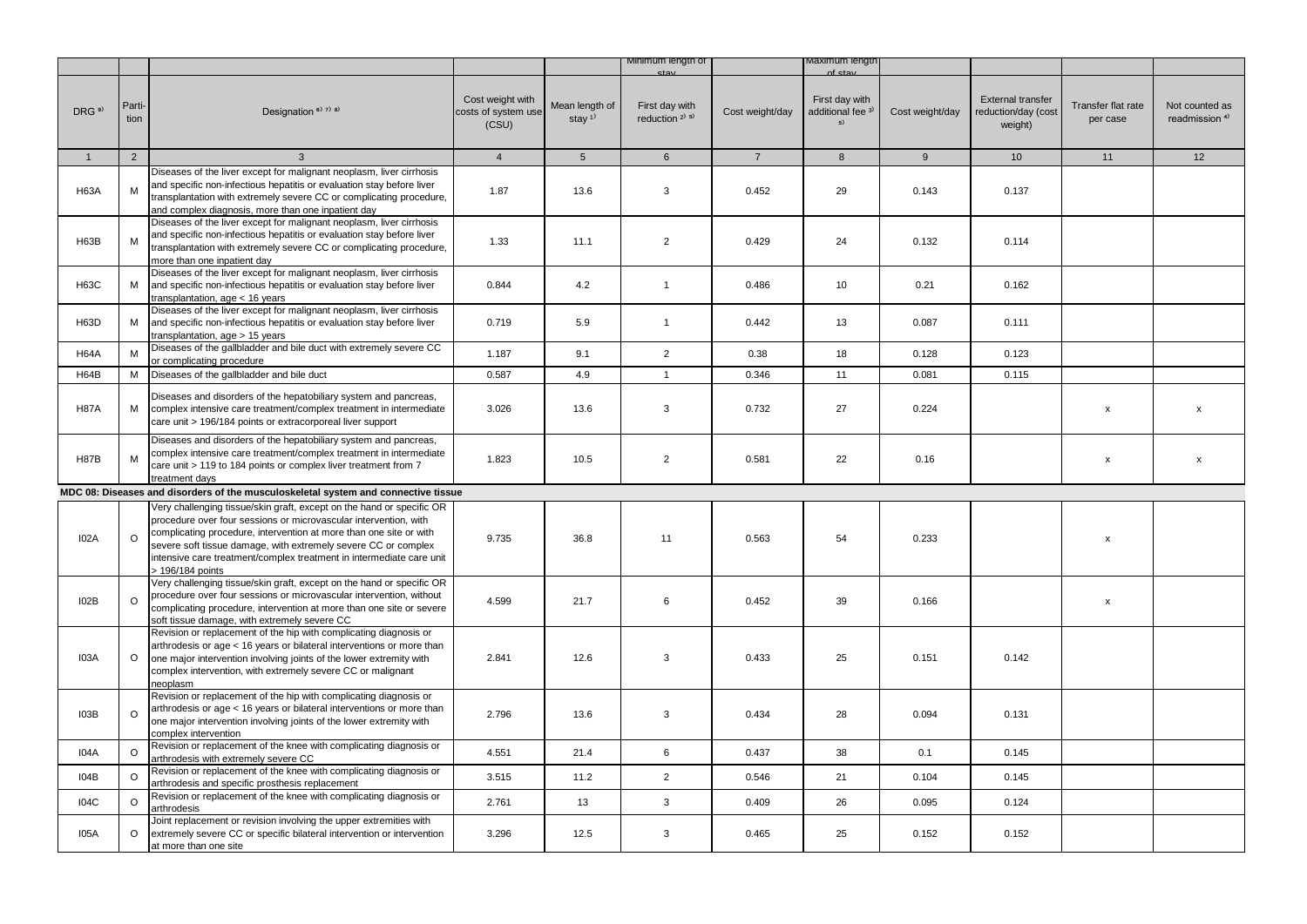|                   |                |                                                                                                                                                                                                                                                                                                                                                                               |                                                  |                                         | Minimum length of                                       |                 | viaximum iengti                           |                 |                                                            |                                |                                             |
|-------------------|----------------|-------------------------------------------------------------------------------------------------------------------------------------------------------------------------------------------------------------------------------------------------------------------------------------------------------------------------------------------------------------------------------|--------------------------------------------------|-----------------------------------------|---------------------------------------------------------|-----------------|-------------------------------------------|-----------------|------------------------------------------------------------|--------------------------------|---------------------------------------------|
| DRG <sup>9)</sup> | Parti-<br>tion | Designation <sup>6)</sup> <sup>7)</sup> <sup>8)</sup>                                                                                                                                                                                                                                                                                                                         | Cost weight with<br>costs of system use<br>(CSU) | Mean length of<br>stay $1$ <sup>1</sup> | First day with<br>reduction <sup>2)</sup> <sup>5)</sup> | Cost weight/day | First day with<br>additional fee 3)<br>5) | Cost weight/day | <b>External transfer</b><br>reduction/day (cost<br>weight) | Transfer flat rate<br>per case | Not counted as<br>readmission <sup>4)</sup> |
| $\mathbf{1}$      | 2              | 3                                                                                                                                                                                                                                                                                                                                                                             | $\overline{4}$                                   | $5\overline{)}$                         | $6\overline{6}$                                         | $\overline{7}$  | 8                                         | 9               | 10 <sup>1</sup>                                            | 11                             | 12                                          |
| <b>H63A</b>       | м              | Diseases of the liver except for malignant neoplasm, liver cirrhosis<br>and specific non-infectious hepatitis or evaluation stay before liver<br>transplantation with extremely severe CC or complicating procedure,<br>and complex diagnosis, more than one inpatient day                                                                                                    | 1.87                                             | 13.6                                    | 3                                                       | 0.452           | 29                                        | 0.143           | 0.137                                                      |                                |                                             |
| <b>H63B</b>       | M              | Diseases of the liver except for malignant neoplasm, liver cirrhosis<br>and specific non-infectious hepatitis or evaluation stay before liver<br>transplantation with extremely severe CC or complicating procedure,<br>more than one inpatient day                                                                                                                           | 1.33                                             | 11.1                                    | $\overline{2}$                                          | 0.429           | 24                                        | 0.132           | 0.114                                                      |                                |                                             |
| H63C              | M              | Diseases of the liver except for malignant neoplasm, liver cirrhosis<br>and specific non-infectious hepatitis or evaluation stay before liver<br>transplantation, age < 16 years                                                                                                                                                                                              | 0.844                                            | 4.2                                     | $\overline{1}$                                          | 0.486           | 10                                        | 0.21            | 0.162                                                      |                                |                                             |
| H63D              | М              | Diseases of the liver except for malignant neoplasm, liver cirrhosis<br>and specific non-infectious hepatitis or evaluation stay before liver<br>transplantation, age > 15 years                                                                                                                                                                                              | 0.719                                            | 5.9                                     | $\overline{1}$                                          | 0.442           | 13                                        | 0.087           | 0.111                                                      |                                |                                             |
| <b>H64A</b>       | M              | Diseases of the gallbladder and bile duct with extremely severe CC<br>or complicating procedure                                                                                                                                                                                                                                                                               | 1.187                                            | 9.1                                     | $\overline{2}$                                          | 0.38            | 18                                        | 0.128           | 0.123                                                      |                                |                                             |
| <b>H64B</b>       | м              | Diseases of the gallbladder and bile duct                                                                                                                                                                                                                                                                                                                                     | 0.587                                            | 4.9                                     | $\mathbf{1}$                                            | 0.346           | 11                                        | 0.081           | 0.115                                                      |                                |                                             |
| <b>H87A</b>       | М              | Diseases and disorders of the hepatobiliary system and pancreas,<br>complex intensive care treatment/complex treatment in intermediate<br>care unit > 196/184 points or extracorporeal liver support                                                                                                                                                                          | 3.026                                            | 13.6                                    | 3                                                       | 0.732           | 27                                        | 0.224           |                                                            | x                              | X                                           |
| <b>H87B</b>       | M              | Diseases and disorders of the hepatobiliary system and pancreas,<br>complex intensive care treatment/complex treatment in intermediate<br>care unit > 119 to 184 points or complex liver treatment from 7<br>treatment days                                                                                                                                                   | 1.823                                            | 10.5                                    | $\overline{2}$                                          | 0.581           | 22                                        | 0.16            |                                                            | X                              | X                                           |
|                   |                | MDC 08: Diseases and disorders of the musculoskeletal system and connective tissue                                                                                                                                                                                                                                                                                            |                                                  |                                         |                                                         |                 |                                           |                 |                                                            |                                |                                             |
| <b>I02A</b>       | $\circ$        | Very challenging tissue/skin graft, except on the hand or specific OR<br>procedure over four sessions or microvascular intervention, with<br>complicating procedure, intervention at more than one site or with<br>severe soft tissue damage, with extremely severe CC or complex<br>intensive care treatment/complex treatment in intermediate care unit<br>> 196/184 points | 9.735                                            | 36.8                                    | 11                                                      | 0.563           | 54                                        | 0.233           |                                                            | X                              |                                             |
| I02B              | $\circ$        | Very challenging tissue/skin graft, except on the hand or specific OR<br>procedure over four sessions or microvascular intervention, without<br>complicating procedure, intervention at more than one site or severe<br>soft tissue damage, with extremely severe CC                                                                                                          | 4.599                                            | 21.7                                    | 6                                                       | 0.452           | 39                                        | 0.166           |                                                            | $\pmb{\mathsf{x}}$             |                                             |
| <b>I03A</b>       | $\circ$        | Revision or replacement of the hip with complicating diagnosis or<br>arthrodesis or age < 16 years or bilateral interventions or more than<br>one major intervention involving joints of the lower extremity with<br>complex intervention, with extremely severe CC or malignant<br>neoplasm                                                                                  | 2.841                                            | 12.6                                    | 3                                                       | 0.433           | 25                                        | 0.151           | 0.142                                                      |                                |                                             |
| I03B              | $\circ$        | Revision or replacement of the hip with complicating diagnosis or<br>arthrodesis or age < 16 years or bilateral interventions or more than<br>one major intervention involving joints of the lower extremity with<br>complex intervention                                                                                                                                     | 2.796                                            | 13.6                                    | 3                                                       | 0.434           | 28                                        | 0.094           | 0.131                                                      |                                |                                             |
| I04A              | $\circ$        | Revision or replacement of the knee with complicating diagnosis or<br>arthrodesis with extremely severe CC                                                                                                                                                                                                                                                                    | 4.551                                            | 21.4                                    | 6                                                       | 0.437           | 38                                        | 0.1             | 0.145                                                      |                                |                                             |
| 104B              | $\Omega$       | Revision or replacement of the knee with complicating diagnosis or<br>arthrodesis and specific prosthesis replacement                                                                                                                                                                                                                                                         | 3.515                                            | 11.2                                    | $\overline{2}$                                          | 0.546           | 21                                        | 0.104           | 0.145                                                      |                                |                                             |
| <b>I04C</b>       | $\circ$        | Revision or replacement of the knee with complicating diagnosis or<br>arthrodesis                                                                                                                                                                                                                                                                                             | 2.761                                            | 13                                      | 3                                                       | 0.409           | 26                                        | 0.095           | 0.124                                                      |                                |                                             |
| <b>I05A</b>       | $\circ$        | Joint replacement or revision involving the upper extremities with<br>extremely severe CC or specific bilateral intervention or intervention<br>at more than one site                                                                                                                                                                                                         | 3.296                                            | 12.5                                    | 3                                                       | 0.465           | 25                                        | 0.152           | 0.152                                                      |                                |                                             |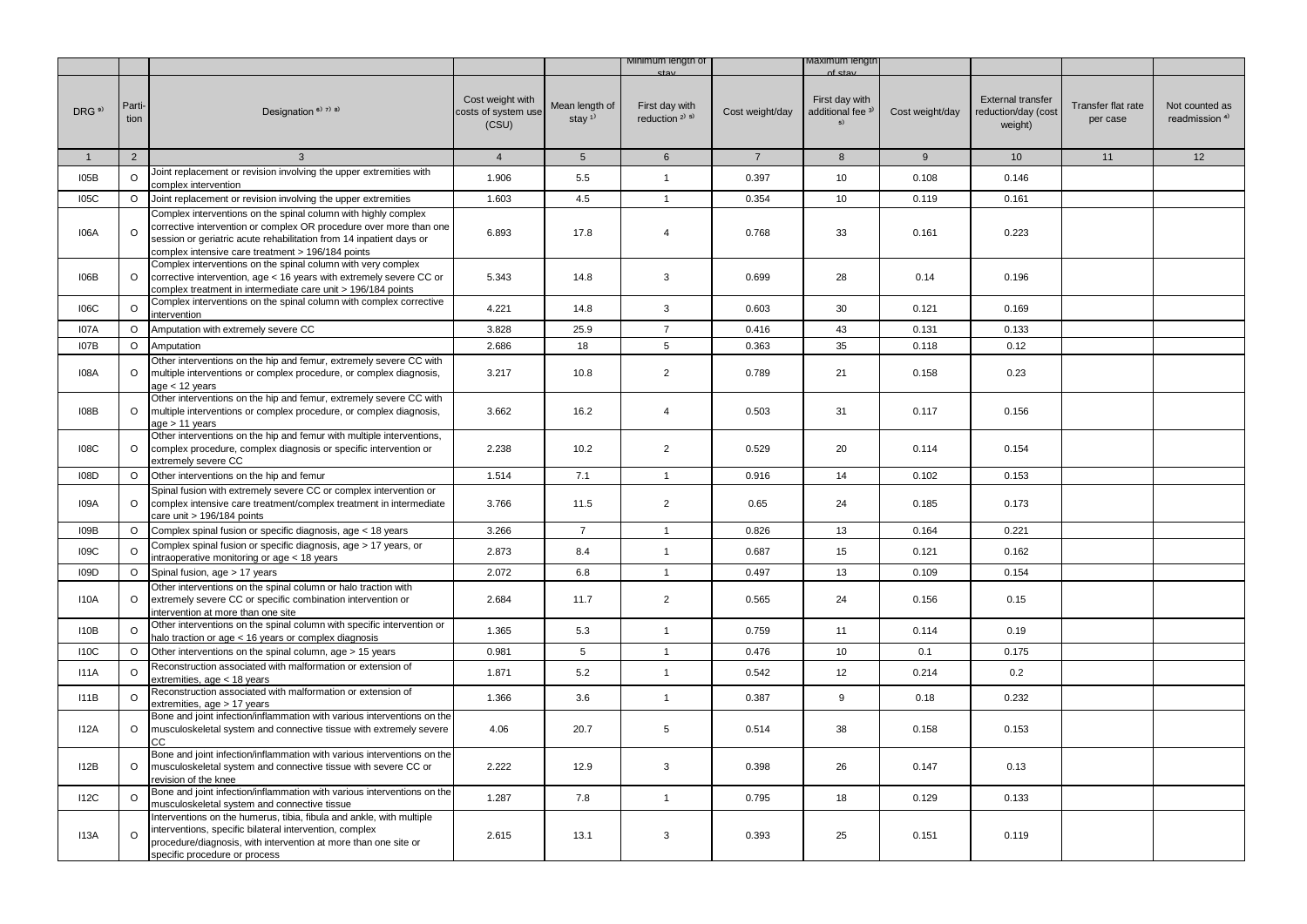|                   |                |                                                                                                                                                                                                                                                                  |                                                  |                            | Minimum length of                        |                 | viaximum iengtr                                      |                 |                                                            |                                |                                             |
|-------------------|----------------|------------------------------------------------------------------------------------------------------------------------------------------------------------------------------------------------------------------------------------------------------------------|--------------------------------------------------|----------------------------|------------------------------------------|-----------------|------------------------------------------------------|-----------------|------------------------------------------------------------|--------------------------------|---------------------------------------------|
| DRG <sup>9)</sup> | Parti-<br>tion | Designation <sup>6)</sup> 7) 8)                                                                                                                                                                                                                                  | Cost weight with<br>costs of system use<br>(CSU) | Mean length of<br>stay $1$ | First day with<br>reduction $2^{(3)}$ 5) | Cost weight/day | First day with<br>additional fee <sup>3)</sup><br>5) | Cost weight/day | <b>External transfer</b><br>reduction/day (cost<br>weight) | Transfer flat rate<br>per case | Not counted as<br>readmission <sup>4)</sup> |
| $\mathbf{1}$      | $\overline{2}$ | 3                                                                                                                                                                                                                                                                | $\overline{4}$                                   | 5 <sup>5</sup>             | $6\phantom{.}6$                          | $\overline{7}$  | 8                                                    | 9               | 10                                                         | 11                             | 12                                          |
| I05B              | O              | Joint replacement or revision involving the upper extremities with<br>complex intervention                                                                                                                                                                       | 1.906                                            | 5.5                        | $\mathbf{1}$                             | 0.397           | 10                                                   | 0.108           | 0.146                                                      |                                |                                             |
| <b>I05C</b>       | $\circ$        | Joint replacement or revision involving the upper extremities                                                                                                                                                                                                    | 1.603                                            | 4.5                        | $\mathbf{1}$                             | 0.354           | 10                                                   | 0.119           | 0.161                                                      |                                |                                             |
| <b>I06A</b>       | $\Omega$       | Complex interventions on the spinal column with highly complex<br>corrective intervention or complex OR procedure over more than one<br>session or geriatric acute rehabilitation from 14 inpatient days or<br>complex intensive care treatment > 196/184 points | 6.893                                            | 17.8                       | $\overline{4}$                           | 0.768           | 33                                                   | 0.161           | 0.223                                                      |                                |                                             |
| I06B              | $\circ$        | Complex interventions on the spinal column with very complex<br>corrective intervention, age < 16 years with extremely severe CC or<br>complex treatment in intermediate care unit > 196/184 points                                                              | 5.343                                            | 14.8                       | 3                                        | 0.699           | 28                                                   | 0.14            | 0.196                                                      |                                |                                             |
| <b>106C</b>       | $\circ$        | Complex interventions on the spinal column with complex corrective<br>intervention                                                                                                                                                                               | 4.221                                            | 14.8                       | 3                                        | 0.603           | 30                                                   | 0.121           | 0.169                                                      |                                |                                             |
| I07A              | $\circ$        | Amputation with extremely severe CC                                                                                                                                                                                                                              | 3.828                                            | 25.9                       | $\overline{7}$                           | 0.416           | 43                                                   | 0.131           | 0.133                                                      |                                |                                             |
| 107B              | $\circ$        | Amputation                                                                                                                                                                                                                                                       | 2.686                                            | 18                         | 5                                        | 0.363           | 35                                                   | 0.118           | 0.12                                                       |                                |                                             |
| 108A              | O              | Other interventions on the hip and femur, extremely severe CC with<br>multiple interventions or complex procedure, or complex diagnosis,<br>age $<$ 12 years                                                                                                     | 3.217                                            | 10.8                       | $\overline{2}$                           | 0.789           | 21                                                   | 0.158           | 0.23                                                       |                                |                                             |
| 108B              | $\circ$        | Other interventions on the hip and femur, extremely severe CC with<br>multiple interventions or complex procedure, or complex diagnosis,<br>age > 11 years                                                                                                       | 3.662                                            | 16.2                       | 4                                        | 0.503           | 31                                                   | 0.117           | 0.156                                                      |                                |                                             |
| <b>108C</b>       | $\circ$        | Other interventions on the hip and femur with multiple interventions,<br>complex procedure, complex diagnosis or specific intervention or<br>extremely severe CC                                                                                                 | 2.238                                            | 10.2                       | $\overline{2}$                           | 0.529           | 20                                                   | 0.114           | 0.154                                                      |                                |                                             |
| I08D              | $\circ$        | Other interventions on the hip and femur                                                                                                                                                                                                                         | 1.514                                            | 7.1                        | $\mathbf{1}$                             | 0.916           | 14                                                   | 0.102           | 0.153                                                      |                                |                                             |
| I09A              | $\circ$        | Spinal fusion with extremely severe CC or complex intervention or<br>complex intensive care treatment/complex treatment in intermediate<br>care unit > 196/184 points                                                                                            | 3.766                                            | 11.5                       | $\overline{2}$                           | 0.65            | 24                                                   | 0.185           | 0.173                                                      |                                |                                             |
| I09B              | O              | Complex spinal fusion or specific diagnosis, age < 18 years                                                                                                                                                                                                      | 3.266                                            | $\overline{7}$             | $\mathbf{1}$                             | 0.826           | 13                                                   | 0.164           | 0.221                                                      |                                |                                             |
| <b>I09C</b>       | $\circ$        | Complex spinal fusion or specific diagnosis, age > 17 years, or<br>intraoperative monitoring or age < 18 years                                                                                                                                                   | 2.873                                            | 8.4                        | $\mathbf{1}$                             | 0.687           | 15                                                   | 0.121           | 0.162                                                      |                                |                                             |
| I09D              | $\circ$        | Spinal fusion, age > 17 years                                                                                                                                                                                                                                    | 2.072                                            | 6.8                        | $\mathbf{1}$                             | 0.497           | 13                                                   | 0.109           | 0.154                                                      |                                |                                             |
| 110A              | $\circ$        | Other interventions on the spinal column or halo traction with<br>extremely severe CC or specific combination intervention or<br>intervention at more than one site                                                                                              | 2.684                                            | 11.7                       | $\overline{2}$                           | 0.565           | 24                                                   | 0.156           | 0.15                                                       |                                |                                             |
| 110B              | O              | Other interventions on the spinal column with specific intervention or<br>halo traction or age < 16 years or complex diagnosis                                                                                                                                   | 1.365                                            | 5.3                        | $\mathbf{1}$                             | 0.759           | 11                                                   | 0.114           | 0.19                                                       |                                |                                             |
| <b>I10C</b>       | $\circ$        | Other interventions on the spinal column, age > 15 years                                                                                                                                                                                                         | 0.981                                            | 5                          | $\mathbf{1}$                             | 0.476           | 10                                                   | 0.1             | 0.175                                                      |                                |                                             |
| <b>I11A</b>       | $\circ$        | Reconstruction associated with malformation or extension of<br>extremities, age < 18 years                                                                                                                                                                       | 1.871                                            | 5.2                        | $\mathbf{1}$                             | 0.542           | 12                                                   | 0.214           | 0.2                                                        |                                |                                             |
| 111B              | $\circ$        | Reconstruction associated with malformation or extension of<br>extremities, age > 17 years                                                                                                                                                                       | 1.366                                            | 3.6                        | $\mathbf{1}$                             | 0.387           | 9                                                    | 0.18            | 0.232                                                      |                                |                                             |
| I12A              | $\circ$        | Bone and joint infection/inflammation with various interventions on the<br>musculoskeletal system and connective tissue with extremely severe<br><b>CC</b>                                                                                                       | 4.06                                             | 20.7                       | $\sqrt{5}$                               | 0.514           | 38                                                   | 0.158           | 0.153                                                      |                                |                                             |
| 112B              | $\circ$        | Bone and joint infection/inflammation with various interventions on the<br>musculoskeletal system and connective tissue with severe CC or<br>revision of the knee                                                                                                | 2.222                                            | 12.9                       | 3                                        | 0.398           | 26                                                   | 0.147           | 0.13                                                       |                                |                                             |
| <b>I12C</b>       | $\circ$        | Bone and joint infection/inflammation with various interventions on the<br>musculoskeletal system and connective tissue                                                                                                                                          | 1.287                                            | 7.8                        | $\mathbf{1}$                             | 0.795           | 18                                                   | 0.129           | 0.133                                                      |                                |                                             |
| 113A              | $\circ$        | Interventions on the humerus, tibia, fibula and ankle, with multiple<br>interventions, specific bilateral intervention, complex<br>procedure/diagnosis, with intervention at more than one site or<br>specific procedure or process                              | 2.615                                            | 13.1                       | 3                                        | 0.393           | 25                                                   | 0.151           | 0.119                                                      |                                |                                             |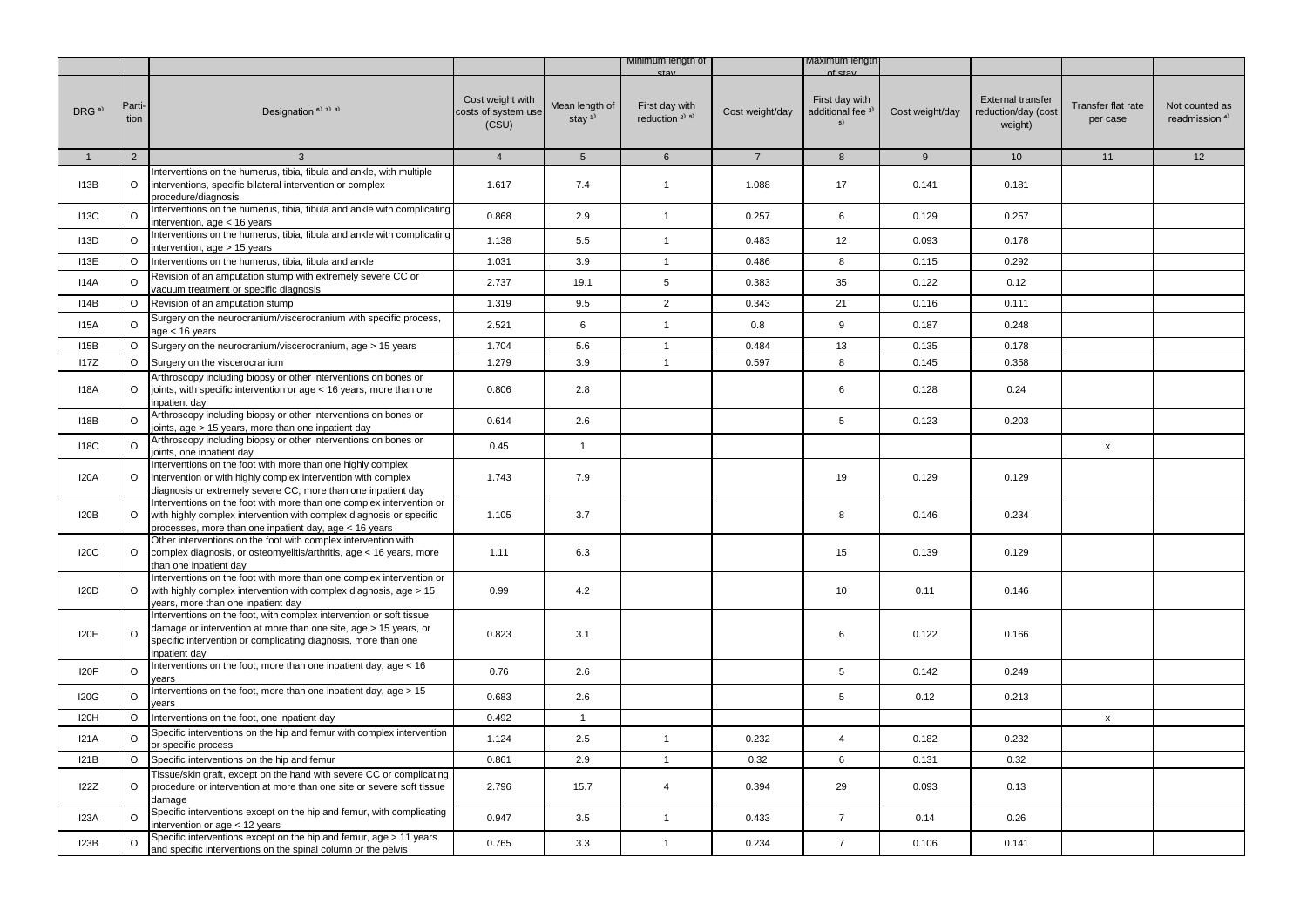|                   |                |                                                                                                                                                                                                                            |                                                  |                                         | Minimum lengtn of                                       |                 | Maximum iengti                                         |                 |                                                            |                                |                                             |
|-------------------|----------------|----------------------------------------------------------------------------------------------------------------------------------------------------------------------------------------------------------------------------|--------------------------------------------------|-----------------------------------------|---------------------------------------------------------|-----------------|--------------------------------------------------------|-----------------|------------------------------------------------------------|--------------------------------|---------------------------------------------|
| DRG <sup>9)</sup> | Parti-<br>tion | Designation <sup>6)</sup> <sup>7)</sup> <sup>8)</sup>                                                                                                                                                                      | Cost weight with<br>costs of system use<br>(CSU) | Mean length of<br>stay $1$ <sup>1</sup> | First day with<br>reduction <sup>2)</sup> <sup>5)</sup> | Cost weight/day | First day with<br>additional fee <sup>3)</sup><br>$5)$ | Cost weight/day | <b>External transfer</b><br>reduction/day (cost<br>weight) | Transfer flat rate<br>per case | Not counted as<br>readmission <sup>4)</sup> |
| $\mathbf{1}$      | $\overline{2}$ | 3                                                                                                                                                                                                                          | $\overline{4}$                                   | $5\phantom{.0}$                         | $6\phantom{.}6$                                         | $\overline{7}$  | 8                                                      | 9               | 10 <sup>1</sup>                                            | 11                             | 12                                          |
| <b>I13B</b>       | $\circ$        | nterventions on the humerus, tibia, fibula and ankle, with multiple<br>interventions, specific bilateral intervention or complex<br>procedure/diagnosis                                                                    | 1.617                                            | 7.4                                     | $\mathbf{1}$                                            | 1.088           | 17                                                     | 0.141           | 0.181                                                      |                                |                                             |
| <b>113C</b>       | $\circ$        | nterventions on the humerus, tibia, fibula and ankle with complicating<br>intervention, age < 16 years                                                                                                                     | 0.868                                            | 2.9                                     | $\mathbf{1}$                                            | 0.257           | 6                                                      | 0.129           | 0.257                                                      |                                |                                             |
| <b>I13D</b>       | O              | nterventions on the humerus, tibia, fibula and ankle with complicating<br>intervention, age > 15 years                                                                                                                     | 1.138                                            | 5.5                                     | $\overline{1}$                                          | 0.483           | 12                                                     | 0.093           | 0.178                                                      |                                |                                             |
| 113E              | $\circ$        | Interventions on the humerus, tibia, fibula and ankle                                                                                                                                                                      | 1.031                                            | 3.9                                     | $\mathbf{1}$                                            | 0.486           | 8                                                      | 0.115           | 0.292                                                      |                                |                                             |
| 114A              | O              | Revision of an amputation stump with extremely severe CC or<br>vacuum treatment or specific diagnosis                                                                                                                      | 2.737                                            | 19.1                                    | $5\overline{)}$                                         | 0.383           | 35                                                     | 0.122           | 0.12                                                       |                                |                                             |
| 114B              | $\circ$        | Revision of an amputation stump                                                                                                                                                                                            | 1.319                                            | 9.5                                     | $\overline{2}$                                          | 0.343           | 21                                                     | 0.116           | 0.111                                                      |                                |                                             |
| <b>I15A</b>       | O              | Surgery on the neurocranium/viscerocranium with specific process,<br>age < 16 years                                                                                                                                        | 2.521                                            | 6                                       | $\mathbf{1}$                                            | 0.8             | 9                                                      | 0.187           | 0.248                                                      |                                |                                             |
| <b>I15B</b>       | O              | Surgery on the neurocranium/viscerocranium, age > 15 years                                                                                                                                                                 | 1.704                                            | 5.6                                     | $\mathbf{1}$                                            | 0.484           | 13                                                     | 0.135           | 0.178                                                      |                                |                                             |
| <b>I17Z</b>       | $\circ$        | Surgery on the viscerocranium                                                                                                                                                                                              | 1.279                                            | 3.9                                     | $\overline{1}$                                          | 0.597           | 8                                                      | 0.145           | 0.358                                                      |                                |                                             |
| <b>I18A</b>       | $\circ$        | Arthroscopy including biopsy or other interventions on bones or<br>joints, with specific intervention or age < 16 years, more than one<br>npatient day                                                                     | 0.806                                            | 2.8                                     |                                                         |                 | 6                                                      | 0.128           | 0.24                                                       |                                |                                             |
| <b>I18B</b>       | $\circ$        | Arthroscopy including biopsy or other interventions on bones or<br>oints, age > 15 years, more than one inpatient day                                                                                                      | 0.614                                            | 2.6                                     |                                                         |                 | 5                                                      | 0.123           | 0.203                                                      |                                |                                             |
| <b>118C</b>       | O              | Arthroscopy including biopsy or other interventions on bones or<br>oints, one inpatient day                                                                                                                                | 0.45                                             | $\mathbf{1}$                            |                                                         |                 |                                                        |                 |                                                            | $\pmb{\mathsf{x}}$             |                                             |
| <b>I20A</b>       | O              | Interventions on the foot with more than one highly complex<br>intervention or with highly complex intervention with complex<br>diagnosis or extremely severe CC, more than one inpatient day                              | 1.743                                            | 7.9                                     |                                                         |                 | 19                                                     | 0.129           | 0.129                                                      |                                |                                             |
| <b>I20B</b>       | $\circ$        | Interventions on the foot with more than one complex intervention or<br>with highly complex intervention with complex diagnosis or specific<br>processes, more than one inpatient day, age < 16 years                      | 1.105                                            | 3.7                                     |                                                         |                 | 8                                                      | 0.146           | 0.234                                                      |                                |                                             |
| <b>I20C</b>       | O              | Other interventions on the foot with complex intervention with<br>complex diagnosis, or osteomyelitis/arthritis, age < 16 years, more<br>than one inpatient day                                                            | 1.11                                             | 6.3                                     |                                                         |                 | 15                                                     | 0.139           | 0.129                                                      |                                |                                             |
| <b>I20D</b>       | $\circ$        | Interventions on the foot with more than one complex intervention or<br>with highly complex intervention with complex diagnosis, age > 15<br>years, more than one inpatient day                                            | 0.99                                             | 4.2                                     |                                                         |                 | 10                                                     | 0.11            | 0.146                                                      |                                |                                             |
| <b>I20E</b>       | $\circ$        | Interventions on the foot, with complex intervention or soft tissue<br>damage or intervention at more than one site, age > 15 years, or<br>specific intervention or complicating diagnosis, more than one<br>inpatient day | 0.823                                            | 3.1                                     |                                                         |                 | 6                                                      | 0.122           | 0.166                                                      |                                |                                             |
| I20F              | $\circ$        | nterventions on the foot, more than one inpatient day, age < 16<br>ears/                                                                                                                                                   | 0.76                                             | 2.6                                     |                                                         |                 | $\,$ 5 $\,$                                            | 0.142           | 0.249                                                      |                                |                                             |
| <b>I20G</b>       | $\circ$        | nterventions on the foot, more than one inpatient day, age > 15<br>ears                                                                                                                                                    | 0.683                                            | 2.6                                     |                                                         |                 | 5                                                      | 0.12            | 0.213                                                      |                                |                                             |
| <b>I20H</b>       | O              | nterventions on the foot, one inpatient day                                                                                                                                                                                | 0.492                                            | $\mathbf{1}$                            |                                                         |                 |                                                        |                 |                                                            | $\pmb{\mathsf{x}}$             |                                             |
| I21A              | $\circ$        | Specific interventions on the hip and femur with complex intervention<br>or specific process                                                                                                                               | 1.124                                            | 2.5                                     | $\overline{1}$                                          | 0.232           | $\overline{4}$                                         | 0.182           | 0.232                                                      |                                |                                             |
| I21B              |                | O Specific interventions on the hip and femur                                                                                                                                                                              | 0.861                                            | 2.9                                     | $\mathbf{1}$                                            | 0.32            | 6                                                      | 0.131           | 0.32                                                       |                                |                                             |
| <b>I22Z</b>       | O              | Tissue/skin graft, except on the hand with severe CC or complicating<br>procedure or intervention at more than one site or severe soft tissue<br>damage                                                                    | 2.796                                            | 15.7                                    | 4                                                       | 0.394           | 29                                                     | 0.093           | 0.13                                                       |                                |                                             |
| <b>I23A</b>       | $\circ$        | Specific interventions except on the hip and femur, with complicating<br>intervention or age < 12 years                                                                                                                    | 0.947                                            | 3.5                                     | $\mathbf{1}$                                            | 0.433           | $\overline{7}$                                         | 0.14            | 0.26                                                       |                                |                                             |
| I23B              | O              | Specific interventions except on the hip and femur, age > 11 years<br>and specific interventions on the spinal column or the pelvis                                                                                        | 0.765                                            | 3.3                                     | $\mathbf{1}$                                            | 0.234           | $\overline{7}$                                         | 0.106           | 0.141                                                      |                                |                                             |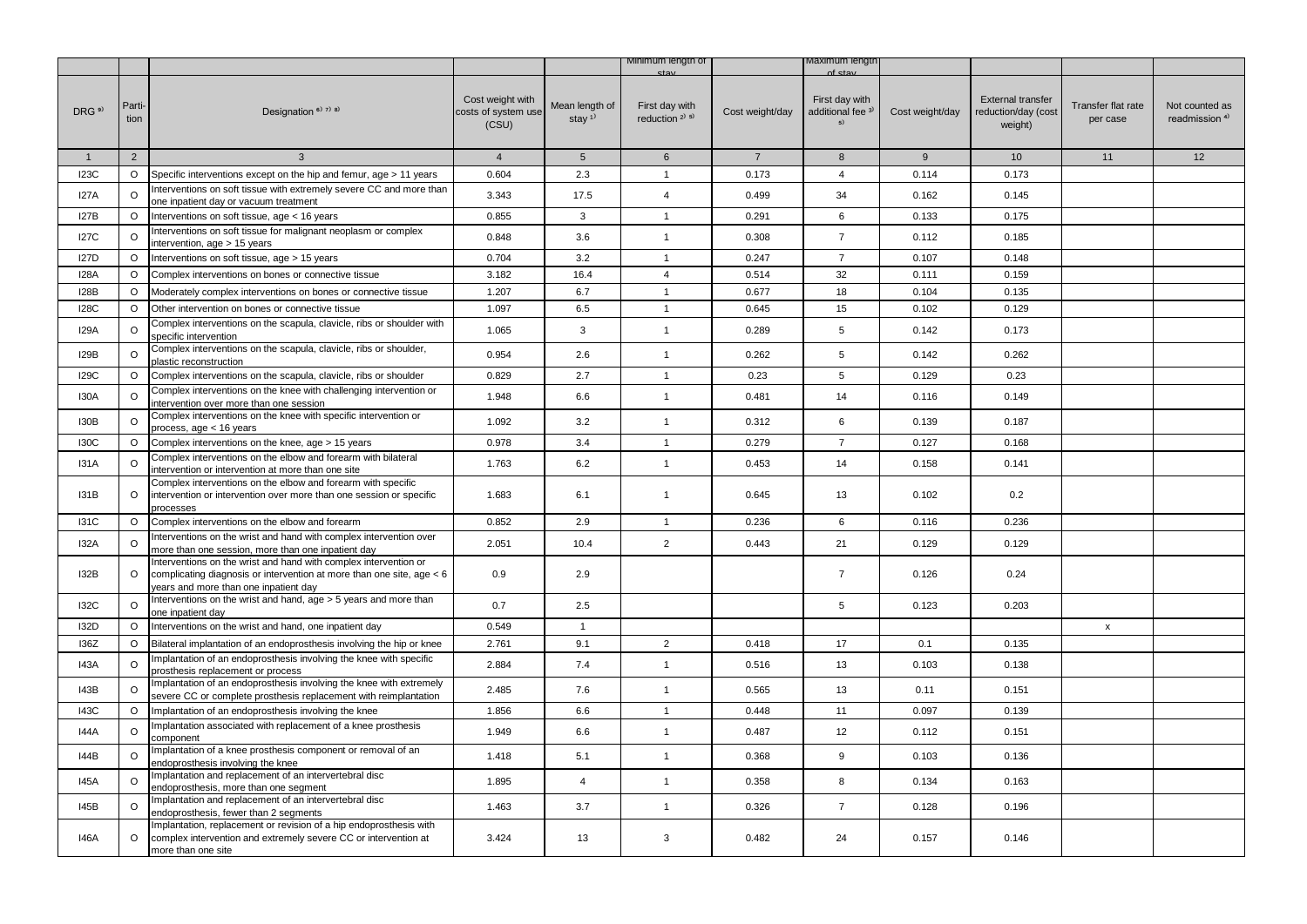|                   |                |                                                                                                                                                                                    |                                                  |                                         | Minimum lengtn of                        |                 | maxımum iengti                                       |                 |                                                            |                                |                                             |
|-------------------|----------------|------------------------------------------------------------------------------------------------------------------------------------------------------------------------------------|--------------------------------------------------|-----------------------------------------|------------------------------------------|-----------------|------------------------------------------------------|-----------------|------------------------------------------------------------|--------------------------------|---------------------------------------------|
| DRG <sup>9)</sup> | Parti-<br>tion | Designation <sup>6)</sup> <sup>7)</sup> <sup>8)</sup>                                                                                                                              | Cost weight with<br>costs of system use<br>(CSU) | Mean length of<br>stay $1$ <sup>1</sup> | First day with<br>reduction $2^{(3)}$ 5) | Cost weight/day | First day with<br>additional fee <sup>3J</sup><br>5) | Cost weight/day | <b>External transfer</b><br>reduction/day (cost<br>weight) | Transfer flat rate<br>per case | Not counted as<br>readmission <sup>4)</sup> |
| $\mathbf{1}$      | $\overline{2}$ | $\mathbf{3}$                                                                                                                                                                       | $\overline{4}$                                   | 5 <sup>5</sup>                          | 6                                        | $7\overline{ }$ | 8                                                    | 9               | 10                                                         | 11                             | 12                                          |
| I23C              | $\circ$        | Specific interventions except on the hip and femur, age > 11 years                                                                                                                 | 0.604                                            | 2.3                                     | $\mathbf{1}$                             | 0.173           | 4                                                    | 0.114           | 0.173                                                      |                                |                                             |
| <b>I27A</b>       | $\circ$        | Interventions on soft tissue with extremely severe CC and more than<br>one inpatient day or vacuum treatment                                                                       | 3.343                                            | 17.5                                    | $\overline{4}$                           | 0.499           | 34                                                   | 0.162           | 0.145                                                      |                                |                                             |
| 127B              | O              | Interventions on soft tissue, age < 16 years                                                                                                                                       | 0.855                                            | 3                                       | $\mathbf{1}$                             | 0.291           | 6                                                    | 0.133           | 0.175                                                      |                                |                                             |
| I27C              | O              | Interventions on soft tissue for malignant neoplasm or complex<br>intervention, age > 15 years                                                                                     | 0.848                                            | 3.6                                     | $\mathbf{1}$                             | 0.308           | $\overline{7}$                                       | 0.112           | 0.185                                                      |                                |                                             |
| I27D              | O              | Interventions on soft tissue, age > 15 years                                                                                                                                       | 0.704                                            | 3.2                                     | $\mathbf{1}$                             | 0.247           | $\overline{7}$                                       | 0.107           | 0.148                                                      |                                |                                             |
| <b>I28A</b>       | $\circ$        | Complex interventions on bones or connective tissue                                                                                                                                | 3.182                                            | 16.4                                    | $\overline{4}$                           | 0.514           | 32                                                   | 0.111           | 0.159                                                      |                                |                                             |
| <b>I28B</b>       | $\circ$        | Moderately complex interventions on bones or connective tissue                                                                                                                     | 1.207                                            | 6.7                                     | $\mathbf{1}$                             | 0.677           | 18                                                   | 0.104           | 0.135                                                      |                                |                                             |
| I28C              | $\circ$        | Other intervention on bones or connective tissue                                                                                                                                   | 1.097                                            | 6.5                                     | $\mathbf{1}$                             | 0.645           | 15                                                   | 0.102           | 0.129                                                      |                                |                                             |
| <b>I29A</b>       | O              | Complex interventions on the scapula, clavicle, ribs or shoulder with<br>specific intervention                                                                                     | 1.065                                            | 3                                       | $\mathbf{1}$                             | 0.289           | 5                                                    | 0.142           | 0.173                                                      |                                |                                             |
| I29B              | O              | Complex interventions on the scapula, clavicle, ribs or shoulder,<br>plastic reconstruction                                                                                        | 0.954                                            | 2.6                                     | $\mathbf{1}$                             | 0.262           | 5                                                    | 0.142           | 0.262                                                      |                                |                                             |
| I29C              | O              | Complex interventions on the scapula, clavicle, ribs or shoulder                                                                                                                   | 0.829                                            | 2.7                                     | $\mathbf{1}$                             | 0.23            | 5                                                    | 0.129           | 0.23                                                       |                                |                                             |
| <b>I30A</b>       | O              | Complex interventions on the knee with challenging intervention or<br>intervention over more than one session                                                                      | 1.948                                            | 6.6                                     | $\mathbf{1}$                             | 0.481           | 14                                                   | 0.116           | 0.149                                                      |                                |                                             |
| I30B              | O              | Complex interventions on the knee with specific intervention or<br>process, age < 16 years                                                                                         | 1.092                                            | 3.2                                     | $\mathbf{1}$                             | 0.312           | 6                                                    | 0.139           | 0.187                                                      |                                |                                             |
| <b>I30C</b>       | $\circ$        | Complex interventions on the knee, age > 15 years                                                                                                                                  | 0.978                                            | 3.4                                     | $\mathbf{1}$                             | 0.279           | $\overline{7}$                                       | 0.127           | 0.168                                                      |                                |                                             |
| <b>I31A</b>       | $\circ$        | Complex interventions on the elbow and forearm with bilateral<br>intervention or intervention at more than one site                                                                | 1.763                                            | 6.2                                     | $\mathbf{1}$                             | 0.453           | 14                                                   | 0.158           | 0.141                                                      |                                |                                             |
| I31B              | $\circ$        | Complex interventions on the elbow and forearm with specific<br>intervention or intervention over more than one session or specific<br>processes                                   | 1.683                                            | 6.1                                     | $\mathbf{1}$                             | 0.645           | 13                                                   | 0.102           | 0.2                                                        |                                |                                             |
| <b>I31C</b>       | $\circ$        | Complex interventions on the elbow and forearm                                                                                                                                     | 0.852                                            | 2.9                                     | $\mathbf{1}$                             | 0.236           | 6                                                    | 0.116           | 0.236                                                      |                                |                                             |
| <b>I32A</b>       | $\circ$        | Interventions on the wrist and hand with complex intervention over<br>more than one session, more than one inpatient day                                                           | 2.051                                            | 10.4                                    | $\overline{2}$                           | 0.443           | 21                                                   | 0.129           | 0.129                                                      |                                |                                             |
| I32B              | $\circ$        | Interventions on the wrist and hand with complex intervention or<br>complicating diagnosis or intervention at more than one site, age < 6<br>years and more than one inpatient day | 0.9                                              | 2.9                                     |                                          |                 | $\overline{7}$                                       | 0.126           | 0.24                                                       |                                |                                             |
| <b>I32C</b>       | O              | Interventions on the wrist and hand, age > 5 years and more than<br>one inpatient day                                                                                              | 0.7                                              | 2.5                                     |                                          |                 | 5                                                    | 0.123           | 0.203                                                      |                                |                                             |
| <b>I32D</b>       | $\circ$        | Interventions on the wrist and hand, one inpatient day                                                                                                                             | 0.549                                            | $\mathbf{1}$                            |                                          |                 |                                                      |                 |                                                            | x                              |                                             |
| 136Z              | $\circ$        | Bilateral implantation of an endoprosthesis involving the hip or knee                                                                                                              | 2.761                                            | 9.1                                     | $\overline{2}$                           | 0.418           | 17                                                   | 0.1             | 0.135                                                      |                                |                                             |
| I43A              | $\circ$        | Implantation of an endoprosthesis involving the knee with specific<br>prosthesis replacement or process                                                                            | 2.884                                            | 7.4                                     | $\mathbf{1}$                             | 0.516           | 13                                                   | 0.103           | 0.138                                                      |                                |                                             |
| 143B              | $\circ$        | Implantation of an endoprosthesis involving the knee with extremely<br>severe CC or complete prosthesis replacement with reimplantation                                            | 2.485                                            | 7.6                                     | $\mathbf{1}$                             | 0.565           | 13                                                   | 0.11            | 0.151                                                      |                                |                                             |
| 143C              | $\circ$        | Implantation of an endoprosthesis involving the knee                                                                                                                               | 1.856                                            | 6.6                                     | $\mathbf{1}$                             | 0.448           | 11                                                   | 0.097           | 0.139                                                      |                                |                                             |
| 144A              | $\circ$        | Implantation associated with replacement of a knee prosthesis<br>component                                                                                                         | 1.949                                            | 6.6                                     | $\mathbf{1}$                             | 0.487           | 12                                                   | 0.112           | 0.151                                                      |                                |                                             |
| 144B              | O              | Implantation of a knee prosthesis component or removal of an<br>endoprosthesis involving the knee                                                                                  | 1.418                                            | 5.1                                     | $\mathbf{1}$                             | 0.368           | 9                                                    | 0.103           | 0.136                                                      |                                |                                             |
| 145A              | $\circ$        | Implantation and replacement of an intervertebral disc<br>endoprosthesis, more than one segment                                                                                    | 1.895                                            | $\overline{4}$                          | $\mathbf{1}$                             | 0.358           | 8                                                    | 0.134           | 0.163                                                      |                                |                                             |
| 145B              | $\circ$        | Implantation and replacement of an intervertebral disc<br>endoprosthesis, fewer than 2 segments                                                                                    | 1.463                                            | 3.7                                     | $\mathbf{1}$                             | 0.326           | $\overline{7}$                                       | 0.128           | 0.196                                                      |                                |                                             |
| <b>I46A</b>       | O              | Implantation, replacement or revision of a hip endoprosthesis with<br>complex intervention and extremely severe CC or intervention at<br>more than one site                        | 3.424                                            | 13                                      | 3                                        | 0.482           | 24                                                   | 0.157           | 0.146                                                      |                                |                                             |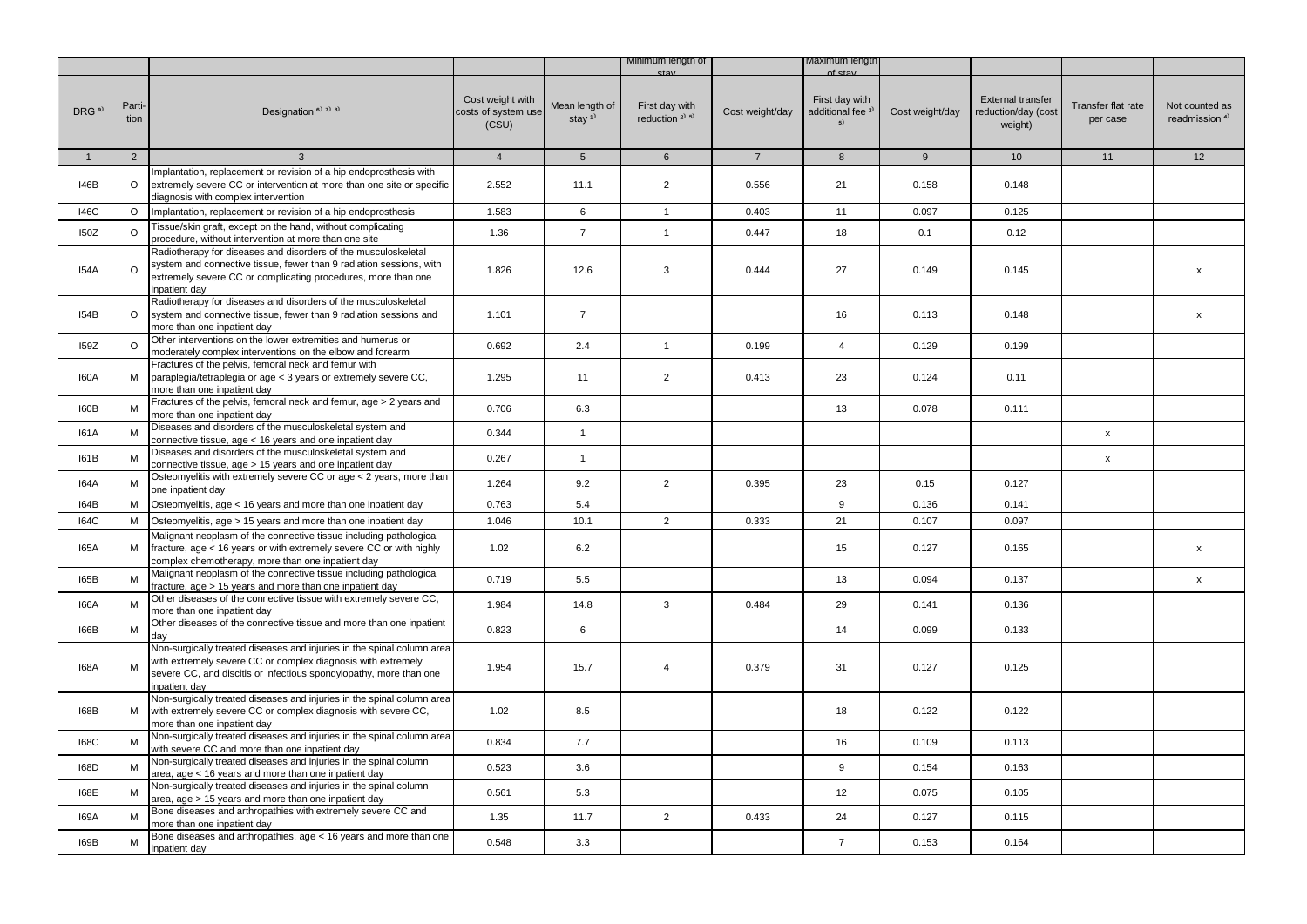|                   |                |                                                                                                                                                                                                                               |                                                  |                                         | Minimum length of                      |                 | Maximum iengtr                                       |                 |                                                            |                                |                                             |
|-------------------|----------------|-------------------------------------------------------------------------------------------------------------------------------------------------------------------------------------------------------------------------------|--------------------------------------------------|-----------------------------------------|----------------------------------------|-----------------|------------------------------------------------------|-----------------|------------------------------------------------------------|--------------------------------|---------------------------------------------|
| DRG <sup>9)</sup> | Parti-<br>tion | Designation <sup>6)</sup> 7) 8)                                                                                                                                                                                               | Cost weight with<br>costs of system use<br>(CSU) | Mean length of<br>stay $1$ <sup>1</sup> | First day with<br>reduction $2^{j}$ 5) | Cost weight/day | First day with<br>additional fee <sup>3)</sup><br>5) | Cost weight/day | <b>External transfer</b><br>reduction/day (cost<br>weight) | Transfer flat rate<br>per case | Not counted as<br>readmission <sup>4)</sup> |
| $\mathbf{1}$      | $\overline{2}$ | 3                                                                                                                                                                                                                             | $\overline{4}$                                   | 5 <sup>5</sup>                          | $6\overline{6}$                        | $7^{\circ}$     | 8                                                    | 9               | 10 <sup>1</sup>                                            | 11                             | 12                                          |
|                   |                | Implantation, replacement or revision of a hip endoprosthesis with                                                                                                                                                            |                                                  |                                         |                                        |                 |                                                      |                 |                                                            |                                |                                             |
| 146B              | $\circ$        | extremely severe CC or intervention at more than one site or specific<br>diagnosis with complex intervention                                                                                                                  | 2.552                                            | 11.1                                    | $\overline{2}$                         | 0.556           | 21                                                   | 0.158           | 0.148                                                      |                                |                                             |
| 146C              | $\circ$        | Implantation, replacement or revision of a hip endoprosthesis                                                                                                                                                                 | 1.583                                            | 6                                       | $\overline{1}$                         | 0.403           | 11                                                   | 0.097           | 0.125                                                      |                                |                                             |
| 150Z              | $\circ$        | Tissue/skin graft, except on the hand, without complicating<br>procedure, without intervention at more than one site                                                                                                          | 1.36                                             | $\overline{7}$                          | $\mathbf{1}$                           | 0.447           | 18                                                   | 0.1             | 0.12                                                       |                                |                                             |
| <b>I54A</b>       | $\circ$        | Radiotherapy for diseases and disorders of the musculoskeletal<br>system and connective tissue, fewer than 9 radiation sessions, with<br>extremely severe CC or complicating procedures, more than one<br>inpatient day       | 1.826                                            | 12.6                                    | 3                                      | 0.444           | 27                                                   | 0.149           | 0.145                                                      |                                | X                                           |
| 154B              | $\circ$        | Radiotherapy for diseases and disorders of the musculoskeletal<br>system and connective tissue, fewer than 9 radiation sessions and<br>more than one inpatient day                                                            | 1.101                                            | $\overline{7}$                          |                                        |                 | 16                                                   | 0.113           | 0.148                                                      |                                | $\mathsf{x}$                                |
| 159Z              | $\circ$        | Other interventions on the lower extremities and humerus or<br>moderately complex interventions on the elbow and forearm                                                                                                      | 0.692                                            | 2.4                                     | $\mathbf{1}$                           | 0.199           | $\overline{4}$                                       | 0.129           | 0.199                                                      |                                |                                             |
| I60A              | М              | Fractures of the pelvis, femoral neck and femur with<br>paraplegia/tetraplegia or age < 3 years or extremely severe CC,<br>more than one inpatient day                                                                        | 1.295                                            | 11                                      | $\overline{2}$                         | 0.413           | 23                                                   | 0.124           | 0.11                                                       |                                |                                             |
| I60B              | M              | Fractures of the pelvis, femoral neck and femur, age > 2 years and<br>more than one inpatient day                                                                                                                             | 0.706                                            | 6.3                                     |                                        |                 | 13                                                   | 0.078           | 0.111                                                      |                                |                                             |
| <b>I61A</b>       | M              | Diseases and disorders of the musculoskeletal system and<br>connective tissue, $aqe < 16$ years and one inpatient day                                                                                                         | 0.344                                            | $\mathbf{1}$                            |                                        |                 |                                                      |                 |                                                            | $\mathsf X$                    |                                             |
| I61B              | M              | Diseases and disorders of the musculoskeletal system and<br>connective tissue, age > 15 years and one inpatient day                                                                                                           | 0.267                                            | $\mathbf{1}$                            |                                        |                 |                                                      |                 |                                                            | $\mathsf X$                    |                                             |
| <b>I64A</b>       | M              | Osteomyelitis with extremely severe CC or age < 2 years, more than<br>one inpatient day                                                                                                                                       | 1.264                                            | 9.2                                     | $\overline{2}$                         | 0.395           | 23                                                   | 0.15            | 0.127                                                      |                                |                                             |
| I64B              | м              | Osteomyelitis, age < 16 years and more than one inpatient day                                                                                                                                                                 | 0.763                                            | 5.4                                     |                                        |                 | 9                                                    | 0.136           | 0.141                                                      |                                |                                             |
| <b>I64C</b>       | M              | Osteomyelitis, age > 15 years and more than one inpatient day                                                                                                                                                                 | 1.046                                            | 10.1                                    | $\overline{2}$                         | 0.333           | 21                                                   | 0.107           | 0.097                                                      |                                |                                             |
| I65A              | М              | Malignant neoplasm of the connective tissue including pathological<br>fracture, age < 16 years or with extremely severe CC or with highly<br>complex chemotherapy, more than one inpatient day                                | 1.02                                             | 6.2                                     |                                        |                 | 15                                                   | 0.127           | 0.165                                                      |                                | $\mathsf{x}$                                |
| I65B              | M              | Malignant neoplasm of the connective tissue including pathological<br>fracture, age > 15 years and more than one inpatient day                                                                                                | 0.719                                            | 5.5                                     |                                        |                 | 13                                                   | 0.094           | 0.137                                                      |                                | $\mathsf{x}$                                |
| <b>I66A</b>       | M              | Other diseases of the connective tissue with extremely severe CC,<br>more than one inpatient day                                                                                                                              | 1.984                                            | 14.8                                    | 3                                      | 0.484           | 29                                                   | 0.141           | 0.136                                                      |                                |                                             |
| I66B              | M              | Other diseases of the connective tissue and more than one inpatient<br>dav                                                                                                                                                    | 0.823                                            | 6                                       |                                        |                 | 14                                                   | 0.099           | 0.133                                                      |                                |                                             |
| 168A              | M              | Non-surgically treated diseases and injuries in the spinal column area<br>with extremely severe CC or complex diagnosis with extremely<br>severe CC, and discitis or infectious spondylopathy, more than one<br>inpatient dav | 1.954                                            | 15.7                                    | $\overline{4}$                         | 0.379           | 31                                                   | 0.127           | 0.125                                                      |                                |                                             |
| 168B              | М              | Non-surgically treated diseases and injuries in the spinal column area<br>with extremely severe CC or complex diagnosis with severe CC,<br>more than one inpatient day                                                        | 1.02                                             | 8.5                                     |                                        |                 | 18                                                   | 0.122           | 0.122                                                      |                                |                                             |
| <b>168C</b>       |                | Non-surgically treated diseases and injuries in the spinal column area<br>with severe CC and more than one inpatient day                                                                                                      | 0.834                                            | 7.7                                     |                                        |                 | 16                                                   | 0.109           | 0.113                                                      |                                |                                             |
| I68D              | M              | Non-surgically treated diseases and injuries in the spinal column<br>area, age < 16 years and more than one inpatient day                                                                                                     | 0.523                                            | 3.6                                     |                                        |                 | 9                                                    | 0.154           | 0.163                                                      |                                |                                             |
| I68E              | M              | Non-surgically treated diseases and injuries in the spinal column<br>area, age > 15 years and more than one inpatient day                                                                                                     | 0.561                                            | 5.3                                     |                                        |                 | 12                                                   | 0.075           | 0.105                                                      |                                |                                             |
| <b>I69A</b>       | M              | Bone diseases and arthropathies with extremely severe CC and<br>more than one inpatient day                                                                                                                                   | 1.35                                             | 11.7                                    | $\overline{2}$                         | 0.433           | 24                                                   | 0.127           | 0.115                                                      |                                |                                             |
| I69B              | м              | Bone diseases and arthropathies, age < 16 years and more than one<br>inpatient day                                                                                                                                            | 0.548                                            | 3.3                                     |                                        |                 | $\overline{7}$                                       | 0.153           | 0.164                                                      |                                |                                             |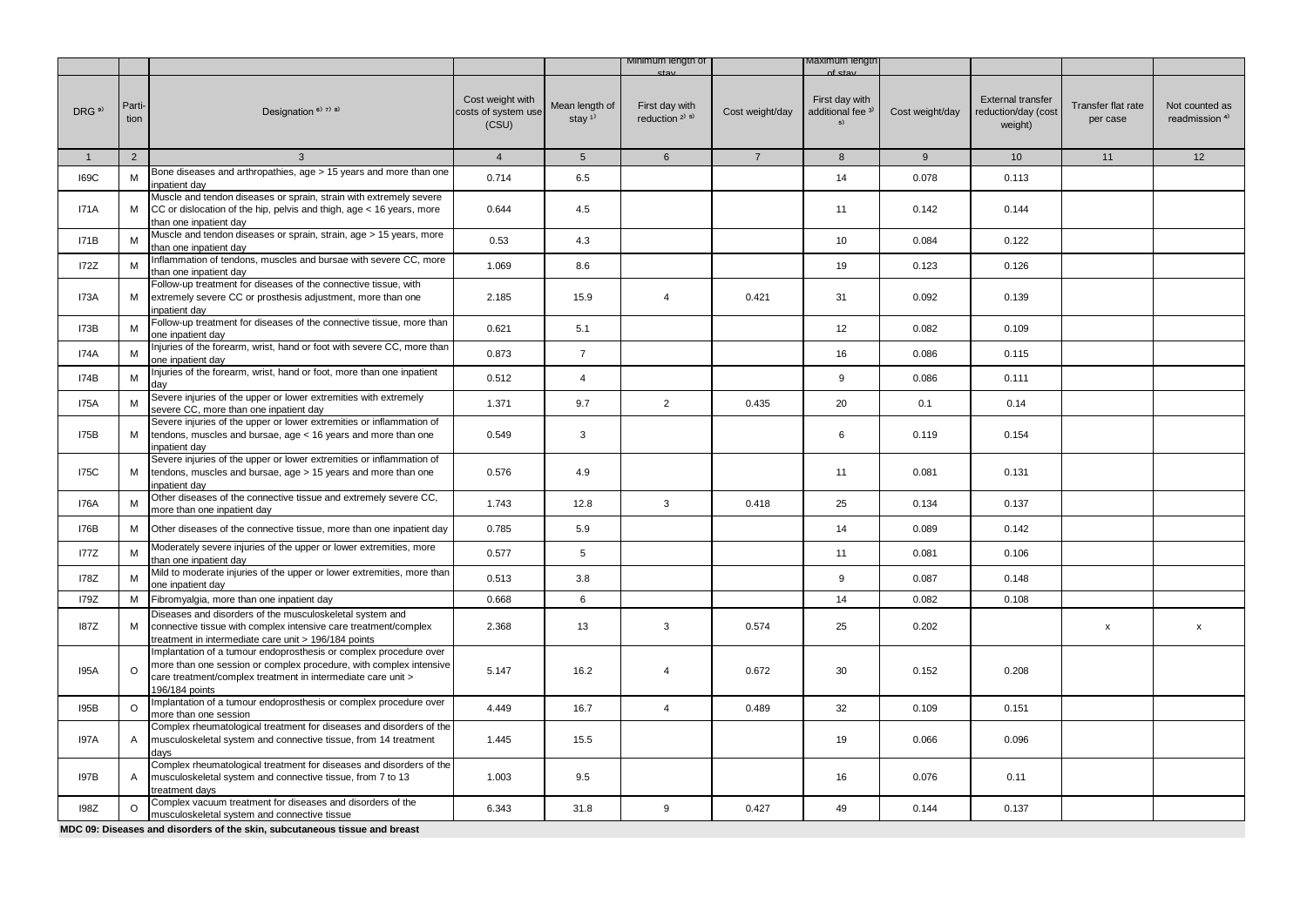|                   |                |                                                                                                                                                                                                                           |                                                  |                                         | Minimum length of                                       |                 | viaximum iengti                                      |                 |                                                            |                                |                                             |
|-------------------|----------------|---------------------------------------------------------------------------------------------------------------------------------------------------------------------------------------------------------------------------|--------------------------------------------------|-----------------------------------------|---------------------------------------------------------|-----------------|------------------------------------------------------|-----------------|------------------------------------------------------------|--------------------------------|---------------------------------------------|
| DRG <sup>9)</sup> | Parti-<br>tion | Designation <sup>6)</sup> <sup>7)</sup> <sup>8)</sup>                                                                                                                                                                     | Cost weight with<br>costs of system use<br>(CSU) | Mean length of<br>stay $1$ <sup>1</sup> | First day with<br>reduction <sup>2)</sup> <sup>5)</sup> | Cost weight/day | First day with<br>additional fee <sup>3)</sup><br>5) | Cost weight/day | <b>External transfer</b><br>reduction/day (cost<br>weight) | Transfer flat rate<br>per case | Not counted as<br>readmission <sup>4)</sup> |
| $\mathbf{1}$      | 2              | $\mathbf{3}$                                                                                                                                                                                                              | $\overline{4}$                                   | 5 <sup>5</sup>                          | $6\phantom{1}$                                          | $\overline{7}$  | 8                                                    | 9               | 10                                                         | 11                             | 12                                          |
| <b>I69C</b>       | M              | Bone diseases and arthropathies, age > 15 years and more than one<br>npatient day                                                                                                                                         | 0.714                                            | 6.5                                     |                                                         |                 | 14                                                   | 0.078           | 0.113                                                      |                                |                                             |
| <b>I71A</b>       | М              | Muscle and tendon diseases or sprain, strain with extremely severe<br>CC or dislocation of the hip, pelvis and thigh, age < 16 years, more<br>than one inpatient day                                                      | 0.644                                            | 4.5                                     |                                                         |                 | 11                                                   | 0.142           | 0.144                                                      |                                |                                             |
| I71B              | M              | Muscle and tendon diseases or sprain, strain, age > 15 years, more<br>than one inpatient dav                                                                                                                              | 0.53                                             | 4.3                                     |                                                         |                 | 10                                                   | 0.084           | 0.122                                                      |                                |                                             |
| <b>I72Z</b>       | M              | Inflammation of tendons, muscles and bursae with severe CC, more<br>than one inpatient day                                                                                                                                | 1.069                                            | 8.6                                     |                                                         |                 | 19                                                   | 0.123           | 0.126                                                      |                                |                                             |
| I73A              | М              | Follow-up treatment for diseases of the connective tissue, with<br>extremely severe CC or prosthesis adjustment, more than one<br>npatient dav                                                                            | 2.185                                            | 15.9                                    | $\overline{4}$                                          | 0.421           | 31                                                   | 0.092           | 0.139                                                      |                                |                                             |
| <b>I73B</b>       | M              | Follow-up treatment for diseases of the connective tissue, more than<br>one inpatient day                                                                                                                                 | 0.621                                            | 5.1                                     |                                                         |                 | 12                                                   | 0.082           | 0.109                                                      |                                |                                             |
| I74A              | M              | Injuries of the forearm, wrist, hand or foot with severe CC, more than<br>one inpatient day                                                                                                                               | 0.873                                            | $\overline{7}$                          |                                                         |                 | 16                                                   | 0.086           | 0.115                                                      |                                |                                             |
| I74B              | M              | Injuries of the forearm, wrist, hand or foot, more than one inpatient<br>dav                                                                                                                                              | 0.512                                            | $\overline{4}$                          |                                                         |                 | 9                                                    | 0.086           | 0.111                                                      |                                |                                             |
| <b>I75A</b>       | M              | Severe injuries of the upper or lower extremities with extremely<br>severe CC, more than one inpatient day                                                                                                                | 1.371                                            | 9.7                                     | $\overline{2}$                                          | 0.435           | 20                                                   | 0.1             | 0.14                                                       |                                |                                             |
| <b>I75B</b>       | M              | Severe injuries of the upper or lower extremities or inflammation of<br>tendons, muscles and bursae, age < 16 years and more than one<br>npatient day                                                                     | 0.549                                            | 3                                       |                                                         |                 | 6                                                    | 0.119           | 0.154                                                      |                                |                                             |
| <b>I75C</b>       | М              | Severe injuries of the upper or lower extremities or inflammation of<br>tendons, muscles and bursae, age > 15 years and more than one<br>npatient dav                                                                     | 0.576                                            | 4.9                                     |                                                         |                 | 11                                                   | 0.081           | 0.131                                                      |                                |                                             |
| <b>I76A</b>       | M              | Other diseases of the connective tissue and extremely severe CC,<br>more than one inpatient day                                                                                                                           | 1.743                                            | 12.8                                    | 3                                                       | 0.418           | 25                                                   | 0.134           | 0.137                                                      |                                |                                             |
| <b>I76B</b>       | M              | Other diseases of the connective tissue, more than one inpatient day                                                                                                                                                      | 0.785                                            | 5.9                                     |                                                         |                 | 14                                                   | 0.089           | 0.142                                                      |                                |                                             |
| <b>177Z</b>       | M              | Moderately severe injuries of the upper or lower extremities, more<br>than one inpatient day                                                                                                                              | 0.577                                            | 5                                       |                                                         |                 | 11                                                   | 0.081           | 0.106                                                      |                                |                                             |
| <b>I78Z</b>       | M              | Mild to moderate injuries of the upper or lower extremities, more than<br>one inpatient day                                                                                                                               | 0.513                                            | 3.8                                     |                                                         |                 | 9                                                    | 0.087           | 0.148                                                      |                                |                                             |
| <b>179Z</b>       | М              | Fibromyalgia, more than one inpatient day                                                                                                                                                                                 | 0.668                                            | 6                                       |                                                         |                 | 14                                                   | 0.082           | 0.108                                                      |                                |                                             |
| <b>187Z</b>       | м              | Diseases and disorders of the musculoskeletal system and<br>connective tissue with complex intensive care treatment/complex<br>treatment in intermediate care unit > 196/184 points                                       | 2.368                                            | 13                                      | 3                                                       | 0.574           | 25                                                   | 0.202           |                                                            | $\pmb{\mathsf{x}}$             | $\mathsf X$                                 |
| <b>I95A</b>       | $\circ$        | Implantation of a tumour endoprosthesis or complex procedure over<br>more than one session or complex procedure, with complex intensive<br>care treatment/complex treatment in intermediate care unit ><br>196/184 points | 5.147                                            | 16.2                                    | $\overline{4}$                                          | 0.672           | 30                                                   | 0.152           | 0.208                                                      |                                |                                             |
| <b>I95B</b>       | $\circ$        | Implantation of a tumour endoprosthesis or complex procedure over<br>more than one session                                                                                                                                | 4.449                                            | 16.7                                    | $\overline{4}$                                          | 0.489           | 32                                                   | 0.109           | 0.151                                                      |                                |                                             |
| <b>197A</b>       | $\mathsf{A}$   | Complex rheumatological treatment for diseases and disorders of the<br>musculoskeletal system and connective tissue, from 14 treatment<br>days                                                                            | 1.445                                            | 15.5                                    |                                                         |                 | 19                                                   | 0.066           | 0.096                                                      |                                |                                             |
| <b>197B</b>       | A              | Complex rheumatological treatment for diseases and disorders of the<br>musculoskeletal system and connective tissue, from 7 to 13<br>treatment days                                                                       | 1.003                                            | 9.5                                     |                                                         |                 | 16                                                   | 0.076           | 0.11                                                       |                                |                                             |
| 198Z              | $\circ$        | Complex vacuum treatment for diseases and disorders of the<br>musculoskeletal system and connective tissue                                                                                                                | 6.343                                            | 31.8                                    | 9                                                       | 0.427           | 49                                                   | 0.144           | 0.137                                                      |                                |                                             |
|                   |                | MDC 09: Diseases and disorders of the skin, subcutaneous tissue and breast                                                                                                                                                |                                                  |                                         |                                                         |                 |                                                      |                 |                                                            |                                |                                             |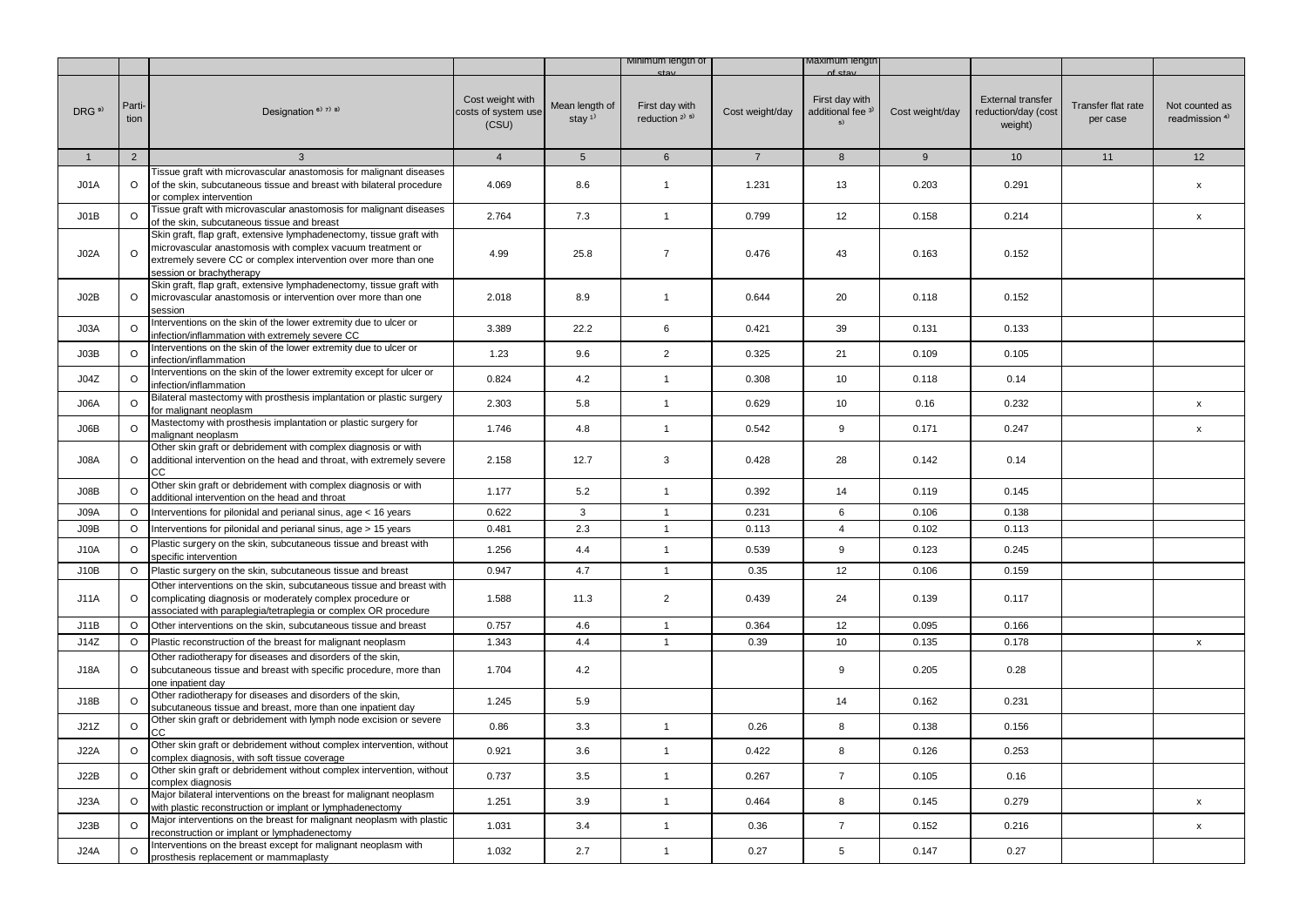|                   |                |                                                                                                                                                                                                                                  |                                                  |                                         | Minimum length of                                       |                 | waximum iengtr                                         |                 |                                                            |                                |                                             |
|-------------------|----------------|----------------------------------------------------------------------------------------------------------------------------------------------------------------------------------------------------------------------------------|--------------------------------------------------|-----------------------------------------|---------------------------------------------------------|-----------------|--------------------------------------------------------|-----------------|------------------------------------------------------------|--------------------------------|---------------------------------------------|
| DRG <sup>9)</sup> | Parti-<br>tion | Designation <sup>6)</sup> <sup>7)</sup> <sup>8)</sup>                                                                                                                                                                            | Cost weight with<br>costs of system use<br>(CSU) | Mean length of<br>stay $1$ <sup>1</sup> | First day with<br>reduction <sup>2)</sup> <sup>5)</sup> | Cost weight/day | First day with<br>additional fee <sup>3)</sup><br>$5)$ | Cost weight/day | <b>External transfer</b><br>reduction/day (cost<br>weight) | Transfer flat rate<br>per case | Not counted as<br>readmission <sup>4)</sup> |
| $\mathbf{1}$      | 2              | 3                                                                                                                                                                                                                                | $\overline{4}$                                   | 5 <sup>5</sup>                          | $6\phantom{1}$                                          | $7^{\circ}$     | 8                                                      | 9               | 10 <sup>1</sup>                                            | 11                             | 12                                          |
| JO1A              | $\circ$        | Tissue graft with microvascular anastomosis for malignant diseases<br>of the skin, subcutaneous tissue and breast with bilateral procedure<br>or complex intervention                                                            | 4.069                                            | 8.6                                     | $\mathbf{1}$                                            | 1.231           | 13                                                     | 0.203           | 0.291                                                      |                                | $\pmb{\mathsf{x}}$                          |
| JO1B              | $\circ$        | Tissue graft with microvascular anastomosis for malignant diseases<br>of the skin, subcutaneous tissue and breast                                                                                                                | 2.764                                            | 7.3                                     | $\mathbf{1}$                                            | 0.799           | 12                                                     | 0.158           | 0.214                                                      |                                | $\mathsf{x}$                                |
| JO2A              | $\circ$        | Skin graft, flap graft, extensive lymphadenectomy, tissue graft with<br>microvascular anastomosis with complex vacuum treatment or<br>extremely severe CC or complex intervention over more than one<br>session or brachytherapy | 4.99                                             | 25.8                                    | $\overline{7}$                                          | 0.476           | 43                                                     | 0.163           | 0.152                                                      |                                |                                             |
| JO2B              | $\circ$        | Skin graft, flap graft, extensive lymphadenectomy, tissue graft with<br>microvascular anastomosis or intervention over more than one<br>session                                                                                  | 2.018                                            | 8.9                                     | $\mathbf{1}$                                            | 0.644           | 20                                                     | 0.118           | 0.152                                                      |                                |                                             |
| J03A              | $\circ$        | Interventions on the skin of the lower extremity due to ulcer or<br>infection/inflammation with extremely severe CC                                                                                                              | 3.389                                            | 22.2                                    | 6                                                       | 0.421           | 39                                                     | 0.131           | 0.133                                                      |                                |                                             |
| J03B              | $\circ$        | Interventions on the skin of the lower extremity due to ulcer or<br>infection/inflammation                                                                                                                                       | 1.23                                             | 9.6                                     | $\overline{2}$                                          | 0.325           | 21                                                     | 0.109           | 0.105                                                      |                                |                                             |
| J04Z              | $\circ$        | Interventions on the skin of the lower extremity except for ulcer or<br>infection/inflammation                                                                                                                                   | 0.824                                            | 4.2                                     | $\mathbf{1}$                                            | 0.308           | 10                                                     | 0.118           | 0.14                                                       |                                |                                             |
| A <sub>3</sub> 0  | $\circ$        | Bilateral mastectomy with prosthesis implantation or plastic surgery<br>for malignant neoplasm                                                                                                                                   | 2.303                                            | 5.8                                     | $\mathbf{1}$                                            | 0.629           | 10                                                     | 0.16            | 0.232                                                      |                                | $\mathsf{x}$                                |
| J06B              | $\circ$        | Mastectomy with prosthesis implantation or plastic surgery for<br>malignant neoplasm                                                                                                                                             | 1.746                                            | 4.8                                     | $\mathbf{1}$                                            | 0.542           | 9                                                      | 0.171           | 0.247                                                      |                                | $\pmb{\mathsf{x}}$                          |
| J08A              | $\circ$        | Other skin graft or debridement with complex diagnosis or with<br>additional intervention on the head and throat, with extremely severe<br>cc                                                                                    | 2.158                                            | 12.7                                    | 3                                                       | 0.428           | 28                                                     | 0.142           | 0.14                                                       |                                |                                             |
| J08B              | O              | Other skin graft or debridement with complex diagnosis or with<br>additional intervention on the head and throat                                                                                                                 | 1.177                                            | 5.2                                     | $\mathbf{1}$                                            | 0.392           | 14                                                     | 0.119           | 0.145                                                      |                                |                                             |
| J09A              | O              | Interventions for pilonidal and perianal sinus, age < 16 years                                                                                                                                                                   | 0.622                                            | 3                                       | $\mathbf{1}$                                            | 0.231           | 6                                                      | 0.106           | 0.138                                                      |                                |                                             |
| J09B              | O              | Interventions for pilonidal and perianal sinus, age > 15 years                                                                                                                                                                   | 0.481                                            | 2.3                                     | $\mathbf{1}$                                            | 0.113           | $\overline{4}$                                         | 0.102           | 0.113                                                      |                                |                                             |
| <b>J10A</b>       | $\circ$        | Plastic surgery on the skin, subcutaneous tissue and breast with<br>specific intervention                                                                                                                                        | 1.256                                            | 4.4                                     | $\mathbf{1}$                                            | 0.539           | $\mathsf g$                                            | 0.123           | 0.245                                                      |                                |                                             |
| J10B              | $\circ$        | Plastic surgery on the skin, subcutaneous tissue and breast                                                                                                                                                                      | 0.947                                            | 4.7                                     | $\overline{1}$                                          | 0.35            | 12                                                     | 0.106           | 0.159                                                      |                                |                                             |
| J11A              | $\circ$        | Other interventions on the skin, subcutaneous tissue and breast with<br>complicating diagnosis or moderately complex procedure or<br>associated with paraplegia/tetraplegia or complex OR procedure                              | 1.588                                            | 11.3                                    | $\overline{2}$                                          | 0.439           | 24                                                     | 0.139           | 0.117                                                      |                                |                                             |
| J11B              | $\circ$        | Other interventions on the skin, subcutaneous tissue and breast                                                                                                                                                                  | 0.757                                            | 4.6                                     | $\mathbf{1}$                                            | 0.364           | 12                                                     | 0.095           | 0.166                                                      |                                |                                             |
| J14Z              | $\circ$        | Plastic reconstruction of the breast for malignant neoplasm                                                                                                                                                                      | 1.343                                            | 4.4                                     | $\mathbf{1}$                                            | 0.39            | 10                                                     | 0.135           | 0.178                                                      |                                | X                                           |
| <b>J18A</b>       | $\circ$        | Other radiotherapy for diseases and disorders of the skin,<br>subcutaneous tissue and breast with specific procedure, more than<br>one inpatient day                                                                             | 1.704                                            | 4.2                                     |                                                         |                 | 9                                                      | 0.205           | 0.28                                                       |                                |                                             |
| J18B              | $\circ$        | Other radiotherapy for diseases and disorders of the skin,<br>subcutaneous tissue and breast, more than one inpatient day                                                                                                        | 1.245                                            | 5.9                                     |                                                         |                 | 14                                                     | 0.162           | 0.231                                                      |                                |                                             |
| J21Z              | $\circ$        | Other skin graft or debridement with lymph node excision or severe<br>CC                                                                                                                                                         | 0.86                                             | 3.3                                     | $\mathbf{1}$                                            | 0.26            | 8                                                      | 0.138           | 0.156                                                      |                                |                                             |
| <b>J22A</b>       | $\circ$        | Other skin graft or debridement without complex intervention, without<br>complex diagnosis, with soft tissue coverage                                                                                                            | 0.921                                            | 3.6                                     | $\mathbf{1}$                                            | 0.422           | 8                                                      | 0.126           | 0.253                                                      |                                |                                             |
| <b>J22B</b>       | $\Omega$       | Other skin graft or debridement without complex intervention, without<br>complex diagnosis                                                                                                                                       | 0.737                                            | 3.5                                     | $\mathbf{1}$                                            | 0.267           | $\overline{7}$                                         | 0.105           | 0.16                                                       |                                |                                             |
| J23A              | $\circ$        | Major bilateral interventions on the breast for malignant neoplasm<br>with plastic reconstruction or implant or lymphadenectomy                                                                                                  | 1.251                                            | 3.9                                     | $\mathbf{1}$                                            | 0.464           | 8                                                      | 0.145           | 0.279                                                      |                                | x                                           |
| J23B              | $\circ$        | Major interventions on the breast for malignant neoplasm with plastic<br>reconstruction or implant or lymphadenectomy                                                                                                            | 1.031                                            | 3.4                                     | $\mathbf{1}$                                            | 0.36            | $\overline{7}$                                         | 0.152           | 0.216                                                      |                                | $\pmb{\mathsf{x}}$                          |
| <b>J24A</b>       | O              | Interventions on the breast except for malignant neoplasm with<br>prosthesis replacement or mammaplasty                                                                                                                          | 1.032                                            | 2.7                                     | $\mathbf{1}$                                            | 0.27            | 5                                                      | 0.147           | 0.27                                                       |                                |                                             |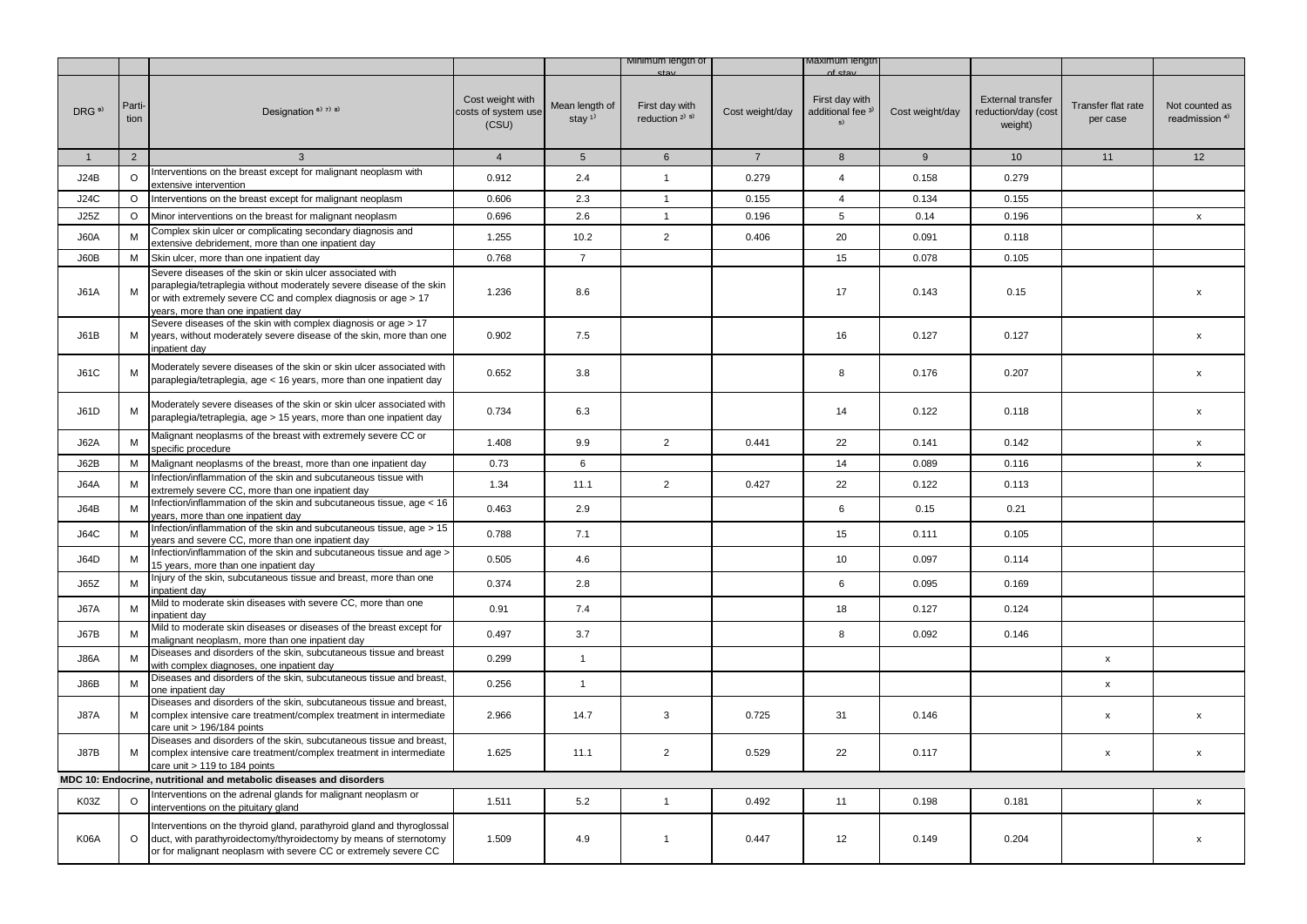|                   |                |                                                                                                                                                                                                                                          |                                                  |                                         | <b>Minimum length of</b>                                |                 | viaximum iengtr                                      |                 |                                                            |                                |                                             |
|-------------------|----------------|------------------------------------------------------------------------------------------------------------------------------------------------------------------------------------------------------------------------------------------|--------------------------------------------------|-----------------------------------------|---------------------------------------------------------|-----------------|------------------------------------------------------|-----------------|------------------------------------------------------------|--------------------------------|---------------------------------------------|
| DRG <sup>9)</sup> | Parti-<br>tion | Designation <sup>6)</sup> 7) 8)                                                                                                                                                                                                          | Cost weight with<br>costs of system use<br>(CSU) | Mean length of<br>stay $1$ <sup>1</sup> | First day with<br>reduction <sup>2)</sup> <sup>5)</sup> | Cost weight/day | First day with<br>additional fee <sup>3)</sup><br>5) | Cost weight/day | <b>External transfer</b><br>reduction/day (cost<br>weight) | Transfer flat rate<br>per case | Not counted as<br>readmission <sup>4)</sup> |
| $\mathbf{1}$      | $\overline{2}$ | 3                                                                                                                                                                                                                                        | $\overline{4}$                                   | $5\phantom{.0}$                         | $6\phantom{.}$                                          | $\overline{7}$  | 8                                                    | 9               | 10 <sup>°</sup>                                            | 11                             | 12                                          |
| <b>J24B</b>       | $\circ$        | Interventions on the breast except for malignant neoplasm with<br>extensive intervention                                                                                                                                                 | 0.912                                            | 2.4                                     | $\mathbf{1}$                                            | 0.279           | $\overline{4}$                                       | 0.158           | 0.279                                                      |                                |                                             |
| J24C              | $\circ$        | Interventions on the breast except for malignant neoplasm                                                                                                                                                                                | 0.606                                            | 2.3                                     | $\overline{1}$                                          | 0.155           | $\overline{4}$                                       | 0.134           | 0.155                                                      |                                |                                             |
| J25Z              | $\circ$        | Minor interventions on the breast for malignant neoplasm                                                                                                                                                                                 | 0.696                                            | 2.6                                     | $\mathbf{1}$                                            | 0.196           | 5                                                    | 0.14            | 0.196                                                      |                                | $\mathsf{x}$                                |
| J60A              | M              | Complex skin ulcer or complicating secondary diagnosis and<br>extensive debridement, more than one inpatient day                                                                                                                         | 1.255                                            | 10.2                                    | $\overline{2}$                                          | 0.406           | 20                                                   | 0.091           | 0.118                                                      |                                |                                             |
| J60B              | M              | Skin ulcer, more than one inpatient day                                                                                                                                                                                                  | 0.768                                            | $\overline{7}$                          |                                                         |                 | 15                                                   | 0.078           | 0.105                                                      |                                |                                             |
| J61A              | M              | Severe diseases of the skin or skin ulcer associated with<br>paraplegia/tetraplegia without moderately severe disease of the skin<br>or with extremely severe CC and complex diagnosis or age > 17<br>years, more than one inpatient day | 1.236                                            | 8.6                                     |                                                         |                 | 17                                                   | 0.143           | 0.15                                                       |                                | $\mathsf{x}$                                |
| J61B              | М              | Severe diseases of the skin with complex diagnosis or age > 17<br>years, without moderately severe disease of the skin, more than one<br>inpatient day                                                                                   | 0.902                                            | 7.5                                     |                                                         |                 | 16                                                   | 0.127           | 0.127                                                      |                                | $\boldsymbol{\mathsf{x}}$                   |
| <b>J61C</b>       | М              | Moderately severe diseases of the skin or skin ulcer associated with<br>paraplegia/tetraplegia, age < 16 years, more than one inpatient day                                                                                              | 0.652                                            | 3.8                                     |                                                         |                 | 8                                                    | 0.176           | 0.207                                                      |                                | X                                           |
| J61D              | М              | Moderately severe diseases of the skin or skin ulcer associated with<br>paraplegia/tetraplegia, age > 15 years, more than one inpatient day                                                                                              | 0.734                                            | 6.3                                     |                                                         |                 | 14                                                   | 0.122           | 0.118                                                      |                                | $\mathsf{x}$                                |
| <b>J62A</b>       | M              | Malignant neoplasms of the breast with extremely severe CC or<br>specific procedure                                                                                                                                                      | 1.408                                            | 9.9                                     | $\overline{2}$                                          | 0.441           | 22                                                   | 0.141           | 0.142                                                      |                                | $\pmb{\mathsf{x}}$                          |
| J62B              | M              | Malignant neoplasms of the breast, more than one inpatient day                                                                                                                                                                           | 0.73                                             | 6                                       |                                                         |                 | 14                                                   | 0.089           | 0.116                                                      |                                | $\mathsf{x}$                                |
| <b>J64A</b>       | ${\sf M}$      | Infection/inflammation of the skin and subcutaneous tissue with<br>extremely severe CC, more than one inpatient day                                                                                                                      | 1.34                                             | 11.1                                    | $\overline{2}$                                          | 0.427           | 22                                                   | 0.122           | 0.113                                                      |                                |                                             |
| J64B              | M              | Infection/inflammation of the skin and subcutaneous tissue, age < 16<br>years, more than one inpatient day                                                                                                                               | 0.463                                            | 2.9                                     |                                                         |                 | 6                                                    | 0.15            | 0.21                                                       |                                |                                             |
| <b>J64C</b>       | M              | Infection/inflammation of the skin and subcutaneous tissue, age > 15<br>ears and severe CC, more than one inpatient day                                                                                                                  | 0.788                                            | 7.1                                     |                                                         |                 | 15                                                   | 0.111           | 0.105                                                      |                                |                                             |
| <b>J64D</b>       | M              | Infection/inflammation of the skin and subcutaneous tissue and age ><br>15 years, more than one inpatient day                                                                                                                            | 0.505                                            | 4.6                                     |                                                         |                 | 10                                                   | 0.097           | 0.114                                                      |                                |                                             |
| <b>J65Z</b>       | M              | Injury of the skin, subcutaneous tissue and breast, more than one<br>inpatient day                                                                                                                                                       | 0.374                                            | 2.8                                     |                                                         |                 | 6                                                    | 0.095           | 0.169                                                      |                                |                                             |
| J67A              | M              | Mild to moderate skin diseases with severe CC, more than one<br>inpatient day                                                                                                                                                            | 0.91                                             | 7.4                                     |                                                         |                 | 18                                                   | 0.127           | 0.124                                                      |                                |                                             |
| J67B              | M              | Mild to moderate skin diseases or diseases of the breast except for<br>malignant neoplasm, more than one inpatient day                                                                                                                   | 0.497                                            | 3.7                                     |                                                         |                 | 8                                                    | 0.092           | 0.146                                                      |                                |                                             |
| <b>J86A</b>       | M              | Diseases and disorders of the skin, subcutaneous tissue and breast<br>with complex diagnoses, one inpatient day                                                                                                                          | 0.299                                            | $\mathbf{1}$                            |                                                         |                 |                                                      |                 |                                                            | $\mathsf{x}$                   |                                             |
| J86B              | M              | Diseases and disorders of the skin, subcutaneous tissue and breast,<br>one inpatient day                                                                                                                                                 | 0.256                                            | $\mathbf{1}$                            |                                                         |                 |                                                      |                 |                                                            | x                              |                                             |
| <b>J87A</b>       | М              | Diseases and disorders of the skin, subcutaneous tissue and breast,<br>complex intensive care treatment/complex treatment in intermediate<br>care unit > 196/184 points                                                                  | 2.966                                            | 14.7                                    | 3                                                       | 0.725           | 31                                                   | 0.146           |                                                            | x                              | $\boldsymbol{\mathsf{x}}$                   |
| J87B              | М              | Diseases and disorders of the skin, subcutaneous tissue and breast,<br>complex intensive care treatment/complex treatment in intermediate<br>care unit > 119 to 184 points                                                               | 1.625                                            | 11.1                                    | $\overline{2}$                                          | 0.529           | 22                                                   | 0.117           |                                                            | x                              | $\pmb{\mathsf{x}}$                          |
|                   |                | MDC 10: Endocrine, nutritional and metabolic diseases and disorders                                                                                                                                                                      |                                                  |                                         |                                                         |                 |                                                      |                 |                                                            |                                |                                             |
| K03Z              | $\circ$        | Interventions on the adrenal glands for malignant neoplasm or<br>interventions on the pituitary gland                                                                                                                                    | 1.511                                            | 5.2                                     | $\mathbf{1}$                                            | 0.492           | 11                                                   | 0.198           | 0.181                                                      |                                | $\mathsf{x}$                                |
| <b>K06A</b>       | $\circ$        | Interventions on the thyroid gland, parathyroid gland and thyroglossal<br>duct, with parathyroidectomy/thyroidectomy by means of sternotomy<br>or for malignant neoplasm with severe CC or extremely severe CC                           | 1.509                                            | 4.9                                     | $\mathbf{1}$                                            | 0.447           | 12                                                   | 0.149           | 0.204                                                      |                                | $\mathsf{x}$                                |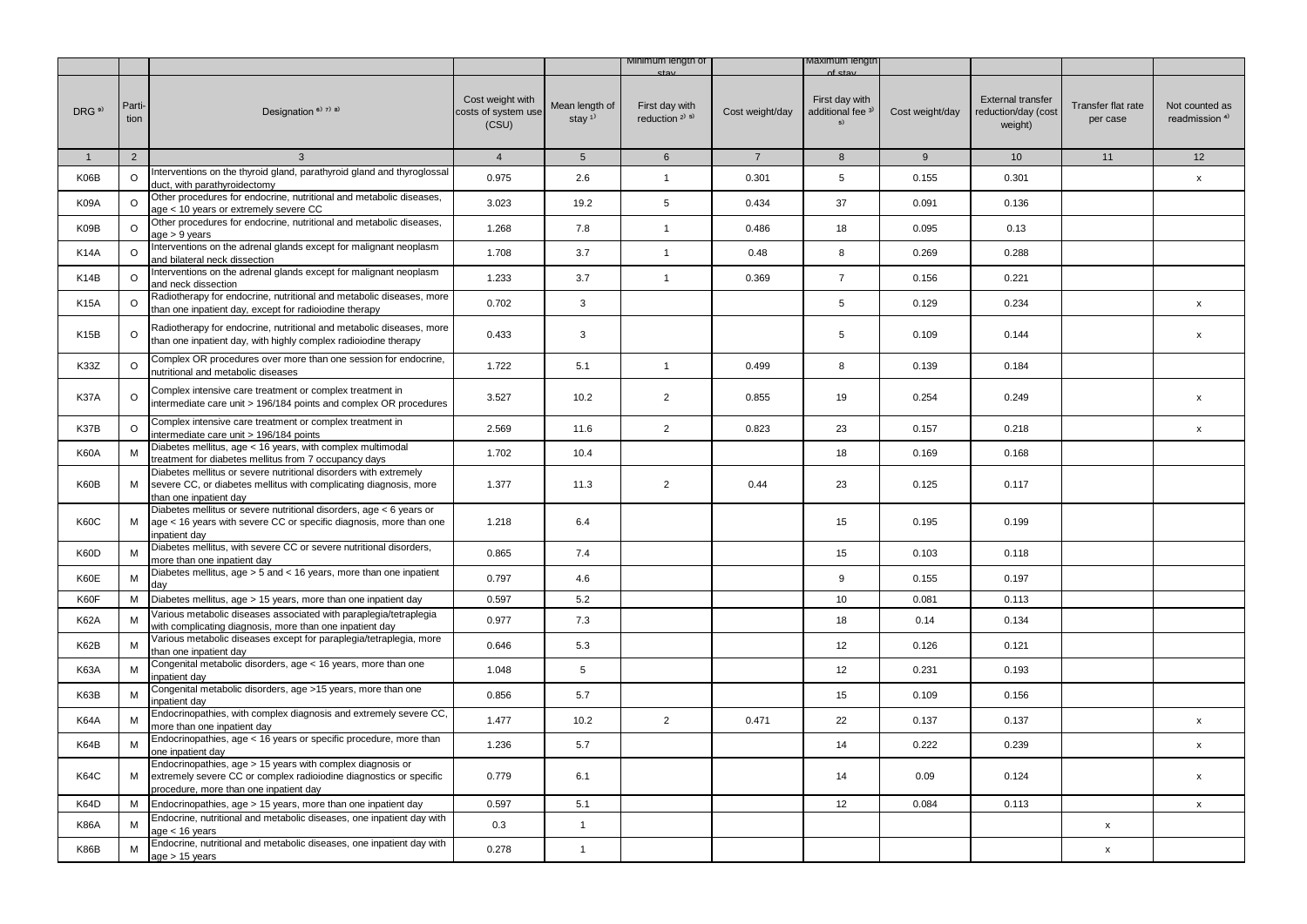|                   |                |                                                                                                                                                                            |                                                  |                                         | Minimum lengtn of                      |                 | naxımum iengtr                                       |                 |                                                            |                                |                                             |
|-------------------|----------------|----------------------------------------------------------------------------------------------------------------------------------------------------------------------------|--------------------------------------------------|-----------------------------------------|----------------------------------------|-----------------|------------------------------------------------------|-----------------|------------------------------------------------------------|--------------------------------|---------------------------------------------|
| DRG <sup>9)</sup> | Parti-<br>tion | Designation <sup>6)</sup> 7) 8)                                                                                                                                            | Cost weight with<br>costs of system use<br>(CSU) | Mean length of<br>stay $1$ <sup>1</sup> | First day with<br>reduction $2^{j}$ 5) | Cost weight/day | First day with<br>additional fee <sup>3)</sup><br>5) | Cost weight/day | <b>External transfer</b><br>reduction/day (cost<br>weight) | Transfer flat rate<br>per case | Not counted as<br>readmission <sup>4)</sup> |
| $\mathbf{1}$      | $\overline{2}$ | 3                                                                                                                                                                          | $\overline{4}$                                   | $5\phantom{.0}$                         | $6\phantom{.}6$                        | $\overline{7}$  | 8                                                    | $9\,$           | 10 <sup>1</sup>                                            | 11                             | 12                                          |
| K06B              | $\circ$        | Interventions on the thyroid gland, parathyroid gland and thyroglossal<br>duct, with parathyroidectomy                                                                     | 0.975                                            | 2.6                                     | $\mathbf{1}$                           | 0.301           | 5                                                    | 0.155           | 0.301                                                      |                                | x                                           |
| K09A              | $\circ$        | Other procedures for endocrine, nutritional and metabolic diseases,<br>age < 10 years or extremely severe CC                                                               | 3.023                                            | 19.2                                    | 5                                      | 0.434           | 37                                                   | 0.091           | 0.136                                                      |                                |                                             |
| K09B              | $\circ$        | Other procedures for endocrine, nutritional and metabolic diseases,<br>$age > 9$ years                                                                                     | 1.268                                            | 7.8                                     | $\mathbf{1}$                           | 0.486           | 18                                                   | 0.095           | 0.13                                                       |                                |                                             |
| <b>K14A</b>       | $\circ$        | Interventions on the adrenal glands except for malignant neoplasm<br>and bilateral neck dissection                                                                         | 1.708                                            | 3.7                                     | $\mathbf{1}$                           | 0.48            | 8                                                    | 0.269           | 0.288                                                      |                                |                                             |
| K <sub>14</sub> B | $\circ$        | Interventions on the adrenal glands except for malignant neoplasm<br>and neck dissection                                                                                   | 1.233                                            | 3.7                                     | $\mathbf{1}$                           | 0.369           | $\overline{7}$                                       | 0.156           | 0.221                                                      |                                |                                             |
| <b>K15A</b>       | $\circ$        | Radiotherapy for endocrine, nutritional and metabolic diseases, more<br>than one inpatient day, except for radioiodine therapy                                             | 0.702                                            | 3                                       |                                        |                 | 5                                                    | 0.129           | 0.234                                                      |                                | $\mathsf{x}$                                |
| K <sub>15</sub> B | O              | Radiotherapy for endocrine, nutritional and metabolic diseases, more<br>than one inpatient day, with highly complex radioiodine therapy                                    | 0.433                                            | 3                                       |                                        |                 | 5                                                    | 0.109           | 0.144                                                      |                                | X                                           |
| K33Z              | $\circ$        | Complex OR procedures over more than one session for endocrine,<br>nutritional and metabolic diseases                                                                      | 1.722                                            | 5.1                                     | $\mathbf{1}$                           | 0.499           | 8                                                    | 0.139           | 0.184                                                      |                                |                                             |
| K37A              | $\circ$        | Complex intensive care treatment or complex treatment in<br>intermediate care unit > 196/184 points and complex OR procedures                                              | 3.527                                            | 10.2                                    | $\overline{2}$                         | 0.855           | 19                                                   | 0.254           | 0.249                                                      |                                | X                                           |
| K37B              | O              | Complex intensive care treatment or complex treatment in<br>intermediate care unit > 196/184 points                                                                        | 2.569                                            | 11.6                                    | $\overline{2}$                         | 0.823           | 23                                                   | 0.157           | 0.218                                                      |                                | x                                           |
| K60A              | M              | Diabetes mellitus, age < 16 years, with complex multimodal<br>treatment for diabetes mellitus from 7 occupancy days                                                        | 1.702                                            | 10.4                                    |                                        |                 | 18                                                   | 0.169           | 0.168                                                      |                                |                                             |
| K60B              | M              | Diabetes mellitus or severe nutritional disorders with extremely<br>severe CC, or diabetes mellitus with complicating diagnosis, more<br>than one inpatient day            | 1.377                                            | 11.3                                    | $\overline{2}$                         | 0.44            | 23                                                   | 0.125           | 0.117                                                      |                                |                                             |
| <b>K60C</b>       | М              | Diabetes mellitus or severe nutritional disorders, age < 6 years or<br>age < 16 years with severe CC or specific diagnosis, more than one<br>inpatient day                 | 1.218                                            | 6.4                                     |                                        |                 | 15                                                   | 0.195           | 0.199                                                      |                                |                                             |
| K60D              | M              | Diabetes mellitus, with severe CC or severe nutritional disorders,<br>more than one inpatient day                                                                          | 0.865                                            | 7.4                                     |                                        |                 | 15                                                   | 0.103           | 0.118                                                      |                                |                                             |
| K60E              | М              | Diabetes mellitus, age > 5 and < 16 years, more than one inpatient<br>day                                                                                                  | 0.797                                            | 4.6                                     |                                        |                 | 9                                                    | 0.155           | 0.197                                                      |                                |                                             |
| K60F              | м              | Diabetes mellitus, age > 15 years, more than one inpatient day                                                                                                             | 0.597                                            | 5.2                                     |                                        |                 | 10                                                   | 0.081           | 0.113                                                      |                                |                                             |
| <b>K62A</b>       | М              | Various metabolic diseases associated with paraplegia/tetraplegia<br>with complicating diagnosis, more than one inpatient day                                              | 0.977                                            | 7.3                                     |                                        |                 | 18                                                   | 0.14            | 0.134                                                      |                                |                                             |
| K62B              | M              | Various metabolic diseases except for paraplegia/tetraplegia, more<br>than one inpatient day                                                                               | 0.646                                            | 5.3                                     |                                        |                 | 12                                                   | 0.126           | 0.121                                                      |                                |                                             |
| <b>K63A</b>       | M              | Congenital metabolic disorders, age < 16 years, more than one<br>inpatient day                                                                                             | 1.048                                            | 5                                       |                                        |                 | 12                                                   | 0.231           | 0.193                                                      |                                |                                             |
| K63B              | М              | Congenital metabolic disorders, age >15 years, more than one<br>inpatient day                                                                                              | 0.856                                            | 5.7                                     |                                        |                 | 15                                                   | 0.109           | 0.156                                                      |                                |                                             |
| <b>K64A</b>       | М              | Endocrinopathies, with complex diagnosis and extremely severe CC,<br>more than one inpatient day                                                                           | 1.477                                            | 10.2                                    | $\overline{2}$                         | 0.471           | 22                                                   | 0.137           | 0.137                                                      |                                | X                                           |
| K64B              | M              | Endocrinopathies, age < 16 years or specific procedure, more than<br>one inpatient day                                                                                     | 1.236                                            | 5.7                                     |                                        |                 | 14                                                   | 0.222           | 0.239                                                      |                                | X                                           |
| <b>K64C</b>       | М              | Endocrinopathies, age > 15 years with complex diagnosis or<br>extremely severe CC or complex radioiodine diagnostics or specific<br>procedure, more than one inpatient day | 0.779                                            | 6.1                                     |                                        |                 | 14                                                   | 0.09            | 0.124                                                      |                                | $\pmb{\chi}$                                |
| K64D              | M              | Endocrinopathies, age > 15 years, more than one inpatient day                                                                                                              | 0.597                                            | 5.1                                     |                                        |                 | 12                                                   | 0.084           | 0.113                                                      |                                | $\boldsymbol{\mathsf{x}}$                   |
| <b>K86A</b>       |                | Endocrine, nutritional and metabolic diseases, one inpatient day with<br>age < 16 years                                                                                    | 0.3                                              | $\mathbf{1}$                            |                                        |                 |                                                      |                 |                                                            | x                              |                                             |
| <b>K86B</b>       | М              | Endocrine, nutritional and metabolic diseases, one inpatient day with<br>age > 15 years                                                                                    | 0.278                                            | $\mathbf{1}$                            |                                        |                 |                                                      |                 |                                                            | $\pmb{\mathsf{x}}$             |                                             |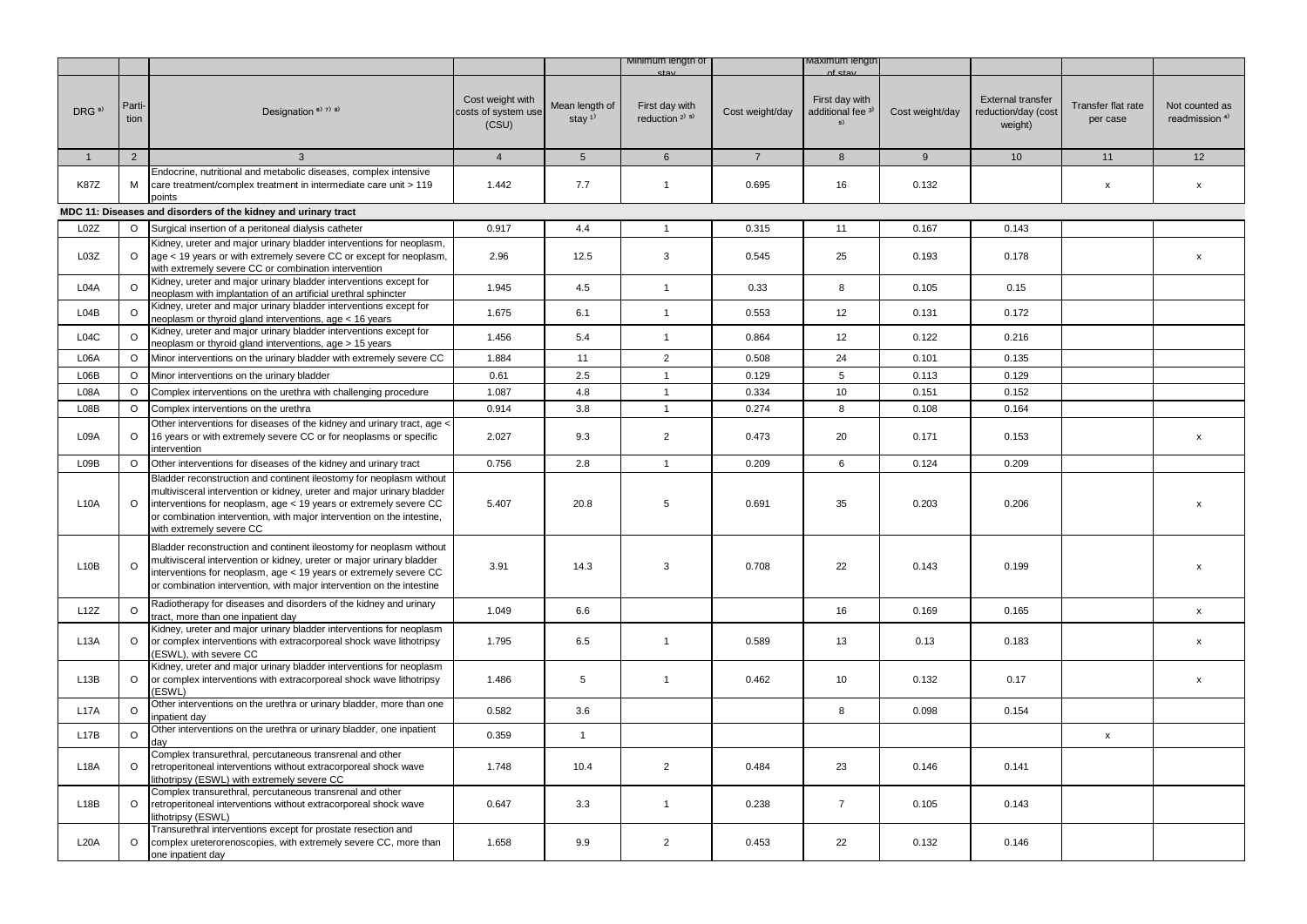|                   |                |                                                                                                                                                                                                                                                                                                                          |                                                  |                                      | Minimum lengtn of                                       |                 | naxımum iengtr                                       |                 |                                                            |                                |                                             |
|-------------------|----------------|--------------------------------------------------------------------------------------------------------------------------------------------------------------------------------------------------------------------------------------------------------------------------------------------------------------------------|--------------------------------------------------|--------------------------------------|---------------------------------------------------------|-----------------|------------------------------------------------------|-----------------|------------------------------------------------------------|--------------------------------|---------------------------------------------|
| DRG <sup>9)</sup> | Parti-<br>tion | Designation <sup>6)</sup> 7) 8)                                                                                                                                                                                                                                                                                          | Cost weight with<br>costs of system use<br>(CSU) | Mean length of<br>stay <sup>1)</sup> | First day with<br>reduction <sup>2)</sup> <sup>5)</sup> | Cost weight/day | First day with<br>additional fee <sup>3)</sup><br>5) | Cost weight/day | <b>External transfer</b><br>reduction/day (cost<br>weight) | Transfer flat rate<br>per case | Not counted as<br>readmission <sup>4)</sup> |
| $\mathbf{1}$      | $\overline{2}$ | 3                                                                                                                                                                                                                                                                                                                        | $\overline{4}$                                   | $5\phantom{.0}$                      | 6                                                       | $\overline{7}$  | 8                                                    | 9               | 10 <sup>1</sup>                                            | 11                             | 12                                          |
|                   |                | Endocrine, nutritional and metabolic diseases, complex intensive                                                                                                                                                                                                                                                         |                                                  |                                      |                                                         |                 |                                                      |                 |                                                            |                                |                                             |
| <b>K87Z</b>       | м              | care treatment/complex treatment in intermediate care unit > 119<br>points                                                                                                                                                                                                                                               | 1.442                                            | 7.7                                  | $\mathbf{1}$                                            | 0.695           | 16                                                   | 0.132           |                                                            | x                              | $\boldsymbol{\mathsf{x}}$                   |
|                   |                | MDC 11: Diseases and disorders of the kidney and urinary tract                                                                                                                                                                                                                                                           |                                                  |                                      |                                                         |                 |                                                      |                 |                                                            |                                |                                             |
| L02Z              | $\circ$        | Surgical insertion of a peritoneal dialysis catheter                                                                                                                                                                                                                                                                     | 0.917                                            | 4.4                                  | $\mathbf{1}$                                            | 0.315           | 11                                                   | 0.167           | 0.143                                                      |                                |                                             |
| L03Z              | $\circ$        | Kidney, ureter and major urinary bladder interventions for neoplasm,<br>age < 19 years or with extremely severe CC or except for neoplasm,<br>with extremely severe CC or combination intervention                                                                                                                       | 2.96                                             | 12.5                                 | 3                                                       | 0.545           | 25                                                   | 0.193           | 0.178                                                      |                                | $\pmb{\mathsf{x}}$                          |
| L04A              | $\circ$        | Kidney, ureter and major urinary bladder interventions except for<br>neoplasm with implantation of an artificial urethral sphincter                                                                                                                                                                                      | 1.945                                            | 4.5                                  | $\mathbf{1}$                                            | 0.33            | 8                                                    | 0.105           | 0.15                                                       |                                |                                             |
| L04B              | $\circ$        | Kidney, ureter and major urinary bladder interventions except for<br>neoplasm or thyroid gland interventions, age < 16 years                                                                                                                                                                                             | 1.675                                            | 6.1                                  | $\mathbf{1}$                                            | 0.553           | 12                                                   | 0.131           | 0.172                                                      |                                |                                             |
| L04C              | O              | Kidney, ureter and major urinary bladder interventions except for<br>neoplasm or thyroid gland interventions, age > 15 years                                                                                                                                                                                             | 1.456                                            | 5.4                                  | $\mathbf{1}$                                            | 0.864           | 12                                                   | 0.122           | 0.216                                                      |                                |                                             |
| L06A              | O              | Minor interventions on the urinary bladder with extremely severe CC                                                                                                                                                                                                                                                      | 1.884                                            | 11                                   | $\overline{2}$                                          | 0.508           | 24                                                   | 0.101           | 0.135                                                      |                                |                                             |
| L06B              | $\circ$        | Minor interventions on the urinary bladder                                                                                                                                                                                                                                                                               | 0.61                                             | 2.5                                  | $\mathbf{1}$                                            | 0.129           | 5                                                    | 0.113           | 0.129                                                      |                                |                                             |
| L08A              | $\circ$        | Complex interventions on the urethra with challenging procedure                                                                                                                                                                                                                                                          | 1.087                                            | 4.8                                  | $\mathbf{1}$                                            | 0.334           | 10                                                   | 0.151           | 0.152                                                      |                                |                                             |
| L08B              | $\circ$        | Complex interventions on the urethra                                                                                                                                                                                                                                                                                     | 0.914                                            | 3.8                                  | $\mathbf{1}$                                            | 0.274           | 8                                                    | 0.108           | 0.164                                                      |                                |                                             |
| L09A              | $\circ$        | Other interventions for diseases of the kidney and urinary tract, age <<br>16 years or with extremely severe CC or for neoplasms or specific<br>intervention                                                                                                                                                             | 2.027                                            | 9.3                                  | $\overline{2}$                                          | 0.473           | 20                                                   | 0.171           | 0.153                                                      |                                | $\pmb{\mathsf{x}}$                          |
| L09B              | $\circ$        | Other interventions for diseases of the kidney and urinary tract                                                                                                                                                                                                                                                         | 0.756                                            | 2.8                                  | $\mathbf{1}$                                            | 0.209           | 6                                                    | 0.124           | 0.209                                                      |                                |                                             |
| L10A              | $\circ$        | Bladder reconstruction and continent ileostomy for neoplasm without<br>multivisceral intervention or kidney, ureter and major urinary bladder<br>interventions for neoplasm, age < 19 years or extremely severe CC<br>or combination intervention, with major intervention on the intestine,<br>with extremely severe CC | 5.407                                            | 20.8                                 | 5                                                       | 0.691           | 35                                                   | 0.203           | 0.206                                                      |                                | х                                           |
| L10B              | $\circ$        | Bladder reconstruction and continent ileostomy for neoplasm without<br>multivisceral intervention or kidney, ureter or major urinary bladder<br>interventions for neoplasm, age < 19 years or extremely severe CC<br>or combination intervention, with major intervention on the intestine                               | 3.91                                             | 14.3                                 | 3                                                       | 0.708           | 22                                                   | 0.143           | 0.199                                                      |                                | х                                           |
| L12Z              | $\circ$        | Radiotherapy for diseases and disorders of the kidney and urinary<br>tract, more than one inpatient day                                                                                                                                                                                                                  | 1.049                                            | 6.6                                  |                                                         |                 | 16                                                   | 0.169           | 0.165                                                      |                                | X                                           |
| L <sub>13</sub> A | $\circ$        | Kidney, ureter and major urinary bladder interventions for neoplasm<br>or complex interventions with extracorporeal shock wave lithotripsy<br>ESWL), with severe CC                                                                                                                                                      | 1.795                                            | 6.5                                  | $\mathbf{1}$                                            | 0.589           | 13                                                   | 0.13            | 0.183                                                      |                                | x                                           |
| L13B              | $\circ$        | Kidney, ureter and major urinary bladder interventions for neoplasm<br>or complex interventions with extracorporeal shock wave lithotripsy<br>(ESWL)                                                                                                                                                                     | 1.486                                            | 5                                    | $\mathbf{1}$                                            | 0.462           | 10                                                   | 0.132           | 0.17                                                       |                                | X                                           |
| L17A              | O              | Other interventions on the urethra or urinary bladder, more than one<br>inpatient day                                                                                                                                                                                                                                    | 0.582                                            | 3.6                                  |                                                         |                 | 8                                                    | 0.098           | 0.154                                                      |                                |                                             |
| L17B              | O              | Other interventions on the urethra or urinary bladder, one inpatient<br>dav                                                                                                                                                                                                                                              | 0.359                                            | $\mathbf{1}$                         |                                                         |                 |                                                      |                 |                                                            | x                              |                                             |
| L18A              | $\circ$        | Complex transurethral, percutaneous transrenal and other<br>retroperitoneal interventions without extracorporeal shock wave<br>lithotripsy (ESWL) with extremely severe CC                                                                                                                                               | 1.748                                            | 10.4                                 | $\overline{2}$                                          | 0.484           | 23                                                   | 0.146           | 0.141                                                      |                                |                                             |
| L18B              | $\circ$        | Complex transurethral, percutaneous transrenal and other<br>retroperitoneal interventions without extracorporeal shock wave<br>lithotripsy (ESWL)                                                                                                                                                                        | 0.647                                            | 3.3                                  | $\mathbf{1}$                                            | 0.238           | $\overline{7}$                                       | 0.105           | 0.143                                                      |                                |                                             |
| <b>L20A</b>       | $\circ$        | Transurethral interventions except for prostate resection and<br>complex ureterorenoscopies, with extremely severe CC, more than<br>one inpatient day                                                                                                                                                                    | 1.658                                            | 9.9                                  | $\overline{2}$                                          | 0.453           | 22                                                   | 0.132           | 0.146                                                      |                                |                                             |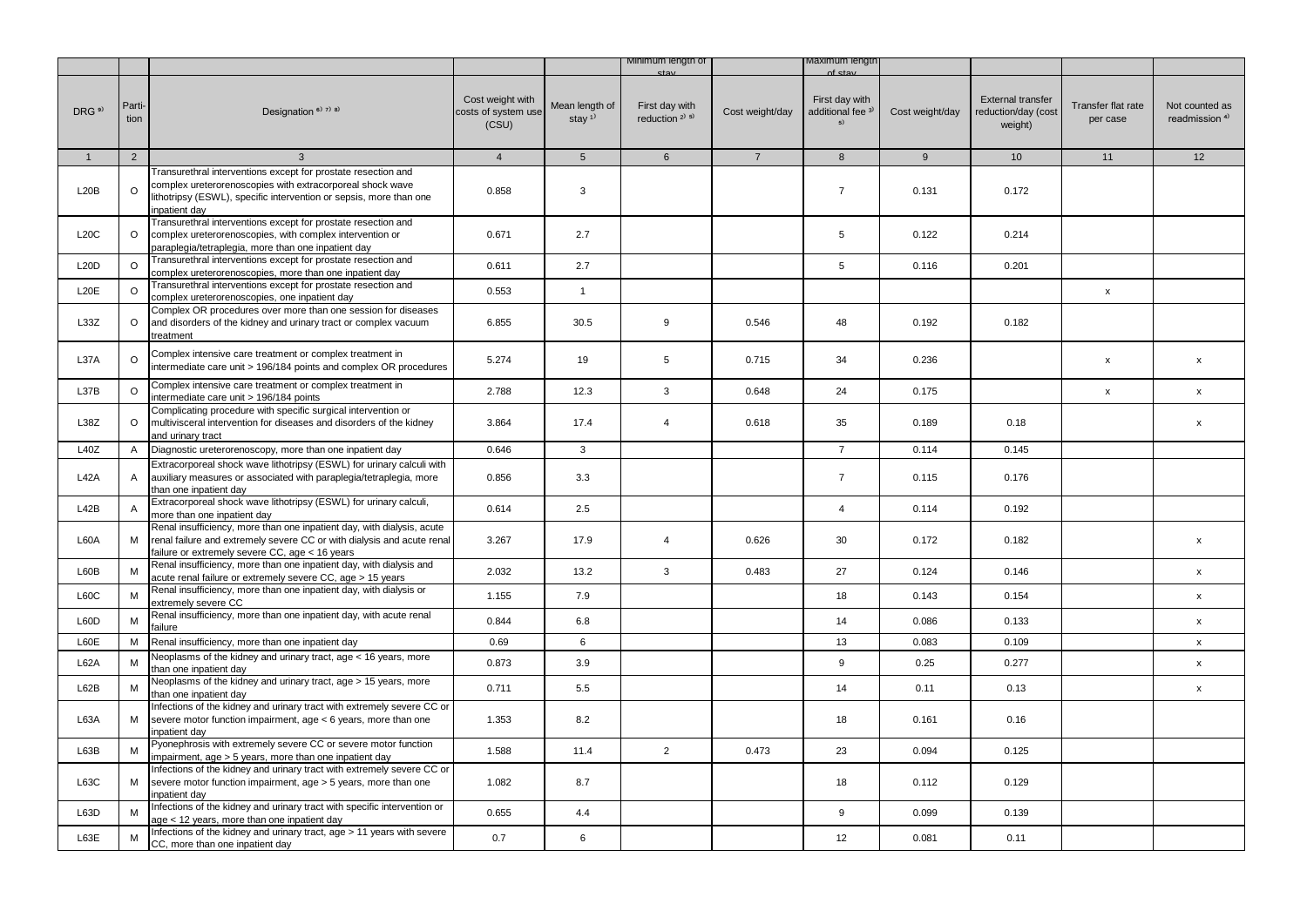|                   |                |                                                                                                                                                                                                                   |                                                  |                                         | Minimum length of                        |                 | viaximum iengtr                                      |                 |                                                            |                                |                                             |
|-------------------|----------------|-------------------------------------------------------------------------------------------------------------------------------------------------------------------------------------------------------------------|--------------------------------------------------|-----------------------------------------|------------------------------------------|-----------------|------------------------------------------------------|-----------------|------------------------------------------------------------|--------------------------------|---------------------------------------------|
| DRG <sup>9)</sup> | Parti-<br>tion | Designation <sup>6)</sup> <sup>7)</sup> <sup>8)</sup>                                                                                                                                                             | Cost weight with<br>costs of system use<br>(CSU) | Mean length of<br>stay $1$ <sup>1</sup> | First day with<br>reduction $2^{(3)}$ 5) | Cost weight/day | First day with<br>additional fee <sup>3)</sup><br>5) | Cost weight/day | <b>External transfer</b><br>reduction/day (cost<br>weight) | Transfer flat rate<br>per case | Not counted as<br>readmission <sup>4)</sup> |
| $\mathbf{1}$      | $\overline{2}$ | 3                                                                                                                                                                                                                 | $\overline{4}$                                   | 5 <sup>5</sup>                          | 6                                        | $\overline{7}$  | 8                                                    | 9               | 10 <sup>1</sup>                                            | 11                             | 12                                          |
| L20B              | $\circ$        | Transurethral interventions except for prostate resection and<br>complex ureterorenoscopies with extracorporeal shock wave<br>lithotripsy (ESWL), specific intervention or sepsis, more than one<br>inpatient day | 0.858                                            | 3                                       |                                          |                 | $\overline{7}$                                       | 0.131           | 0.172                                                      |                                |                                             |
| L20C              | O              | Transurethral interventions except for prostate resection and<br>complex ureterorenoscopies, with complex intervention or<br>paraplegia/tetraplegia, more than one inpatient day                                  | 0.671                                            | 2.7                                     |                                          |                 | 5                                                    | 0.122           | 0.214                                                      |                                |                                             |
| L20D              | $\circ$        | Transurethral interventions except for prostate resection and<br>complex ureterorenoscopies, more than one inpatient day                                                                                          | 0.611                                            | 2.7                                     |                                          |                 | 5                                                    | 0.116           | 0.201                                                      |                                |                                             |
| L20E              | $\circ$        | Transurethral interventions except for prostate resection and<br>complex ureterorenoscopies, one inpatient day                                                                                                    | 0.553                                            | $\mathbf{1}$                            |                                          |                 |                                                      |                 |                                                            | x                              |                                             |
| L33Z              | $\circ$        | Complex OR procedures over more than one session for diseases<br>and disorders of the kidney and urinary tract or complex vacuum<br>treatment                                                                     | 6.855                                            | 30.5                                    | 9                                        | 0.546           | 48                                                   | 0.192           | 0.182                                                      |                                |                                             |
| L37A              | $\circ$        | Complex intensive care treatment or complex treatment in<br>intermediate care unit > 196/184 points and complex OR procedures                                                                                     | 5.274                                            | 19                                      | 5                                        | 0.715           | 34                                                   | 0.236           |                                                            | X                              | $\pmb{\mathsf{x}}$                          |
| L37B              | $\circ$        | Complex intensive care treatment or complex treatment in<br>intermediate care unit > 196/184 points                                                                                                               | 2.788                                            | 12.3                                    | 3                                        | 0.648           | 24                                                   | 0.175           |                                                            | x                              | X                                           |
| L38Z              | O              | Complicating procedure with specific surgical intervention or<br>multivisceral intervention for diseases and disorders of the kidney<br>and urinary tract                                                         | 3.864                                            | 17.4                                    | $\overline{4}$                           | 0.618           | 35                                                   | 0.189           | 0.18                                                       |                                | $\pmb{\mathsf{x}}$                          |
| L40Z              | A              | Diagnostic ureterorenoscopy, more than one inpatient day                                                                                                                                                          | 0.646                                            | 3                                       |                                          |                 | $\overline{7}$                                       | 0.114           | 0.145                                                      |                                |                                             |
| L42A              | A              | Extracorporeal shock wave lithotripsy (ESWL) for urinary calculi with<br>auxiliary measures or associated with paraplegia/tetraplegia, more<br>than one inpatient day                                             | 0.856                                            | 3.3                                     |                                          |                 | $\overline{7}$                                       | 0.115           | 0.176                                                      |                                |                                             |
| L42B              | Α              | Extracorporeal shock wave lithotripsy (ESWL) for urinary calculi,<br>more than one inpatient day                                                                                                                  | 0.614                                            | 2.5                                     |                                          |                 | $\overline{4}$                                       | 0.114           | 0.192                                                      |                                |                                             |
| L60A              | M              | Renal insufficiency, more than one inpatient day, with dialysis, acute<br>renal failure and extremely severe CC or with dialysis and acute renal<br>failure or extremely severe CC, age < 16 years                | 3.267                                            | 17.9                                    | 4                                        | 0.626           | 30                                                   | 0.172           | 0.182                                                      |                                | X                                           |
| L60B              | M              | Renal insufficiency, more than one inpatient day, with dialysis and<br>acute renal failure or extremely severe CC, age > 15 years                                                                                 | 2.032                                            | 13.2                                    | 3                                        | 0.483           | 27                                                   | 0.124           | 0.146                                                      |                                | x                                           |
| L60C              | M              | Renal insufficiency, more than one inpatient day, with dialysis or<br>extremely severe CC                                                                                                                         | 1.155                                            | 7.9                                     |                                          |                 | 18                                                   | 0.143           | 0.154                                                      |                                | $\pmb{\mathsf{x}}$                          |
| L60D              | M              | Renal insufficiency, more than one inpatient day, with acute renal<br>failure                                                                                                                                     | 0.844                                            | 6.8                                     |                                          |                 | 14                                                   | 0.086           | 0.133                                                      |                                | $\pmb{\mathsf{x}}$                          |
| L60E              | М              | Renal insufficiency, more than one inpatient day                                                                                                                                                                  | 0.69                                             | 6                                       |                                          |                 | 13                                                   | 0.083           | 0.109                                                      |                                | $\boldsymbol{\mathsf{x}}$                   |
| L62A              | M              | Neoplasms of the kidney and urinary tract, age < 16 years, more<br>than one inpatient day                                                                                                                         | 0.873                                            | 3.9                                     |                                          |                 | 9                                                    | 0.25            | 0.277                                                      |                                | X                                           |
| L62B              | M              | Neoplasms of the kidney and urinary tract, age > 15 years, more<br>than one inpatient day                                                                                                                         | 0.711                                            | 5.5                                     |                                          |                 | 14                                                   | 0.11            | 0.13                                                       |                                | X                                           |
| L63A              | М              | Infections of the kidney and urinary tract with extremely severe CC or<br>severe motor function impairment, age < 6 years, more than one<br>inpatient day                                                         | 1.353                                            | 8.2                                     |                                          |                 | 18                                                   | 0.161           | 0.16                                                       |                                |                                             |
| L63B              | M              | Pyonephrosis with extremely severe CC or severe motor function<br>impairment, age > 5 years, more than one inpatient day                                                                                          | 1.588                                            | 11.4                                    | $\overline{2}$                           | 0.473           | 23                                                   | 0.094           | 0.125                                                      |                                |                                             |
| L63C              | М              | Infections of the kidney and urinary tract with extremely severe CC or<br>severe motor function impairment, age > 5 years, more than one<br>inpatient day                                                         | 1.082                                            | 8.7                                     |                                          |                 | 18                                                   | 0.112           | 0.129                                                      |                                |                                             |
| L63D              | M              | Infections of the kidney and urinary tract with specific intervention or<br>age < 12 years, more than one inpatient day                                                                                           | 0.655                                            | 4.4                                     |                                          |                 | 9                                                    | 0.099           | 0.139                                                      |                                |                                             |
| L63E              | м              | Infections of the kidney and urinary tract, age > 11 years with severe<br>CC, more than one inpatient day                                                                                                         | 0.7                                              | 6                                       |                                          |                 | 12                                                   | 0.081           | 0.11                                                       |                                |                                             |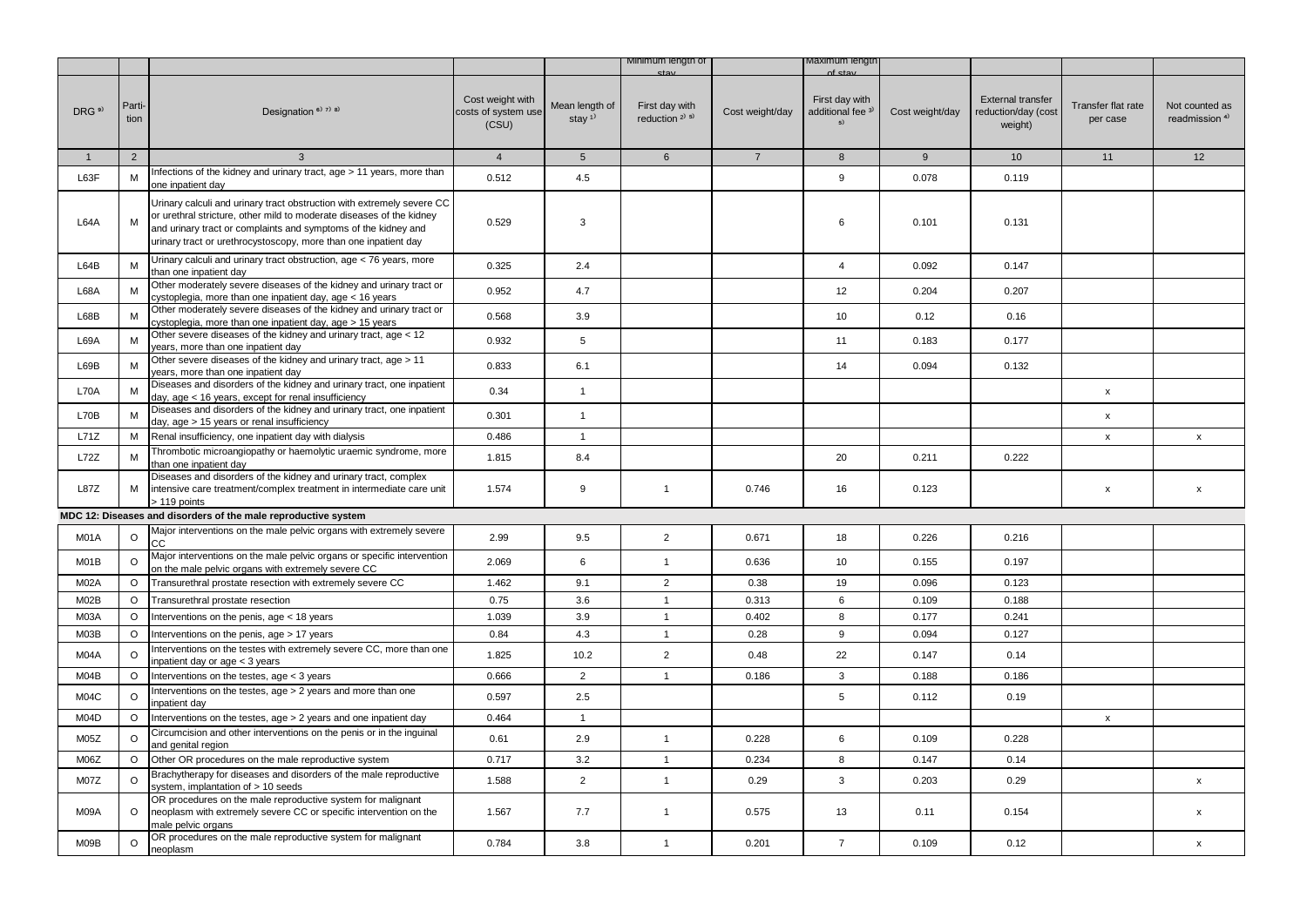|                   |                |                                                                                                                                                                                                                                                                                     |                                                  |                                         | Minimum lengtn of                                       |                 | iaximum iengt                                        |                 |                                                            |                                |                                             |
|-------------------|----------------|-------------------------------------------------------------------------------------------------------------------------------------------------------------------------------------------------------------------------------------------------------------------------------------|--------------------------------------------------|-----------------------------------------|---------------------------------------------------------|-----------------|------------------------------------------------------|-----------------|------------------------------------------------------------|--------------------------------|---------------------------------------------|
| DRG <sup>9)</sup> | Parti-<br>tion | Designation <sup>6)</sup> 7) 8)                                                                                                                                                                                                                                                     | Cost weight with<br>costs of system use<br>(CSU) | Mean length of<br>stay $1$ <sup>1</sup> | First day with<br>reduction <sup>2)</sup> <sup>5)</sup> | Cost weight/day | First day with<br>additional fee <sup>3)</sup><br>5) | Cost weight/day | <b>External transfer</b><br>reduction/day (cost<br>weight) | Transfer flat rate<br>per case | Not counted as<br>readmission <sup>4)</sup> |
| $\mathbf{1}$      | $\overline{2}$ | $\mathbf{3}$                                                                                                                                                                                                                                                                        | $\overline{4}$                                   | $5\overline{)}$                         | $6\overline{6}$                                         | $7\overline{ }$ | 8                                                    | 9               | 10 <sup>1</sup>                                            | 11                             | 12                                          |
| L63F              | M              | Infections of the kidney and urinary tract, age > 11 years, more than<br>one inpatient day                                                                                                                                                                                          | 0.512                                            | 4.5                                     |                                                         |                 | $\boldsymbol{9}$                                     | 0.078           | 0.119                                                      |                                |                                             |
| L64A              | M              | Urinary calculi and urinary tract obstruction with extremely severe CC<br>or urethral stricture, other mild to moderate diseases of the kidney<br>and urinary tract or complaints and symptoms of the kidney and<br>urinary tract or urethrocystoscopy, more than one inpatient day | 0.529                                            | 3                                       |                                                         |                 | 6                                                    | 0.101           | 0.131                                                      |                                |                                             |
| L64B              | M              | Urinary calculi and urinary tract obstruction, age < 76 years, more<br>than one inpatient day                                                                                                                                                                                       | 0.325                                            | 2.4                                     |                                                         |                 | $\overline{4}$                                       | 0.092           | 0.147                                                      |                                |                                             |
| L68A              | M              | Other moderately severe diseases of the kidney and urinary tract or<br>cystoplegia, more than one inpatient day, age < 16 years                                                                                                                                                     | 0.952                                            | 4.7                                     |                                                         |                 | 12                                                   | 0.204           | 0.207                                                      |                                |                                             |
| L68B              | М              | Other moderately severe diseases of the kidney and urinary tract or<br>cystoplegia, more than one inpatient day, age > 15 years                                                                                                                                                     | 0.568                                            | 3.9                                     |                                                         |                 | 10                                                   | 0.12            | 0.16                                                       |                                |                                             |
| <b>L69A</b>       | M              | Other severe diseases of the kidney and urinary tract, age < 12<br>years, more than one inpatient day                                                                                                                                                                               | 0.932                                            | 5                                       |                                                         |                 | 11                                                   | 0.183           | 0.177                                                      |                                |                                             |
| L69B              | M              | Other severe diseases of the kidney and urinary tract, age > 11<br>years, more than one inpatient day                                                                                                                                                                               | 0.833                                            | 6.1                                     |                                                         |                 | 14                                                   | 0.094           | 0.132                                                      |                                |                                             |
| L70A              | M              | Diseases and disorders of the kidney and urinary tract, one inpatient<br>day, age < 16 years, except for renal insufficiency                                                                                                                                                        | 0.34                                             | $\mathbf{1}$                            |                                                         |                 |                                                      |                 |                                                            | X                              |                                             |
| L70B              | M              | Diseases and disorders of the kidney and urinary tract, one inpatient<br>day, age > 15 years or renal insufficiency                                                                                                                                                                 | 0.301                                            | $\mathbf{1}$                            |                                                         |                 |                                                      |                 |                                                            | $\mathsf{x}$                   |                                             |
| L71Z              | M              | Renal insufficiency, one inpatient day with dialysis                                                                                                                                                                                                                                | 0.486                                            | $\mathbf{1}$                            |                                                         |                 |                                                      |                 |                                                            | $\mathsf{x}$                   | $\mathsf{x}$                                |
| L72Z              | M              | Thrombotic microangiopathy or haemolytic uraemic syndrome, more<br>than one inpatient day                                                                                                                                                                                           | 1.815                                            | 8.4                                     |                                                         |                 | 20                                                   | 0.211           | 0.222                                                      |                                |                                             |
| <b>L87Z</b>       | M              | Diseases and disorders of the kidney and urinary tract, complex<br>intensive care treatment/complex treatment in intermediate care unit<br>> 119 points                                                                                                                             | 1.574                                            | 9                                       | $\mathbf{1}$                                            | 0.746           | 16                                                   | 0.123           |                                                            | X                              | X                                           |
|                   |                | MDC 12: Diseases and disorders of the male reproductive system                                                                                                                                                                                                                      |                                                  |                                         |                                                         |                 |                                                      |                 |                                                            |                                |                                             |
| M01A              | $\circ$        | Major interventions on the male pelvic organs with extremely severe<br>CC                                                                                                                                                                                                           | 2.99                                             | 9.5                                     | $\overline{2}$                                          | 0.671           | 18                                                   | 0.226           | 0.216                                                      |                                |                                             |
| M01B              | $\circ$        | Major interventions on the male pelvic organs or specific intervention<br>on the male pelvic organs with extremely severe CC                                                                                                                                                        | 2.069                                            | 6                                       | $\mathbf{1}$                                            | 0.636           | 10                                                   | 0.155           | 0.197                                                      |                                |                                             |
| M02A              | O              | Transurethral prostate resection with extremely severe CC                                                                                                                                                                                                                           | 1.462                                            | 9.1                                     | $\overline{2}$                                          | 0.38            | 19                                                   | 0.096           | 0.123                                                      |                                |                                             |
| M02B              | $\circ$        | Transurethral prostate resection                                                                                                                                                                                                                                                    | 0.75                                             | 3.6                                     | $\mathbf{1}$                                            | 0.313           | 6                                                    | 0.109           | 0.188                                                      |                                |                                             |
| M03A              | $\circ$        | Interventions on the penis, age < 18 years                                                                                                                                                                                                                                          | 1.039                                            | 3.9                                     | $\mathbf{1}$                                            | 0.402           | 8                                                    | 0.177           | 0.241                                                      |                                |                                             |
| M03B              | O              | nterventions on the penis, age > 17 years                                                                                                                                                                                                                                           | 0.84                                             | 4.3                                     | $\mathbf{1}$                                            | 0.28            | 9                                                    | 0.094           | 0.127                                                      |                                |                                             |
| M04A              | $\circ$        | nterventions on the testes with extremely severe CC, more than one<br>inpatient day or age < 3 years                                                                                                                                                                                | 1.825                                            | 10.2                                    | $\overline{2}$                                          | 0.48            | 22                                                   | 0.147           | 0.14                                                       |                                |                                             |
| M04B              | $\circ$        | Interventions on the testes, age < 3 years                                                                                                                                                                                                                                          | 0.666                                            | $\overline{2}$                          | $\mathbf{1}$                                            | 0.186           | 3                                                    | 0.188           | 0.186                                                      |                                |                                             |
| M04C              | $\circ$        | nterventions on the testes, age > 2 years and more than one<br>npatient day                                                                                                                                                                                                         | 0.597                                            | 2.5                                     |                                                         |                 | 5                                                    | 0.112           | 0.19                                                       |                                |                                             |
| M04D              | O              | Interventions on the testes, age > 2 years and one inpatient day                                                                                                                                                                                                                    | 0.464                                            | $\mathbf{1}$                            |                                                         |                 |                                                      |                 |                                                            | X                              |                                             |
| M05Z              | $\circ$        | Circumcision and other interventions on the penis or in the inguinal<br>and genital region                                                                                                                                                                                          | 0.61                                             | 2.9                                     | $\mathbf{1}$                                            | 0.228           | 6                                                    | 0.109           | 0.228                                                      |                                |                                             |
| M06Z              | O              | Other OR procedures on the male reproductive system                                                                                                                                                                                                                                 | 0.717                                            | 3.2                                     | $\mathbf{1}$                                            | 0.234           | 8                                                    | 0.147           | 0.14                                                       |                                |                                             |
| M07Z              | $\circ$        | Brachytherapy for diseases and disorders of the male reproductive<br>system, implantation of > 10 seeds                                                                                                                                                                             | 1.588                                            | $\overline{2}$                          | $\mathbf{1}$                                            | 0.29            | 3                                                    | 0.203           | 0.29                                                       |                                | $\pmb{\mathsf{X}}$                          |
| M09A              | O              | OR procedures on the male reproductive system for malignant<br>neoplasm with extremely severe CC or specific intervention on the<br>male pelvic organs                                                                                                                              | 1.567                                            | 7.7                                     | $\mathbf{1}$                                            | 0.575           | 13                                                   | 0.11            | 0.154                                                      |                                | X                                           |
| M09B              | $\circ$        | OR procedures on the male reproductive system for malignant<br>neoplasm                                                                                                                                                                                                             | 0.784                                            | 3.8                                     | $\mathbf{1}$                                            | 0.201           | $\overline{7}$                                       | 0.109           | 0.12                                                       |                                | x                                           |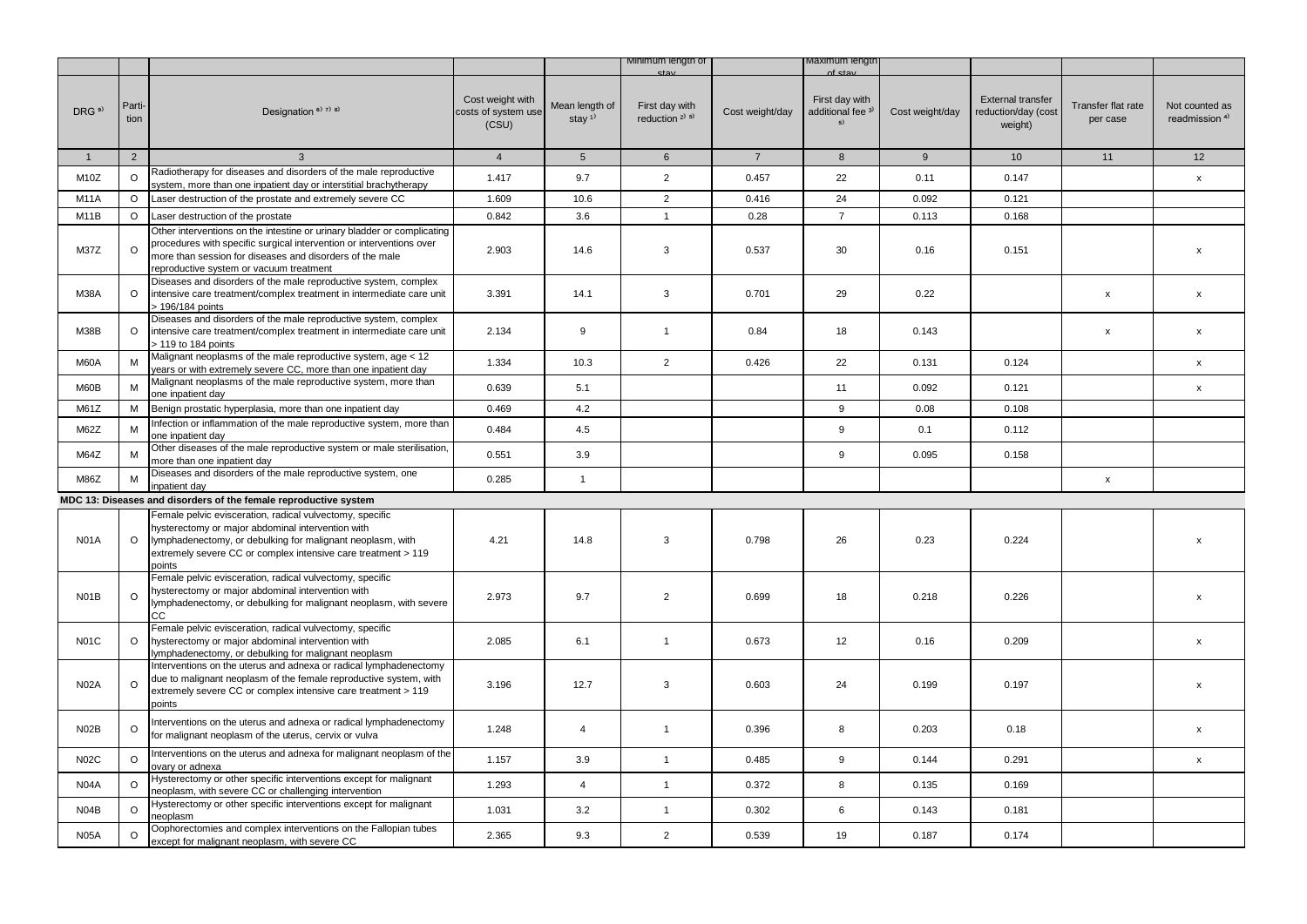|                   |                |                                                                                                                                                                                                                                                        |                                                  |                                         | Minimum iength of                     |                 | /laximum lengtr                                      |                 |                                                            |                                |                                             |
|-------------------|----------------|--------------------------------------------------------------------------------------------------------------------------------------------------------------------------------------------------------------------------------------------------------|--------------------------------------------------|-----------------------------------------|---------------------------------------|-----------------|------------------------------------------------------|-----------------|------------------------------------------------------------|--------------------------------|---------------------------------------------|
| DRG <sup>9)</sup> | Parti-<br>tion | Designation $6$ <sup>3</sup> $7$ <sup>3</sup> $8$ <sup>3</sup>                                                                                                                                                                                         | Cost weight with<br>costs of system use<br>(CSU) | Mean length of<br>stay $1$ <sup>1</sup> | First day with<br>reduction $2^{1.5}$ | Cost weight/day | First day with<br>additional fee <sup>3)</sup><br>5) | Cost weight/day | <b>External transfer</b><br>reduction/day (cost<br>weight) | Transfer flat rate<br>per case | Not counted as<br>readmission <sup>4)</sup> |
| $\mathbf{1}$      | $\overline{2}$ | $\mathbf{3}$                                                                                                                                                                                                                                           | $\overline{4}$                                   | 5 <sup>5</sup>                          | $6\overline{6}$                       | $7^{\circ}$     | 8                                                    | 9               | 10 <sup>1</sup>                                            | 11                             | 12                                          |
| M <sub>10</sub> Z | O              | Radiotherapy for diseases and disorders of the male reproductive<br>system, more than one inpatient day or interstitial brachytherapy                                                                                                                  | 1.417                                            | 9.7                                     | $\overline{2}$                        | 0.457           | 22                                                   | 0.11            | 0.147                                                      |                                | $\pmb{\mathsf{x}}$                          |
| <b>M11A</b>       | $\circ$        | Laser destruction of the prostate and extremely severe CC                                                                                                                                                                                              | 1.609                                            | 10.6                                    | $\overline{2}$                        | 0.416           | 24                                                   | 0.092           | 0.121                                                      |                                |                                             |
| M <sub>1</sub> 1B | $\circ$        | Laser destruction of the prostate                                                                                                                                                                                                                      | 0.842                                            | 3.6                                     | $\mathbf{1}$                          | 0.28            | $\overline{7}$                                       | 0.113           | 0.168                                                      |                                |                                             |
| M37Z              | $\circ$        | Other interventions on the intestine or urinary bladder or complicating<br>procedures with specific surgical intervention or interventions over<br>more than session for diseases and disorders of the male<br>reproductive system or vacuum treatment | 2.903                                            | 14.6                                    | 3                                     | 0.537           | 30                                                   | 0.16            | 0.151                                                      |                                | $\boldsymbol{\mathsf{x}}$                   |
| M38A              | $\circ$        | Diseases and disorders of the male reproductive system, complex<br>intensive care treatment/complex treatment in intermediate care unit<br>> 196/184 points                                                                                            | 3.391                                            | 14.1                                    | 3                                     | 0.701           | 29                                                   | 0.22            |                                                            | x                              | $\pmb{\mathsf{x}}$                          |
| M38B              | $\circ$        | Diseases and disorders of the male reproductive system, complex<br>intensive care treatment/complex treatment in intermediate care unit<br>> 119 to 184 points                                                                                         | 2.134                                            | 9                                       | $\mathbf{1}$                          | 0.84            | 18                                                   | 0.143           |                                                            | x                              | $\pmb{\mathsf{x}}$                          |
| M60A              | M              | Malignant neoplasms of the male reproductive system, age < 12<br>years or with extremely severe CC, more than one inpatient day                                                                                                                        | 1.334                                            | 10.3                                    | $\overline{2}$                        | 0.426           | 22                                                   | 0.131           | 0.124                                                      |                                | X                                           |
| M60B              | м              | Malignant neoplasms of the male reproductive system, more than<br>one inpatient day                                                                                                                                                                    | 0.639                                            | 5.1                                     |                                       |                 | 11                                                   | 0.092           | 0.121                                                      |                                | $\pmb{\mathsf{x}}$                          |
| M61Z              | М              | Benign prostatic hyperplasia, more than one inpatient day                                                                                                                                                                                              | 0.469                                            | 4.2                                     |                                       |                 | 9                                                    | 0.08            | 0.108                                                      |                                |                                             |
| M62Z              | M              | Infection or inflammation of the male reproductive system, more than<br>one inpatient day                                                                                                                                                              | 0.484                                            | 4.5                                     |                                       |                 | 9                                                    | 0.1             | 0.112                                                      |                                |                                             |
| M64Z              | M              | Other diseases of the male reproductive system or male sterilisation,<br>more than one inpatient day                                                                                                                                                   | 0.551                                            | 3.9                                     |                                       |                 | 9                                                    | 0.095           | 0.158                                                      |                                |                                             |
| M86Z              | M              | Diseases and disorders of the male reproductive system, one<br>inpatient day                                                                                                                                                                           | 0.285                                            | $\mathbf{1}$                            |                                       |                 |                                                      |                 |                                                            | x                              |                                             |
|                   |                | MDC 13: Diseases and disorders of the female reproductive system                                                                                                                                                                                       |                                                  |                                         |                                       |                 |                                                      |                 |                                                            |                                |                                             |
| <b>N01A</b>       | $\circ$        | Female pelvic evisceration, radical vulvectomy, specific<br>hysterectomy or major abdominal intervention with<br>lymphadenectomy, or debulking for malignant neoplasm, with<br>extremely severe CC or complex intensive care treatment > 119<br>points | 4.21                                             | 14.8                                    | 3                                     | 0.798           | 26                                                   | 0.23            | 0.224                                                      |                                | x                                           |
| N01B              | $\circ$        | Female pelvic evisceration, radical vulvectomy, specific<br>hysterectomy or major abdominal intervention with<br>lymphadenectomy, or debulking for malignant neoplasm, with severe<br>CC                                                               | 2.973                                            | 9.7                                     | $\overline{2}$                        | 0.699           | 18                                                   | 0.218           | 0.226                                                      |                                | $\boldsymbol{\mathsf{x}}$                   |
| <b>N01C</b>       | $\circ$        | Female pelvic evisceration, radical vulvectomy, specific<br>hysterectomy or major abdominal intervention with<br>lymphadenectomy, or debulking for malignant neoplasm                                                                                  | 2.085                                            | 6.1                                     | $\mathbf{1}$                          | 0.673           | 12                                                   | 0.16            | 0.209                                                      |                                | $\mathsf{x}$                                |
| <b>N02A</b>       | $\circ$        | Interventions on the uterus and adnexa or radical lymphadenectomy<br>due to malignant neoplasm of the female reproductive system, with<br>extremely severe CC or complex intensive care treatment > 119<br>points                                      | 3.196                                            | 12.7                                    | 3                                     | 0.603           | 24                                                   | 0.199           | 0.197                                                      |                                | $\mathsf{x}$                                |
| N <sub>02</sub> B | $\circ$        | Interventions on the uterus and adnexa or radical lymphadenectomy<br>for malignant neoplasm of the uterus, cervix or vulva                                                                                                                             | 1.248                                            | 4                                       | $\mathbf{1}$                          | 0.396           | 8                                                    | 0.203           | 0.18                                                       |                                | X                                           |
| <b>N02C</b>       | $\circ$        | Interventions on the uterus and adnexa for malignant neoplasm of the<br>ovary or adnexa                                                                                                                                                                | 1.157                                            | 3.9                                     | $\mathbf{1}$                          | 0.485           | 9                                                    | 0.144           | 0.291                                                      |                                | $\pmb{\mathsf{x}}$                          |
| N <sub>04</sub> A | O              | Hysterectomy or other specific interventions except for malignant<br>neoplasm, with severe CC or challenging intervention                                                                                                                              | 1.293                                            | $\overline{4}$                          | $\mathbf{1}$                          | 0.372           | 8                                                    | 0.135           | 0.169                                                      |                                |                                             |
| N <sub>04</sub> B | $\circ$        | Hysterectomy or other specific interventions except for malignant<br>neoplasm                                                                                                                                                                          | 1.031                                            | 3.2                                     | $\mathbf{1}$                          | 0.302           | 6                                                    | 0.143           | 0.181                                                      |                                |                                             |
| <b>N05A</b>       | $\circ$        | Oophorectomies and complex interventions on the Fallopian tubes<br>except for malignant neoplasm, with severe CC                                                                                                                                       | 2.365                                            | 9.3                                     | $\overline{2}$                        | 0.539           | 19                                                   | 0.187           | 0.174                                                      |                                |                                             |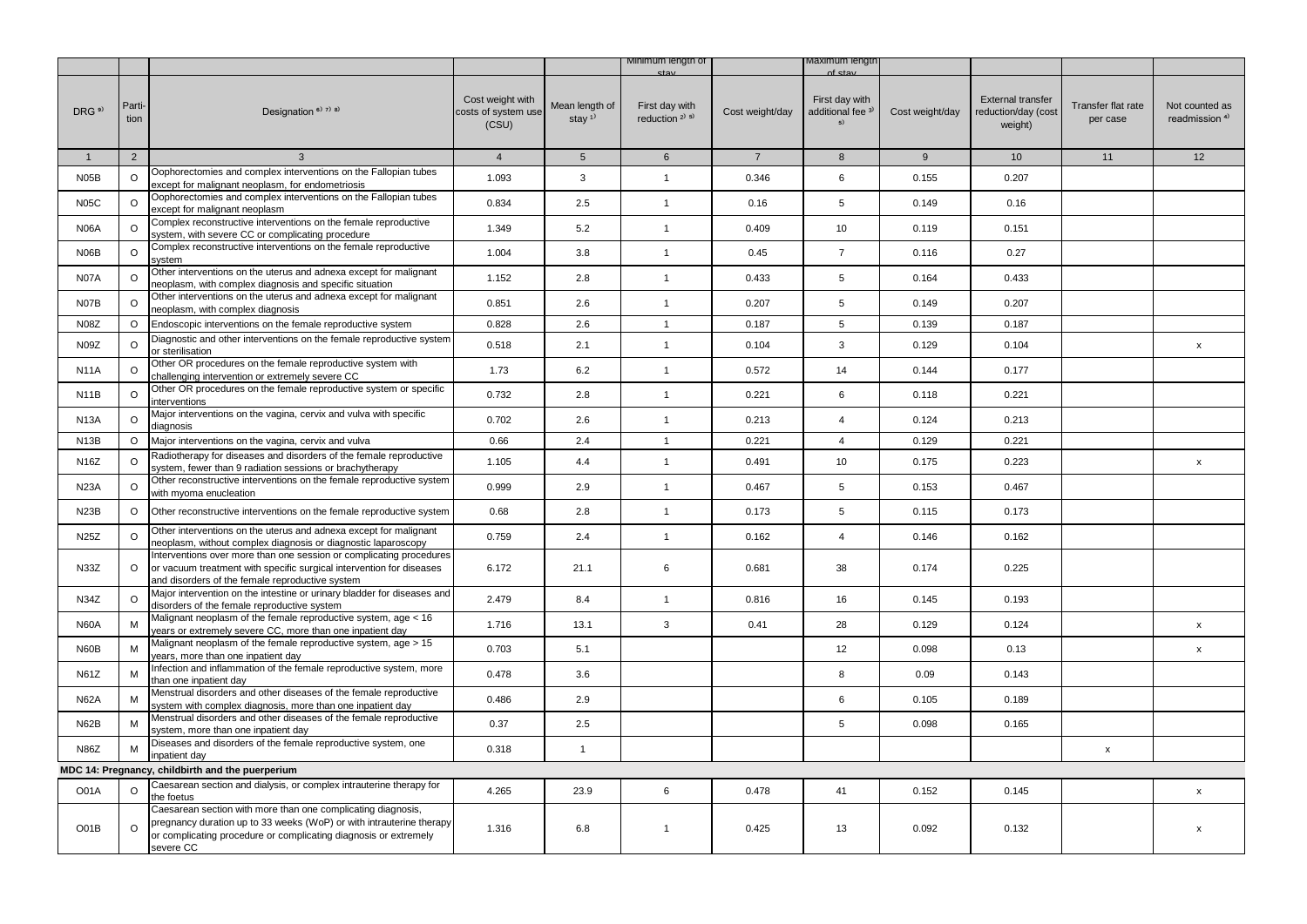|                   |                |                                                                                                                                                                                                                       |                                                  |                                         | Minimum length of                        |                 | vlaximum lengti                                      |                 |                                                            |                                |                                             |
|-------------------|----------------|-----------------------------------------------------------------------------------------------------------------------------------------------------------------------------------------------------------------------|--------------------------------------------------|-----------------------------------------|------------------------------------------|-----------------|------------------------------------------------------|-----------------|------------------------------------------------------------|--------------------------------|---------------------------------------------|
| DRG <sup>9)</sup> | Parti-<br>tion | Designation <sup>6)</sup> <sup>7)</sup> <sup>8)</sup>                                                                                                                                                                 | Cost weight with<br>costs of system use<br>(CSU) | Mean length of<br>stay $1$ <sup>1</sup> | First day with<br>reduction $2^{(3)}$ 5) | Cost weight/day | First day with<br>additional fee <sup>3)</sup><br>5) | Cost weight/day | <b>External transfer</b><br>reduction/day (cost<br>weight) | Transfer flat rate<br>per case | Not counted as<br>readmission <sup>4)</sup> |
| $\mathbf{1}$      | $\overline{2}$ | 3                                                                                                                                                                                                                     | $\overline{4}$                                   | 5 <sup>5</sup>                          | $6\phantom{.}$                           | $7\overline{ }$ | 8                                                    | 9               | 10 <sup>1</sup>                                            | 11                             | 12                                          |
| N05B              | $\circ$        | Oophorectomies and complex interventions on the Fallopian tubes<br>except for malignant neoplasm, for endometriosis                                                                                                   | 1.093                                            | 3                                       | $\mathbf{1}$                             | 0.346           | 6                                                    | 0.155           | 0.207                                                      |                                |                                             |
| <b>N05C</b>       | $\circ$        | Oophorectomies and complex interventions on the Fallopian tubes<br>except for malignant neoplasm                                                                                                                      | 0.834                                            | 2.5                                     | $\mathbf{1}$                             | 0.16            | 5                                                    | 0.149           | 0.16                                                       |                                |                                             |
| <b>N06A</b>       | $\circ$        | Complex reconstructive interventions on the female reproductive<br>system, with severe CC or complicating procedure                                                                                                   | 1.349                                            | 5.2                                     | $\mathbf{1}$                             | 0.409           | 10                                                   | 0.119           | 0.151                                                      |                                |                                             |
| N06B              | $\circ$        | Complex reconstructive interventions on the female reproductive<br>system                                                                                                                                             | 1.004                                            | 3.8                                     | $\mathbf{1}$                             | 0.45            | $\overline{7}$                                       | 0.116           | 0.27                                                       |                                |                                             |
| <b>N07A</b>       | $\circ$        | Other interventions on the uterus and adnexa except for malignant<br>neoplasm, with complex diagnosis and specific situation                                                                                          | 1.152                                            | 2.8                                     | $\mathbf{1}$                             | 0.433           | 5                                                    | 0.164           | 0.433                                                      |                                |                                             |
| N07B              | $\circ$        | Other interventions on the uterus and adnexa except for malignant<br>neoplasm, with complex diagnosis                                                                                                                 | 0.851                                            | 2.6                                     | $\mathbf{1}$                             | 0.207           | 5                                                    | 0.149           | 0.207                                                      |                                |                                             |
| <b>N08Z</b>       | $\circ$        | Endoscopic interventions on the female reproductive system                                                                                                                                                            | 0.828                                            | 2.6                                     | $\mathbf{1}$                             | 0.187           | 5                                                    | 0.139           | 0.187                                                      |                                |                                             |
| N09Z              | $\circ$        | Diagnostic and other interventions on the female reproductive system<br>or sterilisation                                                                                                                              | 0.518                                            | 2.1                                     | $\mathbf{1}$                             | 0.104           | 3                                                    | 0.129           | 0.104                                                      |                                | x                                           |
| <b>N11A</b>       | $\circ$        | Other OR procedures on the female reproductive system with<br>challenging intervention or extremely severe CC                                                                                                         | 1.73                                             | 6.2                                     | $\mathbf{1}$                             | 0.572           | 14                                                   | 0.144           | 0.177                                                      |                                |                                             |
| <b>N11B</b>       | $\circ$        | Other OR procedures on the female reproductive system or specific<br>interventions                                                                                                                                    | 0.732                                            | 2.8                                     | $\mathbf{1}$                             | 0.221           | 6                                                    | 0.118           | 0.221                                                      |                                |                                             |
| <b>N13A</b>       | $\circ$        | Major interventions on the vagina, cervix and vulva with specific<br>diagnosis                                                                                                                                        | 0.702                                            | 2.6                                     | $\mathbf{1}$                             | 0.213           | $\overline{4}$                                       | 0.124           | 0.213                                                      |                                |                                             |
| N <sub>13</sub> B | $\circ$        | Major interventions on the vagina, cervix and vulva                                                                                                                                                                   | 0.66                                             | 2.4                                     | $\overline{1}$                           | 0.221           | $\overline{4}$                                       | 0.129           | 0.221                                                      |                                |                                             |
| N16Z              | $\circ$        | Radiotherapy for diseases and disorders of the female reproductive<br>system, fewer than 9 radiation sessions or brachytherapy                                                                                        | 1.105                                            | 4.4                                     | $\mathbf{1}$                             | 0.491           | 10                                                   | 0.175           | 0.223                                                      |                                | X                                           |
| <b>N23A</b>       | $\circ$        | Other reconstructive interventions on the female reproductive system<br>with myoma enucleation                                                                                                                        | 0.999                                            | 2.9                                     | $\mathbf{1}$                             | 0.467           | 5                                                    | 0.153           | 0.467                                                      |                                |                                             |
| N <sub>23</sub> B | O              | Other reconstructive interventions on the female reproductive system                                                                                                                                                  | 0.68                                             | 2.8                                     | $\mathbf{1}$                             | 0.173           | 5                                                    | 0.115           | 0.173                                                      |                                |                                             |
| N25Z              | $\circ$        | Other interventions on the uterus and adnexa except for malignant<br>neoplasm, without complex diagnosis or diagnostic laparoscopy                                                                                    | 0.759                                            | 2.4                                     | $\mathbf{1}$                             | 0.162           | $\overline{4}$                                       | 0.146           | 0.162                                                      |                                |                                             |
| N33Z              | $\circ$        | Interventions over more than one session or complicating procedures<br>or vacuum treatment with specific surgical intervention for diseases<br>and disorders of the female reproductive system                        | 6.172                                            | 21.1                                    | 6                                        | 0.681           | 38                                                   | 0.174           | 0.225                                                      |                                |                                             |
| N34Z              | $\circ$        | Major intervention on the intestine or urinary bladder for diseases and<br>disorders of the female reproductive system                                                                                                | 2.479                                            | 8.4                                     | $\mathbf{1}$                             | 0.816           | 16                                                   | 0.145           | 0.193                                                      |                                |                                             |
| <b>N60A</b>       | M              | Malignant neoplasm of the female reproductive system, age < 16<br>years or extremely severe CC, more than one inpatient day                                                                                           | 1.716                                            | 13.1                                    | 3                                        | 0.41            | 28                                                   | 0.129           | 0.124                                                      |                                | X                                           |
| N60B              | M              | Malignant neoplasm of the female reproductive system, age > 15<br>years, more than one inpatient day                                                                                                                  | 0.703                                            | 5.1                                     |                                          |                 | 12                                                   | 0.098           | 0.13                                                       |                                | X                                           |
| N61Z              | M              | Infection and inflammation of the female reproductive system, more<br>than one inpatient day                                                                                                                          | 0.478                                            | 3.6                                     |                                          |                 | 8                                                    | 0.09            | 0.143                                                      |                                |                                             |
| <b>N62A</b>       | M              | Menstrual disorders and other diseases of the female reproductive<br>system with complex diagnosis, more than one inpatient day                                                                                       | 0.486                                            | 2.9                                     |                                          |                 | 6                                                    | 0.105           | 0.189                                                      |                                |                                             |
| <b>N62B</b>       | M              | Menstrual disorders and other diseases of the female reproductive<br>system, more than one inpatient day                                                                                                              | 0.37                                             | 2.5                                     |                                          |                 | 5                                                    | 0.098           | 0.165                                                      |                                |                                             |
| <b>N86Z</b>       | M              | Diseases and disorders of the female reproductive system, one<br>inpatient day                                                                                                                                        | 0.318                                            | $\mathbf{1}$                            |                                          |                 |                                                      |                 |                                                            | X                              |                                             |
|                   |                | MDC 14: Pregnancy, childbirth and the puerperium                                                                                                                                                                      |                                                  |                                         |                                          |                 |                                                      |                 |                                                            |                                |                                             |
| O01A              | O              | Caesarean section and dialysis, or complex intrauterine therapy for<br>the foetus                                                                                                                                     | 4.265                                            | 23.9                                    | 6                                        | 0.478           | 41                                                   | 0.152           | 0.145                                                      |                                | $\mathsf{x}$                                |
| O01B              | $\circ$        | Caesarean section with more than one complicating diagnosis,<br>pregnancy duration up to 33 weeks (WoP) or with intrauterine therapy<br>or complicating procedure or complicating diagnosis or extremely<br>severe CC | 1.316                                            | 6.8                                     | $\mathbf{1}$                             | 0.425           | 13                                                   | 0.092           | 0.132                                                      |                                | X                                           |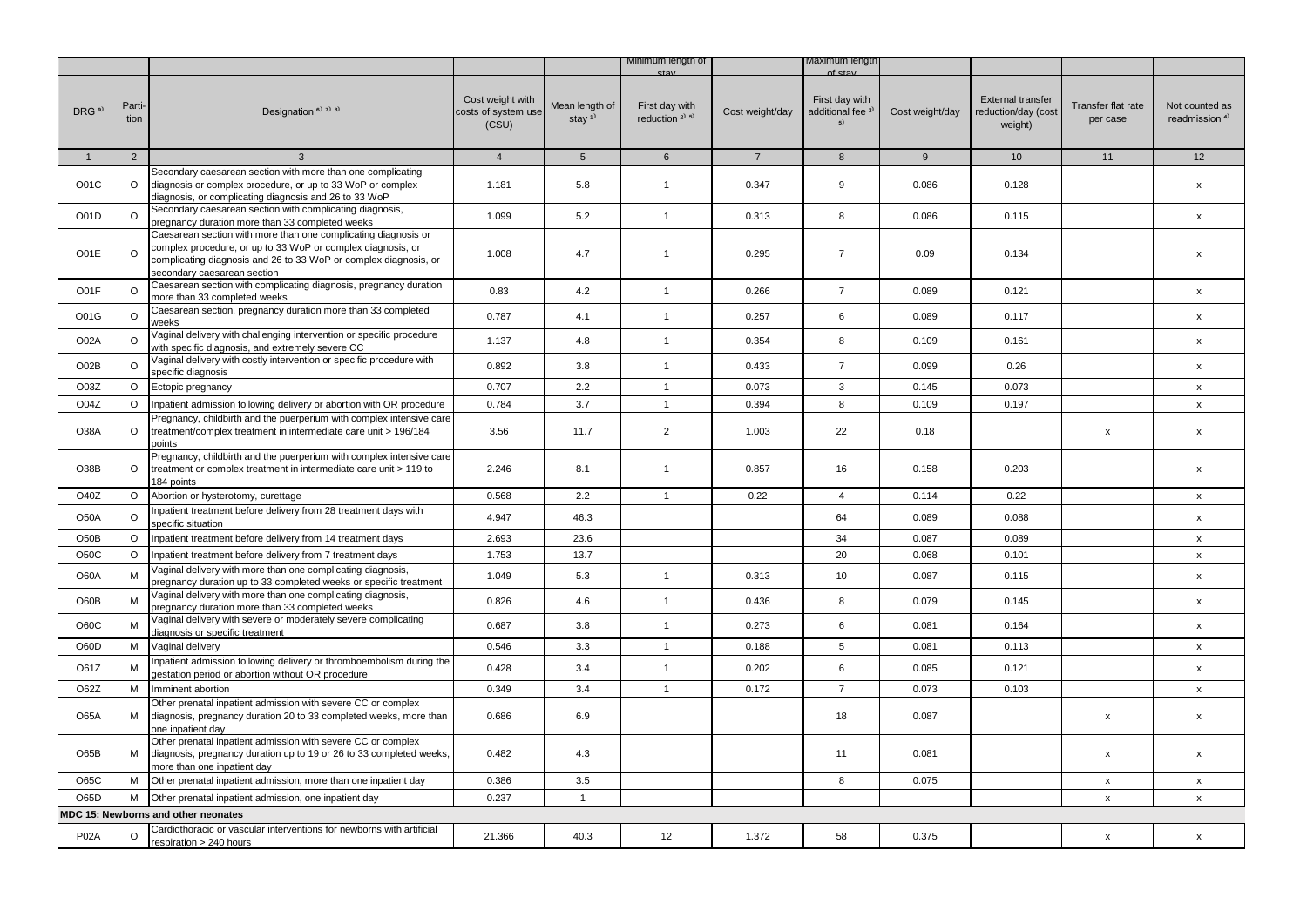|                   |                |                                                                                                                                                                                                                                  |                                                  |                                         | Minimum length of                        |                 | maxımum iengtr                                       |                 |                                                            |                                |                                             |
|-------------------|----------------|----------------------------------------------------------------------------------------------------------------------------------------------------------------------------------------------------------------------------------|--------------------------------------------------|-----------------------------------------|------------------------------------------|-----------------|------------------------------------------------------|-----------------|------------------------------------------------------------|--------------------------------|---------------------------------------------|
| DRG <sup>9)</sup> | Parti-<br>tion | Designation <sup>6)</sup> 7) 8)                                                                                                                                                                                                  | Cost weight with<br>costs of system use<br>(CSU) | Mean length of<br>stay $1$ <sup>1</sup> | First day with<br>reduction $2^{(3)}$ 5) | Cost weight/day | First day with<br>additional fee <sup>3)</sup><br>5) | Cost weight/day | <b>External transfer</b><br>reduction/day (cost<br>weight) | Transfer flat rate<br>per case | Not counted as<br>readmission <sup>4)</sup> |
| $\mathbf{1}$      | 2              | $\mathbf{3}$                                                                                                                                                                                                                     | $\overline{4}$                                   | 5 <sup>5</sup>                          | $6\overline{6}$                          | $\overline{7}$  | 8                                                    | 9               | 10 <sup>1</sup>                                            | 11                             | 12                                          |
| O01C              | $\circ$        | Secondary caesarean section with more than one complicating<br>diagnosis or complex procedure, or up to 33 WoP or complex<br>diagnosis, or complicating diagnosis and 26 to 33 WoP                                               | 1.181                                            | 5.8                                     | $\mathbf{1}$                             | 0.347           | 9                                                    | 0.086           | 0.128                                                      |                                | $\mathsf{x}$                                |
| O01D              | $\circ$        | Secondary caesarean section with complicating diagnosis,<br>pregnancy duration more than 33 completed weeks                                                                                                                      | 1.099                                            | 5.2                                     | $\mathbf{1}$                             | 0.313           | 8                                                    | 0.086           | 0.115                                                      |                                | $\mathsf{x}$                                |
| O01E              | $\circ$        | Caesarean section with more than one complicating diagnosis or<br>complex procedure, or up to 33 WoP or complex diagnosis, or<br>complicating diagnosis and 26 to 33 WoP or complex diagnosis, or<br>secondary caesarean section | 1.008                                            | 4.7                                     | $\mathbf{1}$                             | 0.295           | $\overline{7}$                                       | 0.09            | 0.134                                                      |                                | X                                           |
| O01F              | $\circ$        | Caesarean section with complicating diagnosis, pregnancy duration<br>more than 33 completed weeks                                                                                                                                | 0.83                                             | 4.2                                     | $\mathbf{1}$                             | 0.266           | $\overline{7}$                                       | 0.089           | 0.121                                                      |                                | $\mathsf{x}$                                |
| O01G              | $\circ$        | Caesarean section, pregnancy duration more than 33 completed<br>weeks                                                                                                                                                            | 0.787                                            | 4.1                                     | $\mathbf{1}$                             | 0.257           | 6                                                    | 0.089           | 0.117                                                      |                                | x                                           |
| O02A              | $\Omega$       | Vaginal delivery with challenging intervention or specific procedure<br>with specific diagnosis, and extremely severe CC                                                                                                         | 1.137                                            | 4.8                                     | $\mathbf{1}$                             | 0.354           | 8                                                    | 0.109           | 0.161                                                      |                                | $\mathsf{x}$                                |
| O02B              | $\circ$        | Vaginal delivery with costly intervention or specific procedure with<br>specific diagnosis                                                                                                                                       | 0.892                                            | 3.8                                     | $\mathbf{1}$                             | 0.433           | $\overline{7}$                                       | 0.099           | 0.26                                                       |                                | $\pmb{\mathsf{x}}$                          |
| O03Z              | $\circ$        | Ectopic pregnancy                                                                                                                                                                                                                | 0.707                                            | 2.2                                     | $\mathbf{1}$                             | 0.073           | 3                                                    | 0.145           | 0.073                                                      |                                | $\mathsf{x}$                                |
| O04Z              | $\circ$        | Inpatient admission following delivery or abortion with OR procedure                                                                                                                                                             | 0.784                                            | 3.7                                     | $\mathbf{1}$                             | 0.394           | 8                                                    | 0.109           | 0.197                                                      |                                | $\pmb{\mathsf{X}}$                          |
| O38A              | $\circ$        | Pregnancy, childbirth and the puerperium with complex intensive care<br>treatment/complex treatment in intermediate care unit > 196/184<br>points                                                                                | 3.56                                             | 11.7                                    | $\overline{2}$                           | 1.003           | 22                                                   | 0.18            |                                                            | x                              | $\pmb{\mathsf{x}}$                          |
| O38B              | O              | Pregnancy, childbirth and the puerperium with complex intensive care<br>treatment or complex treatment in intermediate care unit > 119 to<br>184 points                                                                          | 2.246                                            | 8.1                                     | $\mathbf{1}$                             | 0.857           | 16                                                   | 0.158           | 0.203                                                      |                                | $\mathsf{x}$                                |
| O40Z              | O              | Abortion or hysterotomy, curettage                                                                                                                                                                                               | 0.568                                            | 2.2                                     | $\mathbf{1}$                             | 0.22            | $\overline{4}$                                       | 0.114           | 0.22                                                       |                                | $\mathsf{x}$                                |
| <b>O50A</b>       | $\circ$        | Inpatient treatment before delivery from 28 treatment days with<br>specific situation                                                                                                                                            | 4.947                                            | 46.3                                    |                                          |                 | 64                                                   | 0.089           | 0.088                                                      |                                | $\mathsf{x}$                                |
| O50B              | $\circ$        | Inpatient treatment before delivery from 14 treatment days                                                                                                                                                                       | 2.693                                            | 23.6                                    |                                          |                 | 34                                                   | 0.087           | 0.089                                                      |                                | $\mathsf{x}$                                |
| <b>O50C</b>       | $\circ$        | Inpatient treatment before delivery from 7 treatment days                                                                                                                                                                        | 1.753                                            | 13.7                                    |                                          |                 | 20                                                   | 0.068           | 0.101                                                      |                                | $\pmb{\chi}$                                |
| O60A              | M              | Vaginal delivery with more than one complicating diagnosis,<br>pregnancy duration up to 33 completed weeks or specific treatment                                                                                                 | 1.049                                            | 5.3                                     | $\mathbf{1}$                             | 0.313           | 10                                                   | 0.087           | 0.115                                                      |                                | $\pmb{\mathsf{x}}$                          |
| O60B              | M              | Vaginal delivery with more than one complicating diagnosis,<br>bregnancy duration more than 33 completed weeks                                                                                                                   | 0.826                                            | 4.6                                     | $\mathbf{1}$                             | 0.436           | 8                                                    | 0.079           | 0.145                                                      |                                | $\pmb{\mathsf{x}}$                          |
| O60C              | M              | Vaginal delivery with severe or moderately severe complicating<br>diagnosis or specific treatment                                                                                                                                | 0.687                                            | 3.8                                     | $\mathbf{1}$                             | 0.273           | 6                                                    | 0.081           | 0.164                                                      |                                | $\mathsf{x}$                                |
| O60D              | M              | Vaginal delivery                                                                                                                                                                                                                 | 0.546                                            | 3.3                                     | $\mathbf{1}$                             | 0.188           | 5                                                    | 0.081           | 0.113                                                      |                                | X                                           |
| O61Z              | M              | Inpatient admission following delivery or thromboembolism during the<br>gestation period or abortion without OR procedure                                                                                                        | 0.428                                            | 3.4                                     | $\mathbf{1}$                             | 0.202           | 6                                                    | 0.085           | 0.121                                                      |                                | $\mathsf{x}$                                |
| O62Z              | M              | Imminent abortion                                                                                                                                                                                                                | 0.349                                            | 3.4                                     | $\mathbf{1}$                             | 0.172           | $\overline{7}$                                       | 0.073           | 0.103                                                      |                                | $\mathsf{x}$                                |
| <b>O65A</b>       | М              | Other prenatal inpatient admission with severe CC or complex<br>diagnosis, pregnancy duration 20 to 33 completed weeks, more than<br>one inpatient day                                                                           | 0.686                                            | 6.9                                     |                                          |                 | 18                                                   | 0.087           |                                                            | x                              | $\pmb{\mathsf{x}}$                          |
| O65B              | M              | Other prenatal inpatient admission with severe CC or complex<br>diagnosis, pregnancy duration up to 19 or 26 to 33 completed weeks,<br>more than one inpatient day                                                               | 0.482                                            | 4.3                                     |                                          |                 | 11                                                   | 0.081           |                                                            | x                              | $\pmb{\mathsf{x}}$                          |
| O65C              | М              | Other prenatal inpatient admission, more than one inpatient day                                                                                                                                                                  | 0.386                                            | 3.5                                     |                                          |                 | 8                                                    | 0.075           |                                                            | $\pmb{\mathsf{x}}$             | $\mathsf{x}$                                |
| O65D              | М              | Other prenatal inpatient admission, one inpatient day                                                                                                                                                                            | 0.237                                            | $\mathbf{1}$                            |                                          |                 |                                                      |                 |                                                            | x                              | $\boldsymbol{\mathsf{x}}$                   |
|                   |                | MDC 15: Newborns and other neonates                                                                                                                                                                                              |                                                  |                                         |                                          |                 |                                                      |                 |                                                            |                                |                                             |
| <b>P02A</b>       |                | Cardiothoracic or vascular interventions for newborns with artificial<br>respiration > 240 hours                                                                                                                                 | 21.366                                           | 40.3                                    | 12                                       | 1.372           | 58                                                   | 0.375           |                                                            | x                              | $\boldsymbol{\mathsf{x}}$                   |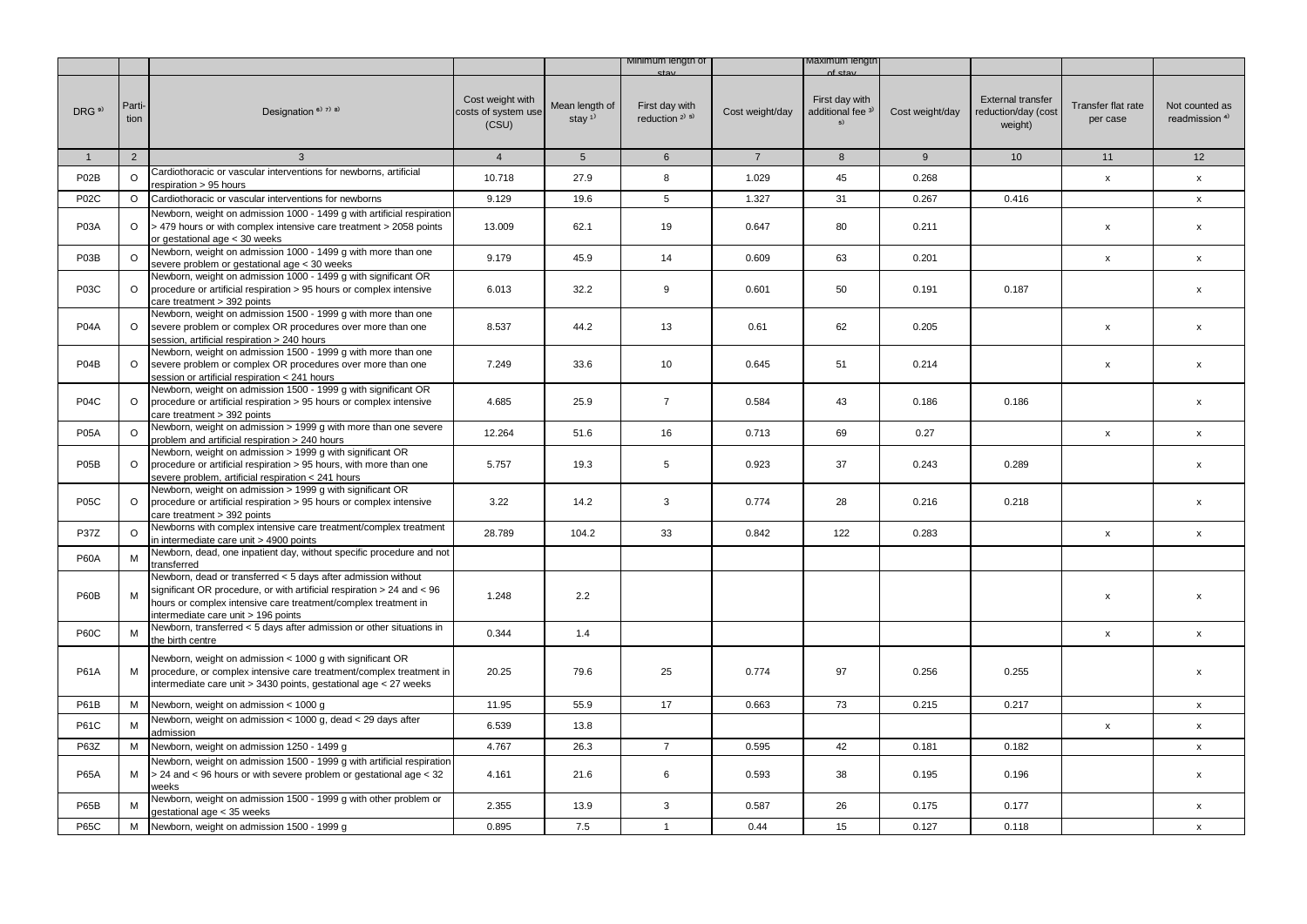|                               |                |                                                                                                                                                                                                                                                  |                                                  |                                         | Minimum length of                                       |                 | /laximum lengtr                                      |                 |                                                            |                                |                                             |
|-------------------------------|----------------|--------------------------------------------------------------------------------------------------------------------------------------------------------------------------------------------------------------------------------------------------|--------------------------------------------------|-----------------------------------------|---------------------------------------------------------|-----------------|------------------------------------------------------|-----------------|------------------------------------------------------------|--------------------------------|---------------------------------------------|
| DRG <sup>9)</sup>             | Parti-<br>tion | Designation <sup>6)</sup> <sup>7)</sup> <sup>8)</sup>                                                                                                                                                                                            | Cost weight with<br>costs of system use<br>(CSU) | Mean length of<br>stay $1$ <sup>1</sup> | First day with<br>reduction <sup>2)</sup> <sup>5)</sup> | Cost weight/day | First day with<br>additional fee <sup>3)</sup><br>5) | Cost weight/day | <b>External transfer</b><br>reduction/day (cost<br>weight) | Transfer flat rate<br>per case | Not counted as<br>readmission <sup>4)</sup> |
| $\mathbf{1}$                  | $\overline{2}$ | $\mathbf{3}$                                                                                                                                                                                                                                     | $\overline{4}$                                   | $5\overline{)}$                         | $6\overline{6}$                                         | $\overline{7}$  | 8                                                    | 9               | 10                                                         | 11                             | 12                                          |
| P <sub>02</sub> B             | $\circ$        | Cardiothoracic or vascular interventions for newborns, artificial<br>respiration > 95 hours                                                                                                                                                      | 10.718                                           | 27.9                                    | 8                                                       | 1.029           | 45                                                   | 0.268           |                                                            | $\pmb{\mathsf{x}}$             | $\mathsf{x}$                                |
| <b>P02C</b>                   | $\circ$        | Cardiothoracic or vascular interventions for newborns                                                                                                                                                                                            | 9.129                                            | 19.6                                    | 5                                                       | 1.327           | 31                                                   | 0.267           | 0.416                                                      |                                | $\boldsymbol{\mathsf{x}}$                   |
| <b>P03A</b>                   | $\circ$        | Newborn, weight on admission 1000 - 1499 g with artificial respiration<br>> 479 hours or with complex intensive care treatment > 2058 points<br>or gestational age < 30 weeks                                                                    | 13.009                                           | 62.1                                    | 19                                                      | 0.647           | 80                                                   | 0.211           |                                                            | $\pmb{\mathsf{x}}$             | $\pmb{\chi}$                                |
| P <sub>0</sub> 3 <sub>B</sub> | $\circ$        | Newborn, weight on admission 1000 - 1499 g with more than one<br>severe problem or gestational age < 30 weeks                                                                                                                                    | 9.179                                            | 45.9                                    | 14                                                      | 0.609           | 63                                                   | 0.201           |                                                            | $\pmb{\mathsf{x}}$             | $\boldsymbol{\mathsf{x}}$                   |
| <b>P03C</b>                   | $\circ$        | Newborn, weight on admission 1000 - 1499 g with significant OR<br>procedure or artificial respiration > 95 hours or complex intensive<br>care treatment > 392 points                                                                             | 6.013                                            | 32.2                                    | 9                                                       | 0.601           | 50                                                   | 0.191           | 0.187                                                      |                                | $\boldsymbol{\mathsf{x}}$                   |
| <b>P04A</b>                   | $\circ$        | Newborn, weight on admission 1500 - 1999 g with more than one<br>severe problem or complex OR procedures over more than one<br>session, artificial respiration > 240 hours                                                                       | 8.537                                            | 44.2                                    | 13                                                      | 0.61            | 62                                                   | 0.205           |                                                            | $\pmb{\mathsf{x}}$             | $\pmb{\chi}$                                |
| P04B                          | $\circ$        | Newborn, weight on admission 1500 - 1999 g with more than one<br>severe problem or complex OR procedures over more than one<br>session or artificial respiration < 241 hours                                                                     | 7.249                                            | 33.6                                    | 10                                                      | 0.645           | 51                                                   | 0.214           |                                                            | x                              | $\pmb{\chi}$                                |
| <b>P04C</b>                   | $\circ$        | Newborn, weight on admission 1500 - 1999 g with significant OR<br>procedure or artificial respiration > 95 hours or complex intensive<br>care treatment > 392 points                                                                             | 4.685                                            | 25.9                                    | $\overline{7}$                                          | 0.584           | 43                                                   | 0.186           | 0.186                                                      |                                | $\mathsf{x}$                                |
| <b>P05A</b>                   | $\circ$        | Newborn, weight on admission > 1999 g with more than one severe<br>problem and artificial respiration > 240 hours                                                                                                                                | 12.264                                           | 51.6                                    | 16                                                      | 0.713           | 69                                                   | 0.27            |                                                            | $\pmb{\mathsf{x}}$             | $\pmb{\chi}$                                |
| P <sub>05</sub> B             | $\circ$        | Newborn, weight on admission > 1999 g with significant OR<br>procedure or artificial respiration > 95 hours, with more than one<br>severe problem, artificial respiration < 241 hours                                                            | 5.757                                            | 19.3                                    | 5                                                       | 0.923           | 37                                                   | 0.243           | 0.289                                                      |                                | $\pmb{\chi}$                                |
| <b>P05C</b>                   | O              | Newborn, weight on admission > 1999 g with significant OR<br>procedure or artificial respiration > 95 hours or complex intensive<br>care treatment > 392 points                                                                                  | 3.22                                             | 14.2                                    | 3                                                       | 0.774           | 28                                                   | 0.216           | 0.218                                                      |                                | $\boldsymbol{\mathsf{x}}$                   |
| P37Z                          | $\circ$        | Newborns with complex intensive care treatment/complex treatment<br>in intermediate care unit > 4900 points                                                                                                                                      | 28.789                                           | 104.2                                   | 33                                                      | 0.842           | 122                                                  | 0.283           |                                                            | $\pmb{\mathsf{x}}$             | $\boldsymbol{\mathsf{x}}$                   |
| <b>P60A</b>                   | M              | Newborn, dead, one inpatient day, without specific procedure and not<br>transferred                                                                                                                                                              |                                                  |                                         |                                                         |                 |                                                      |                 |                                                            |                                |                                             |
| <b>P60B</b>                   | M              | Newborn, dead or transferred < 5 days after admission without<br>significant OR procedure, or with artificial respiration > 24 and < 96<br>hours or complex intensive care treatment/complex treatment in<br>intermediate care unit > 196 points | 1.248                                            | 2.2                                     |                                                         |                 |                                                      |                 |                                                            | $\pmb{\mathsf{x}}$             | $\pmb{\mathsf{x}}$                          |
| <b>P60C</b>                   | M              | Newborn, transferred < 5 days after admission or other situations in<br>the birth centre                                                                                                                                                         | 0.344                                            | 1.4                                     |                                                         |                 |                                                      |                 |                                                            | $\pmb{\mathsf{x}}$             | $\pmb{\mathsf{x}}$                          |
| <b>P61A</b>                   | М              | Newborn, weight on admission < 1000 g with significant OR<br>procedure, or complex intensive care treatment/complex treatment in<br>intermediate care unit > 3430 points, gestational age < 27 weeks                                             | 20.25                                            | 79.6                                    | 25                                                      | 0.774           | 97                                                   | 0.256           | 0.255                                                      |                                | $\boldsymbol{\mathsf{x}}$                   |
| <b>P61B</b>                   | M              | Newborn, weight on admission < 1000 g                                                                                                                                                                                                            | 11.95                                            | 55.9                                    | 17                                                      | 0.663           | 73                                                   | 0.215           | 0.217                                                      |                                | $\boldsymbol{\mathsf{x}}$                   |
| <b>P61C</b>                   | M              | Newborn, weight on admission < 1000 g, dead < 29 days after<br>admission                                                                                                                                                                         | 6.539                                            | 13.8                                    |                                                         |                 |                                                      |                 |                                                            | $\pmb{\mathsf{x}}$             | $\boldsymbol{\mathsf{x}}$                   |
| P63Z                          | М              | Newborn, weight on admission 1250 - 1499 g                                                                                                                                                                                                       | 4.767                                            | 26.3                                    | $\overline{7}$                                          | 0.595           | 42                                                   | 0.181           | 0.182                                                      |                                | $\mathsf{x}$                                |
| <b>P65A</b>                   | М              | Newborn, weight on admission 1500 - 1999 g with artificial respiration<br>> 24 and < 96 hours or with severe problem or gestational age < 32<br>weeks                                                                                            | 4.161                                            | 21.6                                    | 6                                                       | 0.593           | 38                                                   | 0.195           | 0.196                                                      |                                | $\boldsymbol{\mathsf{x}}$                   |
| P65B                          | M              | Newborn, weight on admission 1500 - 1999 g with other problem or<br>gestational age < 35 weeks                                                                                                                                                   | 2.355                                            | 13.9                                    | 3                                                       | 0.587           | 26                                                   | 0.175           | 0.177                                                      |                                | $\mathsf{x}$                                |
| <b>P65C</b>                   | М              | Newborn, weight on admission 1500 - 1999 g                                                                                                                                                                                                       | 0.895                                            | 7.5                                     | $\mathbf{1}$                                            | 0.44            | 15                                                   | 0.127           | 0.118                                                      |                                | X                                           |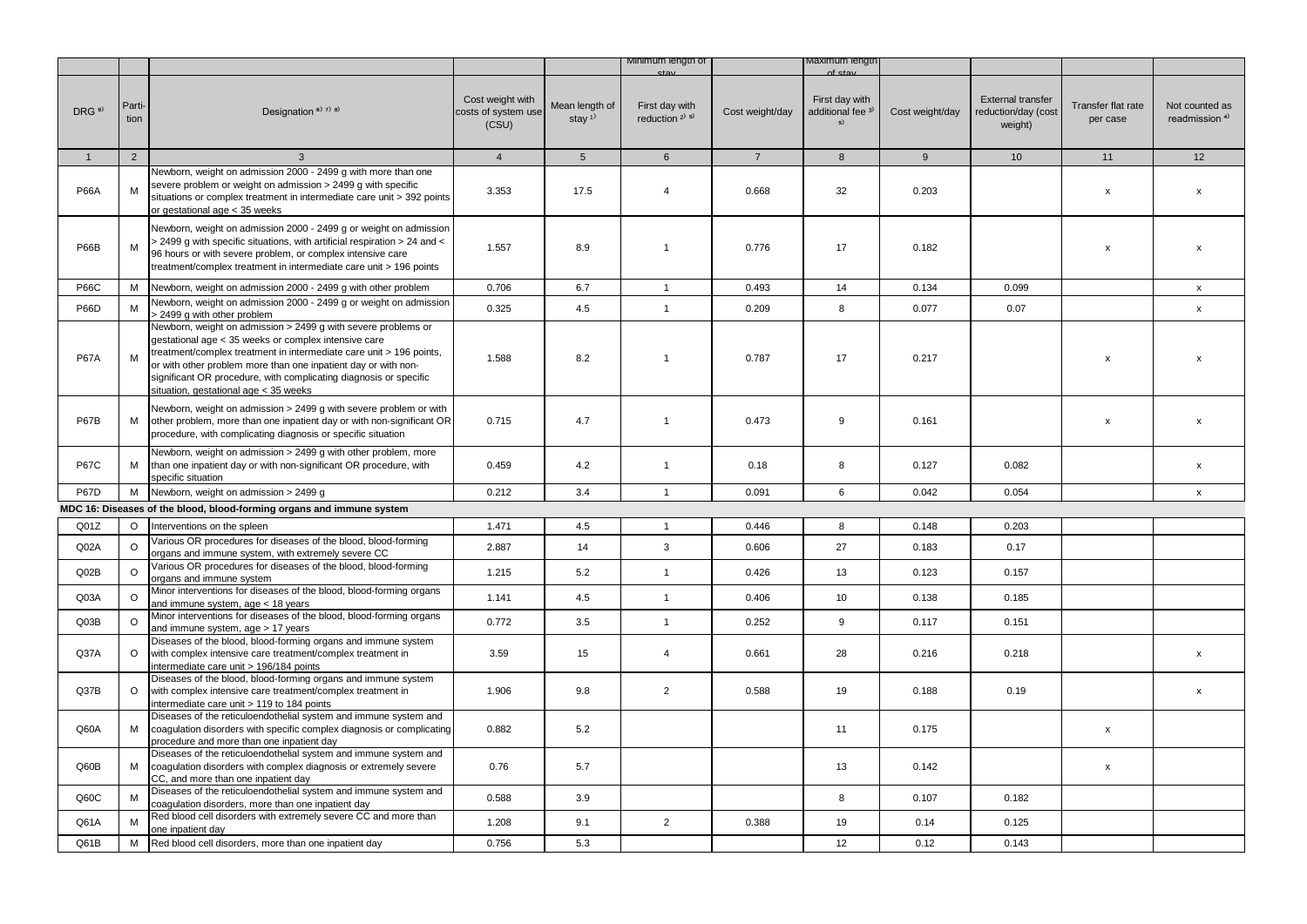|                   |                |                                                                                                                                                                                                                                                                                                                                                                              |                                                  |                            | Minimum length of                                       |                 | viaximum iengtr                                      |                 |                                                            |                                |                                             |
|-------------------|----------------|------------------------------------------------------------------------------------------------------------------------------------------------------------------------------------------------------------------------------------------------------------------------------------------------------------------------------------------------------------------------------|--------------------------------------------------|----------------------------|---------------------------------------------------------|-----------------|------------------------------------------------------|-----------------|------------------------------------------------------------|--------------------------------|---------------------------------------------|
| DRG <sup>9)</sup> | Parti-<br>tion | Designation <sup>6)</sup> 7) 8)                                                                                                                                                                                                                                                                                                                                              | Cost weight with<br>costs of system use<br>(CSU) | Mean length of<br>stay $1$ | First day with<br>reduction <sup>2)</sup> <sup>5)</sup> | Cost weight/day | First day with<br>additional fee <sup>3)</sup><br>5) | Cost weight/day | <b>External transfer</b><br>reduction/day (cost<br>weight) | Transfer flat rate<br>per case | Not counted as<br>readmission <sup>4)</sup> |
| $\mathbf{1}$      | $\overline{2}$ | $\mathbf{3}$                                                                                                                                                                                                                                                                                                                                                                 | $\overline{4}$                                   | $5\overline{)}$            | 6                                                       | $\overline{7}$  | 8                                                    | 9               | 10 <sup>1</sup>                                            | 11                             | 12                                          |
| <b>P66A</b>       | м              | Newborn, weight on admission 2000 - 2499 g with more than one<br>severe problem or weight on admission > 2499 g with specific<br>situations or complex treatment in intermediate care unit > 392 points<br>or gestational age < 35 weeks                                                                                                                                     | 3.353                                            | 17.5                       | $\overline{4}$                                          | 0.668           | 32                                                   | 0.203           |                                                            | X                              | $\pmb{\mathsf{x}}$                          |
| <b>P66B</b>       | M              | Newborn, weight on admission 2000 - 2499 g or weight on admission<br>> 2499 g with specific situations, with artificial respiration > 24 and <<br>96 hours or with severe problem, or complex intensive care<br>treatment/complex treatment in intermediate care unit > 196 points                                                                                           | 1.557                                            | 8.9                        | $\mathbf{1}$                                            | 0.776           | 17                                                   | 0.182           |                                                            | x                              | $\pmb{\chi}$                                |
| <b>P66C</b>       | М              | Newborn, weight on admission 2000 - 2499 g with other problem                                                                                                                                                                                                                                                                                                                | 0.706                                            | 6.7                        | $\overline{1}$                                          | 0.493           | 14                                                   | 0.134           | 0.099                                                      |                                | $\boldsymbol{\mathsf{x}}$                   |
| <b>P66D</b>       | M              | Newborn, weight on admission 2000 - 2499 g or weight on admission<br>> 2499 g with other problem                                                                                                                                                                                                                                                                             | 0.325                                            | 4.5                        | $\mathbf{1}$                                            | 0.209           | 8                                                    | 0.077           | 0.07                                                       |                                | $\mathsf{x}$                                |
| <b>P67A</b>       | М              | Newborn, weight on admission > 2499 g with severe problems or<br>gestational age < 35 weeks or complex intensive care<br>treatment/complex treatment in intermediate care unit > 196 points,<br>or with other problem more than one inpatient day or with non-<br>significant OR procedure, with complicating diagnosis or specific<br>situation, gestational age < 35 weeks | 1.588                                            | 8.2                        | 1                                                       | 0.787           | 17                                                   | 0.217           |                                                            | $\boldsymbol{\mathsf{x}}$      | $\boldsymbol{\mathsf{x}}$                   |
| <b>P67B</b>       | М              | Newborn, weight on admission > 2499 q with severe problem or with<br>other problem, more than one inpatient day or with non-significant OR<br>procedure, with complicating diagnosis or specific situation                                                                                                                                                                   | 0.715                                            | 4.7                        | $\overline{1}$                                          | 0.473           | 9                                                    | 0.161           |                                                            | x                              | $\mathsf{x}$                                |
| <b>P67C</b>       | М              | Newborn, weight on admission > 2499 g with other problem, more<br>than one inpatient day or with non-significant OR procedure, with<br>specific situation                                                                                                                                                                                                                    | 0.459                                            | 4.2                        | $\mathbf{1}$                                            | 0.18            | 8                                                    | 0.127           | 0.082                                                      |                                | $\boldsymbol{\mathsf{x}}$                   |
| <b>P67D</b>       | M              | Newborn, weight on admission > 2499 g                                                                                                                                                                                                                                                                                                                                        | 0.212                                            | 3.4                        | $\mathbf{1}$                                            | 0.091           | 6                                                    | 0.042           | 0.054                                                      |                                | $\boldsymbol{\mathsf{x}}$                   |
|                   |                | MDC 16: Diseases of the blood, blood-forming organs and immune system                                                                                                                                                                                                                                                                                                        |                                                  |                            |                                                         |                 |                                                      |                 |                                                            |                                |                                             |
| Q <sub>01Z</sub>  | $\circ$        | Interventions on the spleen                                                                                                                                                                                                                                                                                                                                                  | 1.471                                            | 4.5                        | $\overline{1}$                                          | 0.446           | 8                                                    | 0.148           | 0.203                                                      |                                |                                             |
| Q <sub>02A</sub>  | $\Omega$       | Various OR procedures for diseases of the blood, blood-forming<br>organs and immune system, with extremely severe CC                                                                                                                                                                                                                                                         | 2.887                                            | 14                         | 3                                                       | 0.606           | 27                                                   | 0.183           | 0.17                                                       |                                |                                             |
| QO2B              | $\circ$        | Various OR procedures for diseases of the blood, blood-forming<br>organs and immune system                                                                                                                                                                                                                                                                                   | 1.215                                            | 5.2                        | $\mathbf{1}$                                            | 0.426           | 13                                                   | 0.123           | 0.157                                                      |                                |                                             |
| Q03A              | $\circ$        | Minor interventions for diseases of the blood, blood-forming organs<br>and immune system, age < 18 years                                                                                                                                                                                                                                                                     | 1.141                                            | 4.5                        | $\mathbf{1}$                                            | 0.406           | 10                                                   | 0.138           | 0.185                                                      |                                |                                             |
| Q03B              | $\circ$        | Minor interventions for diseases of the blood, blood-forming organs<br>and immune system, age > 17 years                                                                                                                                                                                                                                                                     | 0.772                                            | 3.5                        | $\mathbf{1}$                                            | 0.252           | 9                                                    | 0.117           | 0.151                                                      |                                |                                             |
| Q37A              | $\circ$        | Diseases of the blood, blood-forming organs and immune system<br>with complex intensive care treatment/complex treatment in<br>intermediate care unit > 196/184 points                                                                                                                                                                                                       | 3.59                                             | 15                         | $\overline{4}$                                          | 0.661           | 28                                                   | 0.216           | 0.218                                                      |                                | $\boldsymbol{\mathsf{x}}$                   |
| Q37B              | $\circ$        | Diseases of the blood, blood-forming organs and immune system<br>with complex intensive care treatment/complex treatment in<br>intermediate care unit > 119 to 184 points                                                                                                                                                                                                    | 1.906                                            | 9.8                        | $\overline{2}$                                          | 0.588           | 19                                                   | 0.188           | 0.19                                                       |                                | $\boldsymbol{\mathsf{x}}$                   |
| Q60A              | М              | Diseases of the reticuloendothelial system and immune system and<br>coagulation disorders with specific complex diagnosis or complicating<br>procedure and more than one inpatient day                                                                                                                                                                                       | 0.882                                            | 5.2                        |                                                         |                 | 11                                                   | 0.175           |                                                            | x                              |                                             |
| Q60B              | М              | Diseases of the reticuloendothelial system and immune system and<br>coagulation disorders with complex diagnosis or extremely severe<br>CC, and more than one inpatient day                                                                                                                                                                                                  | 0.76                                             | 5.7                        |                                                         |                 | 13                                                   | 0.142           |                                                            | $\pmb{\mathsf{x}}$             |                                             |
| Q60C              | M              | Diseases of the reticuloendothelial system and immune system and<br>coagulation disorders, more than one inpatient day                                                                                                                                                                                                                                                       | 0.588                                            | 3.9                        |                                                         |                 | 8                                                    | 0.107           | 0.182                                                      |                                |                                             |
| Q61A              | M              | Red blood cell disorders with extremely severe CC and more than<br>one inpatient day                                                                                                                                                                                                                                                                                         | 1.208                                            | 9.1                        | $\overline{2}$                                          | 0.388           | 19                                                   | 0.14            | 0.125                                                      |                                |                                             |
| Q61B              | М              | Red blood cell disorders, more than one inpatient day                                                                                                                                                                                                                                                                                                                        | 0.756                                            | 5.3                        |                                                         |                 | 12                                                   | 0.12            | 0.143                                                      |                                |                                             |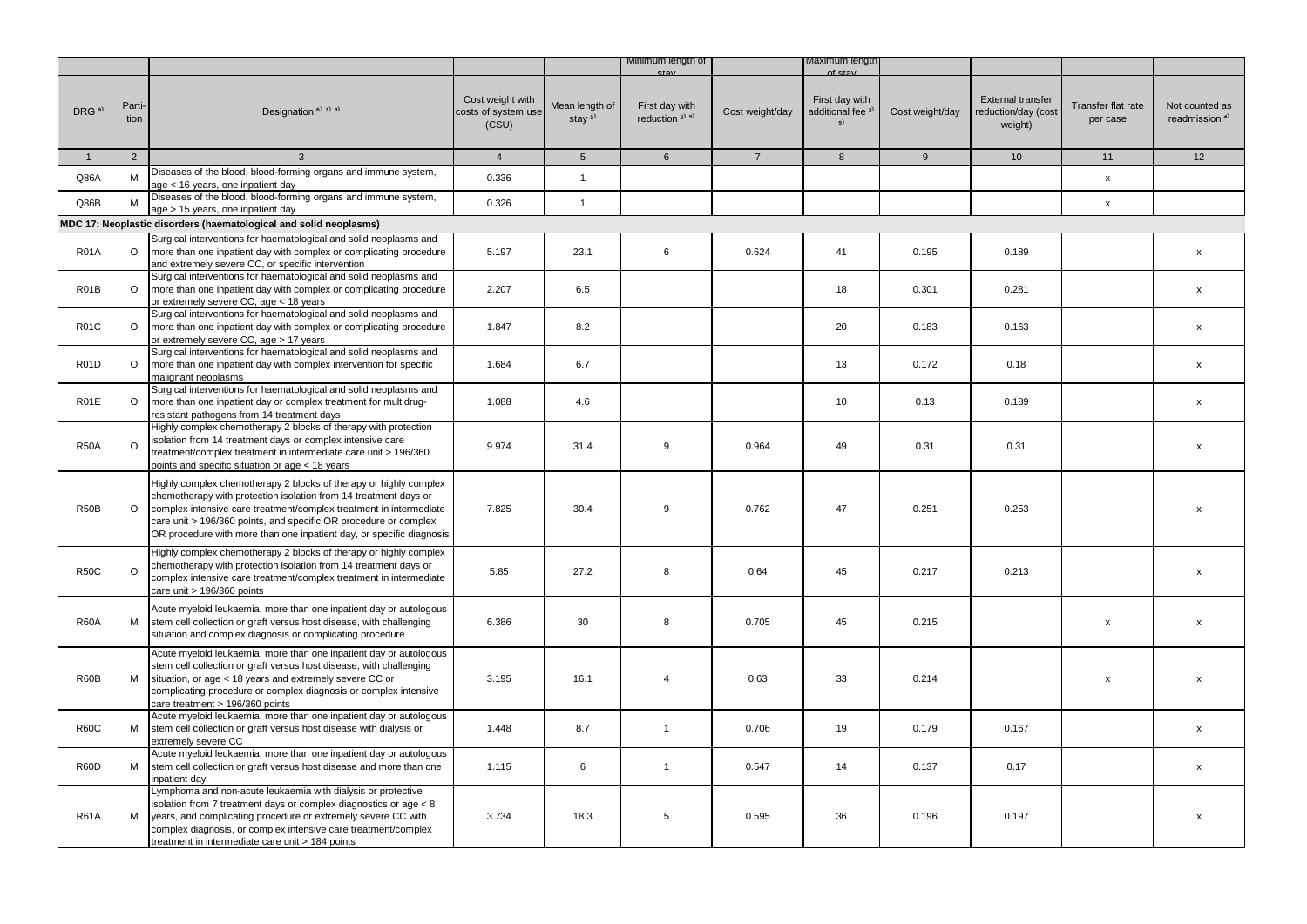|                   |                |                                                                                                                                                                                                                                                                                                                                                         |                                                  |                                         | Minimum length of                        |                 | viaximum iengtr                                      |                 |                                                            |                                |                                             |
|-------------------|----------------|---------------------------------------------------------------------------------------------------------------------------------------------------------------------------------------------------------------------------------------------------------------------------------------------------------------------------------------------------------|--------------------------------------------------|-----------------------------------------|------------------------------------------|-----------------|------------------------------------------------------|-----------------|------------------------------------------------------------|--------------------------------|---------------------------------------------|
| DRG <sup>9)</sup> | Parti-<br>tion | Designation <sup>6)</sup> 7) 8)                                                                                                                                                                                                                                                                                                                         | Cost weight with<br>costs of system use<br>(CSU) | Mean length of<br>stay $1$ <sup>1</sup> | First day with<br>reduction $2^{(3)}$ 5) | Cost weight/day | First day with<br>additional fee <sup>3)</sup><br>5) | Cost weight/day | <b>External transfer</b><br>reduction/day (cost<br>weight) | Transfer flat rate<br>per case | Not counted as<br>readmission <sup>4)</sup> |
| $\overline{1}$    | 2              | $\mathbf{3}$                                                                                                                                                                                                                                                                                                                                            | $\overline{4}$                                   | 5 <sup>5</sup>                          | $6\overline{6}$                          | $7^{\circ}$     | 8                                                    | 9               | 10 <sup>°</sup>                                            | 11                             | 12                                          |
| Q86A              | M              | Diseases of the blood, blood-forming organs and immune system,<br>age < 16 years, one inpatient day                                                                                                                                                                                                                                                     | 0.336                                            | $\mathbf{1}$                            |                                          |                 |                                                      |                 |                                                            | $\mathsf{x}$                   |                                             |
| Q86B              | M              | Diseases of the blood, blood-forming organs and immune system,<br>age > 15 years, one inpatient day                                                                                                                                                                                                                                                     | 0.326                                            | $\mathbf{1}$                            |                                          |                 |                                                      |                 |                                                            | $\pmb{\mathsf{x}}$             |                                             |
|                   |                | MDC 17: Neoplastic disorders (haematological and solid neoplasms)                                                                                                                                                                                                                                                                                       |                                                  |                                         |                                          |                 |                                                      |                 |                                                            |                                |                                             |
| <b>R01A</b>       | $\circ$        | Surgical interventions for haematological and solid neoplasms and<br>more than one inpatient day with complex or complicating procedure<br>and extremely severe CC, or specific intervention                                                                                                                                                            | 5.197                                            | 23.1                                    | 6                                        | 0.624           | 41                                                   | 0.195           | 0.189                                                      |                                | $\pmb{\mathsf{x}}$                          |
| R <sub>0</sub> 1B | $\circ$        | Surgical interventions for haematological and solid neoplasms and<br>more than one inpatient day with complex or complicating procedure<br>or extremely severe CC, age < 18 years                                                                                                                                                                       | 2.207                                            | 6.5                                     |                                          |                 | 18                                                   | 0.301           | 0.281                                                      |                                | $\pmb{\mathsf{x}}$                          |
| <b>R01C</b>       | $\circ$        | Surgical interventions for haematological and solid neoplasms and<br>more than one inpatient day with complex or complicating procedure<br>or extremely severe CC, age > 17 years                                                                                                                                                                       | 1.847                                            | 8.2                                     |                                          |                 | 20                                                   | 0.183           | 0.163                                                      |                                | X                                           |
| <b>R01D</b>       | $\circ$        | Surgical interventions for haematological and solid neoplasms and<br>more than one inpatient day with complex intervention for specific<br>malignant neoplasms                                                                                                                                                                                          | 1.684                                            | 6.7                                     |                                          |                 | 13                                                   | 0.172           | 0.18                                                       |                                | $\mathsf{x}$                                |
| <b>R01E</b>       | $\circ$        | Surgical interventions for haematological and solid neoplasms and<br>more than one inpatient day or complex treatment for multidrug-<br>resistant pathogens from 14 treatment days                                                                                                                                                                      | 1.088                                            | 4.6                                     |                                          |                 | 10                                                   | 0.13            | 0.189                                                      |                                | $\pmb{\chi}$                                |
| <b>R50A</b>       | $\Omega$       | Highly complex chemotherapy 2 blocks of therapy with protection<br>isolation from 14 treatment days or complex intensive care<br>treatment/complex treatment in intermediate care unit > 196/360<br>points and specific situation or age < 18 years                                                                                                     | 9.974                                            | 31.4                                    | 9                                        | 0.964           | 49                                                   | 0.31            | 0.31                                                       |                                | $\mathsf{x}$                                |
| <b>R50B</b>       | $\circ$        | Highly complex chemotherapy 2 blocks of therapy or highly complex<br>chemotherapy with protection isolation from 14 treatment days or<br>complex intensive care treatment/complex treatment in intermediate<br>care unit > 196/360 points, and specific OR procedure or complex<br>OR procedure with more than one inpatient day, or specific diagnosis | 7.825                                            | 30.4                                    | 9                                        | 0.762           | 47                                                   | 0.251           | 0.253                                                      |                                | $\mathsf{x}$                                |
| <b>R50C</b>       | $\Omega$       | Highly complex chemotherapy 2 blocks of therapy or highly complex<br>chemotherapy with protection isolation from 14 treatment days or<br>complex intensive care treatment/complex treatment in intermediate<br>care unit > 196/360 points                                                                                                               | 5.85                                             | 27.2                                    | 8                                        | 0.64            | 45                                                   | 0.217           | 0.213                                                      |                                | $\mathsf{x}$                                |
| <b>R60A</b>       | M              | Acute myeloid leukaemia, more than one inpatient day or autologous<br>stem cell collection or graft versus host disease, with challenging<br>situation and complex diagnosis or complicating procedure                                                                                                                                                  | 6.386                                            | 30                                      | 8                                        | 0.705           | 45                                                   | 0.215           |                                                            | $\pmb{\mathsf{x}}$             | $\pmb{\chi}$                                |
| R60B              | M              | Acute myeloid leukaemia, more than one inpatient day or autologous<br>stem cell collection or graft versus host disease, with challenging<br>situation, or age < 18 years and extremely severe CC or<br>complicating procedure or complex diagnosis or complex intensive<br>care treatment > 196/360 points                                             | 3.195                                            | 16.1                                    | $\overline{4}$                           | 0.63            | 33                                                   | 0.214           |                                                            | x                              | X                                           |
| <b>R60C</b>       | M              | Acute myeloid leukaemia, more than one inpatient day or autologous<br>stem cell collection or graft versus host disease with dialysis or<br>extremely severe CC                                                                                                                                                                                         | 1.448                                            | 8.7                                     | $\mathbf{1}$                             | 0.706           | 19                                                   | 0.179           | 0.167                                                      |                                | X                                           |
| R60D              | M              | Acute myeloid leukaemia, more than one inpatient day or autologous<br>stem cell collection or graft versus host disease and more than one<br>npatient day                                                                                                                                                                                               | 1.115                                            | 6                                       | $\mathbf{1}$                             | 0.547           | 14                                                   | 0.137           | 0.17                                                       |                                | x                                           |
| <b>R61A</b>       | M              | Lymphoma and non-acute leukaemia with dialysis or protective<br>solation from 7 treatment days or complex diagnostics or age < 8<br>years, and complicating procedure or extremely severe CC with<br>complex diagnosis, or complex intensive care treatment/complex<br>treatment in intermediate care unit > 184 points                                 | 3.734                                            | 18.3                                    | 5                                        | 0.595           | 36                                                   | 0.196           | 0.197                                                      |                                | $\pmb{\mathsf{x}}$                          |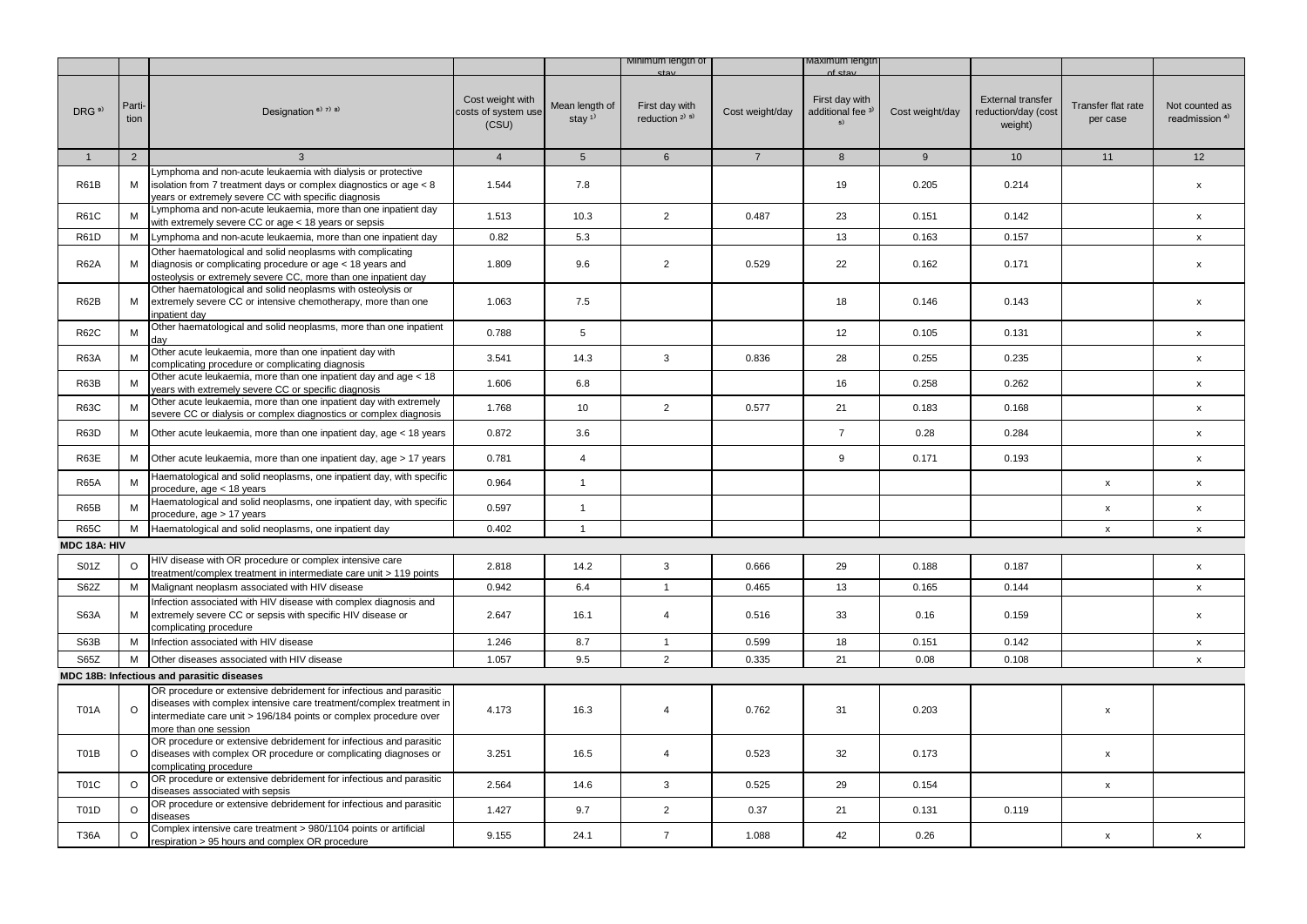|                   |                |                                                                                                                                                                                                                                         |                                                  |                                         | Minimum length of                                               |                 | maxımum iengtr                                                  |                 |                                                            |                                |                                             |
|-------------------|----------------|-----------------------------------------------------------------------------------------------------------------------------------------------------------------------------------------------------------------------------------------|--------------------------------------------------|-----------------------------------------|-----------------------------------------------------------------|-----------------|-----------------------------------------------------------------|-----------------|------------------------------------------------------------|--------------------------------|---------------------------------------------|
| DRG <sup>9)</sup> | Parti-<br>tion | Designation <sup>6)</sup> 7) 8)                                                                                                                                                                                                         | Cost weight with<br>costs of system use<br>(CSU) | Mean length of<br>stay $1$ <sup>1</sup> | ctou<br>First day with<br>reduction <sup>2)</sup> <sup>5)</sup> | Cost weight/day | of etar<br>First day with<br>additional fee <sup>3)</sup><br>5) | Cost weight/day | <b>External transfer</b><br>reduction/day (cost<br>weight) | Transfer flat rate<br>per case | Not counted as<br>readmission <sup>4)</sup> |
| $\mathbf{1}$      | 2              | $\mathbf{3}$                                                                                                                                                                                                                            | $\overline{4}$                                   | 5 <sup>5</sup>                          | $6\overline{6}$                                                 | $7^{\circ}$     | 8                                                               | 9               | 10 <sup>1</sup>                                            | 11                             | 12                                          |
|                   |                | Lymphoma and non-acute leukaemia with dialysis or protective                                                                                                                                                                            |                                                  |                                         |                                                                 |                 |                                                                 |                 |                                                            |                                |                                             |
| <b>R61B</b>       | М              | isolation from 7 treatment days or complex diagnostics or age < 8<br>years or extremely severe CC with specific diagnosis                                                                                                               | 1.544                                            | 7.8                                     |                                                                 |                 | 19                                                              | 0.205           | 0.214                                                      |                                | $\mathsf{x}$                                |
| <b>R61C</b>       | М              | Lymphoma and non-acute leukaemia, more than one inpatient day<br>with extremely severe CC or age < 18 years or sepsis                                                                                                                   | 1.513                                            | 10.3                                    | $\overline{2}$                                                  | 0.487           | 23                                                              | 0.151           | 0.142                                                      |                                | x                                           |
| <b>R61D</b>       | M              | Lymphoma and non-acute leukaemia, more than one inpatient day                                                                                                                                                                           | 0.82                                             | 5.3                                     |                                                                 |                 | 13                                                              | 0.163           | 0.157                                                      |                                | $\mathsf{x}$                                |
| <b>R62A</b>       | M              | Other haematological and solid neoplasms with complicating<br>diagnosis or complicating procedure or age < 18 years and<br>osteolysis or extremely severe CC, more than one inpatient day                                               | 1.809                                            | 9.6                                     | $\overline{2}$                                                  | 0.529           | 22                                                              | 0.162           | 0.171                                                      |                                | $\pmb{\mathsf{x}}$                          |
| <b>R62B</b>       | М              | Other haematological and solid neoplasms with osteolysis or<br>extremely severe CC or intensive chemotherapy, more than one<br>inpatient day                                                                                            | 1.063                                            | 7.5                                     |                                                                 |                 | 18                                                              | 0.146           | 0.143                                                      |                                | $\mathsf{x}$                                |
| <b>R62C</b>       | M              | Other haematological and solid neoplasms, more than one inpatient<br>day                                                                                                                                                                | 0.788                                            | 5                                       |                                                                 |                 | 12                                                              | 0.105           | 0.131                                                      |                                | $\pmb{\mathsf{x}}$                          |
| <b>R63A</b>       | M              | Other acute leukaemia, more than one inpatient day with<br>complicating procedure or complicating diagnosis                                                                                                                             | 3.541                                            | 14.3                                    | 3                                                               | 0.836           | 28                                                              | 0.255           | 0.235                                                      |                                | X                                           |
| R63B              | M              | Other acute leukaemia, more than one inpatient day and age < 18<br>years with extremely severe CC or specific diagnosis                                                                                                                 | 1.606                                            | 6.8                                     |                                                                 |                 | 16                                                              | 0.258           | 0.262                                                      |                                | $\mathsf{x}$                                |
| <b>R63C</b>       | M              | Other acute leukaemia, more than one inpatient day with extremely<br>severe CC or dialysis or complex diagnostics or complex diagnosis                                                                                                  | 1.768                                            | 10                                      | $\overline{2}$                                                  | 0.577           | 21                                                              | 0.183           | 0.168                                                      |                                | $\mathsf{x}$                                |
| <b>R63D</b>       | M              | Other acute leukaemia, more than one inpatient day, age < 18 years                                                                                                                                                                      | 0.872                                            | 3.6                                     |                                                                 |                 | $\overline{7}$                                                  | 0.28            | 0.284                                                      |                                | $\pmb{\mathsf{x}}$                          |
| R63E              | М              | Other acute leukaemia, more than one inpatient day, age > 17 years                                                                                                                                                                      | 0.781                                            | $\overline{4}$                          |                                                                 |                 | 9                                                               | 0.171           | 0.193                                                      |                                | $\pmb{\mathsf{x}}$                          |
| <b>R65A</b>       | M              | Haematological and solid neoplasms, one inpatient day, with specific<br>procedure, age < 18 years                                                                                                                                       | 0.964                                            | $\mathbf{1}$                            |                                                                 |                 |                                                                 |                 |                                                            | $\pmb{\mathsf{x}}$             | $\pmb{\mathsf{x}}$                          |
| <b>R65B</b>       | M              | Haematological and solid neoplasms, one inpatient day, with specific<br>procedure, age > 17 years                                                                                                                                       | 0.597                                            | $\mathbf{1}$                            |                                                                 |                 |                                                                 |                 |                                                            | $\mathsf{x}$                   | $\pmb{\mathsf{x}}$                          |
| <b>R65C</b>       | М              | Haematological and solid neoplasms, one inpatient day                                                                                                                                                                                   | 0.402                                            | $\mathbf{1}$                            |                                                                 |                 |                                                                 |                 |                                                            | $\pmb{\mathsf{x}}$             | $\mathsf{x}$                                |
| MDC 18A: HIV      |                |                                                                                                                                                                                                                                         |                                                  |                                         |                                                                 |                 |                                                                 |                 |                                                            |                                |                                             |
| S01Z              | $\circ$        | HIV disease with OR procedure or complex intensive care<br>treatment/complex treatment in intermediate care unit > 119 points                                                                                                           | 2.818                                            | 14.2                                    | 3                                                               | 0.666           | 29                                                              | 0.188           | 0.187                                                      |                                | $\mathsf{x}$                                |
| S62Z              | М              | Malignant neoplasm associated with HIV disease                                                                                                                                                                                          | 0.942                                            | 6.4                                     | $\mathbf{1}$                                                    | 0.465           | 13                                                              | 0.165           | 0.144                                                      |                                | $\mathsf{x}$                                |
| <b>S63A</b>       | М              | Infection associated with HIV disease with complex diagnosis and<br>extremely severe CC or sepsis with specific HIV disease or<br>complicating procedure                                                                                | 2.647                                            | 16.1                                    | $\overline{4}$                                                  | 0.516           | 33                                                              | 0.16            | 0.159                                                      |                                | X                                           |
| S63B              | м              | Infection associated with HIV disease                                                                                                                                                                                                   | 1.246                                            | 8.7                                     | $\mathbf{1}$                                                    | 0.599           | 18                                                              | 0.151           | 0.142                                                      |                                | $\mathsf{x}$                                |
| S65Z              | M              | Other diseases associated with HIV disease                                                                                                                                                                                              | 1.057                                            | 9.5                                     | $\overline{2}$                                                  | 0.335           | 21                                                              | 0.08            | 0.108                                                      |                                | $\mathsf{x}$                                |
|                   |                | MDC 18B: Infectious and parasitic diseases                                                                                                                                                                                              |                                                  |                                         |                                                                 |                 |                                                                 |                 |                                                            |                                |                                             |
| <b>T01A</b>       | $\circ$        | OR procedure or extensive debridement for infectious and parasitic<br>diseases with complex intensive care treatment/complex treatment in<br>intermediate care unit > 196/184 points or complex procedure over<br>more than one session | 4.173                                            | 16.3                                    | 4                                                               | 0.762           | 31                                                              | 0.203           |                                                            | $\pmb{\mathsf{x}}$             |                                             |
| T01B              | O              | OR procedure or extensive debridement for infectious and parasitic<br>diseases with complex OR procedure or complicating diagnoses or<br>complicating procedure                                                                         | 3.251                                            | 16.5                                    | $\overline{4}$                                                  | 0.523           | 32                                                              | 0.173           |                                                            | $\pmb{\mathsf{x}}$             |                                             |
| <b>T01C</b>       | $\circ$        | OR procedure or extensive debridement for infectious and parasitic<br>diseases associated with sepsis                                                                                                                                   | 2.564                                            | 14.6                                    | 3                                                               | 0.525           | 29                                                              | 0.154           |                                                            | $\pmb{\mathsf{x}}$             |                                             |
| <b>T01D</b>       | $\circ$        | OR procedure or extensive debridement for infectious and parasitic<br>diseases                                                                                                                                                          | 1.427                                            | 9.7                                     | $\overline{2}$                                                  | 0.37            | 21                                                              | 0.131           | 0.119                                                      |                                |                                             |
| <b>T36A</b>       | O              | Complex intensive care treatment > 980/1104 points or artificial<br>respiration > 95 hours and complex OR procedure                                                                                                                     | 9.155                                            | 24.1                                    | $\overline{7}$                                                  | 1.088           | 42                                                              | 0.26            |                                                            | $\pmb{\mathsf{x}}$             | $\pmb{\mathsf{x}}$                          |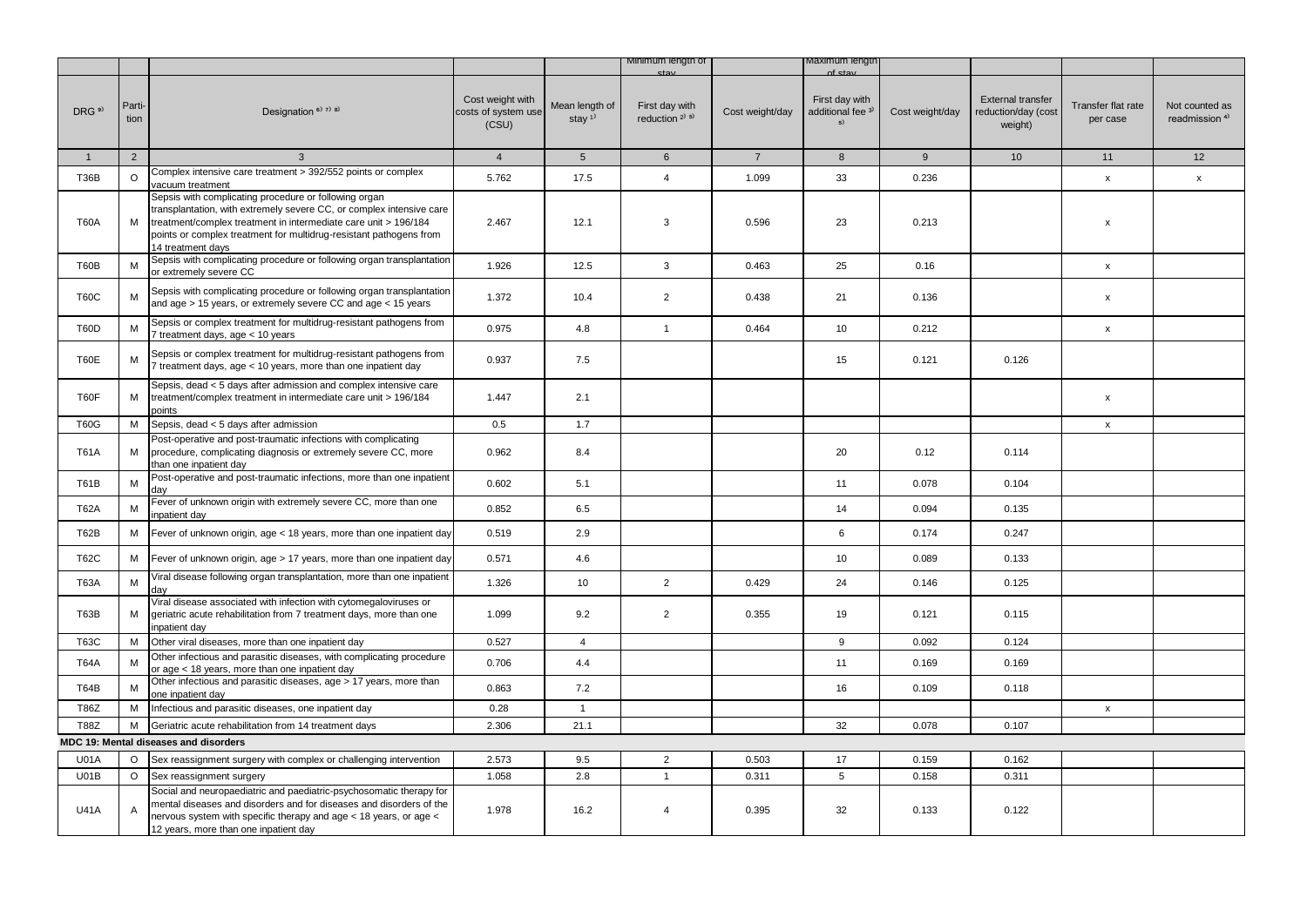|                  |                |                                                                                                                                                                                                                                                                                             |                                                  |                                         | Minimum length of                     |                 | лахımum ıengtr                                       |                 |                                                     |                                |                                             |
|------------------|----------------|---------------------------------------------------------------------------------------------------------------------------------------------------------------------------------------------------------------------------------------------------------------------------------------------|--------------------------------------------------|-----------------------------------------|---------------------------------------|-----------------|------------------------------------------------------|-----------------|-----------------------------------------------------|--------------------------------|---------------------------------------------|
| DRG <sup>9</sup> | Parti-<br>tion | Designation <sup>6)</sup> 7) 8)                                                                                                                                                                                                                                                             | Cost weight with<br>costs of system use<br>(CSU) | Mean length of<br>stay $1$ <sup>1</sup> | First day with<br>reduction $2^{1.5}$ | Cost weight/day | First day with<br>additional fee <sup>3)</sup><br>5) | Cost weight/day | External transfer<br>reduction/day (cost<br>weight) | Transfer flat rate<br>per case | Not counted as<br>readmission <sup>4)</sup> |
| $\mathbf{1}$     | $\overline{2}$ | 3                                                                                                                                                                                                                                                                                           | $\overline{4}$                                   | 5 <sup>5</sup>                          | $6\overline{6}$                       | $7\overline{ }$ | 8                                                    | 9               | 10                                                  | 11                             | 12                                          |
| <b>T36B</b>      | $\circ$        | Complex intensive care treatment > 392/552 points or complex<br>vacuum treatment                                                                                                                                                                                                            | 5.762                                            | 17.5                                    | $\overline{4}$                        | 1.099           | 33                                                   | 0.236           |                                                     | $\pmb{\mathsf{x}}$             | $\pmb{\mathsf{x}}$                          |
| <b>T60A</b>      | М              | Sepsis with complicating procedure or following organ<br>transplantation, with extremely severe CC, or complex intensive care<br>treatment/complex treatment in intermediate care unit > 196/184<br>points or complex treatment for multidrug-resistant pathogens from<br>14 treatment days | 2.467                                            | 12.1                                    | 3                                     | 0.596           | 23                                                   | 0.213           |                                                     | x                              |                                             |
| T60B             | M              | Sepsis with complicating procedure or following organ transplantation<br>or extremely severe CC                                                                                                                                                                                             | 1.926                                            | 12.5                                    | 3                                     | 0.463           | 25                                                   | 0.16            |                                                     | $\pmb{\mathsf{x}}$             |                                             |
| <b>T60C</b>      | М              | Sepsis with complicating procedure or following organ transplantation<br>and age > 15 years, or extremely severe CC and age < 15 years                                                                                                                                                      | 1.372                                            | 10.4                                    | $\overline{2}$                        | 0.438           | 21                                                   | 0.136           |                                                     | x                              |                                             |
| T60D             | М              | Sepsis or complex treatment for multidrug-resistant pathogens from<br>7 treatment days, age < 10 years                                                                                                                                                                                      | 0.975                                            | 4.8                                     | $\mathbf{1}$                          | 0.464           | 10                                                   | 0.212           |                                                     | x                              |                                             |
| T60E             | М              | Sepsis or complex treatment for multidrug-resistant pathogens from<br>7 treatment days, age < 10 years, more than one inpatient day                                                                                                                                                         | 0.937                                            | 7.5                                     |                                       |                 | 15                                                   | 0.121           | 0.126                                               |                                |                                             |
| T60F             | М              | Sepsis, dead < 5 days after admission and complex intensive care<br>treatment/complex treatment in intermediate care unit > 196/184<br>points                                                                                                                                               | 1.447                                            | 2.1                                     |                                       |                 |                                                      |                 |                                                     | x                              |                                             |
| <b>T60G</b>      | м              | Sepsis, dead < 5 days after admission                                                                                                                                                                                                                                                       | 0.5                                              | 1.7                                     |                                       |                 |                                                      |                 |                                                     | $\mathsf X$                    |                                             |
| <b>T61A</b>      | М              | Post-operative and post-traumatic infections with complicating<br>procedure, complicating diagnosis or extremely severe CC, more<br>than one inpatient day                                                                                                                                  | 0.962                                            | 8.4                                     |                                       |                 | 20                                                   | 0.12            | 0.114                                               |                                |                                             |
| <b>T61B</b>      | M              | Post-operative and post-traumatic infections, more than one inpatient<br>day                                                                                                                                                                                                                | 0.602                                            | 5.1                                     |                                       |                 | 11                                                   | 0.078           | 0.104                                               |                                |                                             |
| <b>T62A</b>      | M              | Fever of unknown origin with extremely severe CC, more than one<br>inpatient day                                                                                                                                                                                                            | 0.852                                            | 6.5                                     |                                       |                 | 14                                                   | 0.094           | 0.135                                               |                                |                                             |
| T62B             | М              | Fever of unknown origin, age < 18 years, more than one inpatient day                                                                                                                                                                                                                        | 0.519                                            | 2.9                                     |                                       |                 | 6                                                    | 0.174           | 0.247                                               |                                |                                             |
| <b>T62C</b>      | М              | Fever of unknown origin, age > 17 years, more than one inpatient day                                                                                                                                                                                                                        | 0.571                                            | 4.6                                     |                                       |                 | 10                                                   | 0.089           | 0.133                                               |                                |                                             |
| <b>T63A</b>      | М              | Viral disease following organ transplantation, more than one inpatient<br>dav                                                                                                                                                                                                               | 1.326                                            | 10                                      | $\overline{2}$                        | 0.429           | 24                                                   | 0.146           | 0.125                                               |                                |                                             |
| T63B             | М              | Viral disease associated with infection with cytomegaloviruses or<br>geriatric acute rehabilitation from 7 treatment days, more than one<br>inpatient day                                                                                                                                   | 1.099                                            | 9.2                                     | $\overline{2}$                        | 0.355           | 19                                                   | 0.121           | 0.115                                               |                                |                                             |
| <b>T63C</b>      | М              | Other viral diseases, more than one inpatient day                                                                                                                                                                                                                                           | 0.527                                            | $\overline{4}$                          |                                       |                 | 9                                                    | 0.092           | 0.124                                               |                                |                                             |
| <b>T64A</b>      | M              | Other infectious and parasitic diseases, with complicating procedure<br>or age < 18 years, more than one inpatient day                                                                                                                                                                      | 0.706                                            | 4.4                                     |                                       |                 | 11                                                   | 0.169           | 0.169                                               |                                |                                             |
| T64B             | М              | Other infectious and parasitic diseases, age > 17 years, more than<br>one inpatient day                                                                                                                                                                                                     | 0.863                                            | 7.2                                     |                                       |                 | 16                                                   | 0.109           | 0.118                                               |                                |                                             |
| T86Z             | М              | Infectious and parasitic diseases, one inpatient day                                                                                                                                                                                                                                        | 0.28                                             | $\mathbf{1}$                            |                                       |                 |                                                      |                 |                                                     | $\mathsf{x}$                   |                                             |
| <b>T88Z</b>      | М              | Geriatric acute rehabilitation from 14 treatment days                                                                                                                                                                                                                                       | 2.306                                            | 21.1                                    |                                       |                 | 32                                                   | 0.078           | 0.107                                               |                                |                                             |
|                  |                | MDC 19: Mental diseases and disorders                                                                                                                                                                                                                                                       |                                                  |                                         |                                       |                 |                                                      |                 |                                                     |                                |                                             |
| <b>U01A</b>      | $\circ$        | Sex reassignment surgery with complex or challenging intervention                                                                                                                                                                                                                           | 2.573                                            | 9.5                                     | $\overline{2}$                        | 0.503           | 17                                                   | 0.159           | 0.162                                               |                                |                                             |
| U01B             | $\circ$        | Sex reassignment surgery                                                                                                                                                                                                                                                                    | 1.058                                            | 2.8                                     | $\mathbf{1}$                          | 0.311           | 5                                                    | 0.158           | 0.311                                               |                                |                                             |
| <b>U41A</b>      | A              | Social and neuropaediatric and paediatric-psychosomatic therapy for<br>mental diseases and disorders and for diseases and disorders of the<br>nervous system with specific therapy and age < 18 years, or age <<br>12 years, more than one inpatient day                                    | 1.978                                            | 16.2                                    | $\overline{4}$                        | 0.395           | 32                                                   | 0.133           | 0.122                                               |                                |                                             |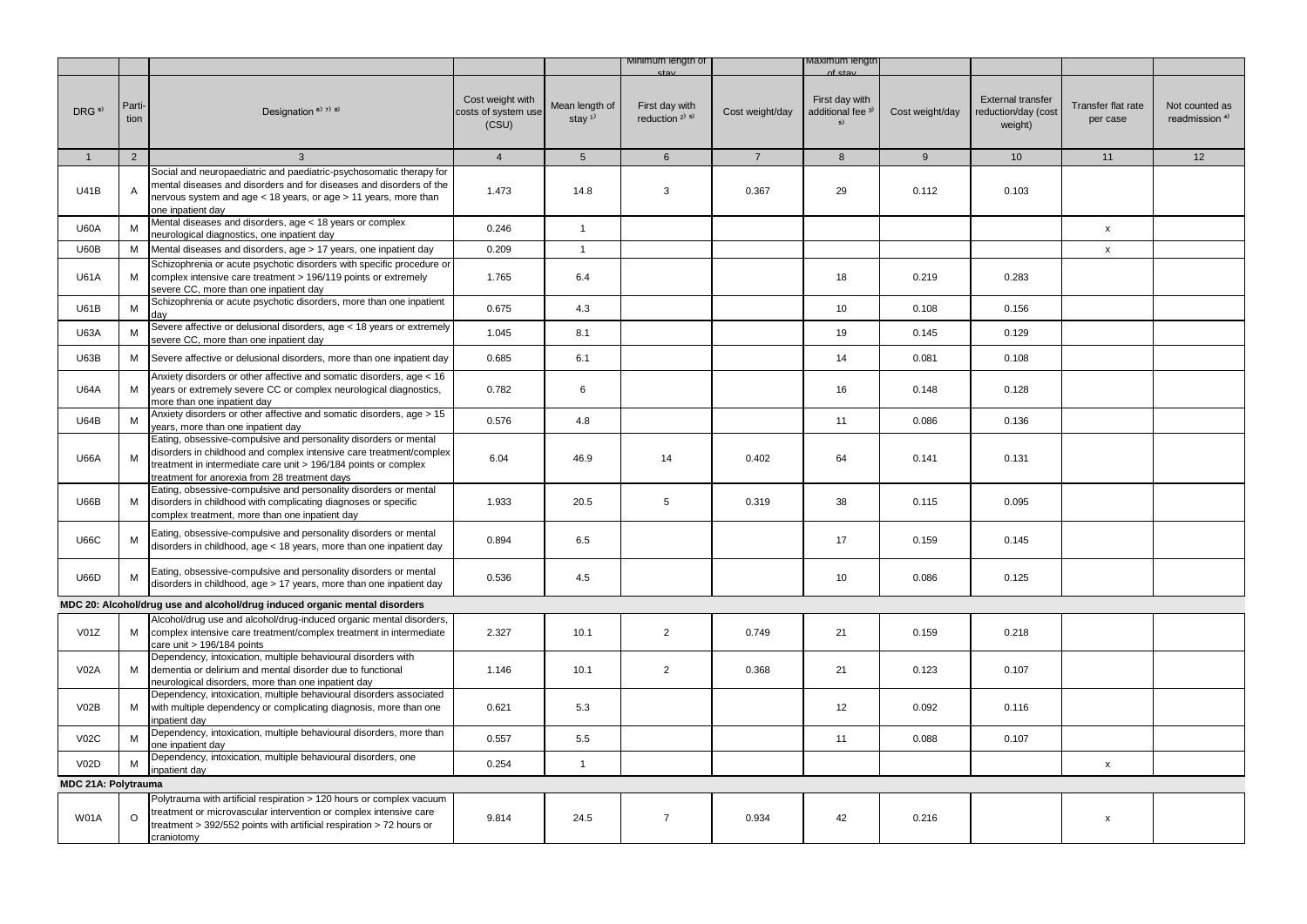|                     |                |                                                                                                                                                                                                                                                             |                                                  |                            | Minimum length of                                       |                 | /laximum lengtr                                      |                 |                                                     |                                |                                             |
|---------------------|----------------|-------------------------------------------------------------------------------------------------------------------------------------------------------------------------------------------------------------------------------------------------------------|--------------------------------------------------|----------------------------|---------------------------------------------------------|-----------------|------------------------------------------------------|-----------------|-----------------------------------------------------|--------------------------------|---------------------------------------------|
| DRG <sup>9)</sup>   | Parti-<br>tion | Designation <sup>6)</sup> 7) 8)                                                                                                                                                                                                                             | Cost weight with<br>costs of system use<br>(CSU) | Mean length of<br>stay $1$ | First day with<br>reduction <sup>2)</sup> <sup>5)</sup> | Cost weight/day | First day with<br>additional fee <sup>3)</sup><br>5) | Cost weight/day | External transfer<br>reduction/day (cost<br>weight) | Transfer flat rate<br>per case | Not counted as<br>readmission <sup>4)</sup> |
| 1                   | 2              | $\mathbf{3}$                                                                                                                                                                                                                                                | $\overline{4}$                                   | 5 <sup>5</sup>             | $6\overline{6}$                                         | $7^{\circ}$     | $8\phantom{1}$                                       | 9               | 10 <sup>1</sup>                                     | 11                             | 12                                          |
| U41B                | Α              | Social and neuropaediatric and paediatric-psychosomatic therapy for<br>mental diseases and disorders and for diseases and disorders of the<br>nervous system and age < 18 years, or age > 11 years, more than<br>one inpatient dav                          | 1.473                                            | 14.8                       | 3                                                       | 0.367           | 29                                                   | 0.112           | 0.103                                               |                                |                                             |
| <b>U60A</b>         | м              | Mental diseases and disorders, age < 18 years or complex<br>neurological diagnostics, one inpatient day                                                                                                                                                     | 0.246                                            | $\mathbf{1}$               |                                                         |                 |                                                      |                 |                                                     | $\pmb{\mathsf{x}}$             |                                             |
| U60B                | M              | Mental diseases and disorders, age > 17 years, one inpatient day                                                                                                                                                                                            | 0.209                                            | $\mathbf{1}$               |                                                         |                 |                                                      |                 |                                                     | $\pmb{\mathsf{x}}$             |                                             |
| <b>U61A</b>         | М              | Schizophrenia or acute psychotic disorders with specific procedure or<br>complex intensive care treatment > 196/119 points or extremely<br>severe CC, more than one inpatient day                                                                           | 1.765                                            | 6.4                        |                                                         |                 | 18                                                   | 0.219           | 0.283                                               |                                |                                             |
| <b>U61B</b>         | M              | Schizophrenia or acute psychotic disorders, more than one inpatient<br>dav                                                                                                                                                                                  | 0.675                                            | 4.3                        |                                                         |                 | 10                                                   | 0.108           | 0.156                                               |                                |                                             |
| <b>U63A</b>         | M              | Severe affective or delusional disorders, age < 18 years or extremely<br>severe CC, more than one inpatient day                                                                                                                                             | 1.045                                            | 8.1                        |                                                         |                 | 19                                                   | 0.145           | 0.129                                               |                                |                                             |
| U63B                | м              | Severe affective or delusional disorders, more than one inpatient day                                                                                                                                                                                       | 0.685                                            | 6.1                        |                                                         |                 | 14                                                   | 0.081           | 0.108                                               |                                |                                             |
| <b>U64A</b>         | M              | Anxiety disorders or other affective and somatic disorders, age < 16<br>years or extremely severe CC or complex neurological diagnostics,<br>more than one inpatient day                                                                                    | 0.782                                            | 6                          |                                                         |                 | 16                                                   | 0.148           | 0.128                                               |                                |                                             |
| <b>U64B</b>         | M              | Anxiety disorders or other affective and somatic disorders, age > 15<br>years, more than one inpatient day                                                                                                                                                  | 0.576                                            | 4.8                        |                                                         |                 | 11                                                   | 0.086           | 0.136                                               |                                |                                             |
| <b>U66A</b>         | М              | Eating, obsessive-compulsive and personality disorders or mental<br>disorders in childhood and complex intensive care treatment/complex<br>treatment in intermediate care unit > 196/184 points or complex<br>treatment for anorexia from 28 treatment days | 6.04                                             | 46.9                       | 14                                                      | 0.402           | 64                                                   | 0.141           | 0.131                                               |                                |                                             |
| <b>U66B</b>         | M              | Eating, obsessive-compulsive and personality disorders or mental<br>disorders in childhood with complicating diagnoses or specific<br>complex treatment, more than one inpatient day                                                                        | 1.933                                            | 20.5                       | 5                                                       | 0.319           | 38                                                   | 0.115           | 0.095                                               |                                |                                             |
| <b>U66C</b>         | M              | Eating, obsessive-compulsive and personality disorders or mental<br>disorders in childhood, age < 18 years, more than one inpatient day                                                                                                                     | 0.894                                            | 6.5                        |                                                         |                 | 17                                                   | 0.159           | 0.145                                               |                                |                                             |
| <b>U66D</b>         | м              | Eating, obsessive-compulsive and personality disorders or mental<br>disorders in childhood, age > 17 years, more than one inpatient day                                                                                                                     | 0.536                                            | 4.5                        |                                                         |                 | 10                                                   | 0.086           | 0.125                                               |                                |                                             |
|                     |                | MDC 20: Alcohol/drug use and alcohol/drug induced organic mental disorders                                                                                                                                                                                  |                                                  |                            |                                                         |                 |                                                      |                 |                                                     |                                |                                             |
| V01Z                | М              | Alcohol/drug use and alcohol/drug-induced organic mental disorders,<br>complex intensive care treatment/complex treatment in intermediate<br>care unit > 196/184 points                                                                                     | 2.327                                            | 10.1                       | $\overline{2}$                                          | 0.749           | 21                                                   | 0.159           | 0.218                                               |                                |                                             |
| <b>V02A</b>         | м              | Dependency, intoxication, multiple behavioural disorders with<br>dementia or delirium and mental disorder due to functional<br>neurological disorders, more than one inpatient day                                                                          | 1.146                                            | 10.1                       | $\overline{2}$                                          | 0.368           | 21                                                   | 0.123           | 0.107                                               |                                |                                             |
| V02B                | М              | Dependency, intoxication, multiple behavioural disorders associated<br>with multiple dependency or complicating diagnosis, more than one<br>npatient day                                                                                                    | 0.621                                            | 5.3                        |                                                         |                 | 12                                                   | 0.092           | 0.116                                               |                                |                                             |
| V02C                | M              | Dependency, intoxication, multiple behavioural disorders, more than<br>one inpatient day                                                                                                                                                                    | 0.557                                            | 5.5                        |                                                         |                 | 11                                                   | 0.088           | 0.107                                               |                                |                                             |
| V02D                | M              | Dependency, intoxication, multiple behavioural disorders, one<br>npatient day                                                                                                                                                                               | 0.254                                            | $\mathbf{1}$               |                                                         |                 |                                                      |                 |                                                     | $\pmb{\mathsf{x}}$             |                                             |
| MDC 21A: Polytrauma |                |                                                                                                                                                                                                                                                             |                                                  |                            |                                                         |                 |                                                      |                 |                                                     |                                |                                             |
| <b>W01A</b>         | $\Omega$       | Polytrauma with artificial respiration > 120 hours or complex vacuum<br>treatment or microvascular intervention or complex intensive care<br>treatment > 392/552 points with artificial respiration > 72 hours or<br>craniotomy                             | 9.814                                            | 24.5                       | $\overline{7}$                                          | 0.934           | 42                                                   | 0.216           |                                                     | X                              |                                             |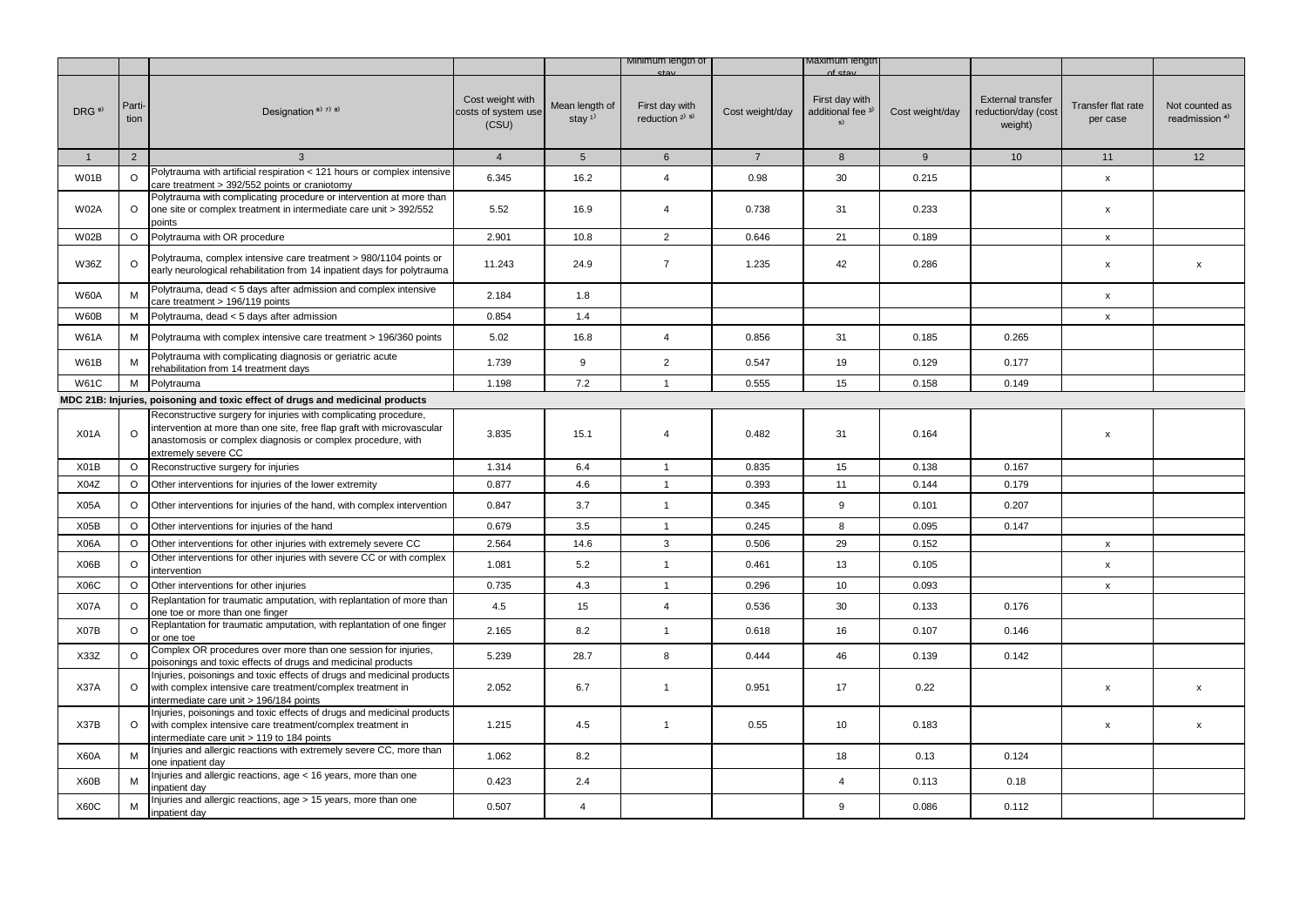|                   |                |                                                                                                                                                                                                                                  |                                                  |                                         | Minimum length of                                       |                 | naxımum iengtr                                                 |                 |                                                            |                                |                                             |
|-------------------|----------------|----------------------------------------------------------------------------------------------------------------------------------------------------------------------------------------------------------------------------------|--------------------------------------------------|-----------------------------------------|---------------------------------------------------------|-----------------|----------------------------------------------------------------|-----------------|------------------------------------------------------------|--------------------------------|---------------------------------------------|
| DRG <sup>9)</sup> | Parti-<br>tion | Designation <sup>6)</sup> <sup>7)</sup> <sup>8)</sup>                                                                                                                                                                            | Cost weight with<br>costs of system use<br>(CSU) | Mean length of<br>stay $1$ <sup>1</sup> | First day with<br>reduction <sup>2)</sup> <sup>5)</sup> | Cost weight/day | nf et:<br>First day with<br>additional fee <sup>3)</sup><br>5) | Cost weight/day | <b>External transfer</b><br>reduction/day (cost<br>weight) | Transfer flat rate<br>per case | Not counted as<br>readmission <sup>4)</sup> |
| 1                 | $\overline{2}$ | 3                                                                                                                                                                                                                                | $\overline{4}$                                   | $5\overline{5}$                         | $6\phantom{1}$                                          | $\overline{7}$  | 8                                                              | 9               | 10 <sup>1</sup>                                            | 11                             | 12                                          |
| W01B              | O              | Polytrauma with artificial respiration < 121 hours or complex intensive<br>care treatment > 392/552 points or craniotomy                                                                                                         | 6.345                                            | 16.2                                    | $\overline{4}$                                          | 0.98            | 30                                                             | 0.215           |                                                            | x                              |                                             |
| <b>W02A</b>       | $\circ$        | Polytrauma with complicating procedure or intervention at more than<br>one site or complex treatment in intermediate care unit > 392/552<br>points                                                                               | 5.52                                             | 16.9                                    | $\overline{4}$                                          | 0.738           | 31                                                             | 0.233           |                                                            | x                              |                                             |
| <b>W02B</b>       | $\circ$        | Polytrauma with OR procedure                                                                                                                                                                                                     | 2.901                                            | 10.8                                    | $\overline{2}$                                          | 0.646           | 21                                                             | 0.189           |                                                            | x                              |                                             |
| <b>W36Z</b>       | $\Omega$       | Polytrauma, complex intensive care treatment > 980/1104 points or<br>early neurological rehabilitation from 14 inpatient days for polytrauma                                                                                     | 11.243                                           | 24.9                                    | $\overline{7}$                                          | 1.235           | 42                                                             | 0.286           |                                                            | x                              | $\mathsf{x}$                                |
| <b>W60A</b>       | M              | Polytrauma, dead < 5 days after admission and complex intensive<br>care treatment > 196/119 points                                                                                                                               | 2.184                                            | 1.8                                     |                                                         |                 |                                                                |                 |                                                            | X                              |                                             |
| W60B              | М              | Polytrauma, dead < 5 days after admission                                                                                                                                                                                        | 0.854                                            | 1.4                                     |                                                         |                 |                                                                |                 |                                                            | x                              |                                             |
| <b>W61A</b>       | М              | Polytrauma with complex intensive care treatment > 196/360 points                                                                                                                                                                | 5.02                                             | 16.8                                    | $\overline{4}$                                          | 0.856           | 31                                                             | 0.185           | 0.265                                                      |                                |                                             |
| <b>W61B</b>       | M              | Polytrauma with complicating diagnosis or geriatric acute<br>rehabilitation from 14 treatment days                                                                                                                               | 1.739                                            | 9                                       | $\overline{2}$                                          | 0.547           | 19                                                             | 0.129           | 0.177                                                      |                                |                                             |
| <b>W61C</b>       | M              | Polytrauma                                                                                                                                                                                                                       | 1.198                                            | 7.2                                     | $\mathbf{1}$                                            | 0.555           | 15                                                             | 0.158           | 0.149                                                      |                                |                                             |
|                   |                | MDC 21B: Injuries, poisoning and toxic effect of drugs and medicinal products                                                                                                                                                    |                                                  |                                         |                                                         |                 |                                                                |                 |                                                            |                                |                                             |
| X01A              | $\circ$        | Reconstructive surgery for injuries with complicating procedure,<br>intervention at more than one site, free flap graft with microvascular<br>anastomosis or complex diagnosis or complex procedure, with<br>extremely severe CC | 3.835                                            | 15.1                                    | $\overline{4}$                                          | 0.482           | 31                                                             | 0.164           |                                                            | x                              |                                             |
| X01B              | $\circ$        | Reconstructive surgery for injuries                                                                                                                                                                                              | 1.314                                            | 6.4                                     | $\mathbf{1}$                                            | 0.835           | 15                                                             | 0.138           | 0.167                                                      |                                |                                             |
| X04Z              | $\circ$        | Other interventions for injuries of the lower extremity                                                                                                                                                                          | 0.877                                            | 4.6                                     | $\mathbf{1}$                                            | 0.393           | 11                                                             | 0.144           | 0.179                                                      |                                |                                             |
| X05A              | $\circ$        | Other interventions for injuries of the hand, with complex intervention                                                                                                                                                          | 0.847                                            | 3.7                                     | $\mathbf{1}$                                            | 0.345           | 9                                                              | 0.101           | 0.207                                                      |                                |                                             |
| X05B              | $\circ$        | Other interventions for injuries of the hand                                                                                                                                                                                     | 0.679                                            | 3.5                                     | $\mathbf{1}$                                            | 0.245           | 8                                                              | 0.095           | 0.147                                                      |                                |                                             |
| X06A              | $\circ$        | Other interventions for other injuries with extremely severe CC                                                                                                                                                                  | 2.564                                            | 14.6                                    | 3                                                       | 0.506           | 29                                                             | 0.152           |                                                            | x                              |                                             |
| X06B              | $\circ$        | Other interventions for other injuries with severe CC or with complex<br>intervention                                                                                                                                            | 1.081                                            | 5.2                                     | $\mathbf{1}$                                            | 0.461           | 13                                                             | 0.105           |                                                            | X                              |                                             |
| X06C              | $\circ$        | Other interventions for other injuries                                                                                                                                                                                           | 0.735                                            | 4.3                                     | $\mathbf{1}$                                            | 0.296           | 10                                                             | 0.093           |                                                            | x                              |                                             |
| X07A              | $\Omega$       | Replantation for traumatic amputation, with replantation of more than<br>one toe or more than one finger                                                                                                                         | 4.5                                              | 15                                      | $\overline{4}$                                          | 0.536           | 30                                                             | 0.133           | 0.176                                                      |                                |                                             |
| X07B              | $\circ$        | Replantation for traumatic amputation, with replantation of one finger<br>or one toe                                                                                                                                             | 2.165                                            | 8.2                                     | $\mathbf{1}$                                            | 0.618           | 16                                                             | 0.107           | 0.146                                                      |                                |                                             |
| X33Z              | $\circ$        | Complex OR procedures over more than one session for injuries,<br>poisonings and toxic effects of drugs and medicinal products                                                                                                   | 5.239                                            | 28.7                                    | 8                                                       | 0.444           | 46                                                             | 0.139           | 0.142                                                      |                                |                                             |
| X37A              | $\circ$        | Injuries, poisonings and toxic effects of drugs and medicinal products<br>with complex intensive care treatment/complex treatment in<br>intermediate care unit > 196/184 points                                                  | 2.052                                            | 6.7                                     | $\mathbf{1}$                                            | 0.951           | 17                                                             | 0.22            |                                                            | x                              | $\mathsf{x}$                                |
| X37B              | O              | Injuries, poisonings and toxic effects of drugs and medicinal products<br>with complex intensive care treatment/complex treatment in<br>intermediate care unit > 119 to 184 points                                               | 1.215                                            | 4.5                                     | $\mathbf{1}$                                            | 0.55            | 10                                                             | 0.183           |                                                            | x                              | X                                           |
| <b>X60A</b>       | M              | Injuries and allergic reactions with extremely severe CC, more than<br>one inpatient day                                                                                                                                         | 1.062                                            | 8.2                                     |                                                         |                 | 18                                                             | 0.13            | 0.124                                                      |                                |                                             |
| X60B              | M              | Injuries and allergic reactions, age < 16 years, more than one<br>inpatient day                                                                                                                                                  | 0.423                                            | 2.4                                     |                                                         |                 | $\overline{4}$                                                 | 0.113           | 0.18                                                       |                                |                                             |
| <b>X60C</b>       | M              | Injuries and allergic reactions, age > 15 years, more than one<br>inpatient day                                                                                                                                                  | 0.507                                            | $\overline{4}$                          |                                                         |                 | 9                                                              | 0.086           | 0.112                                                      |                                |                                             |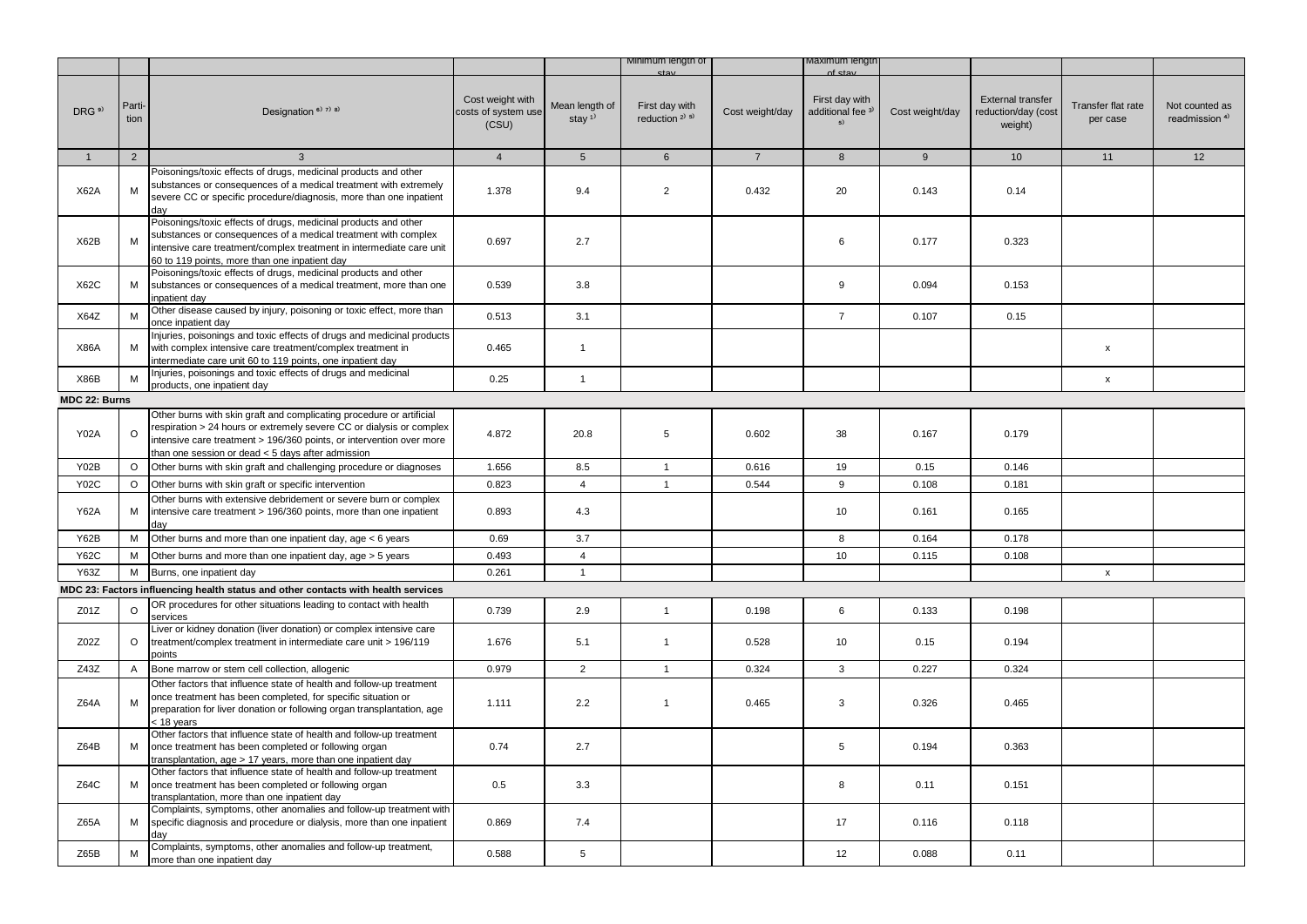|                   |                |                                                                                                                                                                                                                                                                           |                                                  |                            | Minimum length of                      |                 | waximum iengtr                                         |                 |                                                            |                                |                                             |
|-------------------|----------------|---------------------------------------------------------------------------------------------------------------------------------------------------------------------------------------------------------------------------------------------------------------------------|--------------------------------------------------|----------------------------|----------------------------------------|-----------------|--------------------------------------------------------|-----------------|------------------------------------------------------------|--------------------------------|---------------------------------------------|
| DRG <sup>9)</sup> | Parti-<br>tion | Designation <sup>6)</sup> 7) 8)                                                                                                                                                                                                                                           | Cost weight with<br>costs of system use<br>(CSU) | Mean length of<br>stay $1$ | First day with<br>reduction $2^{j}$ 5) | Cost weight/day | First day with<br>additional fee <sup>3)</sup><br>$5)$ | Cost weight/day | <b>External transfer</b><br>reduction/day (cost<br>weight) | Transfer flat rate<br>per case | Not counted as<br>readmission <sup>4)</sup> |
| $\mathbf{1}$      | 2              | 3                                                                                                                                                                                                                                                                         | $\overline{4}$                                   | 5 <sup>5</sup>             | $6\phantom{1}$                         | $7\overline{ }$ | 8                                                      | 9               | 10 <sup>1</sup>                                            | 11                             | 12                                          |
|                   |                | Poisonings/toxic effects of drugs, medicinal products and other                                                                                                                                                                                                           |                                                  |                            |                                        |                 |                                                        |                 |                                                            |                                |                                             |
| <b>X62A</b>       | M              | substances or consequences of a medical treatment with extremely<br>severe CC or specific procedure/diagnosis, more than one inpatient<br>day                                                                                                                             | 1.378                                            | 9.4                        | $\overline{2}$                         | 0.432           | 20                                                     | 0.143           | 0.14                                                       |                                |                                             |
| X62B              | M              | Poisonings/toxic effects of drugs, medicinal products and other<br>substances or consequences of a medical treatment with complex<br>intensive care treatment/complex treatment in intermediate care unit<br>60 to 119 points, more than one inpatient day                | 0.697                                            | 2.7                        |                                        |                 | 6                                                      | 0.177           | 0.323                                                      |                                |                                             |
| <b>X62C</b>       | М              | Poisonings/toxic effects of drugs, medicinal products and other<br>substances or consequences of a medical treatment, more than one<br>inpatient day                                                                                                                      | 0.539                                            | 3.8                        |                                        |                 | 9                                                      | 0.094           | 0.153                                                      |                                |                                             |
| X64Z              | M              | Other disease caused by injury, poisoning or toxic effect, more than<br>once inpatient day                                                                                                                                                                                | 0.513                                            | 3.1                        |                                        |                 | $\overline{7}$                                         | 0.107           | 0.15                                                       |                                |                                             |
| <b>X86A</b>       | М              | Injuries, poisonings and toxic effects of drugs and medicinal products<br>with complex intensive care treatment/complex treatment in<br>intermediate care unit 60 to 119 points, one inpatient day                                                                        | 0.465                                            | $\mathbf{1}$               |                                        |                 |                                                        |                 |                                                            | x                              |                                             |
| X86B              | M              | Injuries, poisonings and toxic effects of drugs and medicinal<br>products, one inpatient day                                                                                                                                                                              | 0.25                                             | $\mathbf{1}$               |                                        |                 |                                                        |                 |                                                            | $\pmb{\mathsf{x}}$             |                                             |
| MDC 22: Burns     |                |                                                                                                                                                                                                                                                                           |                                                  |                            |                                        |                 |                                                        |                 |                                                            |                                |                                             |
| <b>Y02A</b>       | $\Omega$       | Other burns with skin graft and complicating procedure or artificial<br>respiration > 24 hours or extremely severe CC or dialysis or complex<br>intensive care treatment > 196/360 points, or intervention over more<br>than one session or dead < 5 days after admission | 4.872                                            | 20.8                       | 5                                      | 0.602           | 38                                                     | 0.167           | 0.179                                                      |                                |                                             |
| Y02B              | $\circ$        | Other burns with skin graft and challenging procedure or diagnoses                                                                                                                                                                                                        | 1.656                                            | 8.5                        | $\mathbf{1}$                           | 0.616           | 19                                                     | 0.15            | 0.146                                                      |                                |                                             |
| <b>Y02C</b>       | $\circ$        | Other burns with skin graft or specific intervention                                                                                                                                                                                                                      | 0.823                                            | $\overline{4}$             | $\mathbf{1}$                           | 0.544           | 9                                                      | 0.108           | 0.181                                                      |                                |                                             |
| <b>Y62A</b>       | М              | Other burns with extensive debridement or severe burn or complex<br>intensive care treatment > 196/360 points, more than one inpatient<br>dav                                                                                                                             | 0.893                                            | 4.3                        |                                        |                 | 10                                                     | 0.161           | 0.165                                                      |                                |                                             |
| <b>Y62B</b>       | М              | Other burns and more than one inpatient day, age < 6 years                                                                                                                                                                                                                | 0.69                                             | 3.7                        |                                        |                 | 8                                                      | 0.164           | 0.178                                                      |                                |                                             |
| <b>Y62C</b>       | М              | Other burns and more than one inpatient day, age > 5 years                                                                                                                                                                                                                | 0.493                                            | $\overline{4}$             |                                        |                 | 10                                                     | 0.115           | 0.108                                                      |                                |                                             |
| Y63Z              | М              | Burns, one inpatient day                                                                                                                                                                                                                                                  | 0.261                                            | $\mathbf{1}$               |                                        |                 |                                                        |                 |                                                            | x                              |                                             |
|                   |                | MDC 23: Factors influencing health status and other contacts with health services                                                                                                                                                                                         |                                                  |                            |                                        |                 |                                                        |                 |                                                            |                                |                                             |
| Z01Z              | $\circ$        | OR procedures for other situations leading to contact with health<br>services                                                                                                                                                                                             | 0.739                                            | 2.9                        | $\mathbf{1}$                           | 0.198           | 6                                                      | 0.133           | 0.198                                                      |                                |                                             |
| Z02Z              | $\circ$        | Liver or kidney donation (liver donation) or complex intensive care<br>treatment/complex treatment in intermediate care unit > 196/119<br>points                                                                                                                          | 1.676                                            | 5.1                        | $\mathbf{1}$                           | 0.528           | 10                                                     | 0.15            | 0.194                                                      |                                |                                             |
| Z43Z              | A              | Bone marrow or stem cell collection, allogenic                                                                                                                                                                                                                            | 0.979                                            | $\overline{2}$             | $\mathbf{1}$                           | 0.324           | 3                                                      | 0.227           | 0.324                                                      |                                |                                             |
| Z64A              | M              | Other factors that influence state of health and follow-up treatment<br>once treatment has been completed, for specific situation or<br>preparation for liver donation or following organ transplantation, age<br>< 18 years                                              | 1.111                                            | 2.2                        | $\mathbf{1}$                           | 0.465           | 3                                                      | 0.326           | 0.465                                                      |                                |                                             |
| Z64B              | М              | Other factors that influence state of health and follow-up treatment<br>once treatment has been completed or following organ<br>transplantation, age > 17 years, more than one inpatient day                                                                              | 0.74                                             | 2.7                        |                                        |                 | 5                                                      | 0.194           | 0.363                                                      |                                |                                             |
| Z64C              | М              | Other factors that influence state of health and follow-up treatment<br>once treatment has been completed or following organ<br>transplantation, more than one inpatient day                                                                                              | 0.5                                              | 3.3                        |                                        |                 | 8                                                      | 0.11            | 0.151                                                      |                                |                                             |
| Z65A              | М              | Complaints, symptoms, other anomalies and follow-up treatment with<br>specific diagnosis and procedure or dialysis, more than one inpatient<br>day                                                                                                                        | 0.869                                            | 7.4                        |                                        |                 | 17                                                     | 0.116           | 0.118                                                      |                                |                                             |
| Z65B              | М              | Complaints, symptoms, other anomalies and follow-up treatment,<br>more than one inpatient day                                                                                                                                                                             | 0.588                                            | 5                          |                                        |                 | 12                                                     | 0.088           | 0.11                                                       |                                |                                             |